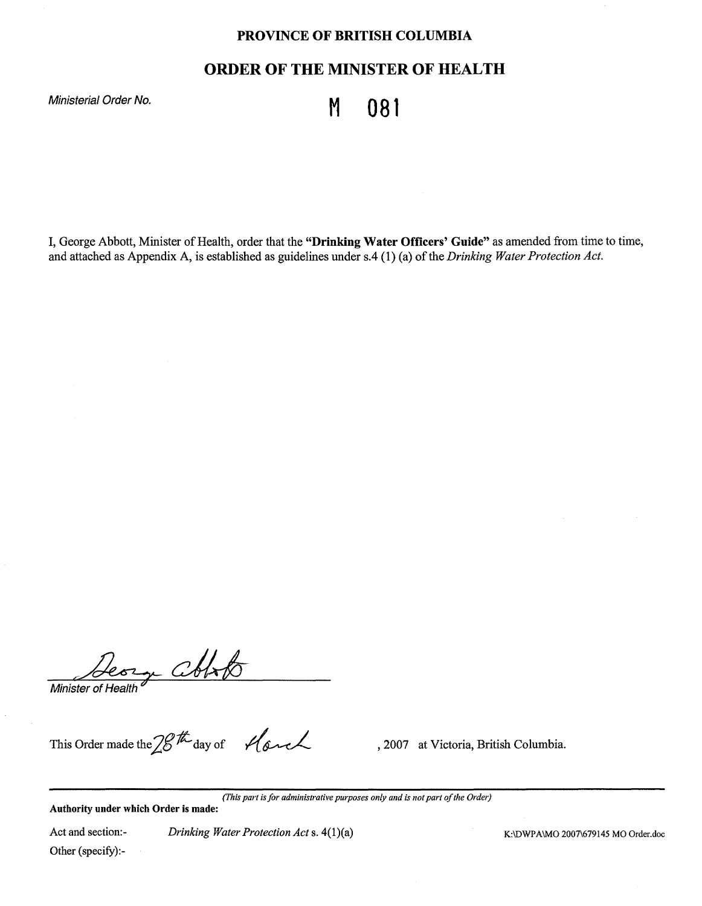# **PROVINCE OF BRITISH COLUMBIA**

# **ORDER OF THE MINISTER OF HEALTH**

Ministerial Order No. **Ministerial Order No.** M **081** 

I, George Abbott, Minister of Health, order that the **"Drinking Water Officers' Guide"** as amended from time to time, and attached as Appendix A, is established as guidelines under s.4 (1) (a) of the *Drinking Water Protection Act.* 

orge Conto Minister of Health

This Order made the 2<sup>gth</sup> day of *.// 6nd*, 2007 at Victoria, British Columbia.

*(This part is for administrative purposes only and is not part of the Order)* 

**Authority under which Order is made:** 

Act and section:- Other (specify):- *Drinking Water Protection Act* s.  $4(1)(a)$  K:\DWPA\MO 2007\679145 MO Order.doc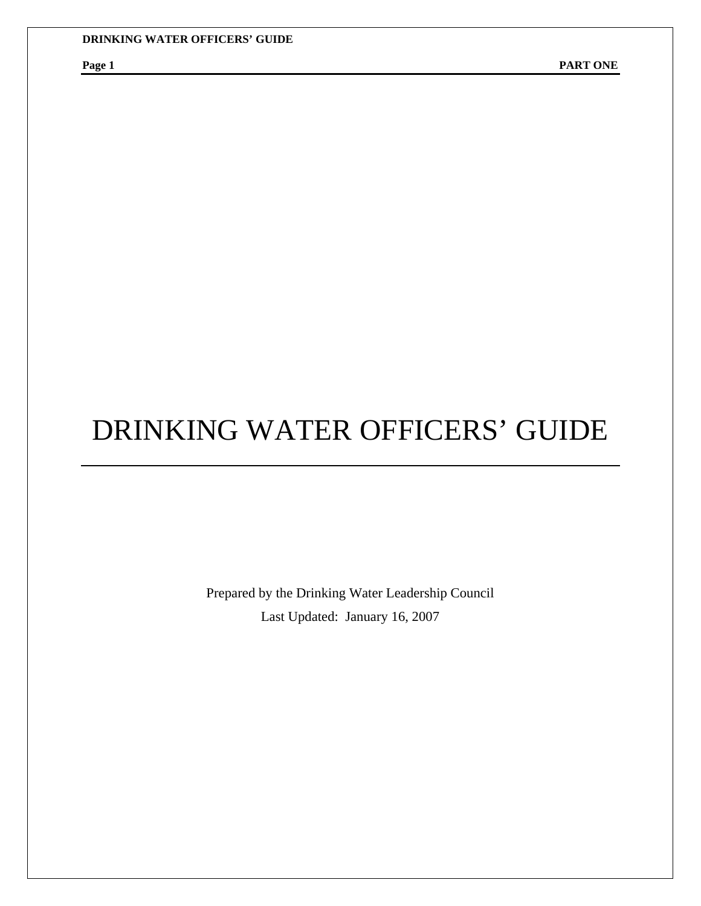Prepared by the Drinking Water Leadership Council Last Updated: January 16, 2007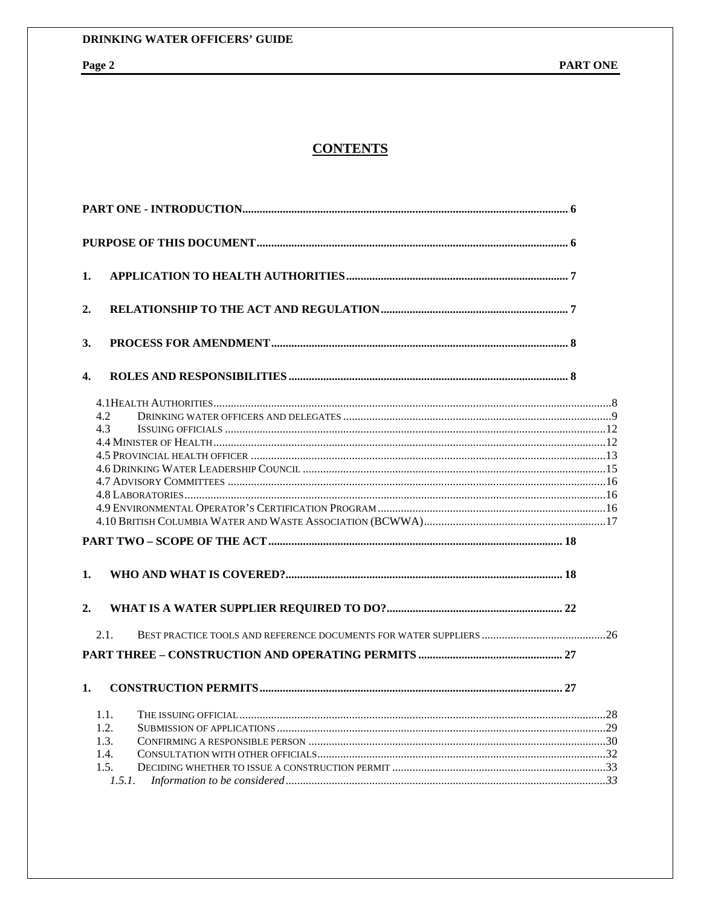# **CONTENTS**

| 1.     |  |  |
|--------|--|--|
| 2.     |  |  |
| 3.     |  |  |
| 4.     |  |  |
|        |  |  |
| 4.2    |  |  |
| 4.3    |  |  |
|        |  |  |
|        |  |  |
|        |  |  |
|        |  |  |
|        |  |  |
|        |  |  |
|        |  |  |
|        |  |  |
|        |  |  |
| 1.     |  |  |
|        |  |  |
|        |  |  |
| 2.     |  |  |
| 2.1.   |  |  |
|        |  |  |
|        |  |  |
| 1.     |  |  |
| 1.1.   |  |  |
| 1.2.   |  |  |
| 1.3.   |  |  |
| 1.4.   |  |  |
| 1.5.   |  |  |
| 1.5.1. |  |  |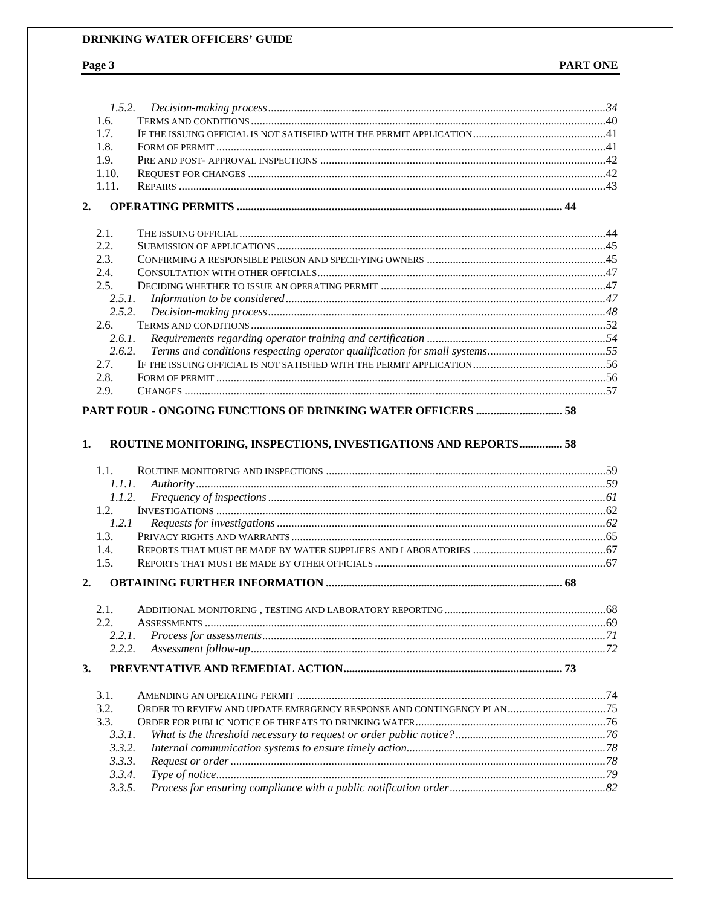# Page 3

|                  | 1.5.2.                                                         |  |
|------------------|----------------------------------------------------------------|--|
| 1.6.             |                                                                |  |
| 1.7.             |                                                                |  |
| 1.8.             |                                                                |  |
| 1.9.             |                                                                |  |
| 1.10.            |                                                                |  |
| 1.11.            |                                                                |  |
| 2.               |                                                                |  |
| 2.1.             |                                                                |  |
| 2.2.             |                                                                |  |
| 2.3.             |                                                                |  |
| 2.4.             |                                                                |  |
| 2.5.             |                                                                |  |
| 2.5.1.           |                                                                |  |
| 2.5.2.           |                                                                |  |
| 2.6.             |                                                                |  |
| 2.6.1.           |                                                                |  |
| 2.6.2.           |                                                                |  |
| 2.7.             |                                                                |  |
| 2.8.             |                                                                |  |
| 2.9.             |                                                                |  |
| 1.               |                                                                |  |
| 1.1.             | ROUTINE MONITORING, INSPECTIONS, INVESTIGATIONS AND REPORTS 58 |  |
| 1.1.1.           |                                                                |  |
| 1.1.2.           |                                                                |  |
| 1.2.             |                                                                |  |
| 1.2.1            |                                                                |  |
| 1.3.             |                                                                |  |
| 1.4.<br>1.5.     |                                                                |  |
| 2.               |                                                                |  |
|                  |                                                                |  |
| 2.1.             |                                                                |  |
| 2.2.             |                                                                |  |
| 2.2.1.<br>2.2.2. |                                                                |  |
| 3.               |                                                                |  |
|                  |                                                                |  |
| 3.1.             |                                                                |  |
| 3.2.<br>3.3.     |                                                                |  |
|                  |                                                                |  |
| 3.3.1.<br>3.3.2. |                                                                |  |
| 3.3.3.           |                                                                |  |
| 3.3.4.           |                                                                |  |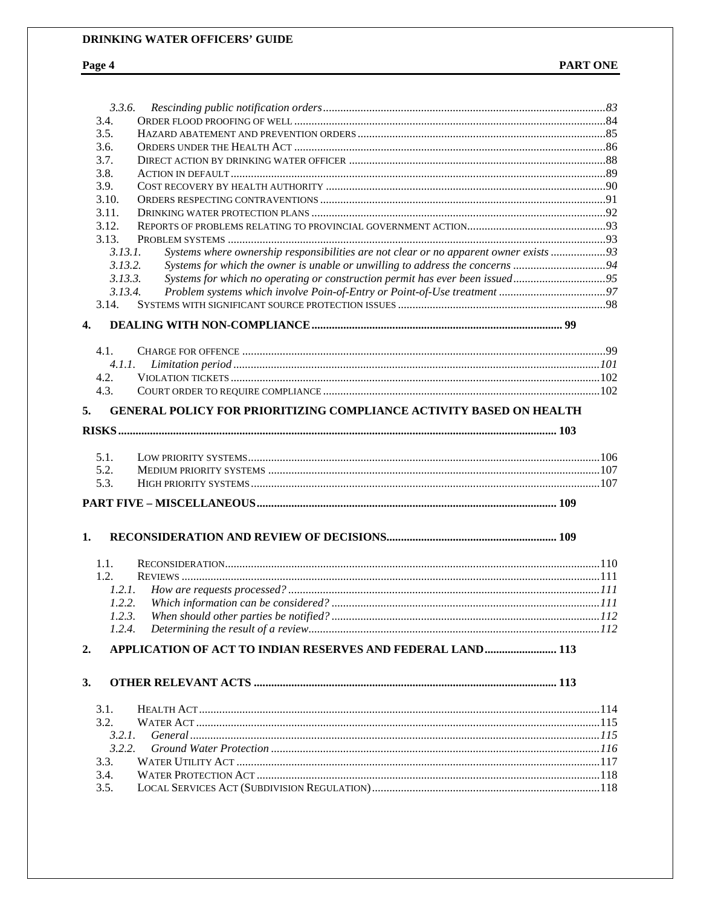# Page 4

|                      | 3.3.6.                                                                                 |  |
|----------------------|----------------------------------------------------------------------------------------|--|
| 3.4.                 |                                                                                        |  |
| 3.5.                 |                                                                                        |  |
| 3.6.                 |                                                                                        |  |
| 3.7.                 |                                                                                        |  |
| 3.8.                 |                                                                                        |  |
| 3.9.                 |                                                                                        |  |
| 3.10.                |                                                                                        |  |
| 3.11.                |                                                                                        |  |
| 3.12.                |                                                                                        |  |
| 3.13.                |                                                                                        |  |
| 3.13.1.              | Systems where ownership responsibilities are not clear or no apparent owner exists  93 |  |
| 3.13.2.              |                                                                                        |  |
| 3.13.3.              | Systems for which no operating or construction permit has ever been issued95           |  |
| 3.13.4.              |                                                                                        |  |
| 3.14.                |                                                                                        |  |
|                      |                                                                                        |  |
| $\mathbf{4}$         |                                                                                        |  |
| 4.1.                 |                                                                                        |  |
| 4.1.1.               |                                                                                        |  |
| 4.2.                 |                                                                                        |  |
| 4.3.                 |                                                                                        |  |
| 5.                   | <b>GENERAL POLICY FOR PRIORITIZING COMPLIANCE ACTIVITY BASED ON HEALTH</b>             |  |
| 5.1.<br>5.2.<br>5.3. |                                                                                        |  |
|                      |                                                                                        |  |
|                      |                                                                                        |  |
| 1.                   |                                                                                        |  |
| 1.1.                 |                                                                                        |  |
| 1.2.                 |                                                                                        |  |
|                      |                                                                                        |  |
|                      |                                                                                        |  |
| 1.2.3.               |                                                                                        |  |
| 1.2.4.               |                                                                                        |  |
| 2.                   | APPLICATION OF ACT TO INDIAN RESERVES AND FEDERAL LAND 113                             |  |
| 3.                   |                                                                                        |  |
| 3.1.                 |                                                                                        |  |
| 3.2.                 |                                                                                        |  |
| 3.2.1.               |                                                                                        |  |
| 3.2.2.               |                                                                                        |  |
| 3.3.                 |                                                                                        |  |
| 3.4.                 |                                                                                        |  |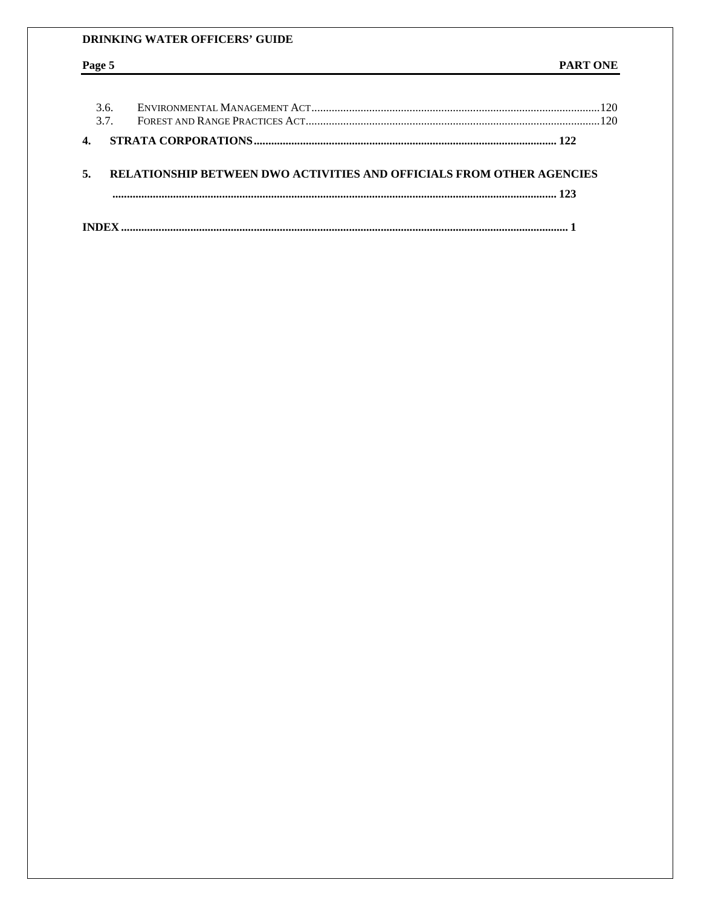Page 5

# PART ONE

| 3.6.<br>37 |                                                                       | 120<br>120 |
|------------|-----------------------------------------------------------------------|------------|
|            |                                                                       |            |
|            | RELATIONSHIP BETWEEN DWO ACTIVITIES AND OFFICIALS FROM OTHER AGENCIES |            |
|            |                                                                       |            |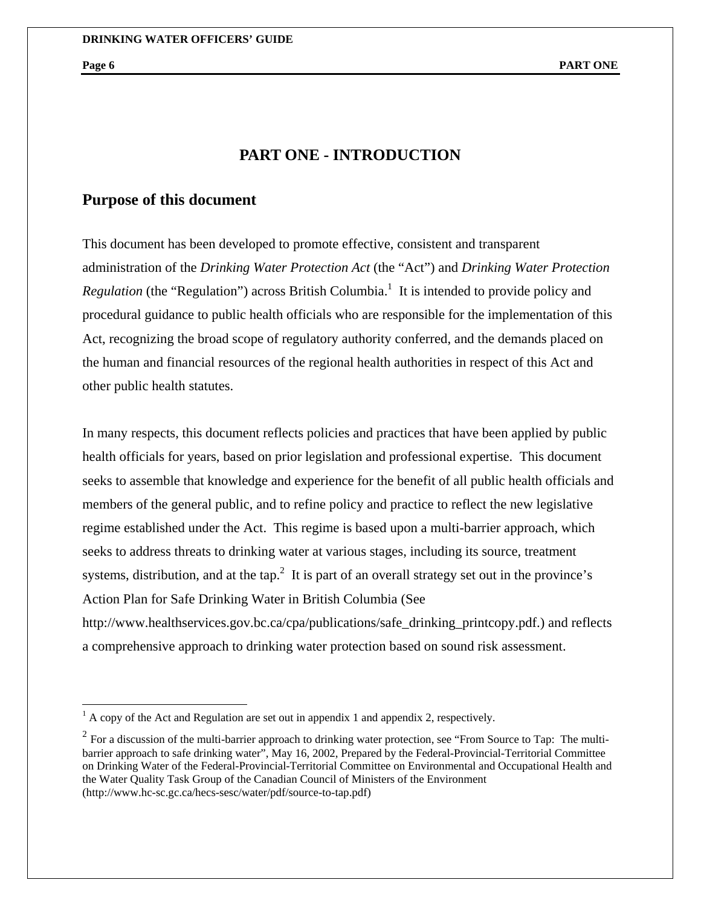# **PART ONE - INTRODUCTION**

# **Purpose of this document**

This document has been developed to promote effective, consistent and transparent administration of the *Drinking Water Protection Act* (the "Act") and *Drinking Water Protection*  Regulation (the "Regulation") across British Columbia.<sup>1</sup> It is intended to provide policy and procedural guidance to public health officials who are responsible for the implementation of this Act, recognizing the broad scope of regulatory authority conferred, and the demands placed on the human and financial resources of the regional health authorities in respect of this Act and other public health statutes.

In many respects, this document reflects policies and practices that have been applied by public health officials for years, based on prior legislation and professional expertise. This document seeks to assemble that knowledge and experience for the benefit of all public health officials and members of the general public, and to refine policy and practice to reflect the new legislative regime established under the Act. This regime is based upon a multi-barrier approach, which seeks to address threats to drinking water at various stages, including its source, treatment systems, distribution, and at the tap.<sup>2</sup> It is part of an overall strategy set out in the province's Action Plan for Safe Drinking Water in British Columbia (See

http://www.healthservices.gov.bc.ca/cpa/publications/safe\_drinking\_printcopy.pdf.) and reflects a comprehensive approach to drinking water protection based on sound risk assessment.

 $\frac{1}{1}$  A copy of the Act and Regulation are set out in appendix 1 and appendix 2, respectively.

 $^{2}$  For a discussion of the multi-barrier approach to drinking water protection, see "From Source to Tap: The multibarrier approach to safe drinking water", May 16, 2002, Prepared by the Federal-Provincial-Territorial Committee on Drinking Water of the Federal-Provincial-Territorial Committee on Environmental and Occupational Health and the Water Quality Task Group of the Canadian Council of Ministers of the Environment (http://www.hc-sc.gc.ca/hecs-sesc/water/pdf/source-to-tap.pdf)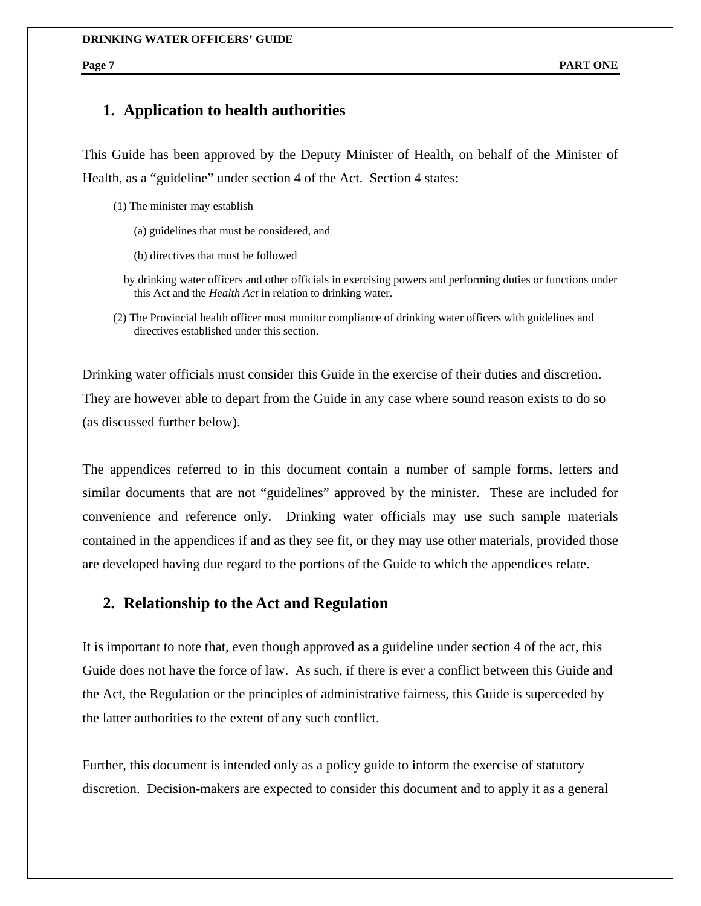# **1. Application to health authorities**

This Guide has been approved by the Deputy Minister of Health, on behalf of the Minister of Health, as a "guideline" under section 4 of the Act. Section 4 states:

- (1) The minister may establish
	- (a) guidelines that must be considered, and
	- (b) directives that must be followed
	- by drinking water officers and other officials in exercising powers and performing duties or functions under this Act and the *Health Act* in relation to drinking water.
- (2) The Provincial health officer must monitor compliance of drinking water officers with guidelines and directives established under this section.

Drinking water officials must consider this Guide in the exercise of their duties and discretion. They are however able to depart from the Guide in any case where sound reason exists to do so (as discussed further below).

The appendices referred to in this document contain a number of sample forms, letters and similar documents that are not "guidelines" approved by the minister. These are included for convenience and reference only. Drinking water officials may use such sample materials contained in the appendices if and as they see fit, or they may use other materials, provided those are developed having due regard to the portions of the Guide to which the appendices relate.

# **2. Relationship to the Act and Regulation**

It is important to note that, even though approved as a guideline under section 4 of the act, this Guide does not have the force of law. As such, if there is ever a conflict between this Guide and the Act, the Regulation or the principles of administrative fairness, this Guide is superceded by the latter authorities to the extent of any such conflict.

Further, this document is intended only as a policy guide to inform the exercise of statutory discretion. Decision-makers are expected to consider this document and to apply it as a general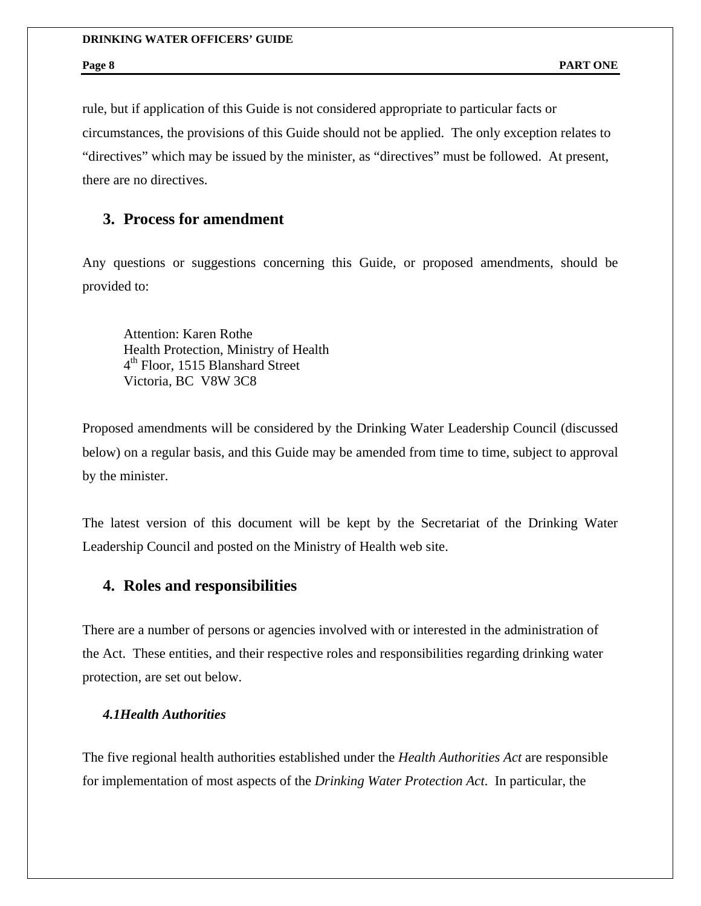rule, but if application of this Guide is not considered appropriate to particular facts or circumstances, the provisions of this Guide should not be applied. The only exception relates to "directives" which may be issued by the minister, as "directives" must be followed. At present, there are no directives.

# **3. Process for amendment**

Any questions or suggestions concerning this Guide, or proposed amendments, should be provided to:

Attention: Karen Rothe Health Protection, Ministry of Health 4<sup>th</sup> Floor, 1515 Blanshard Street Victoria, BC V8W 3C8

Proposed amendments will be considered by the Drinking Water Leadership Council (discussed below) on a regular basis, and this Guide may be amended from time to time, subject to approval by the minister.

The latest version of this document will be kept by the Secretariat of the Drinking Water Leadership Council and posted on the Ministry of Health web site.

# **4. Roles and responsibilities**

There are a number of persons or agencies involved with or interested in the administration of the Act. These entities, and their respective roles and responsibilities regarding drinking water protection, are set out below.

# *4.1Health Authorities*

The five regional health authorities established under the *Health Authorities Act* are responsible for implementation of most aspects of the *Drinking Water Protection Act*. In particular, the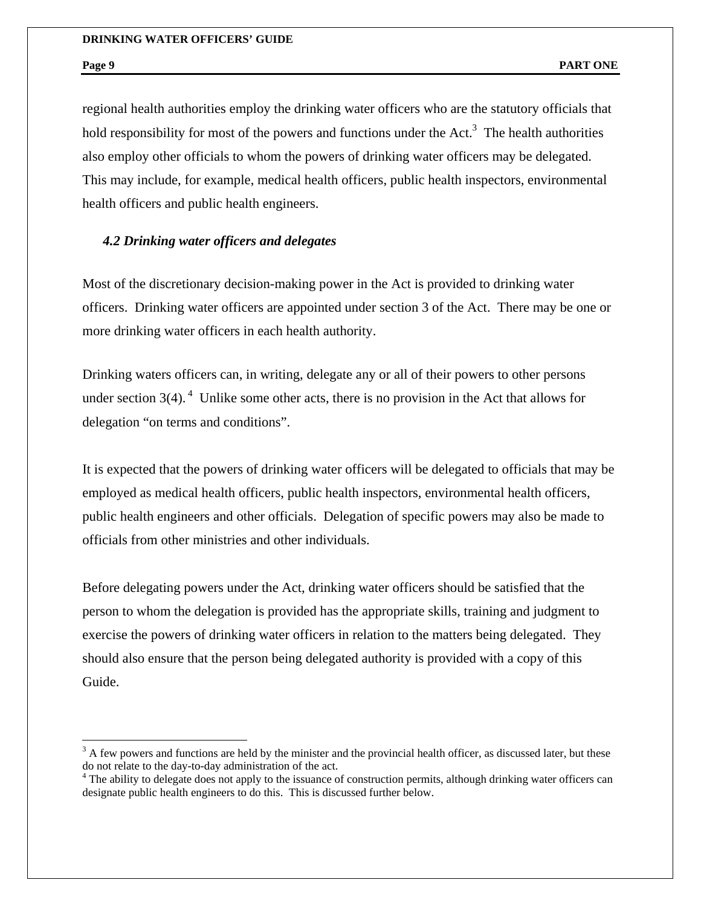$\overline{a}$ 

regional health authorities employ the drinking water officers who are the statutory officials that hold responsibility for most of the powers and functions under the Act.<sup>3</sup> The health authorities also employ other officials to whom the powers of drinking water officers may be delegated. This may include, for example, medical health officers, public health inspectors, environmental health officers and public health engineers.

### *4.2 Drinking water officers and delegates*

Most of the discretionary decision-making power in the Act is provided to drinking water officers. Drinking water officers are appointed under section 3 of the Act. There may be one or more drinking water officers in each health authority.

Drinking waters officers can, in writing, delegate any or all of their powers to other persons under section  $3(4)$ . <sup>4</sup> Unlike some other acts, there is no provision in the Act that allows for delegation "on terms and conditions".

It is expected that the powers of drinking water officers will be delegated to officials that may be employed as medical health officers, public health inspectors, environmental health officers, public health engineers and other officials. Delegation of specific powers may also be made to officials from other ministries and other individuals.

Before delegating powers under the Act, drinking water officers should be satisfied that the person to whom the delegation is provided has the appropriate skills, training and judgment to exercise the powers of drinking water officers in relation to the matters being delegated. They should also ensure that the person being delegated authority is provided with a copy of this Guide.

 $3$  A few powers and functions are held by the minister and the provincial health officer, as discussed later, but these do not relate to the day-to-day administration of the act. 4 The ability to delegate does not apply to the issuance of construction permits, although drinking water officers can

designate public health engineers to do this. This is discussed further below.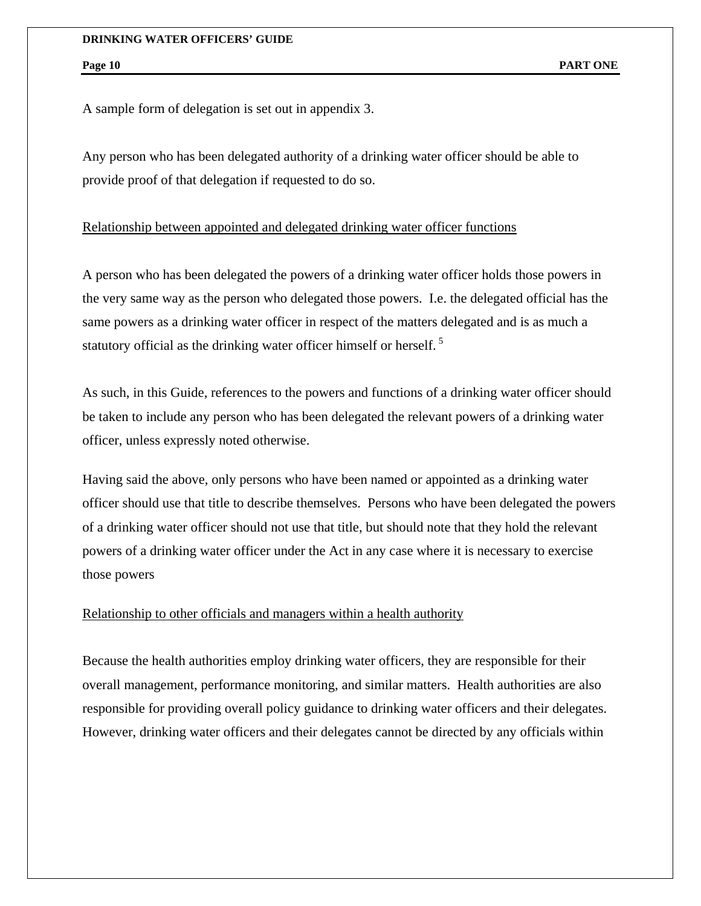A sample form of delegation is set out in appendix 3.

Any person who has been delegated authority of a drinking water officer should be able to provide proof of that delegation if requested to do so.

#### Relationship between appointed and delegated drinking water officer functions

A person who has been delegated the powers of a drinking water officer holds those powers in the very same way as the person who delegated those powers. I.e. the delegated official has the same powers as a drinking water officer in respect of the matters delegated and is as much a statutory official as the drinking water officer himself or herself.<sup>5</sup>

As such, in this Guide, references to the powers and functions of a drinking water officer should be taken to include any person who has been delegated the relevant powers of a drinking water officer, unless expressly noted otherwise.

Having said the above, only persons who have been named or appointed as a drinking water officer should use that title to describe themselves. Persons who have been delegated the powers of a drinking water officer should not use that title, but should note that they hold the relevant powers of a drinking water officer under the Act in any case where it is necessary to exercise those powers

### Relationship to other officials and managers within a health authority

Because the health authorities employ drinking water officers, they are responsible for their overall management, performance monitoring, and similar matters. Health authorities are also responsible for providing overall policy guidance to drinking water officers and their delegates. However, drinking water officers and their delegates cannot be directed by any officials within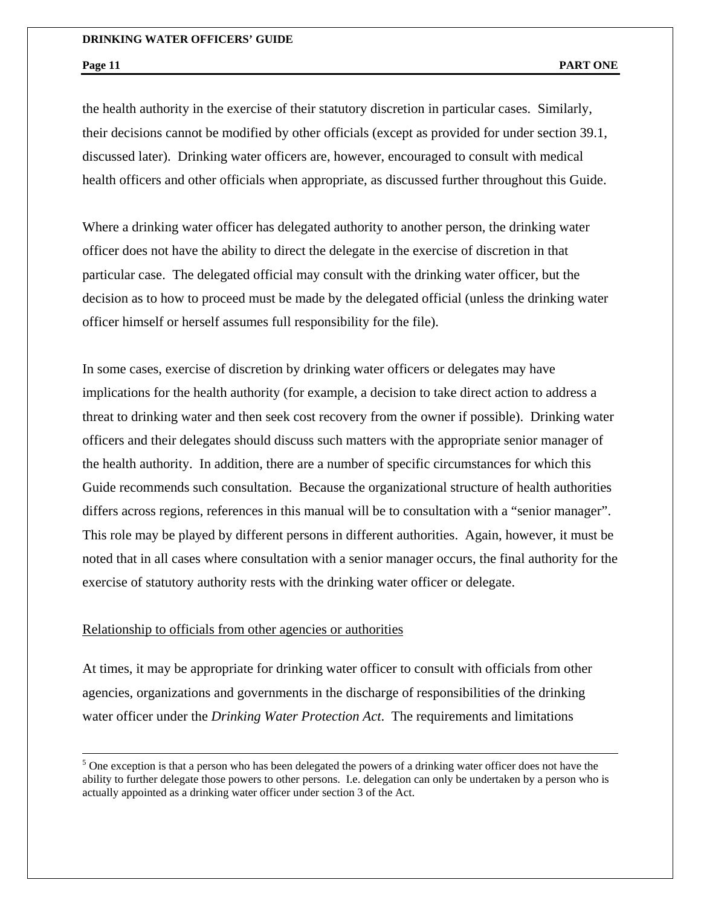$\overline{a}$ 

the health authority in the exercise of their statutory discretion in particular cases. Similarly, their decisions cannot be modified by other officials (except as provided for under section 39.1, discussed later). Drinking water officers are, however, encouraged to consult with medical health officers and other officials when appropriate, as discussed further throughout this Guide.

Where a drinking water officer has delegated authority to another person, the drinking water officer does not have the ability to direct the delegate in the exercise of discretion in that particular case. The delegated official may consult with the drinking water officer, but the decision as to how to proceed must be made by the delegated official (unless the drinking water officer himself or herself assumes full responsibility for the file).

In some cases, exercise of discretion by drinking water officers or delegates may have implications for the health authority (for example, a decision to take direct action to address a threat to drinking water and then seek cost recovery from the owner if possible). Drinking water officers and their delegates should discuss such matters with the appropriate senior manager of the health authority. In addition, there are a number of specific circumstances for which this Guide recommends such consultation. Because the organizational structure of health authorities differs across regions, references in this manual will be to consultation with a "senior manager". This role may be played by different persons in different authorities. Again, however, it must be noted that in all cases where consultation with a senior manager occurs, the final authority for the exercise of statutory authority rests with the drinking water officer or delegate.

# Relationship to officials from other agencies or authorities

At times, it may be appropriate for drinking water officer to consult with officials from other agencies, organizations and governments in the discharge of responsibilities of the drinking water officer under the *Drinking Water Protection Act*. The requirements and limitations

 $<sup>5</sup>$  One exception is that a person who has been delegated the powers of a drinking water officer does not have the</sup> ability to further delegate those powers to other persons. I.e. delegation can only be undertaken by a person who is actually appointed as a drinking water officer under section 3 of the Act.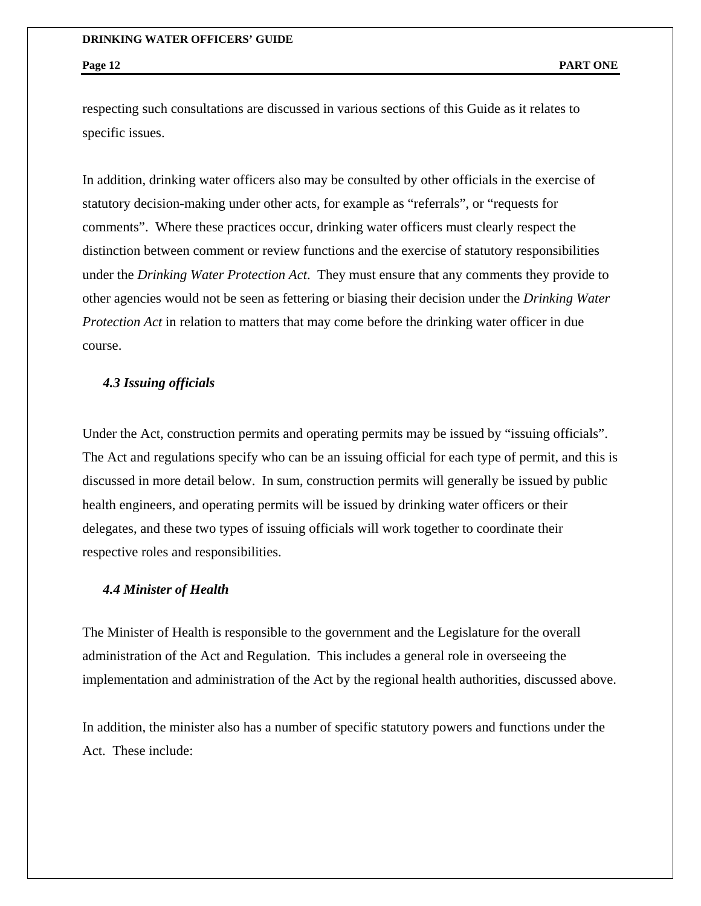respecting such consultations are discussed in various sections of this Guide as it relates to specific issues.

In addition, drinking water officers also may be consulted by other officials in the exercise of statutory decision-making under other acts, for example as "referrals", or "requests for comments". Where these practices occur, drinking water officers must clearly respect the distinction between comment or review functions and the exercise of statutory responsibilities under the *Drinking Water Protection Act*. They must ensure that any comments they provide to other agencies would not be seen as fettering or biasing their decision under the *Drinking Water Protection Act* in relation to matters that may come before the drinking water officer in due course.

# *4.3 Issuing officials*

Under the Act, construction permits and operating permits may be issued by "issuing officials". The Act and regulations specify who can be an issuing official for each type of permit, and this is discussed in more detail below. In sum, construction permits will generally be issued by public health engineers, and operating permits will be issued by drinking water officers or their delegates, and these two types of issuing officials will work together to coordinate their respective roles and responsibilities.

#### *4.4 Minister of Health*

The Minister of Health is responsible to the government and the Legislature for the overall administration of the Act and Regulation. This includes a general role in overseeing the implementation and administration of the Act by the regional health authorities, discussed above.

In addition, the minister also has a number of specific statutory powers and functions under the Act. These include: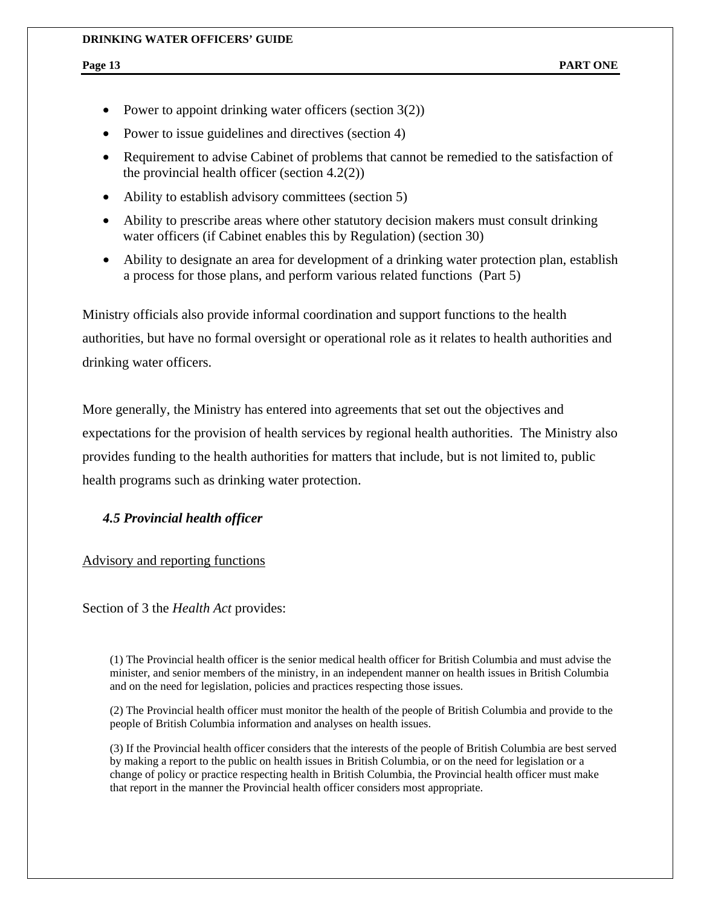- Power to appoint drinking water officers (section  $3(2)$ )
- Power to issue guidelines and directives (section 4)
- Requirement to advise Cabinet of problems that cannot be remedied to the satisfaction of the provincial health officer (section 4.2(2))
- Ability to establish advisory committees (section 5)
- Ability to prescribe areas where other statutory decision makers must consult drinking water officers (if Cabinet enables this by Regulation) (section 30)
- Ability to designate an area for development of a drinking water protection plan, establish a process for those plans, and perform various related functions (Part 5)

Ministry officials also provide informal coordination and support functions to the health authorities, but have no formal oversight or operational role as it relates to health authorities and drinking water officers.

More generally, the Ministry has entered into agreements that set out the objectives and expectations for the provision of health services by regional health authorities. The Ministry also provides funding to the health authorities for matters that include, but is not limited to, public health programs such as drinking water protection.

# *4.5 Provincial health officer*

### Advisory and reporting functions

Section of 3 the *Health Act* provides:

(1) The Provincial health officer is the senior medical health officer for British Columbia and must advise the minister, and senior members of the ministry, in an independent manner on health issues in British Columbia and on the need for legislation, policies and practices respecting those issues.

(2) The Provincial health officer must monitor the health of the people of British Columbia and provide to the people of British Columbia information and analyses on health issues.

(3) If the Provincial health officer considers that the interests of the people of British Columbia are best served by making a report to the public on health issues in British Columbia, or on the need for legislation or a change of policy or practice respecting health in British Columbia, the Provincial health officer must make that report in the manner the Provincial health officer considers most appropriate.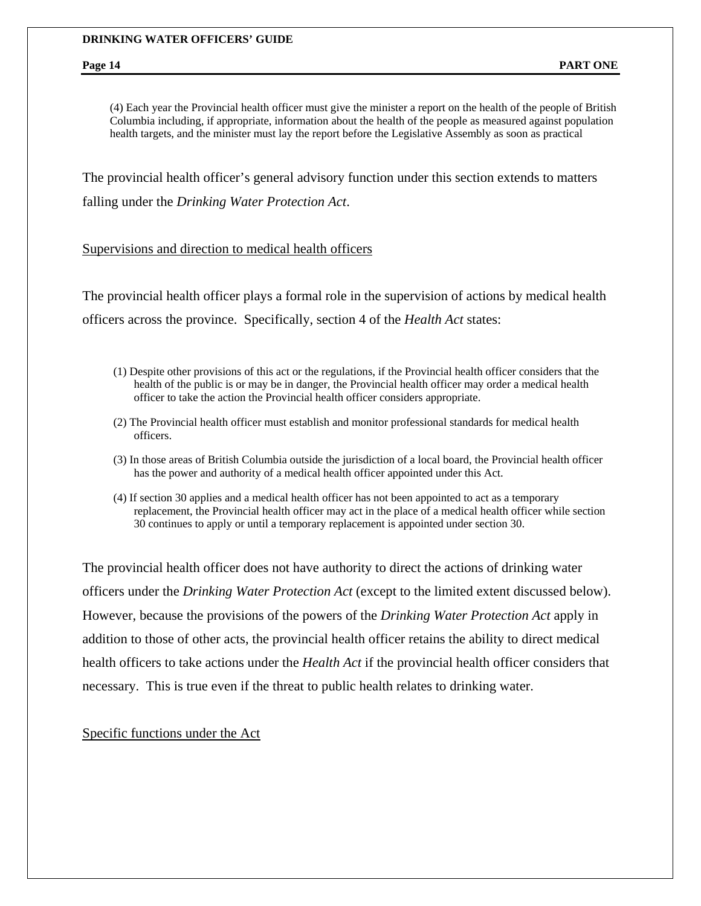(4) Each year the Provincial health officer must give the minister a report on the health of the people of British Columbia including, if appropriate, information about the health of the people as measured against population health targets, and the minister must lay the report before the Legislative Assembly as soon as practical

The provincial health officer's general advisory function under this section extends to matters falling under the *Drinking Water Protection Act*.

#### Supervisions and direction to medical health officers

The provincial health officer plays a formal role in the supervision of actions by medical health officers across the province. Specifically, section 4 of the *Health Act* states:

- (1) Despite other provisions of this act or the regulations, if the Provincial health officer considers that the health of the public is or may be in danger, the Provincial health officer may order a medical health officer to take the action the Provincial health officer considers appropriate.
- (2) The Provincial health officer must establish and monitor professional standards for medical health officers.
- (3) In those areas of British Columbia outside the jurisdiction of a local board, the Provincial health officer has the power and authority of a medical health officer appointed under this Act.
- (4) If section 30 applies and a medical health officer has not been appointed to act as a temporary replacement, the Provincial health officer may act in the place of a medical health officer while section 30 continues to apply or until a temporary replacement is appointed under section 30.

The provincial health officer does not have authority to direct the actions of drinking water officers under the *Drinking Water Protection Act* (except to the limited extent discussed below). However, because the provisions of the powers of the *Drinking Water Protection Act* apply in addition to those of other acts, the provincial health officer retains the ability to direct medical health officers to take actions under the *Health Act* if the provincial health officer considers that necessary. This is true even if the threat to public health relates to drinking water.

### Specific functions under the Act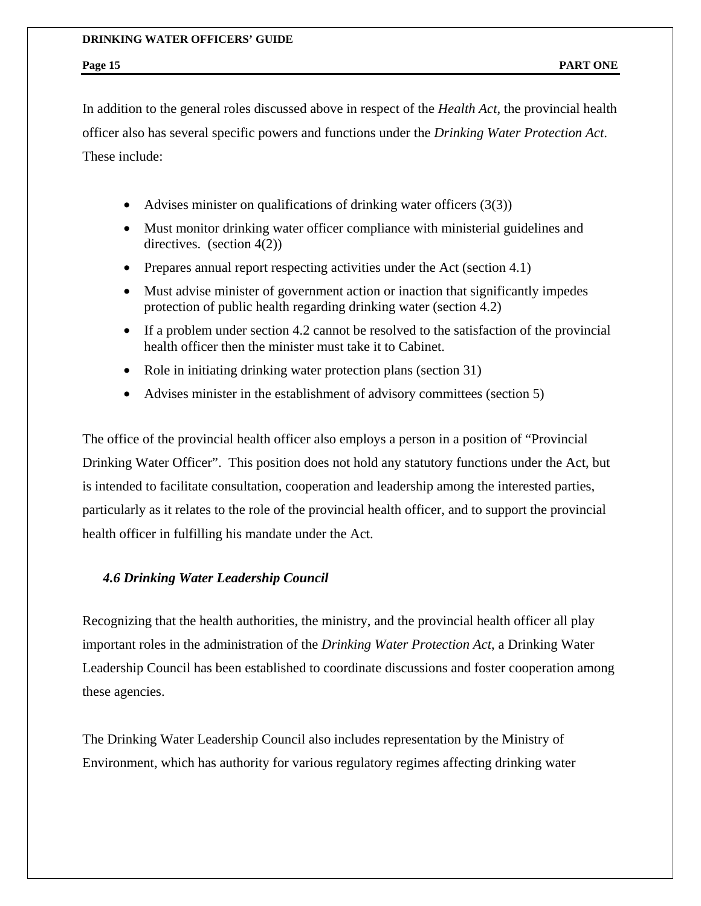In addition to the general roles discussed above in respect of the *Health Act*, the provincial health officer also has several specific powers and functions under the *Drinking Water Protection Act*. These include:

- Advises minister on qualifications of drinking water officers  $(3(3))$
- Must monitor drinking water officer compliance with ministerial guidelines and directives. (section 4(2))
- Prepares annual report respecting activities under the Act (section 4.1)
- Must advise minister of government action or inaction that significantly impedes protection of public health regarding drinking water (section 4.2)
- If a problem under section 4.2 cannot be resolved to the satisfaction of the provincial health officer then the minister must take it to Cabinet.
- Role in initiating drinking water protection plans (section 31)
- Advises minister in the establishment of advisory committees (section 5)

The office of the provincial health officer also employs a person in a position of "Provincial Drinking Water Officer". This position does not hold any statutory functions under the Act, but is intended to facilitate consultation, cooperation and leadership among the interested parties, particularly as it relates to the role of the provincial health officer, and to support the provincial health officer in fulfilling his mandate under the Act.

## *4.6 Drinking Water Leadership Council*

Recognizing that the health authorities, the ministry, and the provincial health officer all play important roles in the administration of the *Drinking Water Protection Act*, a Drinking Water Leadership Council has been established to coordinate discussions and foster cooperation among these agencies.

The Drinking Water Leadership Council also includes representation by the Ministry of Environment, which has authority for various regulatory regimes affecting drinking water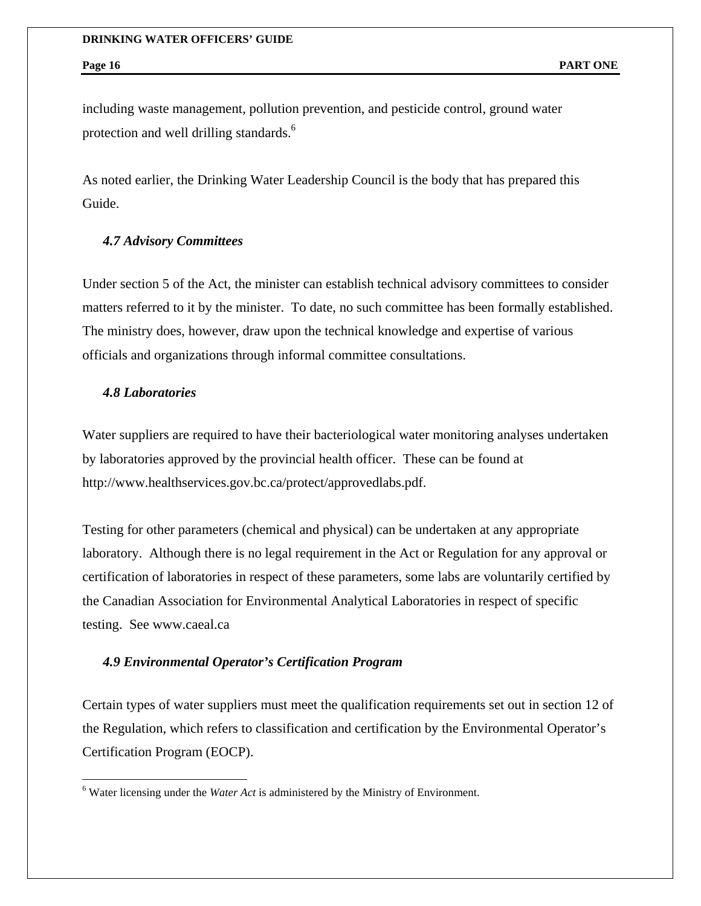including waste management, pollution prevention, and pesticide control, ground water protection and well drilling standards.<sup>6</sup>

As noted earlier, the Drinking Water Leadership Council is the body that has prepared this Guide.

#### *4.7 Advisory Committees*

Under section 5 of the Act, the minister can establish technical advisory committees to consider matters referred to it by the minister. To date, no such committee has been formally established. The ministry does, however, draw upon the technical knowledge and expertise of various officials and organizations through informal committee consultations.

### *4.8 Laboratories*

1

Water suppliers are required to have their bacteriological water monitoring analyses undertaken by laboratories approved by the provincial health officer. These can be found at http://www.healthservices.gov.bc.ca/protect/approvedlabs.pdf.

Testing for other parameters (chemical and physical) can be undertaken at any appropriate laboratory. Although there is no legal requirement in the Act or Regulation for any approval or certification of laboratories in respect of these parameters, some labs are voluntarily certified by the Canadian Association for Environmental Analytical Laboratories in respect of specific testing. See www.caeal.ca

#### *4.9 Environmental Operator's Certification Program*

Certain types of water suppliers must meet the qualification requirements set out in section 12 of the Regulation, which refers to classification and certification by the Environmental Operator's Certification Program (EOCP).

<sup>&</sup>lt;sup>6</sup> Water licensing under the *Water Act* is administered by the Ministry of Environment.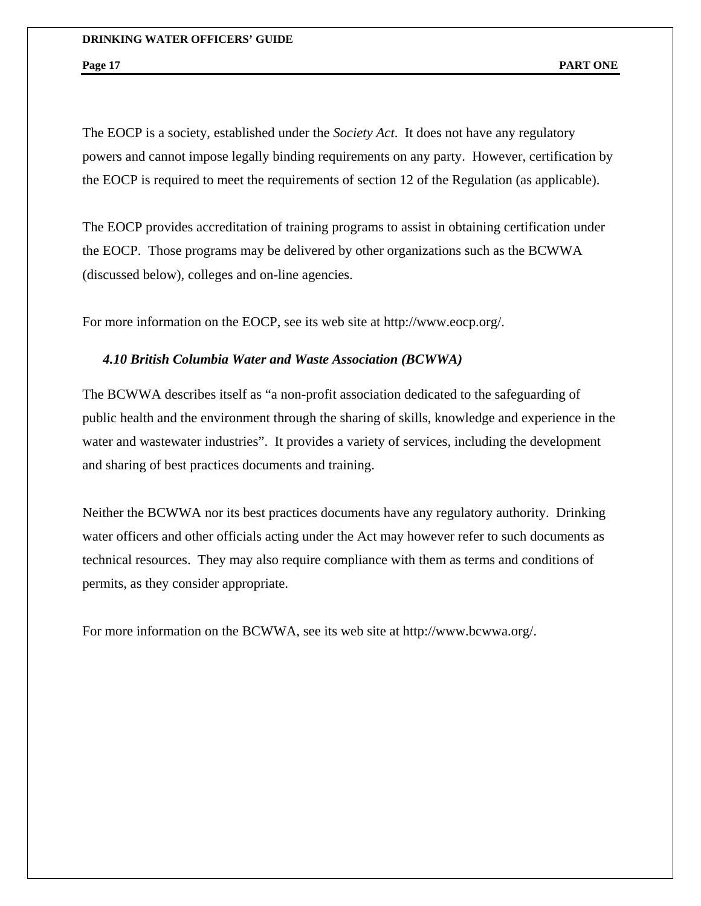The EOCP is a society, established under the *Society Act*. It does not have any regulatory powers and cannot impose legally binding requirements on any party. However, certification by the EOCP is required to meet the requirements of section 12 of the Regulation (as applicable).

The EOCP provides accreditation of training programs to assist in obtaining certification under the EOCP. Those programs may be delivered by other organizations such as the BCWWA (discussed below), colleges and on-line agencies.

For more information on the EOCP, see its web site at http://www.eocp.org/.

#### *4.10 British Columbia Water and Waste Association (BCWWA)*

The BCWWA describes itself as "a non-profit association dedicated to the safeguarding of public health and the environment through the sharing of skills, knowledge and experience in the water and wastewater industries". It provides a variety of services, including the development and sharing of best practices documents and training.

Neither the BCWWA nor its best practices documents have any regulatory authority. Drinking water officers and other officials acting under the Act may however refer to such documents as technical resources. They may also require compliance with them as terms and conditions of permits, as they consider appropriate.

For more information on the BCWWA, see its web site at http://www.bcwwa.org/.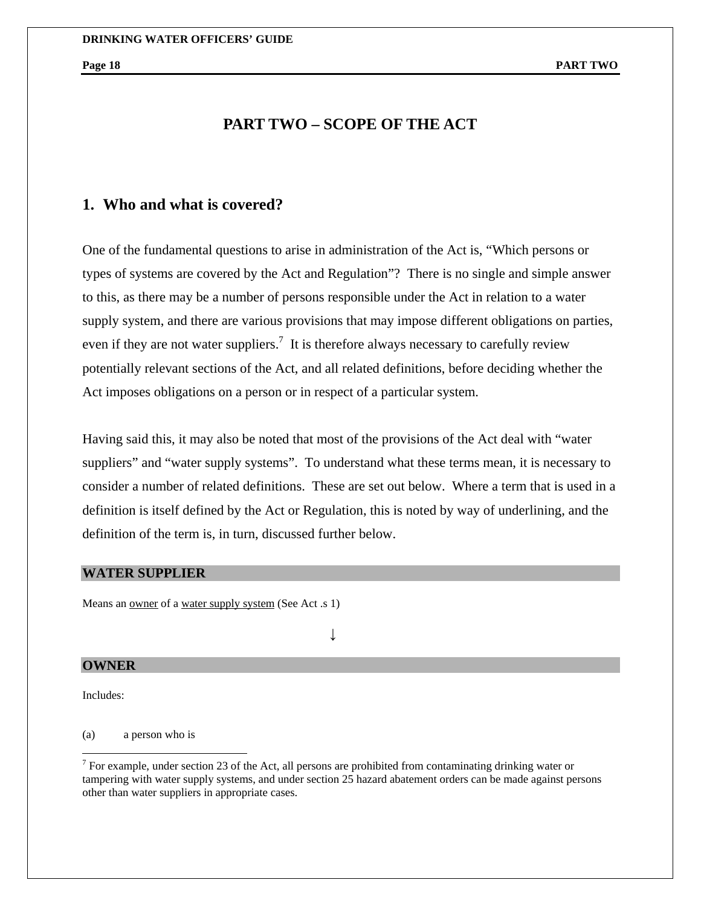# **PART TWO – SCOPE OF THE ACT**

# **1. Who and what is covered?**

One of the fundamental questions to arise in administration of the Act is, "Which persons or types of systems are covered by the Act and Regulation"? There is no single and simple answer to this, as there may be a number of persons responsible under the Act in relation to a water supply system, and there are various provisions that may impose different obligations on parties, even if they are not water suppliers.<sup>7</sup> It is therefore always necessary to carefully review potentially relevant sections of the Act, and all related definitions, before deciding whether the Act imposes obligations on a person or in respect of a particular system.

Having said this, it may also be noted that most of the provisions of the Act deal with "water suppliers" and "water supply systems". To understand what these terms mean, it is necessary to consider a number of related definitions. These are set out below. Where a term that is used in a definition is itself defined by the Act or Regulation, this is noted by way of underlining, and the definition of the term is, in turn, discussed further below.

#### **WATER SUPPLIER**

Means an <u>owner</u> of a water supply system (See Act .s 1)

↓

### **OWNER**

Includes:

 $\overline{a}$ 

(a) a person who is

<sup>&</sup>lt;sup>7</sup> For example, under section 23 of the Act, all persons are prohibited from contaminating drinking water or tampering with water supply systems, and under section 25 hazard abatement orders can be made against persons other than water suppliers in appropriate cases.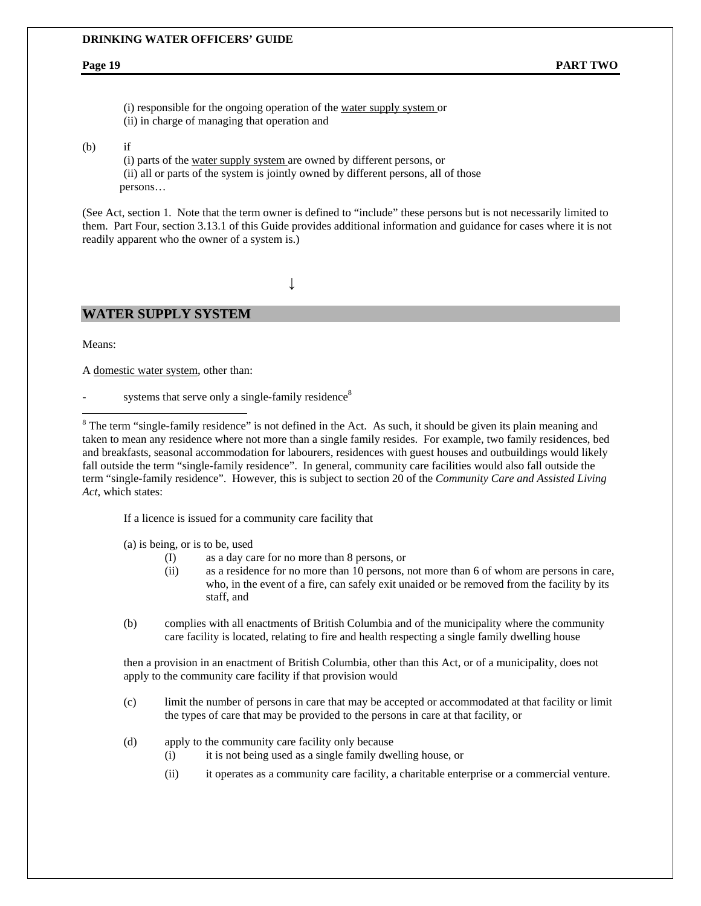(i) responsible for the ongoing operation of the water supply system or (ii) in charge of managing that operation and

#### (b) if

(i) parts of the water supply system are owned by different persons, or (ii) all or parts of the system is jointly owned by different persons, all of those persons…

(See Act, section 1. Note that the term owner is defined to "include" these persons but is not necessarily limited to them. Part Four, section 3.13.1 of this Guide provides additional information and guidance for cases where it is not readily apparent who the owner of a system is.)

↓

### **WATER SUPPLY SYSTEM**

Means:

 $\overline{a}$ 

A domestic water system, other than:

systems that serve only a single-family residence<sup>8</sup>

 $8$  The term "single-family residence" is not defined in the Act. As such, it should be given its plain meaning and taken to mean any residence where not more than a single family resides. For example, two family residences, bed and breakfasts, seasonal accommodation for labourers, residences with guest houses and outbuildings would likely fall outside the term "single-family residence". In general, community care facilities would also fall outside the term "single-family residence". However, this is subject to section 20 of the *Community Care and Assisted Living Act*, which states:

If a licence is issued for a community care facility that

(a) is being, or is to be, used

- (I) as a day care for no more than 8 persons, or
- (ii) as a residence for no more than 10 persons, not more than 6 of whom are persons in care, who, in the event of a fire, can safely exit unaided or be removed from the facility by its staff, and
- (b) complies with all enactments of British Columbia and of the municipality where the community care facility is located, relating to fire and health respecting a single family dwelling house

then a provision in an enactment of British Columbia, other than this Act, or of a municipality, does not apply to the community care facility if that provision would

- (c) limit the number of persons in care that may be accepted or accommodated at that facility or limit the types of care that may be provided to the persons in care at that facility, or
- (d) apply to the community care facility only because
	- (i) it is not being used as a single family dwelling house, or
	- (ii) it operates as a community care facility, a charitable enterprise or a commercial venture.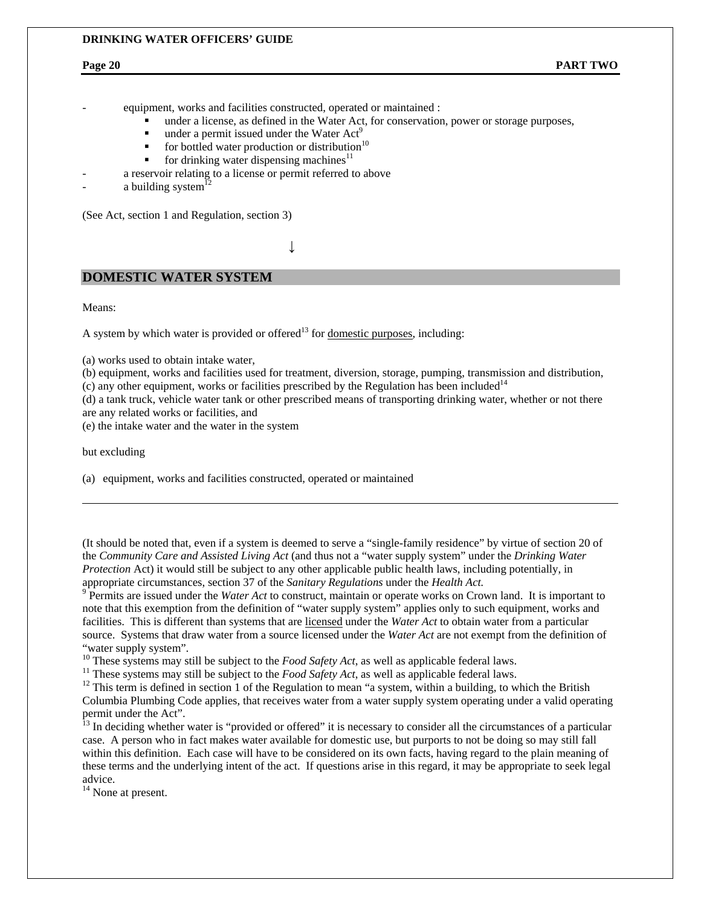equipment, works and facilities constructed, operated or maintained :

- under a license, as defined in the Water Act, for conservation, power or storage purposes,
- under a permit issued under the Water  $Act^9$
- $\bullet$  for bottled water production or distribution<sup>10</sup>
- for drinking water dispensing machines<sup>11</sup>
- a reservoir relating to a license or permit referred to above
- a building system $12$

(See Act, section 1 and Regulation, section 3)

# ↓

#### **DOMESTIC WATER SYSTEM**

Means:

A system by which water is provided or offered<sup>13</sup> for domestic purposes, including:

(a) works used to obtain intake water,

(b) equipment, works and facilities used for treatment, diversion, storage, pumping, transmission and distribution,

(c) any other equipment, works or facilities prescribed by the Regulation has been included<sup>14</sup>

(d) a tank truck, vehicle water tank or other prescribed means of transporting drinking water, whether or not there are any related works or facilities, and

(e) the intake water and the water in the system

but excluding

 $\overline{a}$ 

(a) equipment, works and facilities constructed, operated or maintained

(It should be noted that, even if a system is deemed to serve a "single-family residence" by virtue of section 20 of the *Community Care and Assisted Living Act* (and thus not a "water supply system" under the *Drinking Water Protection* Act) it would still be subject to any other applicable public health laws, including potentially, in appropriate circumstances, section 37 of the *Sanitary Regulations* under the *Health Act.* <sup>9</sup>

<sup>9</sup> Permits are issued under the *Water Act* to construct, maintain or operate works on Crown land. It is important to note that this exemption from the definition of "water supply system" applies only to such equipment, works and facilities. This is different than systems that are licensed under the *Water Act* to obtain water from a particular source. Systems that draw water from a source licensed under the *Water Act* are not exempt from the definition of "water supply system".<br><sup>10</sup> These systems may still be subject to the *Food Safety Act*, as well as applicable federal laws.

<sup>11</sup> These systems may still be subject to the *Food Safety Act*, as well as applicable federal laws.<br><sup>12</sup> This term is defined in section 1 of the Regulation to mean "a system, within a building, to which the British Columbia Plumbing Code applies, that receives water from a water supply system operating under a valid operating permit under the Act".

<sup>13</sup> In deciding whether water is "provided or offered" it is necessary to consider all the circumstances of a particular case. A person who in fact makes water available for domestic use, but purports to not be doing so may still fall within this definition. Each case will have to be considered on its own facts, having regard to the plain meaning of these terms and the underlying intent of the act. If questions arise in this regard, it may be appropriate to seek legal advice.

<sup>14</sup> None at present.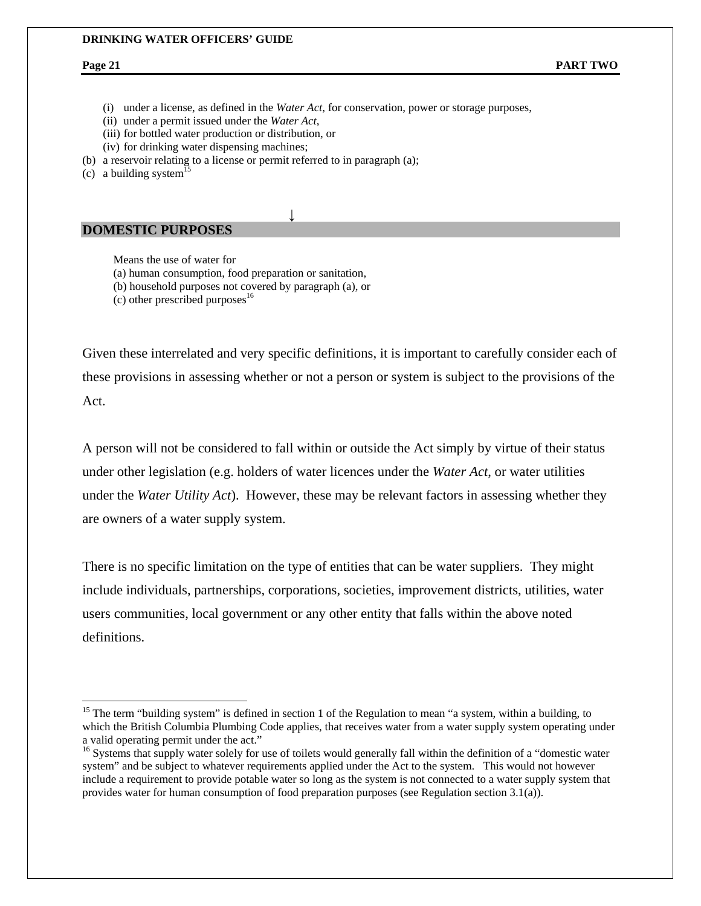$\overline{a}$ 

(i) under a license, as defined in the *Water Act*, for conservation, power or storage purposes,

↓

- (ii) under a permit issued under the *Water Act*,
- (iii) for bottled water production or distribution, or
- (iv) for drinking water dispensing machines;
- (b) a reservoir relating to a license or permit referred to in paragraph (a);
- (c) a building system<sup>15</sup>

#### **DOMESTIC PURPOSES**

Means the use of water for

(a) human consumption, food preparation or sanitation,

- (b) household purposes not covered by paragraph (a), or
- (c) other prescribed purposes $^{16}$

Given these interrelated and very specific definitions, it is important to carefully consider each of these provisions in assessing whether or not a person or system is subject to the provisions of the Act.

A person will not be considered to fall within or outside the Act simply by virtue of their status under other legislation (e.g. holders of water licences under the *Water Act*, or water utilities under the *Water Utility Act*). However, these may be relevant factors in assessing whether they are owners of a water supply system.

There is no specific limitation on the type of entities that can be water suppliers. They might include individuals, partnerships, corporations, societies, improvement districts, utilities, water users communities, local government or any other entity that falls within the above noted definitions.

<sup>&</sup>lt;sup>15</sup> The term "building system" is defined in section 1 of the Regulation to mean "a system, within a building, to which the British Columbia Plumbing Code applies, that receives water from a water supply system operating under a valid operating permit under the act."

<sup>&</sup>lt;sup>16</sup> Systems that supply water solely for use of toilets would generally fall within the definition of a "domestic water system" and be subject to whatever requirements applied under the Act to the system. This would not however include a requirement to provide potable water so long as the system is not connected to a water supply system that provides water for human consumption of food preparation purposes (see Regulation section 3.1(a)).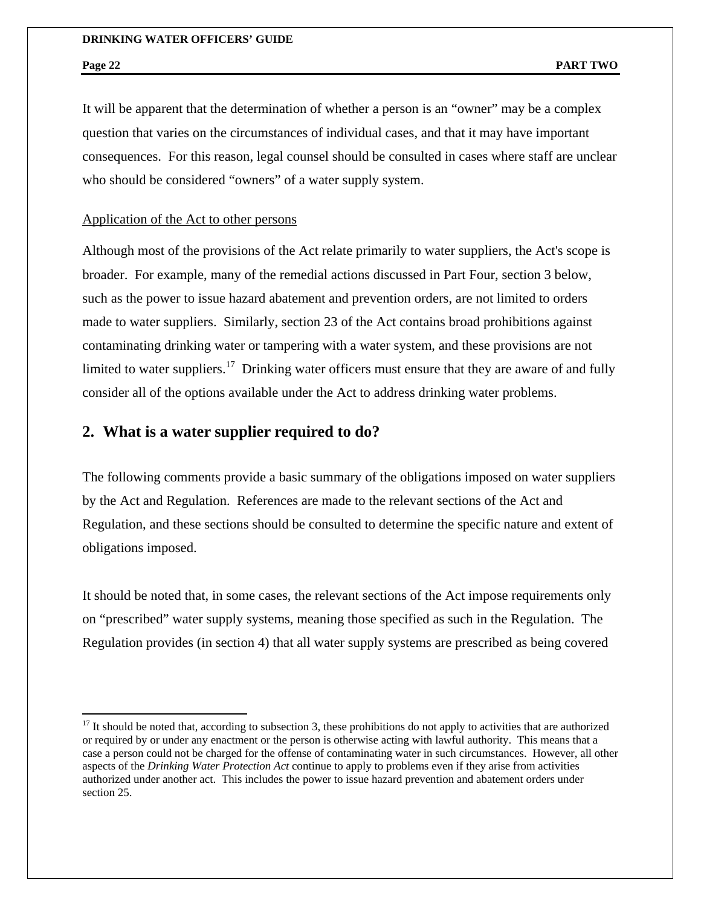$\overline{a}$ 

It will be apparent that the determination of whether a person is an "owner" may be a complex question that varies on the circumstances of individual cases, and that it may have important consequences. For this reason, legal counsel should be consulted in cases where staff are unclear who should be considered "owners" of a water supply system.

### Application of the Act to other persons

Although most of the provisions of the Act relate primarily to water suppliers, the Act's scope is broader. For example, many of the remedial actions discussed in Part Four, section 3 below, such as the power to issue hazard abatement and prevention orders, are not limited to orders made to water suppliers. Similarly, section 23 of the Act contains broad prohibitions against contaminating drinking water or tampering with a water system, and these provisions are not limited to water suppliers.<sup>17</sup> Drinking water officers must ensure that they are aware of and fully consider all of the options available under the Act to address drinking water problems.

# **2. What is a water supplier required to do?**

The following comments provide a basic summary of the obligations imposed on water suppliers by the Act and Regulation. References are made to the relevant sections of the Act and Regulation, and these sections should be consulted to determine the specific nature and extent of obligations imposed.

It should be noted that, in some cases, the relevant sections of the Act impose requirements only on "prescribed" water supply systems, meaning those specified as such in the Regulation. The Regulation provides (in section 4) that all water supply systems are prescribed as being covered

 $17$  It should be noted that, according to subsection 3, these prohibitions do not apply to activities that are authorized or required by or under any enactment or the person is otherwise acting with lawful authority. This means that a case a person could not be charged for the offense of contaminating water in such circumstances. However, all other aspects of the *Drinking Water Protection Act* continue to apply to problems even if they arise from activities authorized under another act. This includes the power to issue hazard prevention and abatement orders under section 25.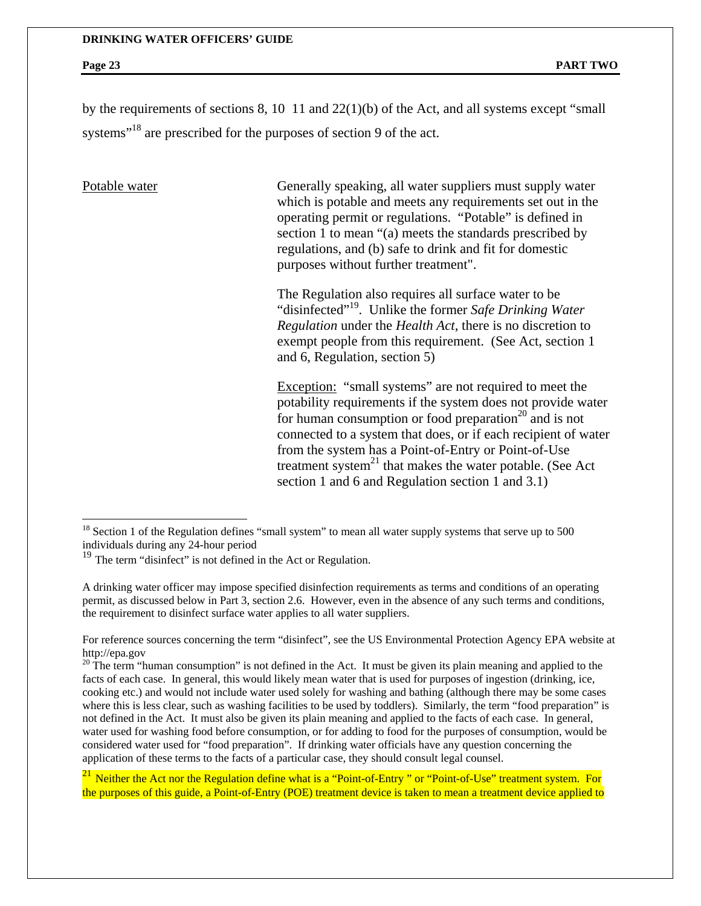by the requirements of sections 8, 10 11 and 22(1)(b) of the Act, and all systems except "small systems<sup>"18</sup> are prescribed for the purposes of section 9 of the act.

 $\overline{a}$ 

Potable water Generally speaking, all water suppliers must supply water which is potable and meets any requirements set out in the operating permit or regulations. "Potable" is defined in section 1 to mean "(a) meets the standards prescribed by regulations, and (b) safe to drink and fit for domestic purposes without further treatment".

> The Regulation also requires all surface water to be "disinfected"19. Unlike the former *Safe Drinking Water Regulation* under the *Health Act*, there is no discretion to exempt people from this requirement. (See Act, section 1 and 6, Regulation, section 5)

Exception: "small systems" are not required to meet the potability requirements if the system does not provide water for human consumption or food preparation<sup>20</sup> and is not connected to a system that does, or if each recipient of water from the system has a Point-of-Entry or Point-of-Use treatment system $^{21}$  that makes the water potable. (See Act section 1 and 6 and Regulation section 1 and 3.1)

For reference sources concerning the term "disinfect", see the US Environmental Protection Agency EPA website at http://epa.gov<br><sup>20</sup> The term "human consumption" is not defined in the Act. It must be given its plain meaning and applied to the

facts of each case. In general, this would likely mean water that is used for purposes of ingestion (drinking, ice, cooking etc.) and would not include water used solely for washing and bathing (although there may be some cases where this is less clear, such as washing facilities to be used by toddlers). Similarly, the term "food preparation" is not defined in the Act. It must also be given its plain meaning and applied to the facts of each case. In general, water used for washing food before consumption, or for adding to food for the purposes of consumption, would be considered water used for "food preparation". If drinking water officials have any question concerning the application of these terms to the facts of a particular case, they should consult legal counsel.

 $21$  Neither the Act nor the Regulation define what is a "Point-of-Entry " or "Point-of-Use" treatment system. For the purposes of this guide, a Point-of-Entry (POE) treatment device is taken to mean a treatment device applied to

 $18$  Section 1 of the Regulation defines "small system" to mean all water supply systems that serve up to 500 individuals during any 24-hour period

 $19$  The term "disinfect" is not defined in the Act or Regulation.

A drinking water officer may impose specified disinfection requirements as terms and conditions of an operating permit, as discussed below in Part 3, section 2.6. However, even in the absence of any such terms and conditions, the requirement to disinfect surface water applies to all water suppliers.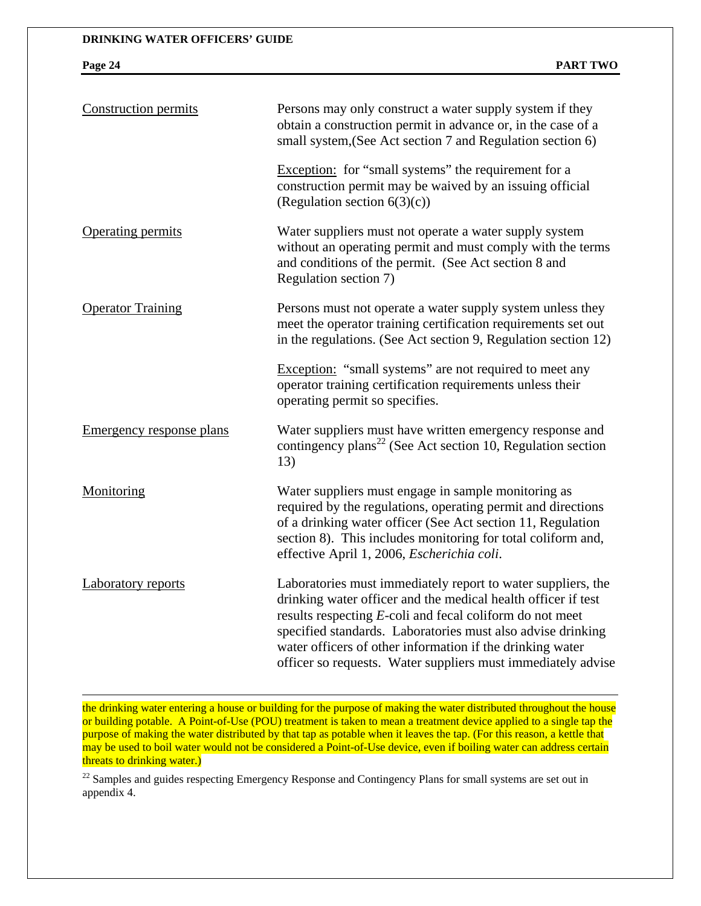$\overline{a}$ 

| <b>Construction permits</b>     | Persons may only construct a water supply system if they<br>obtain a construction permit in advance or, in the case of a<br>small system, (See Act section 7 and Regulation section 6)                                                                                                                                                                                                |
|---------------------------------|---------------------------------------------------------------------------------------------------------------------------------------------------------------------------------------------------------------------------------------------------------------------------------------------------------------------------------------------------------------------------------------|
|                                 | Exception: for "small systems" the requirement for a<br>construction permit may be waived by an issuing official<br>(Regulation section $6(3)(c)$ )                                                                                                                                                                                                                                   |
| <b>Operating permits</b>        | Water suppliers must not operate a water supply system<br>without an operating permit and must comply with the terms<br>and conditions of the permit. (See Act section 8 and<br>Regulation section 7)                                                                                                                                                                                 |
| <b>Operator Training</b>        | Persons must not operate a water supply system unless they<br>meet the operator training certification requirements set out<br>in the regulations. (See Act section 9, Regulation section 12)                                                                                                                                                                                         |
|                                 | Exception: "small systems" are not required to meet any<br>operator training certification requirements unless their<br>operating permit so specifies.                                                                                                                                                                                                                                |
| <b>Emergency response plans</b> | Water suppliers must have written emergency response and<br>contingency plans <sup>22</sup> (See Act section 10, Regulation section<br>13)                                                                                                                                                                                                                                            |
| Monitoring                      | Water suppliers must engage in sample monitoring as<br>required by the regulations, operating permit and directions<br>of a drinking water officer (See Act section 11, Regulation<br>section 8). This includes monitoring for total coliform and,<br>effective April 1, 2006, Escherichia coli.                                                                                      |
| <b>Laboratory reports</b>       | Laboratories must immediately report to water suppliers, the<br>drinking water officer and the medical health officer if test<br>results respecting E-coli and fecal coliform do not meet<br>specified standards. Laboratories must also advise drinking<br>water officers of other information if the drinking water<br>officer so requests. Water suppliers must immediately advise |

the drinking water entering a house or building for the purpose of making the water distributed throughout the house or building potable. A Point-of-Use (POU) treatment is taken to mean a treatment device applied to a single tap the purpose of making the water distributed by that tap as potable when it leaves the tap. (For this reason, a kettle that may be used to boil water would not be considered a Point-of-Use device, even if boiling water can address certain threats to drinking water.)

<sup>22</sup> Samples and guides respecting Emergency Response and Contingency Plans for small systems are set out in appendix 4.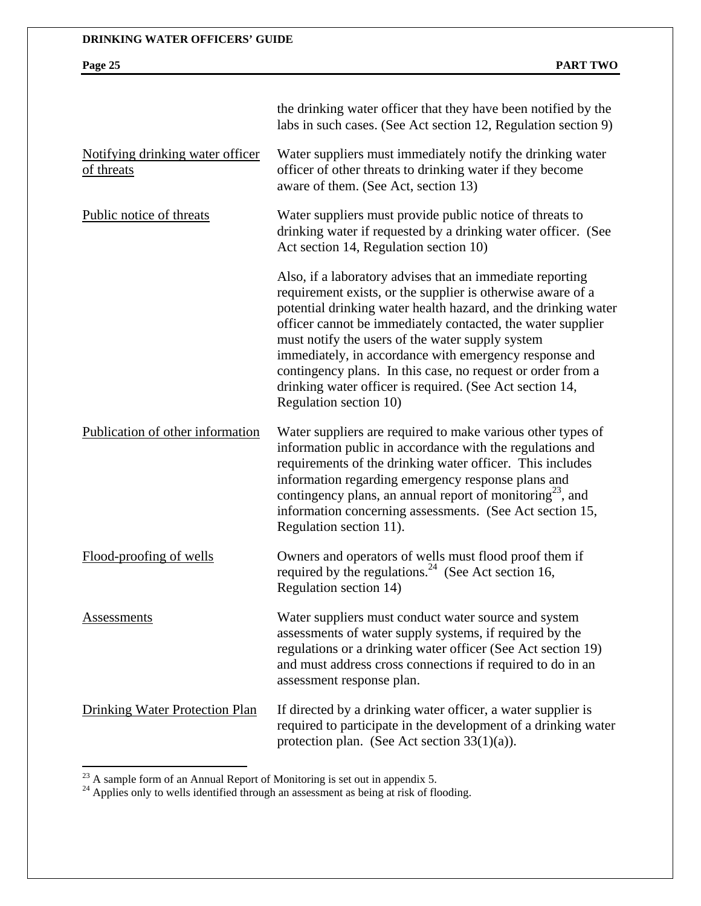|                                                | the drinking water officer that they have been notified by the<br>labs in such cases. (See Act section 12, Regulation section 9)                                                                                                                                                                                                                                                                                                                                                                                             |
|------------------------------------------------|------------------------------------------------------------------------------------------------------------------------------------------------------------------------------------------------------------------------------------------------------------------------------------------------------------------------------------------------------------------------------------------------------------------------------------------------------------------------------------------------------------------------------|
| Notifying drinking water officer<br>of threats | Water suppliers must immediately notify the drinking water<br>officer of other threats to drinking water if they become<br>aware of them. (See Act, section 13)                                                                                                                                                                                                                                                                                                                                                              |
| Public notice of threats                       | Water suppliers must provide public notice of threats to<br>drinking water if requested by a drinking water officer. (See<br>Act section 14, Regulation section 10)                                                                                                                                                                                                                                                                                                                                                          |
|                                                | Also, if a laboratory advises that an immediate reporting<br>requirement exists, or the supplier is otherwise aware of a<br>potential drinking water health hazard, and the drinking water<br>officer cannot be immediately contacted, the water supplier<br>must notify the users of the water supply system<br>immediately, in accordance with emergency response and<br>contingency plans. In this case, no request or order from a<br>drinking water officer is required. (See Act section 14,<br>Regulation section 10) |
| Publication of other information               | Water suppliers are required to make various other types of<br>information public in accordance with the regulations and<br>requirements of the drinking water officer. This includes<br>information regarding emergency response plans and<br>contingency plans, an annual report of monitoring <sup>23</sup> , and<br>information concerning assessments. (See Act section 15,<br>Regulation section 11).                                                                                                                  |
| Flood-proofing of wells                        | Owners and operators of wells must flood proof them if<br>required by the regulations. <sup>24</sup> (See Act section 16,<br>Regulation section 14)                                                                                                                                                                                                                                                                                                                                                                          |
| Assessments                                    | Water suppliers must conduct water source and system<br>assessments of water supply systems, if required by the<br>regulations or a drinking water officer (See Act section 19)<br>and must address cross connections if required to do in an<br>assessment response plan.                                                                                                                                                                                                                                                   |
| <b>Drinking Water Protection Plan</b>          | If directed by a drinking water officer, a water supplier is<br>required to participate in the development of a drinking water<br>protection plan. (See Act section $33(1)(a)$ ).                                                                                                                                                                                                                                                                                                                                            |

 $^{23}$  A sample form of an Annual Report of Monitoring is set out in appendix 5.

 $\overline{a}$ 

 $24$  Applies only to wells identified through an assessment as being at risk of flooding.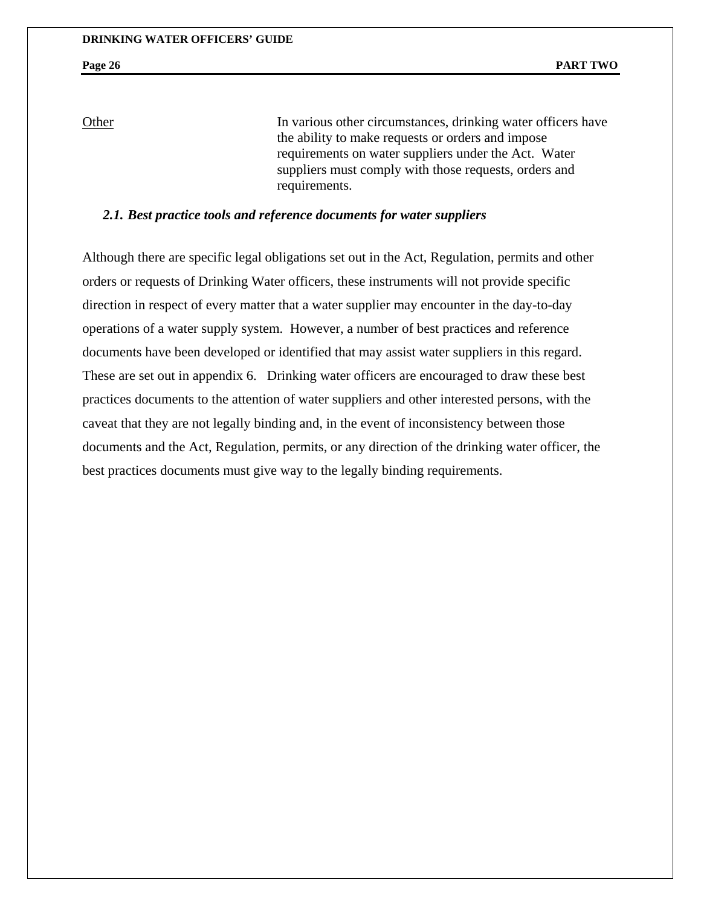Other In various other circumstances, drinking water officers have the ability to make requests or orders and impose requirements on water suppliers under the Act. Water suppliers must comply with those requests, orders and requirements.

### *2.1. Best practice tools and reference documents for water suppliers*

Although there are specific legal obligations set out in the Act, Regulation, permits and other orders or requests of Drinking Water officers, these instruments will not provide specific direction in respect of every matter that a water supplier may encounter in the day-to-day operations of a water supply system. However, a number of best practices and reference documents have been developed or identified that may assist water suppliers in this regard. These are set out in appendix 6. Drinking water officers are encouraged to draw these best practices documents to the attention of water suppliers and other interested persons, with the caveat that they are not legally binding and, in the event of inconsistency between those documents and the Act, Regulation, permits, or any direction of the drinking water officer, the best practices documents must give way to the legally binding requirements.

#### **Page 26** PART TWO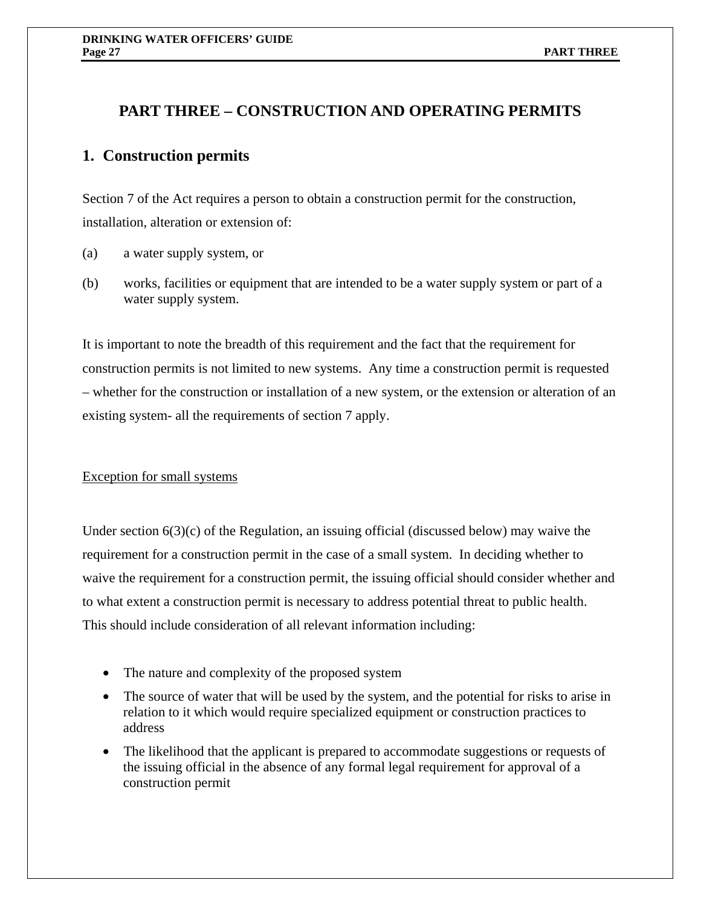# **PART THREE – CONSTRUCTION AND OPERATING PERMITS**

# **1. Construction permits**

Section 7 of the Act requires a person to obtain a construction permit for the construction, installation, alteration or extension of:

- (a) a water supply system, or
- (b) works, facilities or equipment that are intended to be a water supply system or part of a water supply system.

It is important to note the breadth of this requirement and the fact that the requirement for construction permits is not limited to new systems. Any time a construction permit is requested – whether for the construction or installation of a new system, or the extension or alteration of an existing system- all the requirements of section 7 apply.

### Exception for small systems

Under section  $6(3)(c)$  of the Regulation, an issuing official (discussed below) may waive the requirement for a construction permit in the case of a small system. In deciding whether to waive the requirement for a construction permit, the issuing official should consider whether and to what extent a construction permit is necessary to address potential threat to public health. This should include consideration of all relevant information including:

- The nature and complexity of the proposed system
- The source of water that will be used by the system, and the potential for risks to arise in relation to it which would require specialized equipment or construction practices to address
- The likelihood that the applicant is prepared to accommodate suggestions or requests of the issuing official in the absence of any formal legal requirement for approval of a construction permit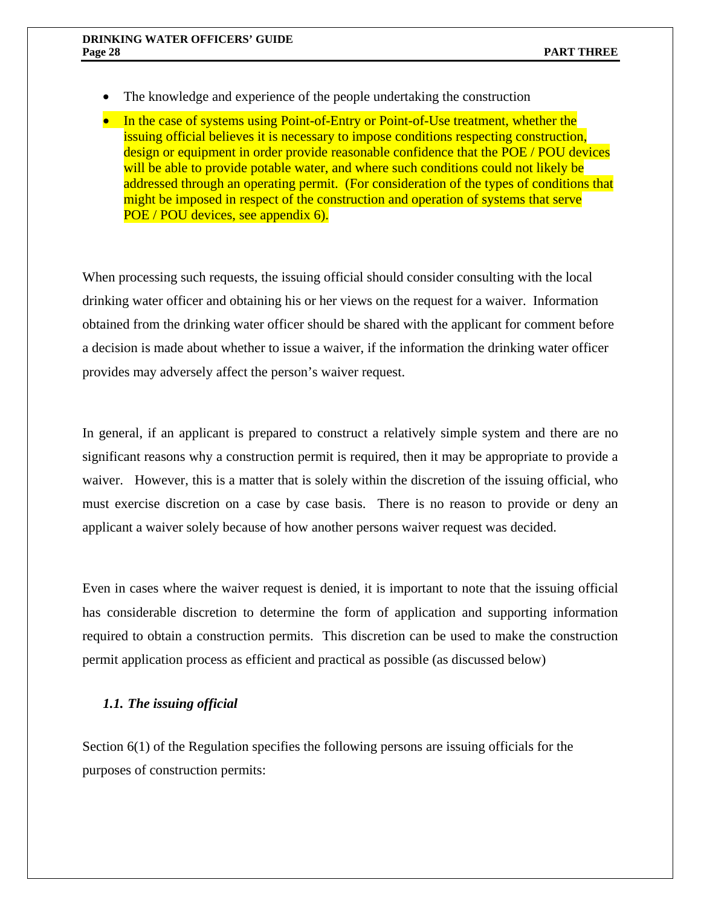- The knowledge and experience of the people undertaking the construction
- In the case of systems using Point-of-Entry or Point-of-Use treatment, whether the issuing official believes it is necessary to impose conditions respecting construction, design or equipment in order provide reasonable confidence that the POE / POU devices will be able to provide potable water, and where such conditions could not likely be addressed through an operating permit. (For consideration of the types of conditions that might be imposed in respect of the construction and operation of systems that serve POE / POU devices, see appendix 6).

When processing such requests, the issuing official should consider consulting with the local drinking water officer and obtaining his or her views on the request for a waiver. Information obtained from the drinking water officer should be shared with the applicant for comment before a decision is made about whether to issue a waiver, if the information the drinking water officer provides may adversely affect the person's waiver request.

In general, if an applicant is prepared to construct a relatively simple system and there are no significant reasons why a construction permit is required, then it may be appropriate to provide a waiver. However, this is a matter that is solely within the discretion of the issuing official, who must exercise discretion on a case by case basis. There is no reason to provide or deny an applicant a waiver solely because of how another persons waiver request was decided.

Even in cases where the waiver request is denied, it is important to note that the issuing official has considerable discretion to determine the form of application and supporting information required to obtain a construction permits. This discretion can be used to make the construction permit application process as efficient and practical as possible (as discussed below)

# *1.1. The issuing official*

Section 6(1) of the Regulation specifies the following persons are issuing officials for the purposes of construction permits: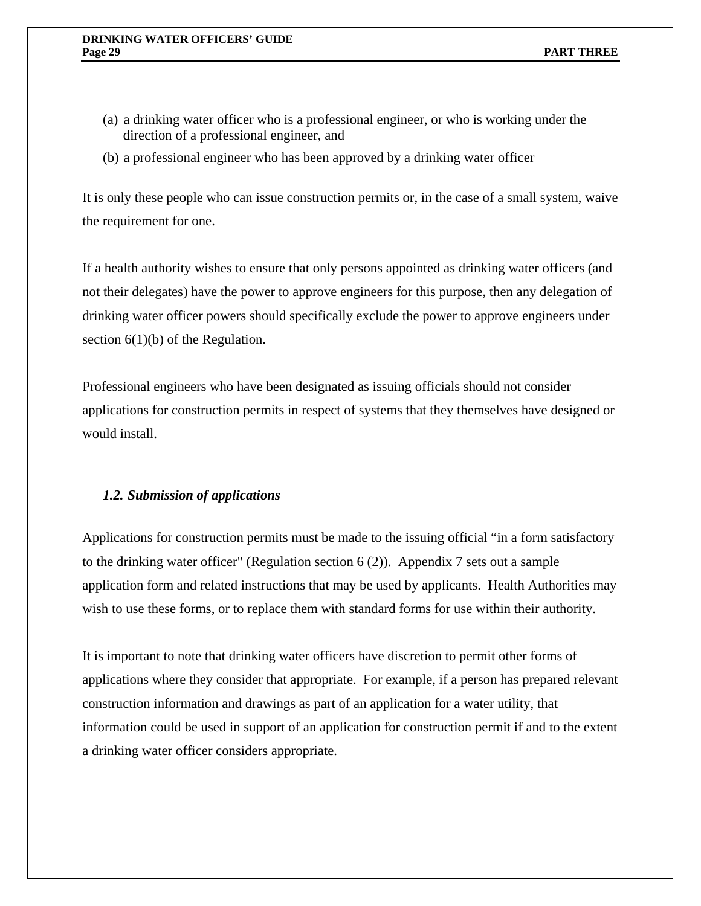- (a) a drinking water officer who is a professional engineer, or who is working under the direction of a professional engineer, and
- (b) a professional engineer who has been approved by a drinking water officer

It is only these people who can issue construction permits or, in the case of a small system, waive the requirement for one.

If a health authority wishes to ensure that only persons appointed as drinking water officers (and not their delegates) have the power to approve engineers for this purpose, then any delegation of drinking water officer powers should specifically exclude the power to approve engineers under section  $6(1)(b)$  of the Regulation.

Professional engineers who have been designated as issuing officials should not consider applications for construction permits in respect of systems that they themselves have designed or would install.

### *1.2. Submission of applications*

Applications for construction permits must be made to the issuing official "in a form satisfactory to the drinking water officer" (Regulation section 6 (2)). Appendix 7 sets out a sample application form and related instructions that may be used by applicants. Health Authorities may wish to use these forms, or to replace them with standard forms for use within their authority.

It is important to note that drinking water officers have discretion to permit other forms of applications where they consider that appropriate. For example, if a person has prepared relevant construction information and drawings as part of an application for a water utility, that information could be used in support of an application for construction permit if and to the extent a drinking water officer considers appropriate.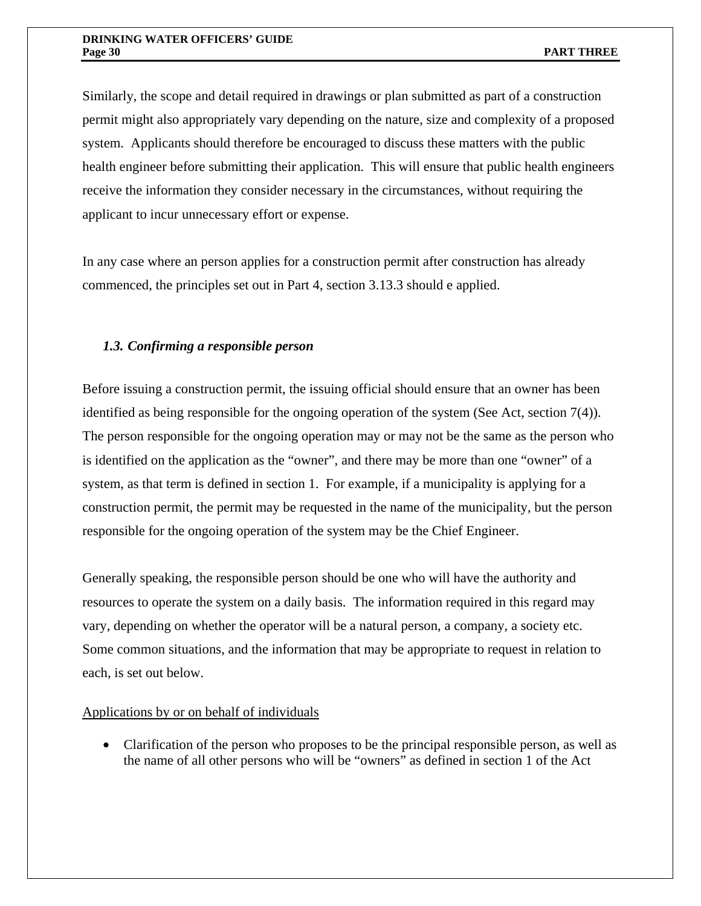Similarly, the scope and detail required in drawings or plan submitted as part of a construction permit might also appropriately vary depending on the nature, size and complexity of a proposed system. Applicants should therefore be encouraged to discuss these matters with the public health engineer before submitting their application. This will ensure that public health engineers receive the information they consider necessary in the circumstances, without requiring the applicant to incur unnecessary effort or expense.

In any case where an person applies for a construction permit after construction has already commenced, the principles set out in Part 4, section 3.13.3 should e applied.

# *1.3. Confirming a responsible person*

Before issuing a construction permit, the issuing official should ensure that an owner has been identified as being responsible for the ongoing operation of the system (See Act, section 7(4)). The person responsible for the ongoing operation may or may not be the same as the person who is identified on the application as the "owner", and there may be more than one "owner" of a system, as that term is defined in section 1. For example, if a municipality is applying for a construction permit, the permit may be requested in the name of the municipality, but the person responsible for the ongoing operation of the system may be the Chief Engineer.

Generally speaking, the responsible person should be one who will have the authority and resources to operate the system on a daily basis. The information required in this regard may vary, depending on whether the operator will be a natural person, a company, a society etc. Some common situations, and the information that may be appropriate to request in relation to each, is set out below.

### Applications by or on behalf of individuals

• Clarification of the person who proposes to be the principal responsible person, as well as the name of all other persons who will be "owners" as defined in section 1 of the Act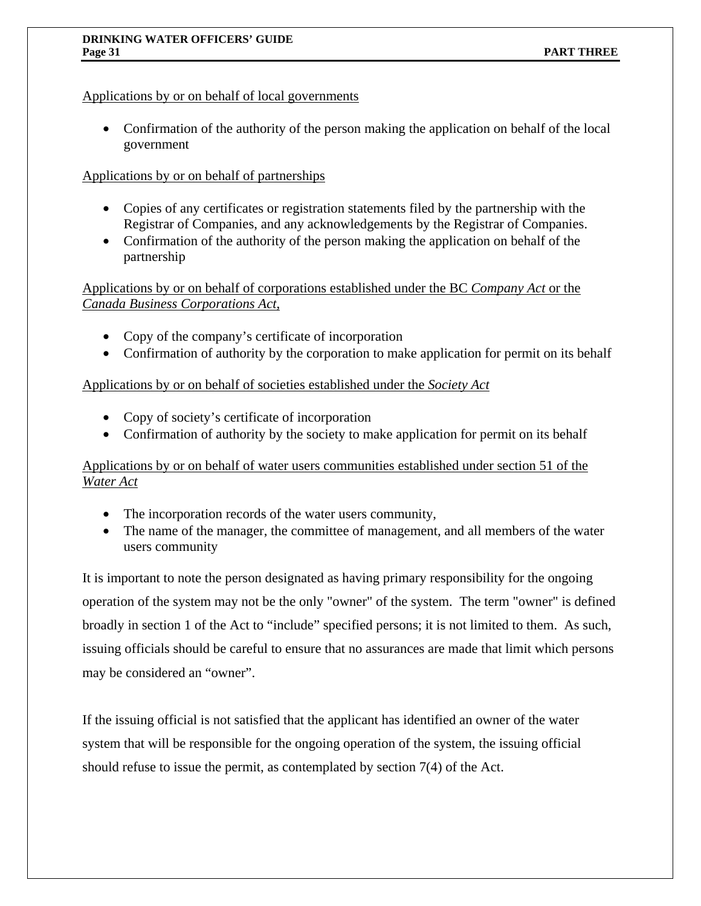# Applications by or on behalf of local governments

• Confirmation of the authority of the person making the application on behalf of the local government

# Applications by or on behalf of partnerships

- Copies of any certificates or registration statements filed by the partnership with the Registrar of Companies, and any acknowledgements by the Registrar of Companies.
- Confirmation of the authority of the person making the application on behalf of the partnership

Applications by or on behalf of corporations established under the BC *Company Act* or the *Canada Business Corporations Act*,

- Copy of the company's certificate of incorporation
- Confirmation of authority by the corporation to make application for permit on its behalf

# Applications by or on behalf of societies established under the *Society Act*

- Copy of society's certificate of incorporation
- Confirmation of authority by the society to make application for permit on its behalf

# Applications by or on behalf of water users communities established under section 51 of the *Water Act*

- The incorporation records of the water users community,
- The name of the manager, the committee of management, and all members of the water users community

It is important to note the person designated as having primary responsibility for the ongoing operation of the system may not be the only "owner" of the system. The term "owner" is defined broadly in section 1 of the Act to "include" specified persons; it is not limited to them. As such, issuing officials should be careful to ensure that no assurances are made that limit which persons may be considered an "owner".

If the issuing official is not satisfied that the applicant has identified an owner of the water system that will be responsible for the ongoing operation of the system, the issuing official should refuse to issue the permit, as contemplated by section 7(4) of the Act.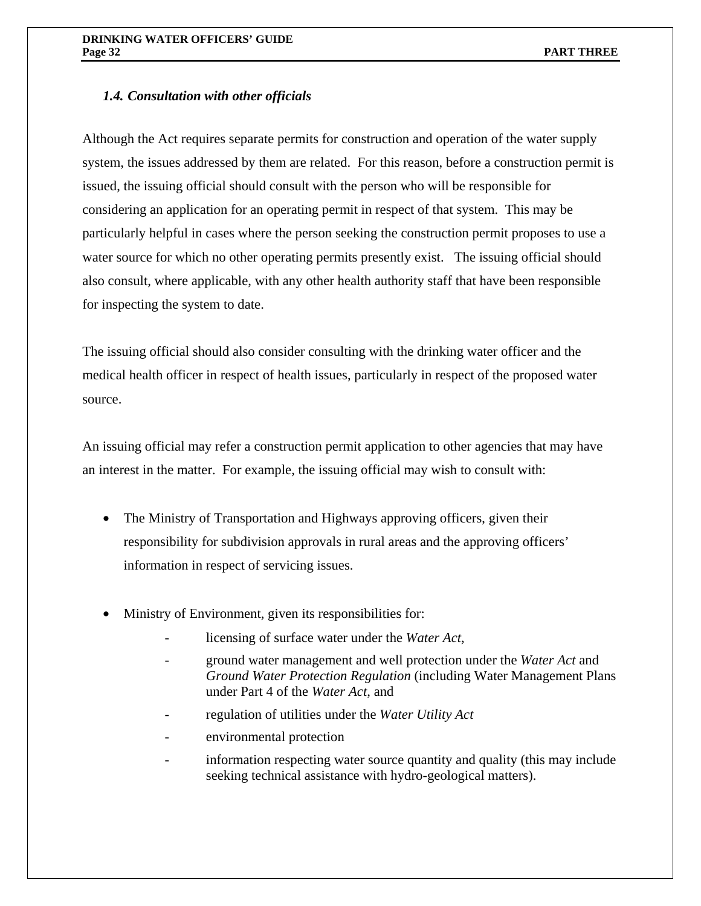# *1.4. Consultation with other officials*

Although the Act requires separate permits for construction and operation of the water supply system, the issues addressed by them are related. For this reason, before a construction permit is issued, the issuing official should consult with the person who will be responsible for considering an application for an operating permit in respect of that system. This may be particularly helpful in cases where the person seeking the construction permit proposes to use a water source for which no other operating permits presently exist. The issuing official should also consult, where applicable, with any other health authority staff that have been responsible for inspecting the system to date.

The issuing official should also consider consulting with the drinking water officer and the medical health officer in respect of health issues, particularly in respect of the proposed water source.

An issuing official may refer a construction permit application to other agencies that may have an interest in the matter. For example, the issuing official may wish to consult with:

- The Ministry of Transportation and Highways approving officers, given their responsibility for subdivision approvals in rural areas and the approving officers' information in respect of servicing issues.
- Ministry of Environment, given its responsibilities for:
	- licensing of surface water under the *Water Act*,
	- ground water management and well protection under the *Water Act* and *Ground Water Protection Regulation* (including Water Management Plans under Part 4 of the *Water Act*, and
	- regulation of utilities under the *Water Utility Act*
	- environmental protection
	- information respecting water source quantity and quality (this may include seeking technical assistance with hydro-geological matters).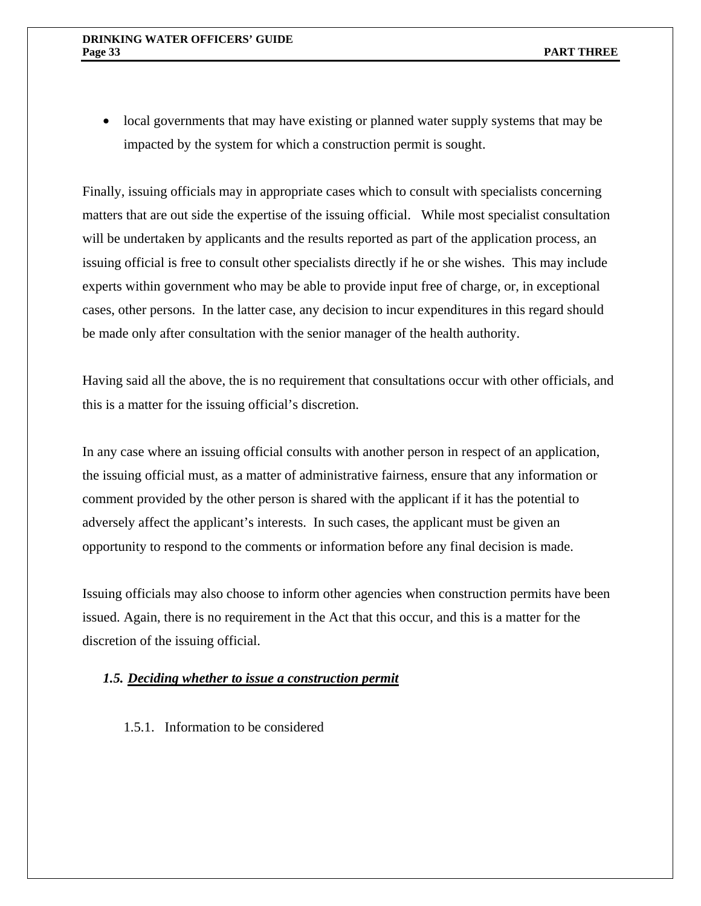• local governments that may have existing or planned water supply systems that may be impacted by the system for which a construction permit is sought.

Finally, issuing officials may in appropriate cases which to consult with specialists concerning matters that are out side the expertise of the issuing official. While most specialist consultation will be undertaken by applicants and the results reported as part of the application process, an issuing official is free to consult other specialists directly if he or she wishes. This may include experts within government who may be able to provide input free of charge, or, in exceptional cases, other persons. In the latter case, any decision to incur expenditures in this regard should be made only after consultation with the senior manager of the health authority.

Having said all the above, the is no requirement that consultations occur with other officials, and this is a matter for the issuing official's discretion.

In any case where an issuing official consults with another person in respect of an application, the issuing official must, as a matter of administrative fairness, ensure that any information or comment provided by the other person is shared with the applicant if it has the potential to adversely affect the applicant's interests. In such cases, the applicant must be given an opportunity to respond to the comments or information before any final decision is made.

Issuing officials may also choose to inform other agencies when construction permits have been issued. Again, there is no requirement in the Act that this occur, and this is a matter for the discretion of the issuing official.

## *1.5. Deciding whether to issue a construction permit*

1.5.1. Information to be considered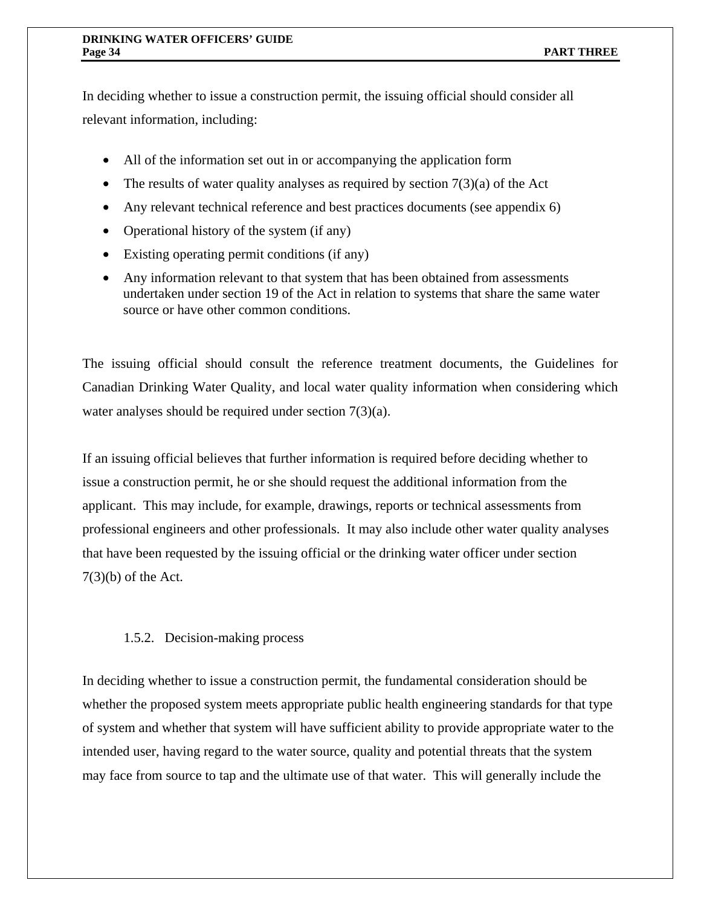In deciding whether to issue a construction permit, the issuing official should consider all relevant information, including:

- All of the information set out in or accompanying the application form
- The results of water quality analyses as required by section  $7(3)(a)$  of the Act
- Any relevant technical reference and best practices documents (see appendix 6)
- Operational history of the system (if any)
- Existing operating permit conditions (if any)
- Any information relevant to that system that has been obtained from assessments undertaken under section 19 of the Act in relation to systems that share the same water source or have other common conditions.

The issuing official should consult the reference treatment documents, the Guidelines for Canadian Drinking Water Quality, and local water quality information when considering which water analyses should be required under section 7(3)(a).

If an issuing official believes that further information is required before deciding whether to issue a construction permit, he or she should request the additional information from the applicant. This may include, for example, drawings, reports or technical assessments from professional engineers and other professionals. It may also include other water quality analyses that have been requested by the issuing official or the drinking water officer under section 7(3)(b) of the Act.

# 1.5.2. Decision-making process

In deciding whether to issue a construction permit, the fundamental consideration should be whether the proposed system meets appropriate public health engineering standards for that type of system and whether that system will have sufficient ability to provide appropriate water to the intended user, having regard to the water source, quality and potential threats that the system may face from source to tap and the ultimate use of that water. This will generally include the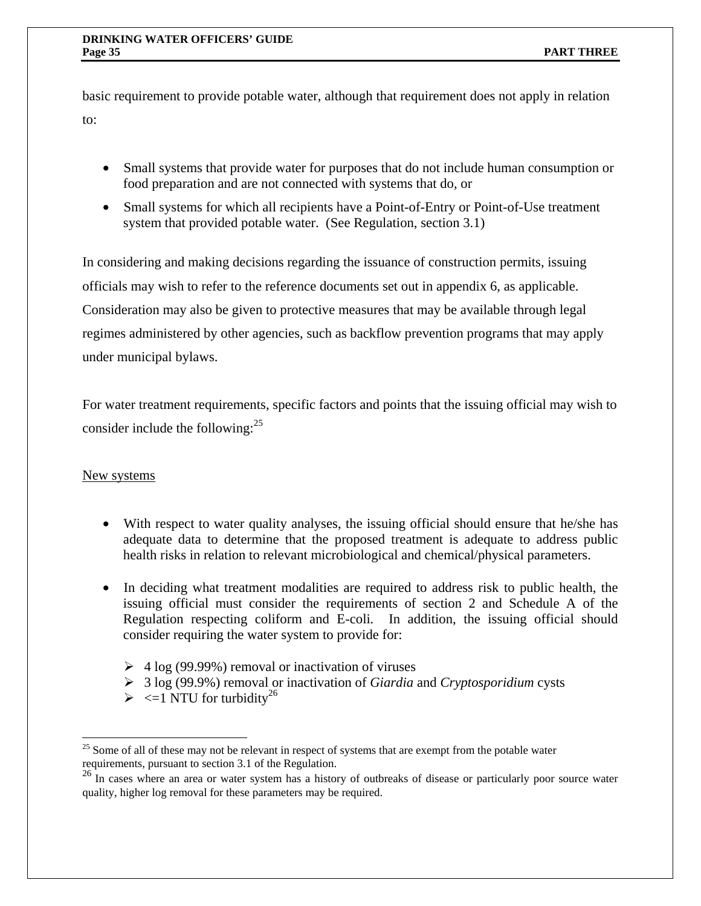basic requirement to provide potable water, although that requirement does not apply in relation to:

- Small systems that provide water for purposes that do not include human consumption or food preparation and are not connected with systems that do, or
- Small systems for which all recipients have a Point-of-Entry or Point-of-Use treatment system that provided potable water. (See Regulation, section 3.1)

In considering and making decisions regarding the issuance of construction permits, issuing officials may wish to refer to the reference documents set out in appendix 6, as applicable. Consideration may also be given to protective measures that may be available through legal regimes administered by other agencies, such as backflow prevention programs that may apply under municipal bylaws.

For water treatment requirements, specific factors and points that the issuing official may wish to consider include the following: $^{25}$ 

# New systems

 $\overline{a}$ 

- With respect to water quality analyses, the issuing official should ensure that he/she has adequate data to determine that the proposed treatment is adequate to address public health risks in relation to relevant microbiological and chemical/physical parameters.
- In deciding what treatment modalities are required to address risk to public health, the issuing official must consider the requirements of section 2 and Schedule A of the Regulation respecting coliform and E-coli*.* In addition, the issuing official should consider requiring the water system to provide for:
	- $\geq 4 \log (99.99\%)$  removal or inactivation of viruses
	- ¾ 3 log (99.9%) removal or inactivation of *Giardia* and *Cryptosporidium* cysts
	- $\triangleright$  <=1 NTU for turbidity<sup>26</sup>

 $25$  Some of all of these may not be relevant in respect of systems that are exempt from the potable water requirements, pursuant to section 3.1 of the Regulation.

<sup>&</sup>lt;sup>26</sup> In cases where an area or water system has a history of outbreaks of disease or particularly poor source water quality, higher log removal for these parameters may be required.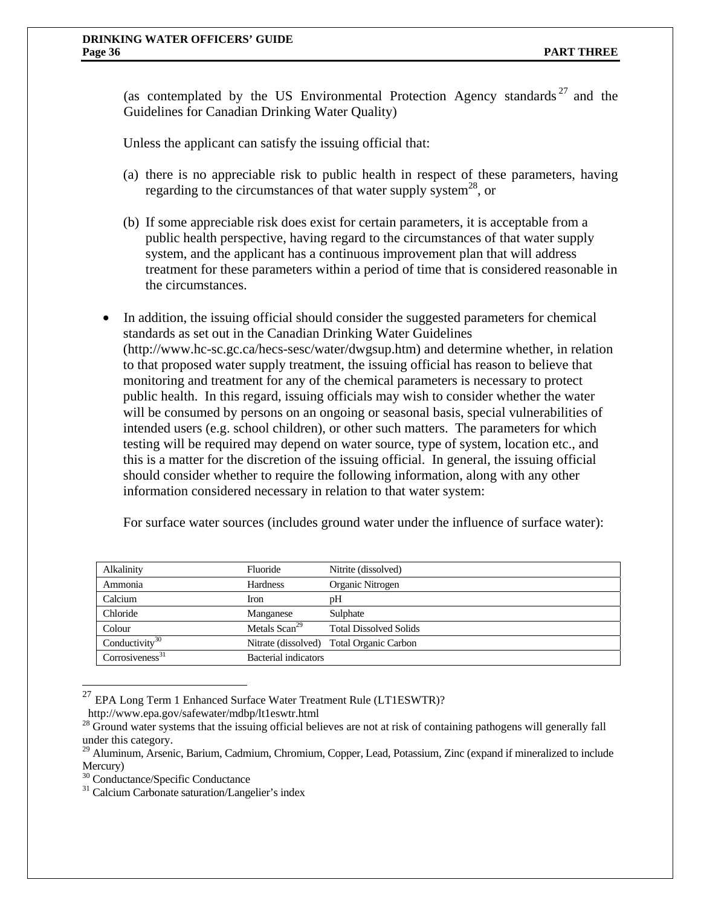(as contemplated by the US Environmental Protection Agency standards  $27$  and the Guidelines for Canadian Drinking Water Quality)

Unless the applicant can satisfy the issuing official that:

- (a) there is no appreciable risk to public health in respect of these parameters, having regarding to the circumstances of that water supply system<sup>28</sup>, or
- (b) If some appreciable risk does exist for certain parameters, it is acceptable from a public health perspective, having regard to the circumstances of that water supply system, and the applicant has a continuous improvement plan that will address treatment for these parameters within a period of time that is considered reasonable in the circumstances.
- In addition, the issuing official should consider the suggested parameters for chemical standards as set out in the Canadian Drinking Water Guidelines (http://www.hc-sc.gc.ca/hecs-sesc/water/dwgsup.htm) and determine whether, in relation to that proposed water supply treatment, the issuing official has reason to believe that monitoring and treatment for any of the chemical parameters is necessary to protect public health. In this regard, issuing officials may wish to consider whether the water will be consumed by persons on an ongoing or seasonal basis, special vulnerabilities of intended users (e.g. school children), or other such matters. The parameters for which testing will be required may depend on water source, type of system, location etc., and this is a matter for the discretion of the issuing official. In general, the issuing official should consider whether to require the following information, along with any other information considered necessary in relation to that water system:

For surface water sources (includes ground water under the influence of surface water):

| Alkalinity                   | Fluoride             | Nitrite (dissolved)                      |
|------------------------------|----------------------|------------------------------------------|
| Ammonia                      | <b>Hardness</b>      | Organic Nitrogen                         |
| Calcium                      | Iron                 | pH                                       |
| Chloride                     | Manganese            | Sulphate                                 |
| Colour                       | Metals $Scan29$      | <b>Total Dissolved Solids</b>            |
| Conductivity $\overline{30}$ |                      | Nitrate (dissolved) Total Organic Carbon |
| Corrosiveness <sup>31</sup>  | Bacterial indicators |                                          |

<sup>27</sup> EPA Long Term 1 Enhanced Surface Water Treatment Rule (LT1ESWTR)?<br>http://www.epa.gov/safewater/mdbp/lt1eswtr.html

 $\overline{a}$ 

<sup>&</sup>lt;sup>28</sup> Ground water systems that the issuing official believes are not at risk of containing pathogens will generally fall under this category.

<sup>&</sup>lt;sup>29</sup> Aluminum, Arsenic, Barium, Cadmium, Chromium, Copper, Lead, Potassium, Zinc (expand if mineralized to include Mercury)

<sup>30</sup> Conductance/Specific Conductance

<sup>&</sup>lt;sup>31</sup> Calcium Carbonate saturation/Langelier's index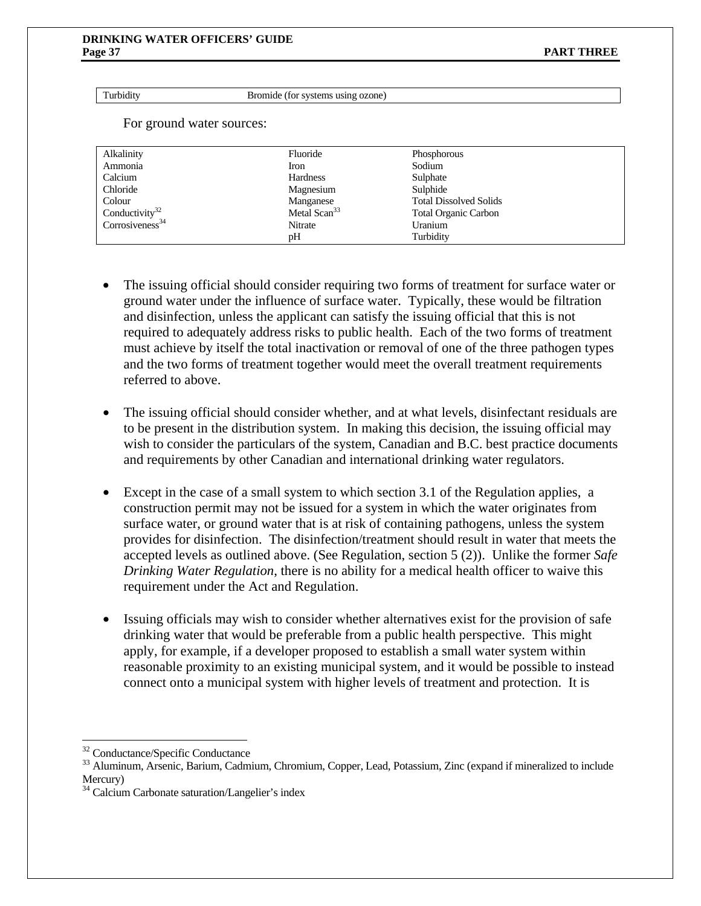Turbidity Bromide (for systems using ozone)

For ground water sources:

| Alkalinity                  | Fluoride                 | Phosphorous                   |
|-----------------------------|--------------------------|-------------------------------|
| Ammonia                     | Iron                     | Sodium                        |
| Calcium                     | <b>Hardness</b>          | Sulphate                      |
| Chloride                    | Magnesium                | Sulphide                      |
| Colour                      | Manganese                | <b>Total Dissolved Solids</b> |
| Conductivity <sup>32</sup>  | Metal Scan <sup>33</sup> | <b>Total Organic Carbon</b>   |
| Corrosiveness <sup>34</sup> | Nitrate                  | Uranium                       |
|                             | pH                       | Turbidity                     |
|                             |                          |                               |

- The issuing official should consider requiring two forms of treatment for surface water or ground water under the influence of surface water. Typically, these would be filtration and disinfection, unless the applicant can satisfy the issuing official that this is not required to adequately address risks to public health. Each of the two forms of treatment must achieve by itself the total inactivation or removal of one of the three pathogen types and the two forms of treatment together would meet the overall treatment requirements referred to above.
- The issuing official should consider whether, and at what levels, disinfectant residuals are to be present in the distribution system. In making this decision, the issuing official may wish to consider the particulars of the system, Canadian and B.C. best practice documents and requirements by other Canadian and international drinking water regulators.
- Except in the case of a small system to which section 3.1 of the Regulation applies, a construction permit may not be issued for a system in which the water originates from surface water, or ground water that is at risk of containing pathogens, unless the system provides for disinfection. The disinfection/treatment should result in water that meets the accepted levels as outlined above. (See Regulation, section 5 (2)). Unlike the former *Safe Drinking Water Regulation*, there is no ability for a medical health officer to waive this requirement under the Act and Regulation.
- Issuing officials may wish to consider whether alternatives exist for the provision of safe drinking water that would be preferable from a public health perspective. This might apply, for example, if a developer proposed to establish a small water system within reasonable proximity to an existing municipal system, and it would be possible to instead connect onto a municipal system with higher levels of treatment and protection. It is

 $\overline{a}$ 

<sup>32</sup> Conductance/Specific Conductance

<sup>&</sup>lt;sup>33</sup> Aluminum, Arsenic, Barium, Cadmium, Chromium, Copper, Lead, Potassium, Zinc (expand if mineralized to include Mercury)

<sup>&</sup>lt;sup>34</sup> Calcium Carbonate saturation/Langelier's index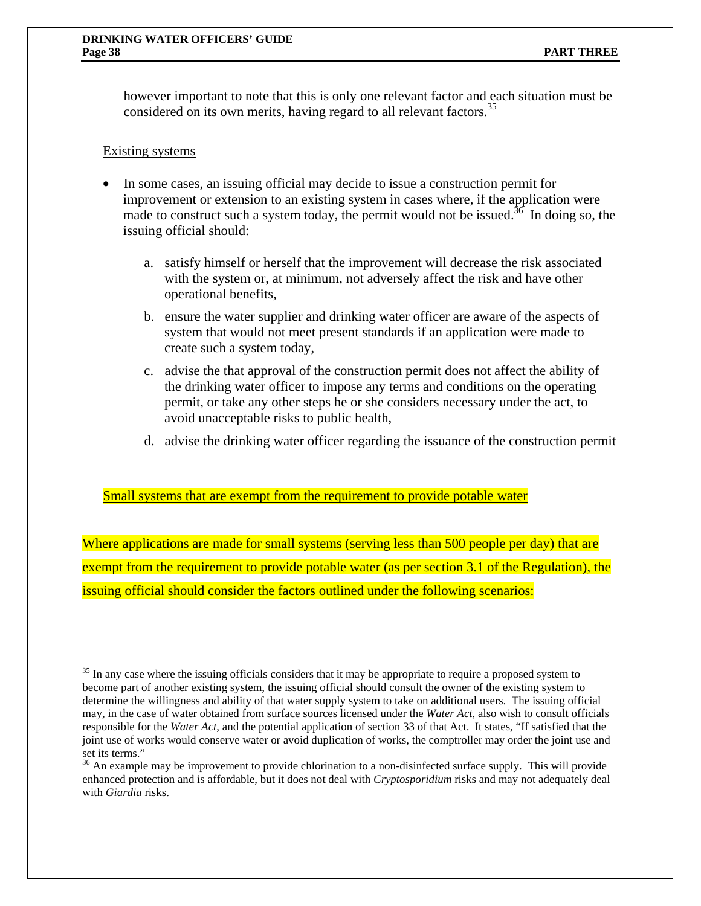however important to note that this is only one relevant factor and each situation must be considered on its own merits, having regard to all relevant factors.<sup>35</sup>

# Existing systems

 $\overline{a}$ 

- In some cases, an issuing official may decide to issue a construction permit for improvement or extension to an existing system in cases where, if the application were made to construct such a system today, the permit would not be issued.<sup>36</sup> In doing so, the issuing official should:
	- a. satisfy himself or herself that the improvement will decrease the risk associated with the system or, at minimum, not adversely affect the risk and have other operational benefits,
	- b. ensure the water supplier and drinking water officer are aware of the aspects of system that would not meet present standards if an application were made to create such a system today,
	- c. advise the that approval of the construction permit does not affect the ability of the drinking water officer to impose any terms and conditions on the operating permit, or take any other steps he or she considers necessary under the act, to avoid unacceptable risks to public health,
	- d. advise the drinking water officer regarding the issuance of the construction permit

## Small systems that are exempt from the requirement to provide potable water

Where applications are made for small systems (serving less than 500 people per day) that are exempt from the requirement to provide potable water (as per section 3.1 of the Regulation), the issuing official should consider the factors outlined under the following scenarios:

 $35$  In any case where the issuing officials considers that it may be appropriate to require a proposed system to become part of another existing system, the issuing official should consult the owner of the existing system to determine the willingness and ability of that water supply system to take on additional users. The issuing official may, in the case of water obtained from surface sources licensed under the *Water Act*, also wish to consult officials responsible for the *Water Act*, and the potential application of section 33 of that Act. It states, "If satisfied that the joint use of works would conserve water or avoid duplication of works, the comptroller may order the joint use and set its terms."

<sup>&</sup>lt;sup>36</sup> An example may be improvement to provide chlorination to a non-disinfected surface supply. This will provide enhanced protection and is affordable, but it does not deal with *Cryptosporidium* risks and may not adequately deal with *Giardia* risks.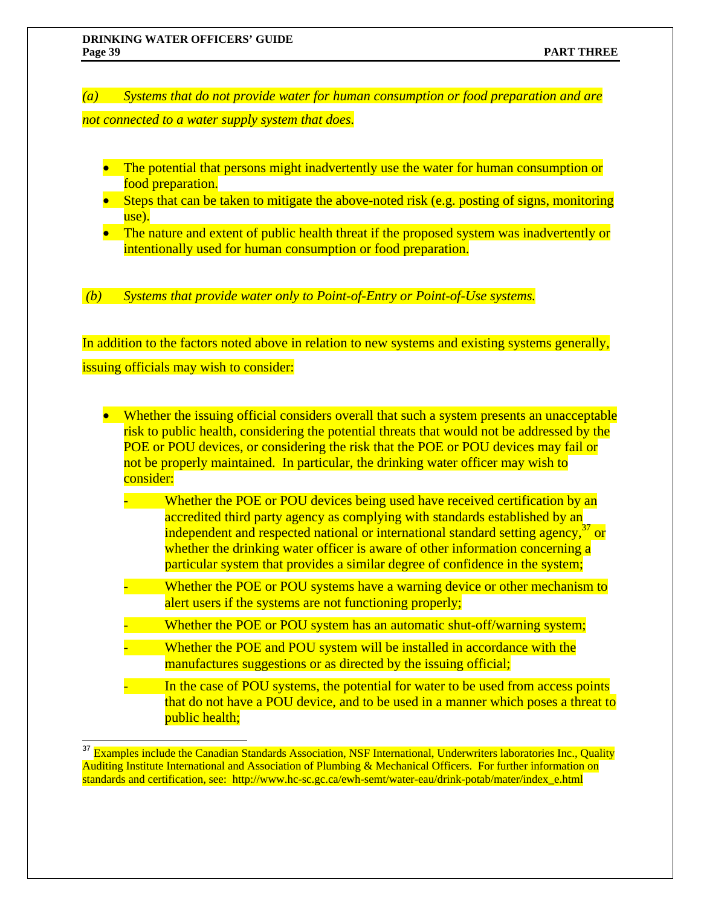$\overline{a}$ 

*(a) Systems that do not provide water for human consumption or food preparation and are* 

*not connected to a water supply system that does.* 

- The potential that persons might inadvertently use the water for human consumption or food preparation.
- Steps that can be taken to mitigate the above-noted risk (e.g. posting of signs, monitoring use).
- The nature and extent of public health threat if the proposed system was inadvertently or intentionally used for human consumption or food preparation.

 *(b) Systems that provide water only to Point-of-Entry or Point-of-Use systems.* 

In addition to the factors noted above in relation to new systems and existing systems generally, issuing officials may wish to consider:

• Whether the issuing official considers overall that such a system presents an unacceptable risk to public health, considering the potential threats that would not be addressed by the POE or POU devices, or considering the risk that the POE or POU devices may fail or not be properly maintained. In particular, the drinking water officer may wish to consider:

- Whether the POE or POU devices being used have received certification by an accredited third party agency as complying with standards established by an independent and respected national or international standard setting agency,  $37$  or whether the drinking water officer is aware of other information concerning a particular system that provides a similar degree of confidence in the system;
- Whether the POE or POU systems have a warning device or other mechanism to alert users if the systems are not functioning properly;
- Whether the POE or POU system has an automatic shut-off/warning system;
- Whether the POE and POU system will be installed in accordance with the manufactures suggestions or as directed by the issuing official;
- In the case of POU systems, the potential for water to be used from access points that do not have a POU device, and to be used in a manner which poses a threat to public health;

<sup>&</sup>lt;sup>37</sup> Examples include the Canadian Standards Association, NSF International, Underwriters laboratories Inc., Quality Auditing Institute International and Association of Plumbing & Mechanical Officers. For further information on standards and certification, see: http://www.hc-sc.gc.ca/ewh-semt/water-eau/drink-potab/mater/index\_e.html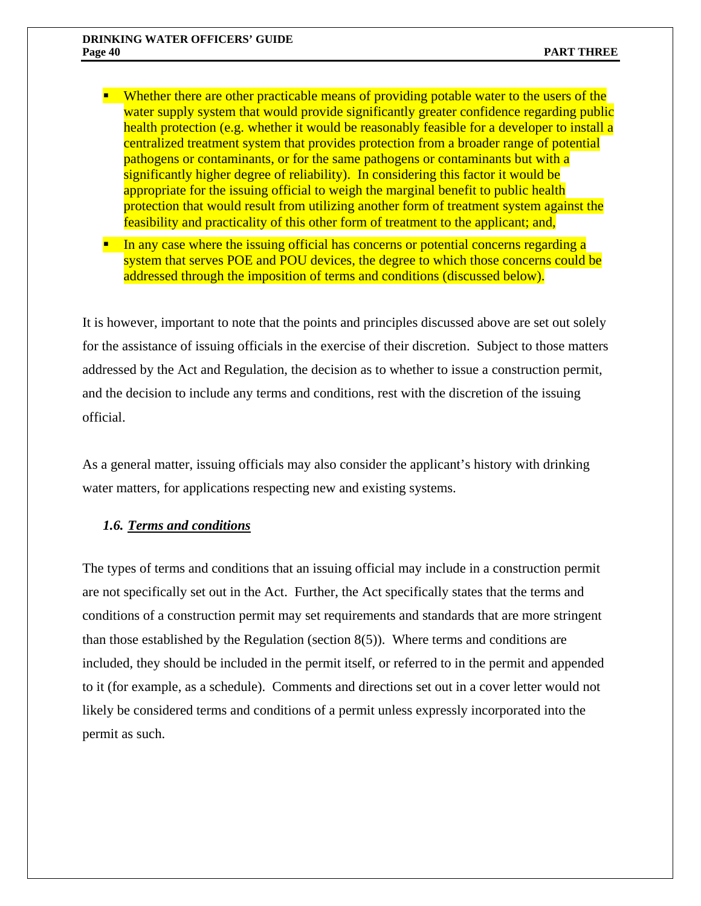- **•** Whether there are other practicable means of providing potable water to the users of the water supply system that would provide significantly greater confidence regarding public health protection (e.g. whether it would be reasonably feasible for a developer to install a centralized treatment system that provides protection from a broader range of potential pathogens or contaminants, or for the same pathogens or contaminants but with a significantly higher degree of reliability). In considering this factor it would be appropriate for the issuing official to weigh the marginal benefit to public health protection that would result from utilizing another form of treatment system against the feasibility and practicality of this other form of treatment to the applicant; and,
- In any case where the issuing official has concerns or potential concerns regarding a system that serves POE and POU devices, the degree to which those concerns could be addressed through the imposition of terms and conditions (discussed below).

It is however, important to note that the points and principles discussed above are set out solely for the assistance of issuing officials in the exercise of their discretion. Subject to those matters addressed by the Act and Regulation, the decision as to whether to issue a construction permit, and the decision to include any terms and conditions, rest with the discretion of the issuing official.

As a general matter, issuing officials may also consider the applicant's history with drinking water matters, for applications respecting new and existing systems.

## *1.6. Terms and conditions*

The types of terms and conditions that an issuing official may include in a construction permit are not specifically set out in the Act. Further, the Act specifically states that the terms and conditions of a construction permit may set requirements and standards that are more stringent than those established by the Regulation (section 8(5)). Where terms and conditions are included, they should be included in the permit itself, or referred to in the permit and appended to it (for example, as a schedule). Comments and directions set out in a cover letter would not likely be considered terms and conditions of a permit unless expressly incorporated into the permit as such.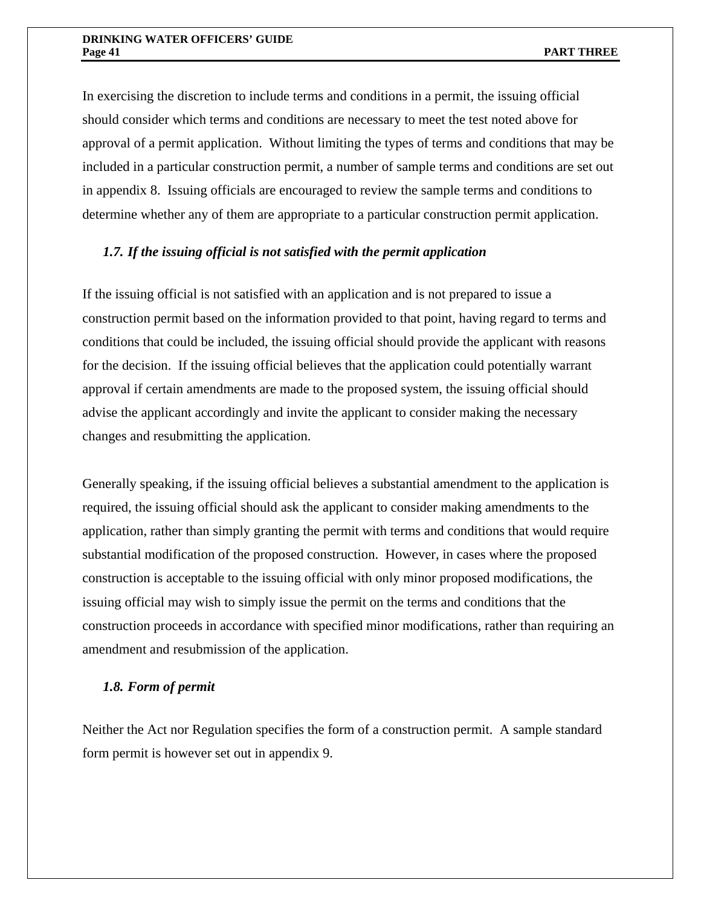In exercising the discretion to include terms and conditions in a permit, the issuing official should consider which terms and conditions are necessary to meet the test noted above for approval of a permit application. Without limiting the types of terms and conditions that may be included in a particular construction permit, a number of sample terms and conditions are set out in appendix 8. Issuing officials are encouraged to review the sample terms and conditions to determine whether any of them are appropriate to a particular construction permit application.

# *1.7. If the issuing official is not satisfied with the permit application*

If the issuing official is not satisfied with an application and is not prepared to issue a construction permit based on the information provided to that point, having regard to terms and conditions that could be included, the issuing official should provide the applicant with reasons for the decision. If the issuing official believes that the application could potentially warrant approval if certain amendments are made to the proposed system, the issuing official should advise the applicant accordingly and invite the applicant to consider making the necessary changes and resubmitting the application.

Generally speaking, if the issuing official believes a substantial amendment to the application is required, the issuing official should ask the applicant to consider making amendments to the application, rather than simply granting the permit with terms and conditions that would require substantial modification of the proposed construction. However, in cases where the proposed construction is acceptable to the issuing official with only minor proposed modifications, the issuing official may wish to simply issue the permit on the terms and conditions that the construction proceeds in accordance with specified minor modifications, rather than requiring an amendment and resubmission of the application.

## *1.8. Form of permit*

Neither the Act nor Regulation specifies the form of a construction permit. A sample standard form permit is however set out in appendix 9.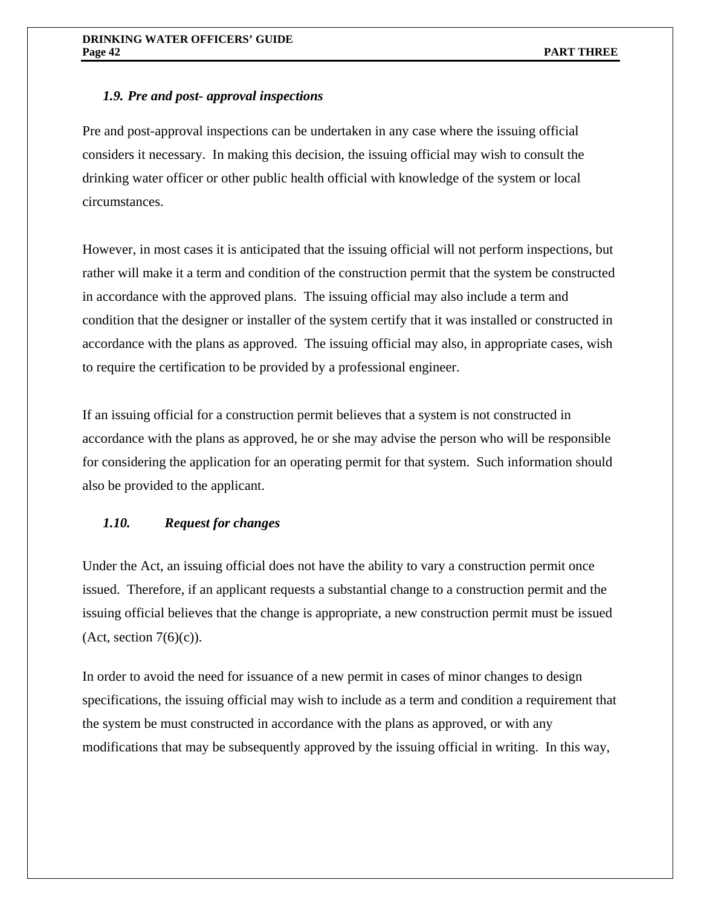# *1.9. Pre and post- approval inspections*

Pre and post-approval inspections can be undertaken in any case where the issuing official considers it necessary. In making this decision, the issuing official may wish to consult the drinking water officer or other public health official with knowledge of the system or local circumstances.

However, in most cases it is anticipated that the issuing official will not perform inspections, but rather will make it a term and condition of the construction permit that the system be constructed in accordance with the approved plans. The issuing official may also include a term and condition that the designer or installer of the system certify that it was installed or constructed in accordance with the plans as approved. The issuing official may also, in appropriate cases, wish to require the certification to be provided by a professional engineer.

If an issuing official for a construction permit believes that a system is not constructed in accordance with the plans as approved, he or she may advise the person who will be responsible for considering the application for an operating permit for that system. Such information should also be provided to the applicant.

# *1.10. Request for changes*

Under the Act, an issuing official does not have the ability to vary a construction permit once issued. Therefore, if an applicant requests a substantial change to a construction permit and the issuing official believes that the change is appropriate, a new construction permit must be issued  $(Act, section 7(6)(c)).$ 

In order to avoid the need for issuance of a new permit in cases of minor changes to design specifications, the issuing official may wish to include as a term and condition a requirement that the system be must constructed in accordance with the plans as approved, or with any modifications that may be subsequently approved by the issuing official in writing. In this way,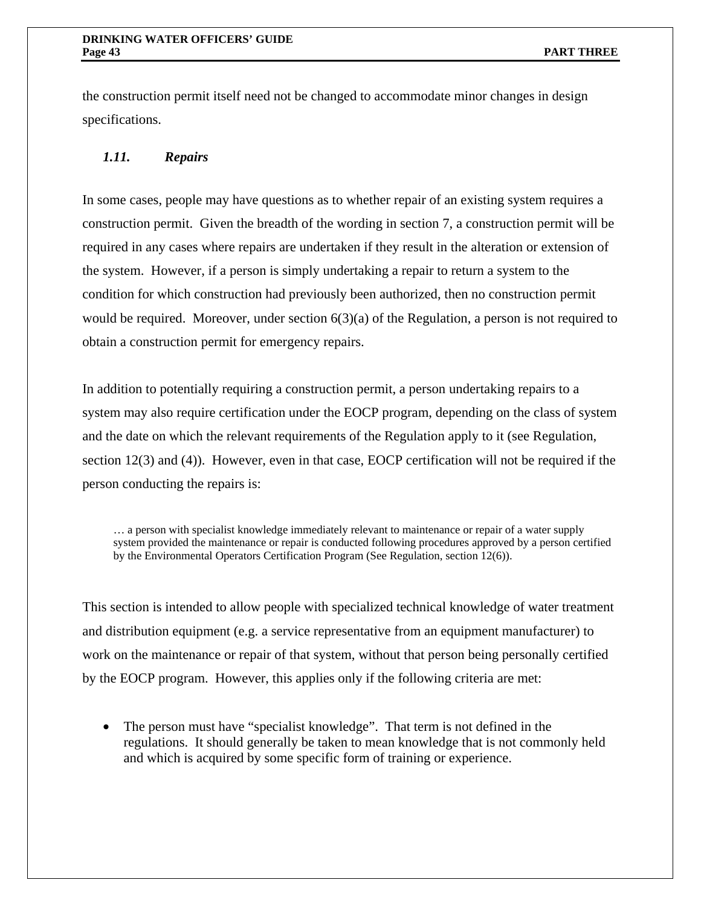the construction permit itself need not be changed to accommodate minor changes in design specifications.

# *1.11. Repairs*

In some cases, people may have questions as to whether repair of an existing system requires a construction permit. Given the breadth of the wording in section 7, a construction permit will be required in any cases where repairs are undertaken if they result in the alteration or extension of the system. However, if a person is simply undertaking a repair to return a system to the condition for which construction had previously been authorized, then no construction permit would be required. Moreover, under section 6(3)(a) of the Regulation, a person is not required to obtain a construction permit for emergency repairs.

In addition to potentially requiring a construction permit, a person undertaking repairs to a system may also require certification under the EOCP program, depending on the class of system and the date on which the relevant requirements of the Regulation apply to it (see Regulation, section 12(3) and (4)). However, even in that case, EOCP certification will not be required if the person conducting the repairs is:

… a person with specialist knowledge immediately relevant to maintenance or repair of a water supply system provided the maintenance or repair is conducted following procedures approved by a person certified by the Environmental Operators Certification Program (See Regulation, section 12(6)).

This section is intended to allow people with specialized technical knowledge of water treatment and distribution equipment (e.g. a service representative from an equipment manufacturer) to work on the maintenance or repair of that system, without that person being personally certified by the EOCP program. However, this applies only if the following criteria are met:

• The person must have "specialist knowledge". That term is not defined in the regulations. It should generally be taken to mean knowledge that is not commonly held and which is acquired by some specific form of training or experience.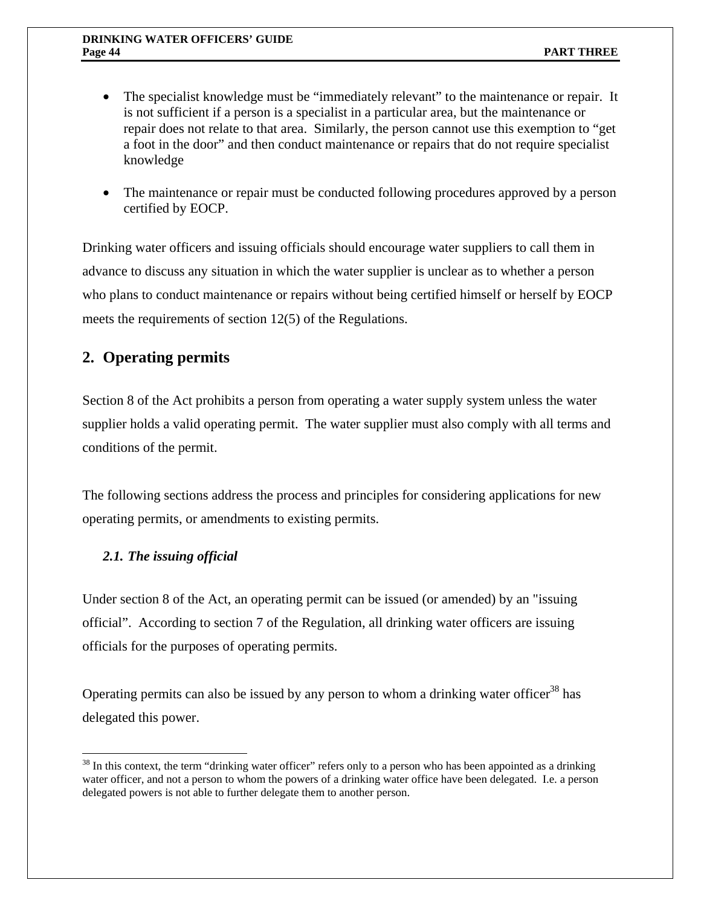- The specialist knowledge must be "immediately relevant" to the maintenance or repair. It is not sufficient if a person is a specialist in a particular area, but the maintenance or repair does not relate to that area. Similarly, the person cannot use this exemption to "get a foot in the door" and then conduct maintenance or repairs that do not require specialist knowledge
- The maintenance or repair must be conducted following procedures approved by a person certified by EOCP.

Drinking water officers and issuing officials should encourage water suppliers to call them in advance to discuss any situation in which the water supplier is unclear as to whether a person who plans to conduct maintenance or repairs without being certified himself or herself by EOCP meets the requirements of section 12(5) of the Regulations.

# **2. Operating permits**

Section 8 of the Act prohibits a person from operating a water supply system unless the water supplier holds a valid operating permit. The water supplier must also comply with all terms and conditions of the permit.

The following sections address the process and principles for considering applications for new operating permits, or amendments to existing permits.

# *2.1. The issuing official*

 $\overline{a}$ 

Under section 8 of the Act, an operating permit can be issued (or amended) by an "issuing official". According to section 7 of the Regulation, all drinking water officers are issuing officials for the purposes of operating permits.

Operating permits can also be issued by any person to whom a drinking water officer<sup>38</sup> has delegated this power.

 $38$  In this context, the term "drinking water officer" refers only to a person who has been appointed as a drinking water officer, and not a person to whom the powers of a drinking water office have been delegated. I.e. a person delegated powers is not able to further delegate them to another person.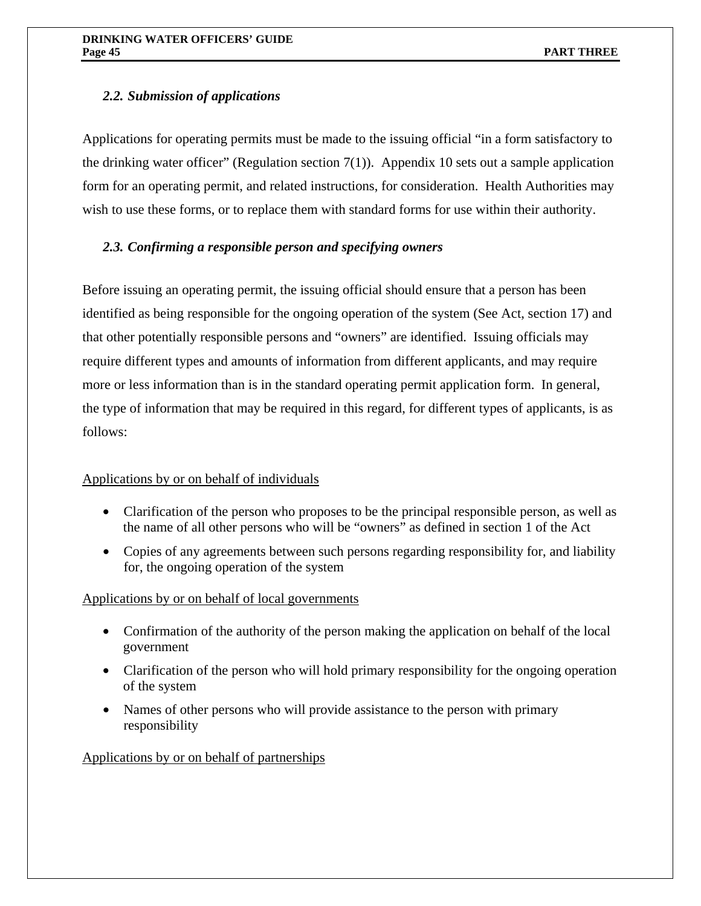# *2.2. Submission of applications*

Applications for operating permits must be made to the issuing official "in a form satisfactory to the drinking water officer" (Regulation section  $7(1)$ ). Appendix 10 sets out a sample application form for an operating permit, and related instructions, for consideration. Health Authorities may wish to use these forms, or to replace them with standard forms for use within their authority.

# *2.3. Confirming a responsible person and specifying owners*

Before issuing an operating permit, the issuing official should ensure that a person has been identified as being responsible for the ongoing operation of the system (See Act, section 17) and that other potentially responsible persons and "owners" are identified. Issuing officials may require different types and amounts of information from different applicants, and may require more or less information than is in the standard operating permit application form. In general, the type of information that may be required in this regard, for different types of applicants, is as follows:

# Applications by or on behalf of individuals

- Clarification of the person who proposes to be the principal responsible person, as well as the name of all other persons who will be "owners" as defined in section 1 of the Act
- Copies of any agreements between such persons regarding responsibility for, and liability for, the ongoing operation of the system

# Applications by or on behalf of local governments

- Confirmation of the authority of the person making the application on behalf of the local government
- Clarification of the person who will hold primary responsibility for the ongoing operation of the system
- Names of other persons who will provide assistance to the person with primary responsibility

# Applications by or on behalf of partnerships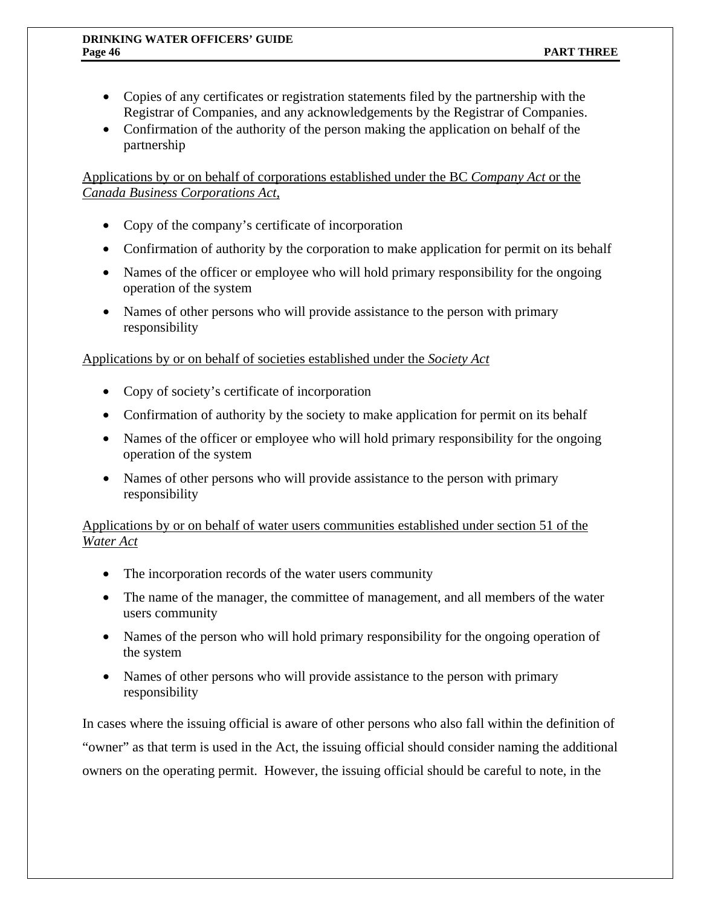- Copies of any certificates or registration statements filed by the partnership with the Registrar of Companies, and any acknowledgements by the Registrar of Companies.
- Confirmation of the authority of the person making the application on behalf of the partnership

Applications by or on behalf of corporations established under the BC *Company Act* or the *Canada Business Corporations Act*,

- Copy of the company's certificate of incorporation
- Confirmation of authority by the corporation to make application for permit on its behalf
- Names of the officer or employee who will hold primary responsibility for the ongoing operation of the system
- Names of other persons who will provide assistance to the person with primary responsibility

Applications by or on behalf of societies established under the *Society Act*

- Copy of society's certificate of incorporation
- Confirmation of authority by the society to make application for permit on its behalf
- Names of the officer or employee who will hold primary responsibility for the ongoing operation of the system
- Names of other persons who will provide assistance to the person with primary responsibility

Applications by or on behalf of water users communities established under section 51 of the *Water Act*

- The incorporation records of the water users community
- The name of the manager, the committee of management, and all members of the water users community
- Names of the person who will hold primary responsibility for the ongoing operation of the system
- Names of other persons who will provide assistance to the person with primary responsibility

In cases where the issuing official is aware of other persons who also fall within the definition of "owner" as that term is used in the Act, the issuing official should consider naming the additional owners on the operating permit. However, the issuing official should be careful to note, in the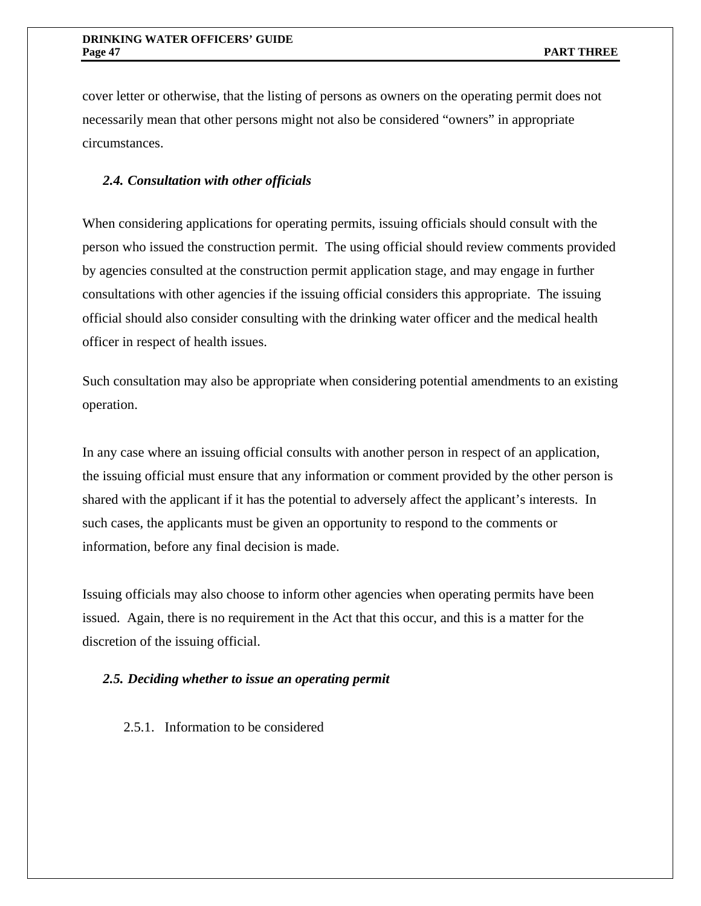cover letter or otherwise, that the listing of persons as owners on the operating permit does not necessarily mean that other persons might not also be considered "owners" in appropriate circumstances.

### *2.4. Consultation with other officials*

When considering applications for operating permits, issuing officials should consult with the person who issued the construction permit. The using official should review comments provided by agencies consulted at the construction permit application stage, and may engage in further consultations with other agencies if the issuing official considers this appropriate. The issuing official should also consider consulting with the drinking water officer and the medical health officer in respect of health issues.

Such consultation may also be appropriate when considering potential amendments to an existing operation.

In any case where an issuing official consults with another person in respect of an application, the issuing official must ensure that any information or comment provided by the other person is shared with the applicant if it has the potential to adversely affect the applicant's interests. In such cases, the applicants must be given an opportunity to respond to the comments or information, before any final decision is made.

Issuing officials may also choose to inform other agencies when operating permits have been issued. Again, there is no requirement in the Act that this occur, and this is a matter for the discretion of the issuing official.

### *2.5. Deciding whether to issue an operating permit*

2.5.1. Information to be considered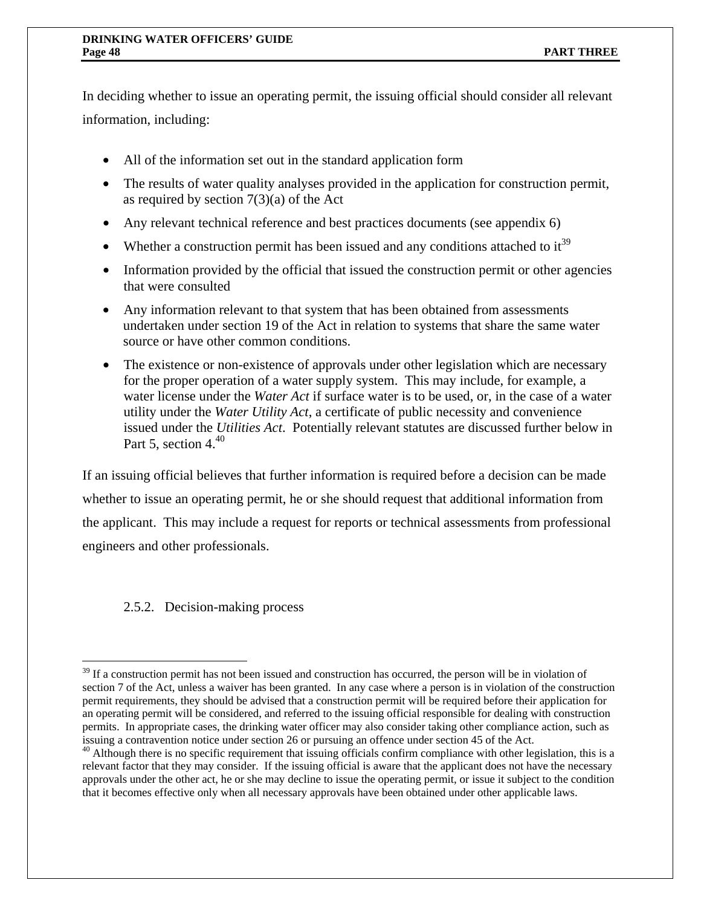In deciding whether to issue an operating permit, the issuing official should consider all relevant information, including:

- All of the information set out in the standard application form
- The results of water quality analyses provided in the application for construction permit, as required by section  $7(3)(a)$  of the Act
- Any relevant technical reference and best practices documents (see appendix 6)
- Whether a construction permit has been issued and any conditions attached to  $it^{39}$
- Information provided by the official that issued the construction permit or other agencies that were consulted
- Any information relevant to that system that has been obtained from assessments undertaken under section 19 of the Act in relation to systems that share the same water source or have other common conditions.
- The existence or non-existence of approvals under other legislation which are necessary for the proper operation of a water supply system. This may include, for example, a water license under the *Water Act* if surface water is to be used, or, in the case of a water utility under the *Water Utility Act*, a certificate of public necessity and convenience issued under the *Utilities Act*. Potentially relevant statutes are discussed further below in Part 5, section 4. $40$

If an issuing official believes that further information is required before a decision can be made whether to issue an operating permit, he or she should request that additional information from the applicant. This may include a request for reports or technical assessments from professional engineers and other professionals.

# 2.5.2. Decision-making process

<sup>1</sup>  $39$  If a construction permit has not been issued and construction has occurred, the person will be in violation of section 7 of the Act, unless a waiver has been granted. In any case where a person is in violation of the construction permit requirements, they should be advised that a construction permit will be required before their application for an operating permit will be considered, and referred to the issuing official responsible for dealing with construction permits. In appropriate cases, the drinking water officer may also consider taking other compliance action, such as issuing a contravention notice under section 26 or pursuing an offence under section 45 of the Act.

<sup>&</sup>lt;sup>40</sup> Although there is no specific requirement that issuing officials confirm compliance with other legislation, this is a relevant factor that they may consider. If the issuing official is aware that the applicant does not have the necessary approvals under the other act, he or she may decline to issue the operating permit, or issue it subject to the condition that it becomes effective only when all necessary approvals have been obtained under other applicable laws.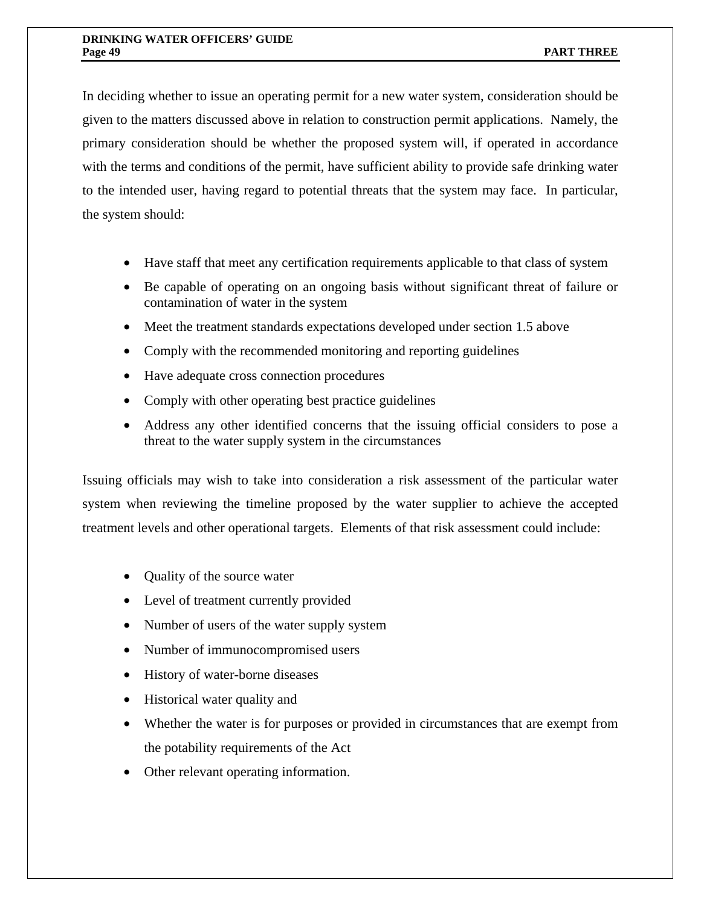In deciding whether to issue an operating permit for a new water system, consideration should be given to the matters discussed above in relation to construction permit applications. Namely, the primary consideration should be whether the proposed system will, if operated in accordance with the terms and conditions of the permit, have sufficient ability to provide safe drinking water to the intended user, having regard to potential threats that the system may face. In particular, the system should:

- Have staff that meet any certification requirements applicable to that class of system
- Be capable of operating on an ongoing basis without significant threat of failure or contamination of water in the system
- Meet the treatment standards expectations developed under section 1.5 above
- Comply with the recommended monitoring and reporting guidelines
- Have adequate cross connection procedures
- Comply with other operating best practice guidelines
- Address any other identified concerns that the issuing official considers to pose a threat to the water supply system in the circumstances

Issuing officials may wish to take into consideration a risk assessment of the particular water system when reviewing the timeline proposed by the water supplier to achieve the accepted treatment levels and other operational targets. Elements of that risk assessment could include:

- Quality of the source water
- Level of treatment currently provided
- Number of users of the water supply system
- Number of immunocompromised users
- History of water-borne diseases
- Historical water quality and
- Whether the water is for purposes or provided in circumstances that are exempt from the potability requirements of the Act
- Other relevant operating information.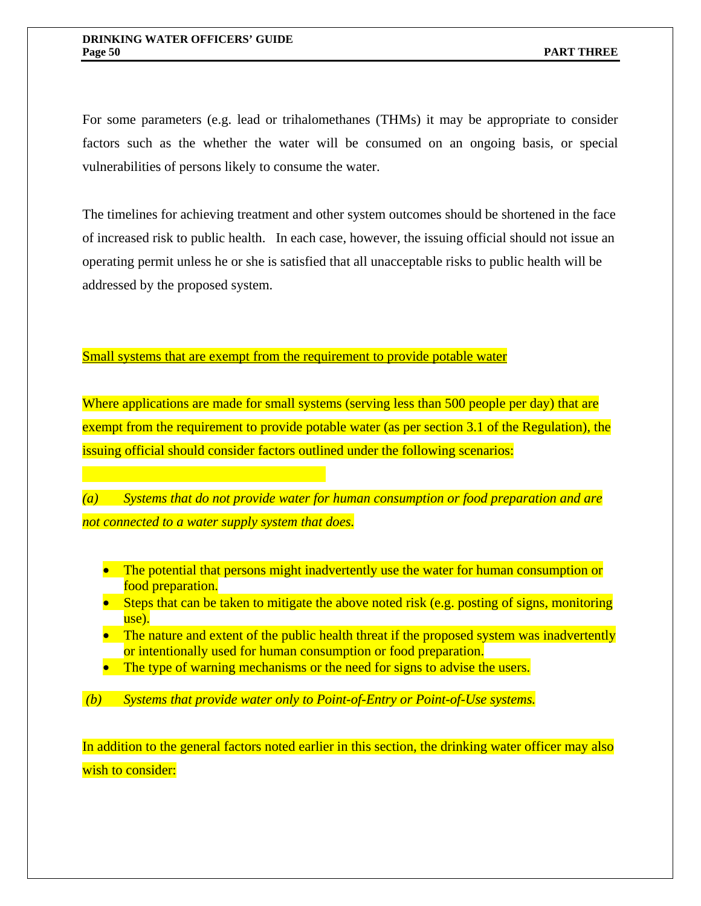For some parameters (e.g. lead or trihalomethanes (THMs) it may be appropriate to consider factors such as the whether the water will be consumed on an ongoing basis, or special vulnerabilities of persons likely to consume the water.

The timelines for achieving treatment and other system outcomes should be shortened in the face of increased risk to public health. In each case, however, the issuing official should not issue an operating permit unless he or she is satisfied that all unacceptable risks to public health will be addressed by the proposed system.

Small systems that are exempt from the requirement to provide potable water

Where applications are made for small systems (serving less than 500 people per day) that are exempt from the requirement to provide potable water (as per section 3.1 of the Regulation), the issuing official should consider factors outlined under the following scenarios:

*(a) Systems that do not provide water for human consumption or food preparation and are not connected to a water supply system that does.* 

- The potential that persons might inadvertently use the water for human consumption or food preparation.
- Steps that can be taken to mitigate the above noted risk (e.g. posting of signs, monitoring use).
- The nature and extent of the public health threat if the proposed system was inadvertently or intentionally used for human consumption or food preparation.
- The type of warning mechanisms or the need for signs to advise the users.
- *(b) Systems that provide water only to Point-of-Entry or Point-of-Use systems.*

In addition to the general factors noted earlier in this section, the drinking water officer may also wish to consider: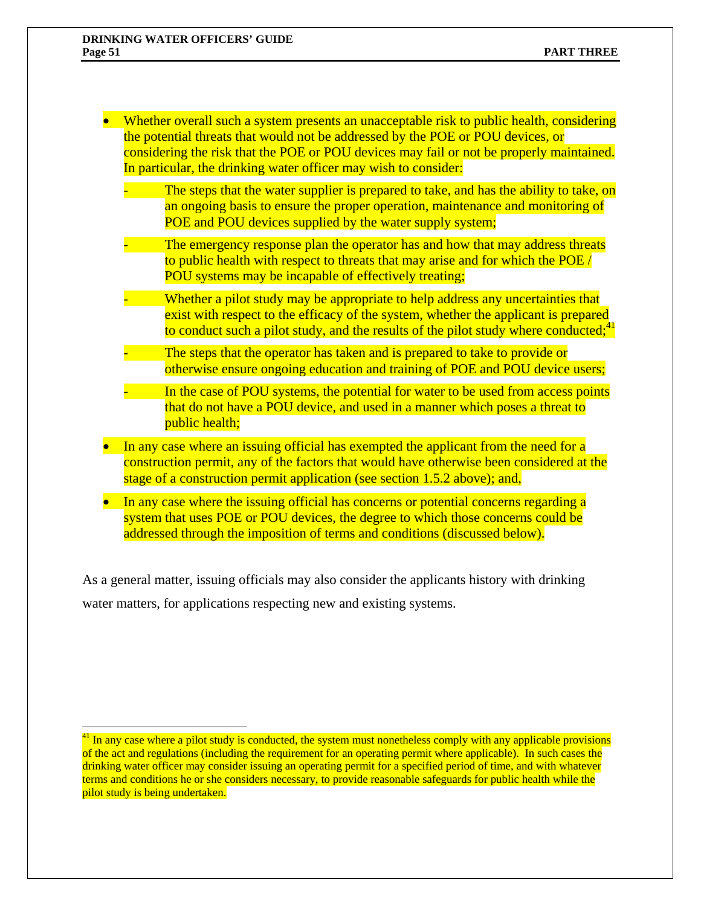$\overline{a}$ 

- Whether overall such a system presents an unacceptable risk to public health, considering the potential threats that would not be addressed by the POE or POU devices, or considering the risk that the POE or POU devices may fail or not be properly maintained. In particular, the drinking water officer may wish to consider:
	- The steps that the water supplier is prepared to take, and has the ability to take, on an ongoing basis to ensure the proper operation, maintenance and monitoring of POE and POU devices supplied by the water supply system;
	- The emergency response plan the operator has and how that may address threats to public health with respect to threats that may arise and for which the POE / POU systems may be incapable of effectively treating;
	- Whether a pilot study may be appropriate to help address any uncertainties that exist with respect to the efficacy of the system, whether the applicant is prepared to conduct such a pilot study, and the results of the pilot study where conducted;  $4^{1}$
	- The steps that the operator has taken and is prepared to take to provide or otherwise ensure ongoing education and training of POE and POU device users;
	- In the case of POU systems, the potential for water to be used from access points that do not have a POU device, and used in a manner which poses a threat to public health;
- In any case where an issuing official has exempted the applicant from the need for a construction permit, any of the factors that would have otherwise been considered at the stage of a construction permit application (see section 1.5.2 above); and,
- In any case where the issuing official has concerns or potential concerns regarding a system that uses POE or POU devices, the degree to which those concerns could be addressed through the imposition of terms and conditions (discussed below).

As a general matter, issuing officials may also consider the applicants history with drinking water matters, for applications respecting new and existing systems.

 $41$  In any case where a pilot study is conducted, the system must nonetheless comply with any applicable provisions of the act and regulations (including the requirement for an operating permit where applicable). In such cases the drinking water officer may consider issuing an operating permit for a specified period of time, and with whatever terms and conditions he or she considers necessary, to provide reasonable safeguards for public health while the pilot study is being undertaken.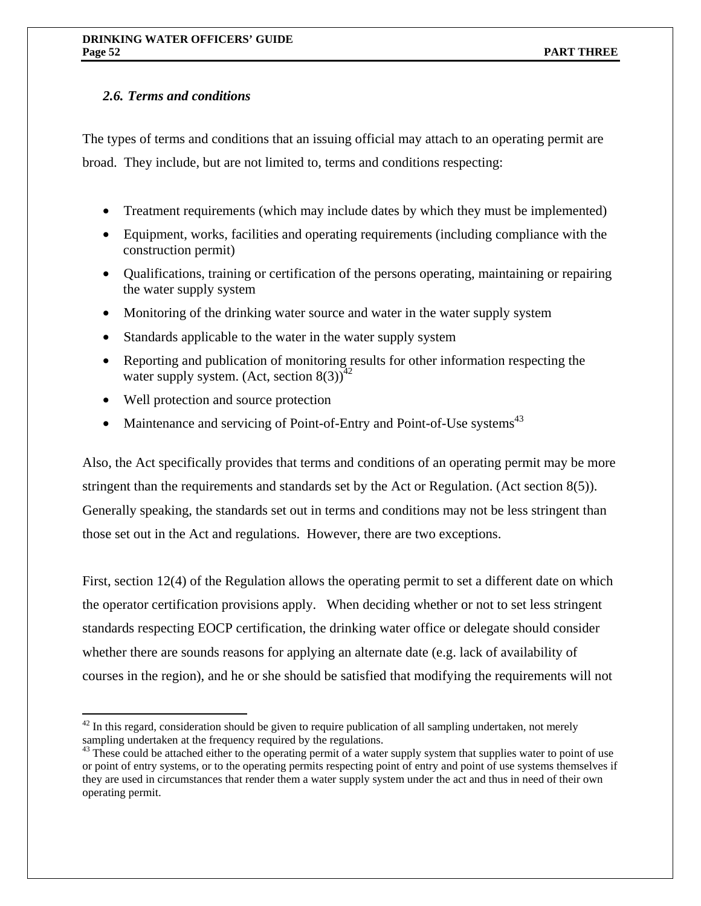# *2.6. Terms and conditions*

The types of terms and conditions that an issuing official may attach to an operating permit are broad. They include, but are not limited to, terms and conditions respecting:

- Treatment requirements (which may include dates by which they must be implemented)
- Equipment, works, facilities and operating requirements (including compliance with the construction permit)
- Qualifications, training or certification of the persons operating, maintaining or repairing the water supply system
- Monitoring of the drinking water source and water in the water supply system
- Standards applicable to the water in the water supply system
- Reporting and publication of monitoring results for other information respecting the water supply system. (Act, section  $8(3)$ )<sup>42</sup>
- Well protection and source protection

1

• Maintenance and servicing of Point-of-Entry and Point-of-Use systems<sup>43</sup>

Also, the Act specifically provides that terms and conditions of an operating permit may be more stringent than the requirements and standards set by the Act or Regulation. (Act section 8(5)). Generally speaking, the standards set out in terms and conditions may not be less stringent than those set out in the Act and regulations. However, there are two exceptions.

First, section 12(4) of the Regulation allows the operating permit to set a different date on which the operator certification provisions apply. When deciding whether or not to set less stringent standards respecting EOCP certification, the drinking water office or delegate should consider whether there are sounds reasons for applying an alternate date (e.g. lack of availability of courses in the region), and he or she should be satisfied that modifying the requirements will not

 $42$  In this regard, consideration should be given to require publication of all sampling undertaken, not merely sampling undertaken at the frequency required by the regulations.

 $43$  These could be attached either to the operating permit of a water supply system that supplies water to point of use or point of entry systems, or to the operating permits respecting point of entry and point of use systems themselves if they are used in circumstances that render them a water supply system under the act and thus in need of their own operating permit.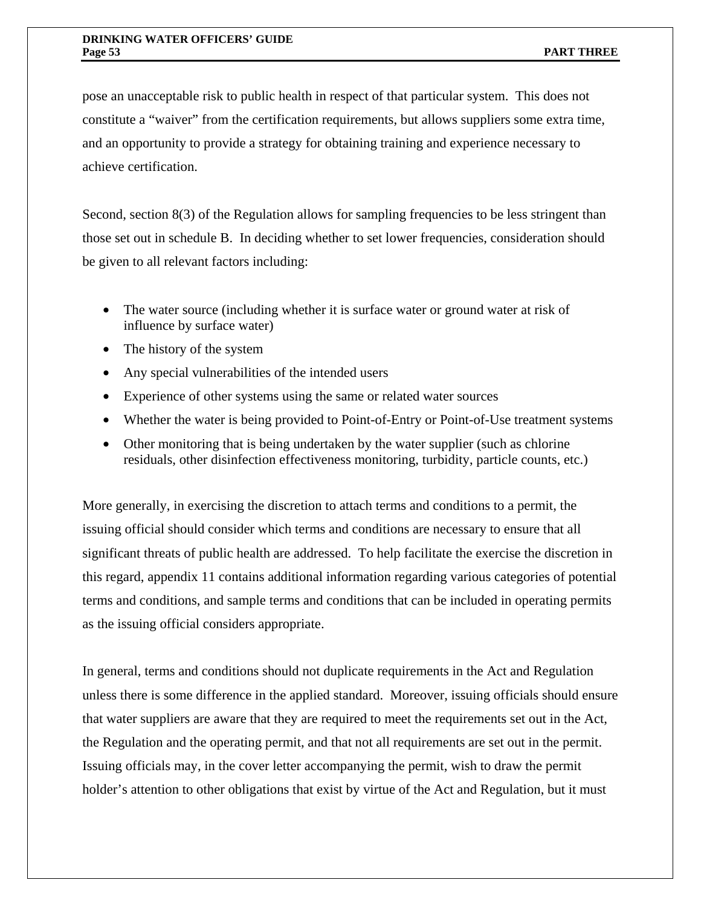pose an unacceptable risk to public health in respect of that particular system. This does not constitute a "waiver" from the certification requirements, but allows suppliers some extra time, and an opportunity to provide a strategy for obtaining training and experience necessary to achieve certification.

Second, section 8(3) of the Regulation allows for sampling frequencies to be less stringent than those set out in schedule B. In deciding whether to set lower frequencies, consideration should be given to all relevant factors including:

- The water source (including whether it is surface water or ground water at risk of influence by surface water)
- The history of the system
- Any special vulnerabilities of the intended users
- Experience of other systems using the same or related water sources
- Whether the water is being provided to Point-of-Entry or Point-of-Use treatment systems
- Other monitoring that is being undertaken by the water supplier (such as chlorine residuals, other disinfection effectiveness monitoring, turbidity, particle counts, etc.)

More generally, in exercising the discretion to attach terms and conditions to a permit, the issuing official should consider which terms and conditions are necessary to ensure that all significant threats of public health are addressed. To help facilitate the exercise the discretion in this regard, appendix 11 contains additional information regarding various categories of potential terms and conditions, and sample terms and conditions that can be included in operating permits as the issuing official considers appropriate.

In general, terms and conditions should not duplicate requirements in the Act and Regulation unless there is some difference in the applied standard. Moreover, issuing officials should ensure that water suppliers are aware that they are required to meet the requirements set out in the Act, the Regulation and the operating permit, and that not all requirements are set out in the permit. Issuing officials may, in the cover letter accompanying the permit, wish to draw the permit holder's attention to other obligations that exist by virtue of the Act and Regulation, but it must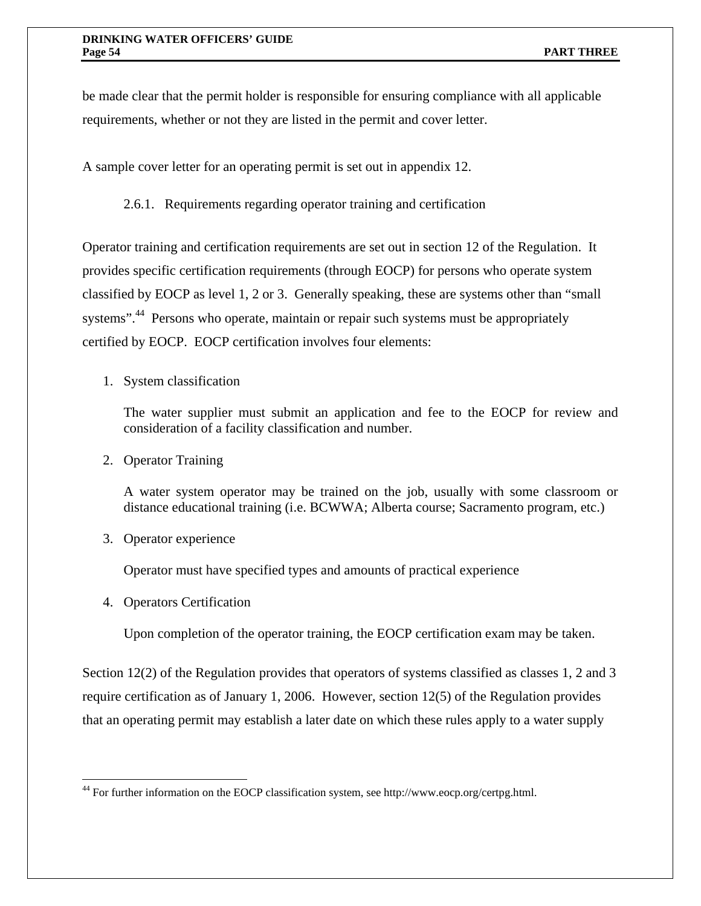be made clear that the permit holder is responsible for ensuring compliance with all applicable requirements, whether or not they are listed in the permit and cover letter.

A sample cover letter for an operating permit is set out in appendix 12.

2.6.1. Requirements regarding operator training and certification

Operator training and certification requirements are set out in section 12 of the Regulation. It provides specific certification requirements (through EOCP) for persons who operate system classified by EOCP as level 1, 2 or 3. Generally speaking, these are systems other than "small systems".<sup>44</sup> Persons who operate, maintain or repair such systems must be appropriately certified by EOCP. EOCP certification involves four elements:

## 1. System classification

The water supplier must submit an application and fee to the EOCP for review and consideration of a facility classification and number.

2. Operator Training

A water system operator may be trained on the job, usually with some classroom or distance educational training (i.e. BCWWA; Alberta course; Sacramento program, etc.)

3. Operator experience

Operator must have specified types and amounts of practical experience

4. Operators Certification

 $\overline{a}$ 

Upon completion of the operator training, the EOCP certification exam may be taken.

Section 12(2) of the Regulation provides that operators of systems classified as classes 1, 2 and 3 require certification as of January 1, 2006. However, section 12(5) of the Regulation provides that an operating permit may establish a later date on which these rules apply to a water supply

<sup>44</sup> For further information on the EOCP classification system, see http://www.eocp.org/certpg.html.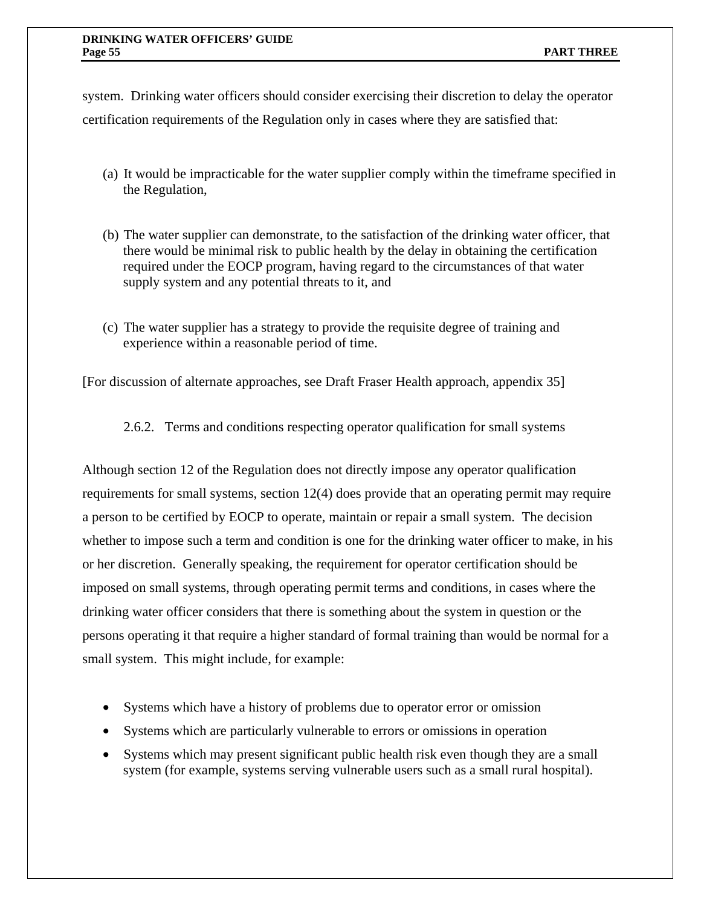system. Drinking water officers should consider exercising their discretion to delay the operator certification requirements of the Regulation only in cases where they are satisfied that:

- (a) It would be impracticable for the water supplier comply within the timeframe specified in the Regulation,
- (b) The water supplier can demonstrate, to the satisfaction of the drinking water officer, that there would be minimal risk to public health by the delay in obtaining the certification required under the EOCP program, having regard to the circumstances of that water supply system and any potential threats to it, and
- (c) The water supplier has a strategy to provide the requisite degree of training and experience within a reasonable period of time.

[For discussion of alternate approaches, see Draft Fraser Health approach, appendix 35]

2.6.2. Terms and conditions respecting operator qualification for small systems

Although section 12 of the Regulation does not directly impose any operator qualification requirements for small systems, section 12(4) does provide that an operating permit may require a person to be certified by EOCP to operate, maintain or repair a small system. The decision whether to impose such a term and condition is one for the drinking water officer to make, in his or her discretion. Generally speaking, the requirement for operator certification should be imposed on small systems, through operating permit terms and conditions, in cases where the drinking water officer considers that there is something about the system in question or the persons operating it that require a higher standard of formal training than would be normal for a small system. This might include, for example:

- Systems which have a history of problems due to operator error or omission
- Systems which are particularly vulnerable to errors or omissions in operation
- Systems which may present significant public health risk even though they are a small system (for example, systems serving vulnerable users such as a small rural hospital).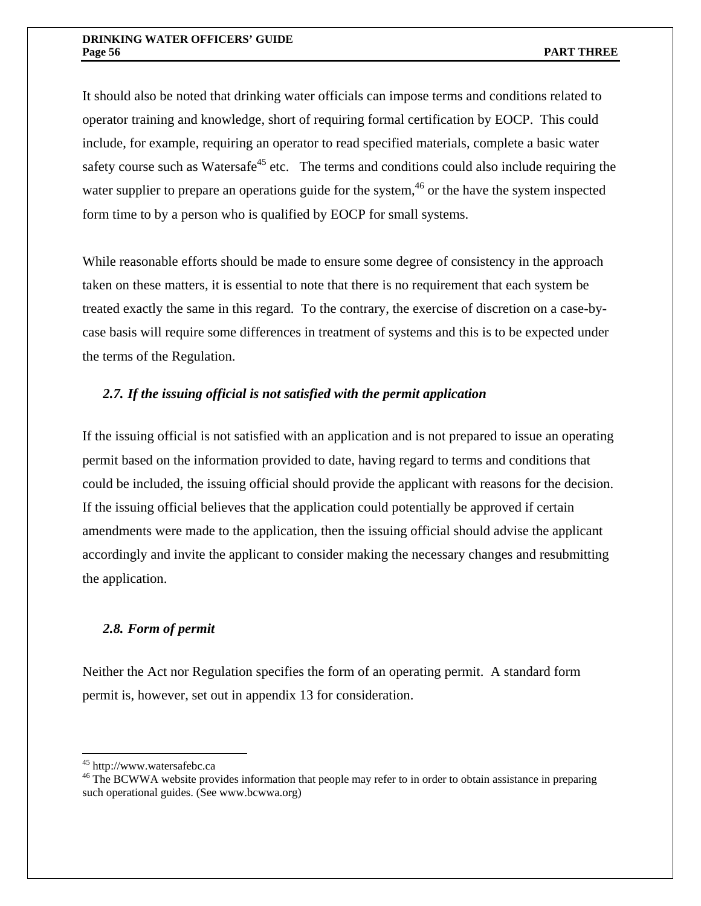It should also be noted that drinking water officials can impose terms and conditions related to operator training and knowledge, short of requiring formal certification by EOCP. This could include, for example, requiring an operator to read specified materials, complete a basic water safety course such as Watersaf $e^{45}$  etc. The terms and conditions could also include requiring the water supplier to prepare an operations guide for the system,<sup>46</sup> or the have the system inspected form time to by a person who is qualified by EOCP for small systems.

While reasonable efforts should be made to ensure some degree of consistency in the approach taken on these matters, it is essential to note that there is no requirement that each system be treated exactly the same in this regard. To the contrary, the exercise of discretion on a case-bycase basis will require some differences in treatment of systems and this is to be expected under the terms of the Regulation.

# *2.7. If the issuing official is not satisfied with the permit application*

If the issuing official is not satisfied with an application and is not prepared to issue an operating permit based on the information provided to date, having regard to terms and conditions that could be included, the issuing official should provide the applicant with reasons for the decision. If the issuing official believes that the application could potentially be approved if certain amendments were made to the application, then the issuing official should advise the applicant accordingly and invite the applicant to consider making the necessary changes and resubmitting the application.

## *2.8. Form of permit*

Neither the Act nor Regulation specifies the form of an operating permit. A standard form permit is, however, set out in appendix 13 for consideration.

 $\overline{a}$ 

<sup>&</sup>lt;sup>45</sup> http://www.watersafebc.ca<br><sup>46</sup> The BCWWA website provides information that people may refer to in order to obtain assistance in preparing such operational guides. (See www.bcwwa.org)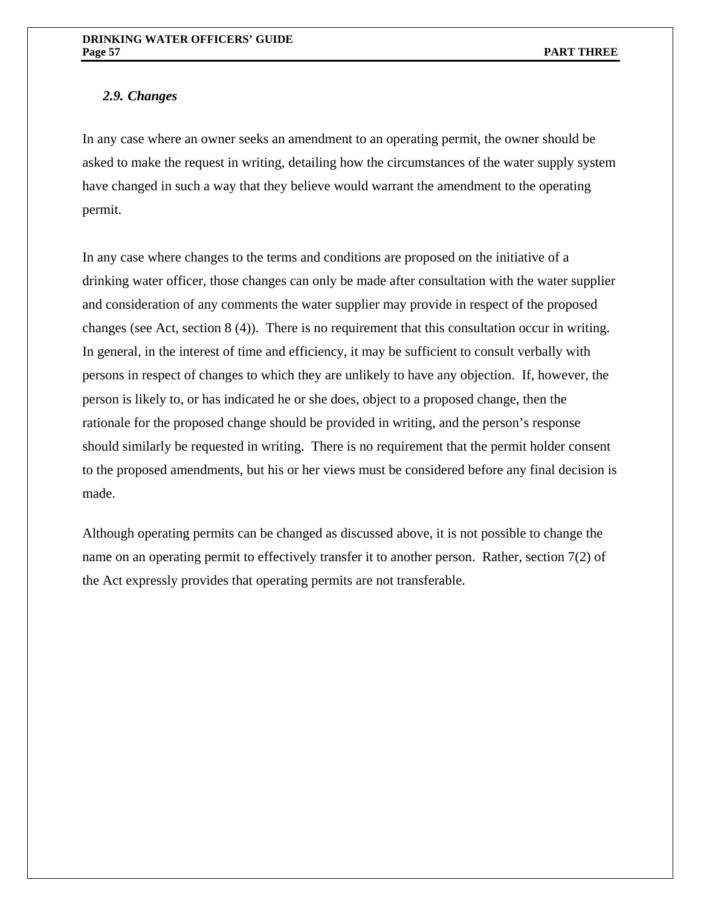# *2.9. Changes*

In any case where an owner seeks an amendment to an operating permit, the owner should be asked to make the request in writing, detailing how the circumstances of the water supply system have changed in such a way that they believe would warrant the amendment to the operating permit.

In any case where changes to the terms and conditions are proposed on the initiative of a drinking water officer, those changes can only be made after consultation with the water supplier and consideration of any comments the water supplier may provide in respect of the proposed changes (see Act, section 8 (4)). There is no requirement that this consultation occur in writing. In general, in the interest of time and efficiency, it may be sufficient to consult verbally with persons in respect of changes to which they are unlikely to have any objection. If, however, the person is likely to, or has indicated he or she does, object to a proposed change, then the rationale for the proposed change should be provided in writing, and the person's response should similarly be requested in writing. There is no requirement that the permit holder consent to the proposed amendments, but his or her views must be considered before any final decision is made.

Although operating permits can be changed as discussed above, it is not possible to change the name on an operating permit to effectively transfer it to another person. Rather, section 7(2) of the Act expressly provides that operating permits are not transferable.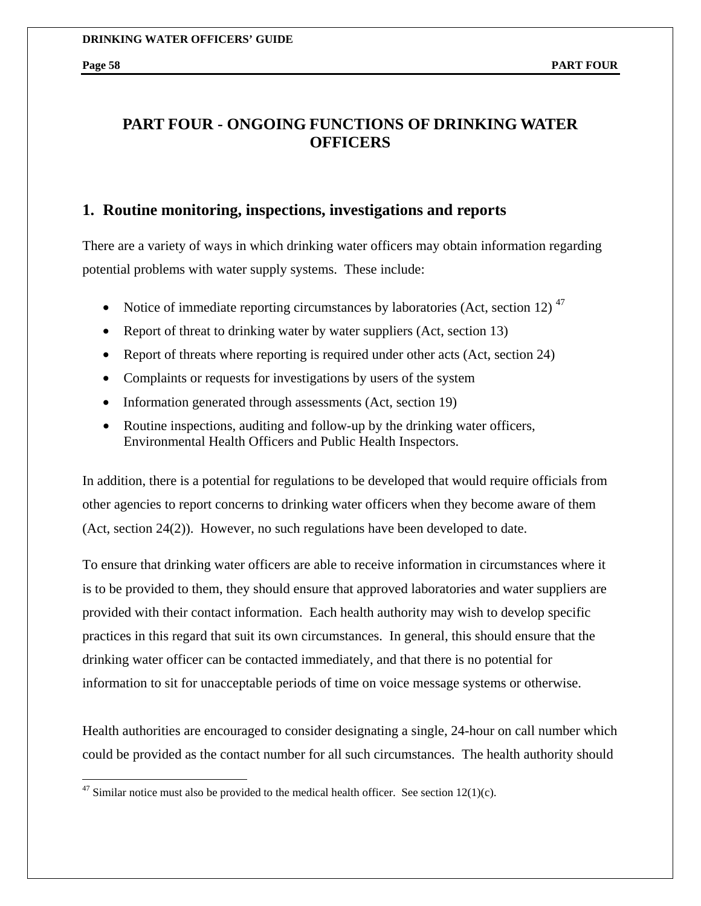1

# **PART FOUR - ONGOING FUNCTIONS OF DRINKING WATER OFFICERS**

# **1. Routine monitoring, inspections, investigations and reports**

There are a variety of ways in which drinking water officers may obtain information regarding potential problems with water supply systems. These include:

- Notice of immediate reporting circumstances by laboratories (Act, section 12)<sup> $47$ </sup>
- Report of threat to drinking water by water suppliers (Act, section 13)
- Report of threats where reporting is required under other acts (Act, section 24)
- Complaints or requests for investigations by users of the system
- Information generated through assessments (Act, section 19)
- Routine inspections, auditing and follow-up by the drinking water officers, Environmental Health Officers and Public Health Inspectors.

In addition, there is a potential for regulations to be developed that would require officials from other agencies to report concerns to drinking water officers when they become aware of them (Act, section 24(2)). However, no such regulations have been developed to date.

To ensure that drinking water officers are able to receive information in circumstances where it is to be provided to them, they should ensure that approved laboratories and water suppliers are provided with their contact information. Each health authority may wish to develop specific practices in this regard that suit its own circumstances. In general, this should ensure that the drinking water officer can be contacted immediately, and that there is no potential for information to sit for unacceptable periods of time on voice message systems or otherwise.

Health authorities are encouraged to consider designating a single, 24-hour on call number which could be provided as the contact number for all such circumstances. The health authority should

 $47$  Similar notice must also be provided to the medical health officer. See section 12(1)(c).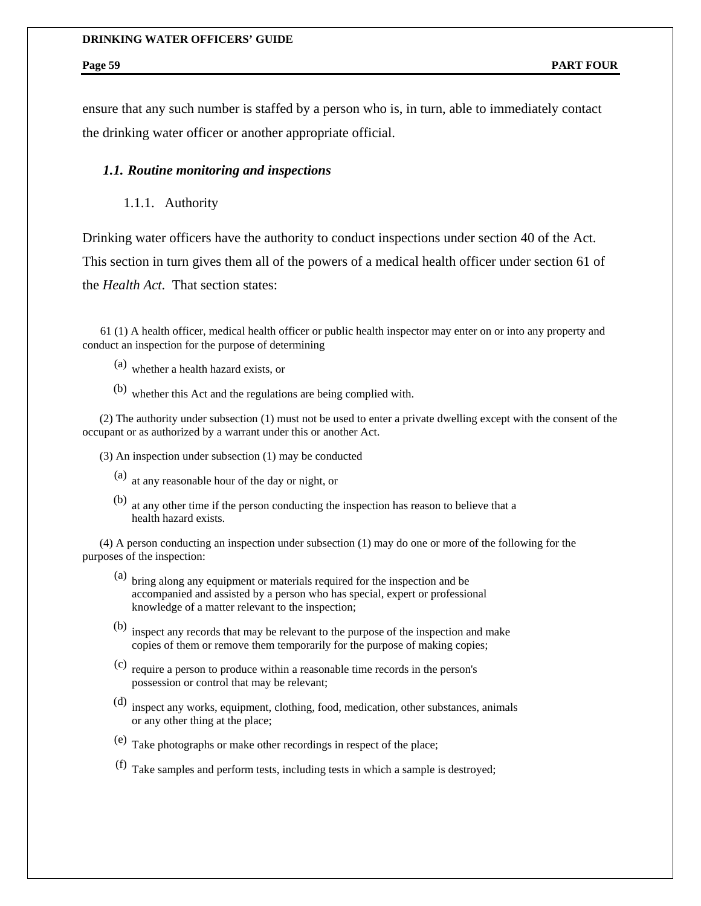ensure that any such number is staffed by a person who is, in turn, able to immediately contact the drinking water officer or another appropriate official.

## *1.1. Routine monitoring and inspections*

1.1.1. Authority

Drinking water officers have the authority to conduct inspections under section 40 of the Act. This section in turn gives them all of the powers of a medical health officer under section 61 of the *Health Act*. That section states:

 61 (1) A health officer, medical health officer or public health inspector may enter on or into any property and conduct an inspection for the purpose of determining

- (a) whether a health hazard exists, or
- (b) whether this Act and the regulations are being complied with.

 (2) The authority under subsection (1) must not be used to enter a private dwelling except with the consent of the occupant or as authorized by a warrant under this or another Act.

- (3) An inspection under subsection (1) may be conducted
	- (a) at any reasonable hour of the day or night, or
	- (b) at any other time if the person conducting the inspection has reason to believe that a health hazard exists.

 (4) A person conducting an inspection under subsection (1) may do one or more of the following for the purposes of the inspection:

- (a) bring along any equipment or materials required for the inspection and be accompanied and assisted by a person who has special, expert or professional knowledge of a matter relevant to the inspection;
- (b) inspect any records that may be relevant to the purpose of the inspection and make copies of them or remove them temporarily for the purpose of making copies;
- (c) require a person to produce within a reasonable time records in the person's possession or control that may be relevant;
- (d) inspect any works, equipment, clothing, food, medication, other substances, animals or any other thing at the place;
- (e) Take photographs or make other recordings in respect of the place;
- (f) Take samples and perform tests, including tests in which a sample is destroyed;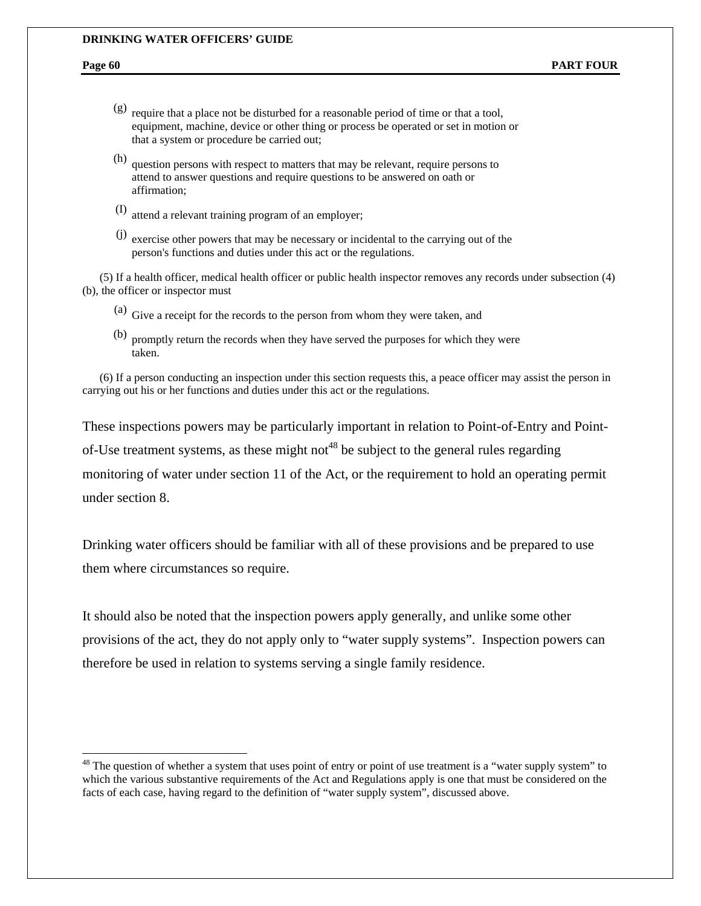#### **DRINKING WATER OFFICERS' GUIDE**

1

- (g) require that a place not be disturbed for a reasonable period of time or that a tool, equipment, machine, device or other thing or process be operated or set in motion or that a system or procedure be carried out;
- (h) question persons with respect to matters that may be relevant, require persons to attend to answer questions and require questions to be answered on oath or affirmation;
- (I) attend a relevant training program of an employer;
- (j) exercise other powers that may be necessary or incidental to the carrying out of the person's functions and duties under this act or the regulations.

 (5) If a health officer, medical health officer or public health inspector removes any records under subsection (4) (b), the officer or inspector must

- (a) Give a receipt for the records to the person from whom they were taken, and
- (b) promptly return the records when they have served the purposes for which they were taken.

 (6) If a person conducting an inspection under this section requests this, a peace officer may assist the person in carrying out his or her functions and duties under this act or the regulations.

These inspections powers may be particularly important in relation to Point-of-Entry and Pointof-Use treatment systems, as these might not<sup>48</sup> be subject to the general rules regarding monitoring of water under section 11 of the Act, or the requirement to hold an operating permit under section 8.

Drinking water officers should be familiar with all of these provisions and be prepared to use them where circumstances so require.

It should also be noted that the inspection powers apply generally, and unlike some other provisions of the act, they do not apply only to "water supply systems". Inspection powers can therefore be used in relation to systems serving a single family residence.

 $48$  The question of whether a system that uses point of entry or point of use treatment is a "water supply system" to which the various substantive requirements of the Act and Regulations apply is one that must be considered on the facts of each case, having regard to the definition of "water supply system", discussed above.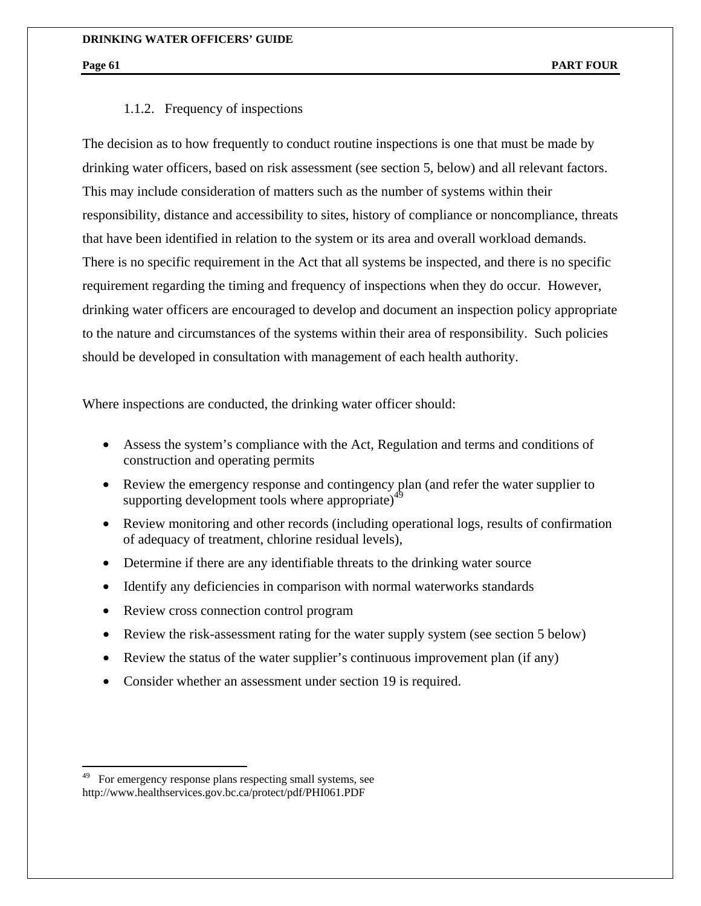#### 1.1.2. Frequency of inspections

The decision as to how frequently to conduct routine inspections is one that must be made by drinking water officers, based on risk assessment (see section 5, below) and all relevant factors. This may include consideration of matters such as the number of systems within their responsibility, distance and accessibility to sites, history of compliance or noncompliance, threats that have been identified in relation to the system or its area and overall workload demands. There is no specific requirement in the Act that all systems be inspected, and there is no specific requirement regarding the timing and frequency of inspections when they do occur. However, drinking water officers are encouraged to develop and document an inspection policy appropriate to the nature and circumstances of the systems within their area of responsibility. Such policies should be developed in consultation with management of each health authority.

Where inspections are conducted, the drinking water officer should:

- Assess the system's compliance with the Act, Regulation and terms and conditions of construction and operating permits
- Review the emergency response and contingency plan (and refer the water supplier to supporting development tools where appropriate)<sup> $49$ </sup>
- Review monitoring and other records (including operational logs, results of confirmation of adequacy of treatment, chlorine residual levels),
- Determine if there are any identifiable threats to the drinking water source
- Identify any deficiencies in comparison with normal waterworks standards
- Review cross connection control program
- Review the risk-assessment rating for the water supply system (see section 5 below)
- Review the status of the water supplier's continuous improvement plan (if any)
- Consider whether an assessment under section 19 is required.

 $\overline{a}$ 

For emergency response plans respecting small systems, see http://www.healthservices.gov.bc.ca/protect/pdf/PHI061.PDF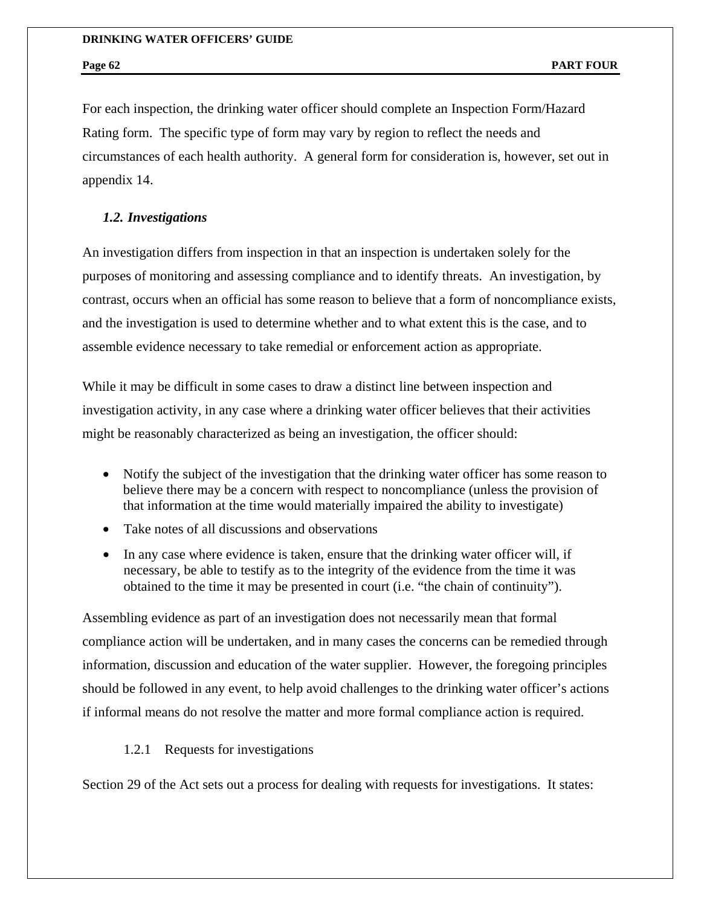For each inspection, the drinking water officer should complete an Inspection Form/Hazard Rating form. The specific type of form may vary by region to reflect the needs and circumstances of each health authority. A general form for consideration is, however, set out in appendix 14.

#### *1.2. Investigations*

An investigation differs from inspection in that an inspection is undertaken solely for the purposes of monitoring and assessing compliance and to identify threats. An investigation, by contrast, occurs when an official has some reason to believe that a form of noncompliance exists, and the investigation is used to determine whether and to what extent this is the case, and to assemble evidence necessary to take remedial or enforcement action as appropriate.

While it may be difficult in some cases to draw a distinct line between inspection and investigation activity, in any case where a drinking water officer believes that their activities might be reasonably characterized as being an investigation, the officer should:

- Notify the subject of the investigation that the drinking water officer has some reason to believe there may be a concern with respect to noncompliance (unless the provision of that information at the time would materially impaired the ability to investigate)
- Take notes of all discussions and observations
- In any case where evidence is taken, ensure that the drinking water officer will, if necessary, be able to testify as to the integrity of the evidence from the time it was obtained to the time it may be presented in court (i.e. "the chain of continuity").

Assembling evidence as part of an investigation does not necessarily mean that formal compliance action will be undertaken, and in many cases the concerns can be remedied through information, discussion and education of the water supplier. However, the foregoing principles should be followed in any event, to help avoid challenges to the drinking water officer's actions if informal means do not resolve the matter and more formal compliance action is required.

1.2.1 Requests for investigations

Section 29 of the Act sets out a process for dealing with requests for investigations. It states: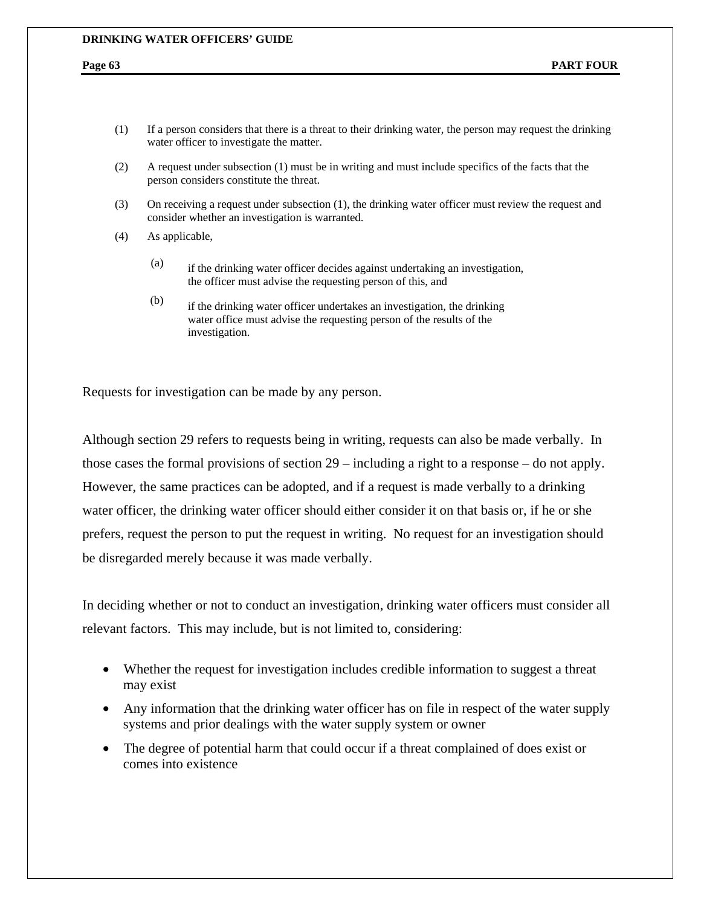#### **DRINKING WATER OFFICERS' GUIDE**

- (1) If a person considers that there is a threat to their drinking water, the person may request the drinking water officer to investigate the matter.
- (2) A request under subsection (1) must be in writing and must include specifics of the facts that the person considers constitute the threat.
- (3) On receiving a request under subsection (1), the drinking water officer must review the request and consider whether an investigation is warranted.
- (4) As applicable,
	- (a) if the drinking water officer decides against undertaking an investigation, the officer must advise the requesting person of this, and
	- (b) if the drinking water officer undertakes an investigation, the drinking water office must advise the requesting person of the results of the investigation.

Requests for investigation can be made by any person.

Although section 29 refers to requests being in writing, requests can also be made verbally. In those cases the formal provisions of section 29 – including a right to a response – do not apply. However, the same practices can be adopted, and if a request is made verbally to a drinking water officer, the drinking water officer should either consider it on that basis or, if he or she prefers, request the person to put the request in writing. No request for an investigation should be disregarded merely because it was made verbally.

In deciding whether or not to conduct an investigation, drinking water officers must consider all relevant factors. This may include, but is not limited to, considering:

- Whether the request for investigation includes credible information to suggest a threat may exist
- Any information that the drinking water officer has on file in respect of the water supply systems and prior dealings with the water supply system or owner
- The degree of potential harm that could occur if a threat complained of does exist or comes into existence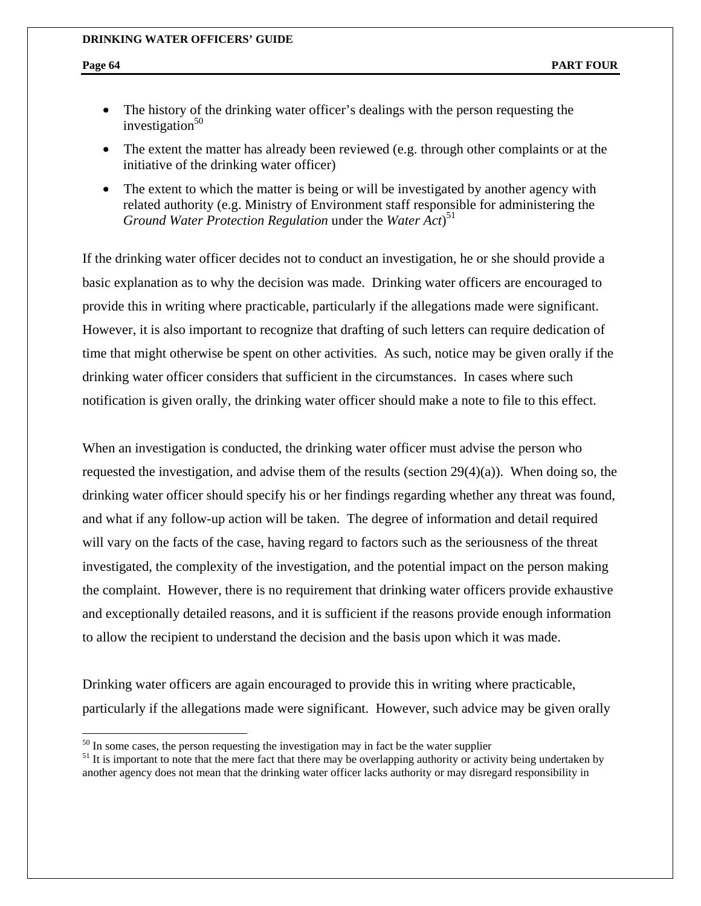$\overline{a}$ 

- The history of the drinking water officer's dealings with the person requesting the investigation $50$
- The extent the matter has already been reviewed (e.g. through other complaints or at the initiative of the drinking water officer)
- The extent to which the matter is being or will be investigated by another agency with related authority (e.g. Ministry of Environment staff responsible for administering the *Ground Water Protection Regulation* under the *Water Act*) 51

If the drinking water officer decides not to conduct an investigation, he or she should provide a basic explanation as to why the decision was made. Drinking water officers are encouraged to provide this in writing where practicable, particularly if the allegations made were significant. However, it is also important to recognize that drafting of such letters can require dedication of time that might otherwise be spent on other activities. As such, notice may be given orally if the drinking water officer considers that sufficient in the circumstances. In cases where such notification is given orally, the drinking water officer should make a note to file to this effect.

When an investigation is conducted, the drinking water officer must advise the person who requested the investigation, and advise them of the results (section 29(4)(a)). When doing so, the drinking water officer should specify his or her findings regarding whether any threat was found, and what if any follow-up action will be taken. The degree of information and detail required will vary on the facts of the case, having regard to factors such as the seriousness of the threat investigated, the complexity of the investigation, and the potential impact on the person making the complaint. However, there is no requirement that drinking water officers provide exhaustive and exceptionally detailed reasons, and it is sufficient if the reasons provide enough information to allow the recipient to understand the decision and the basis upon which it was made.

Drinking water officers are again encouraged to provide this in writing where practicable, particularly if the allegations made were significant. However, such advice may be given orally

 $50$  In some cases, the person requesting the investigation may in fact be the water supplier

 $<sup>51</sup>$  It is important to note that the mere fact that there may be overlapping authority or activity being undertaken by</sup> another agency does not mean that the drinking water officer lacks authority or may disregard responsibility in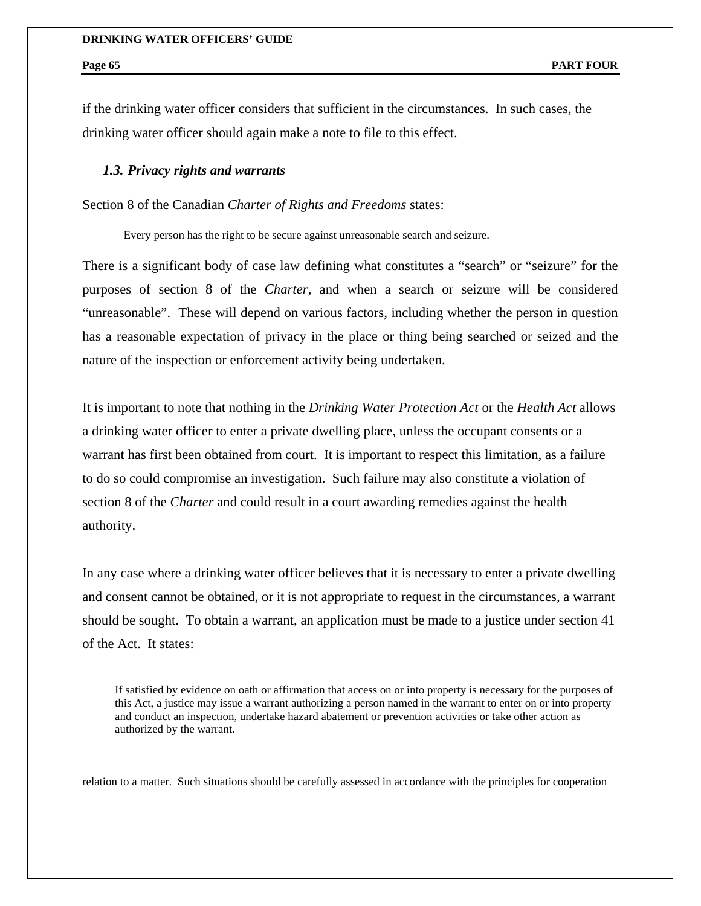#### **DRINKING WATER OFFICERS' GUIDE**

 $\overline{a}$ 

if the drinking water officer considers that sufficient in the circumstances. In such cases, the drinking water officer should again make a note to file to this effect.

### *1.3. Privacy rights and warrants*

Section 8 of the Canadian *Charter of Rights and Freedoms* states:

Every person has the right to be secure against unreasonable search and seizure.

There is a significant body of case law defining what constitutes a "search" or "seizure" for the purposes of section 8 of the *Charter*, and when a search or seizure will be considered "unreasonable". These will depend on various factors, including whether the person in question has a reasonable expectation of privacy in the place or thing being searched or seized and the nature of the inspection or enforcement activity being undertaken.

It is important to note that nothing in the *Drinking Water Protection Act* or the *Health Act* allows a drinking water officer to enter a private dwelling place, unless the occupant consents or a warrant has first been obtained from court. It is important to respect this limitation, as a failure to do so could compromise an investigation. Such failure may also constitute a violation of section 8 of the *Charter* and could result in a court awarding remedies against the health authority.

In any case where a drinking water officer believes that it is necessary to enter a private dwelling and consent cannot be obtained, or it is not appropriate to request in the circumstances, a warrant should be sought. To obtain a warrant, an application must be made to a justice under section 41 of the Act. It states:

If satisfied by evidence on oath or affirmation that access on or into property is necessary for the purposes of this Act, a justice may issue a warrant authorizing a person named in the warrant to enter on or into property and conduct an inspection, undertake hazard abatement or prevention activities or take other action as authorized by the warrant.

relation to a matter. Such situations should be carefully assessed in accordance with the principles for cooperation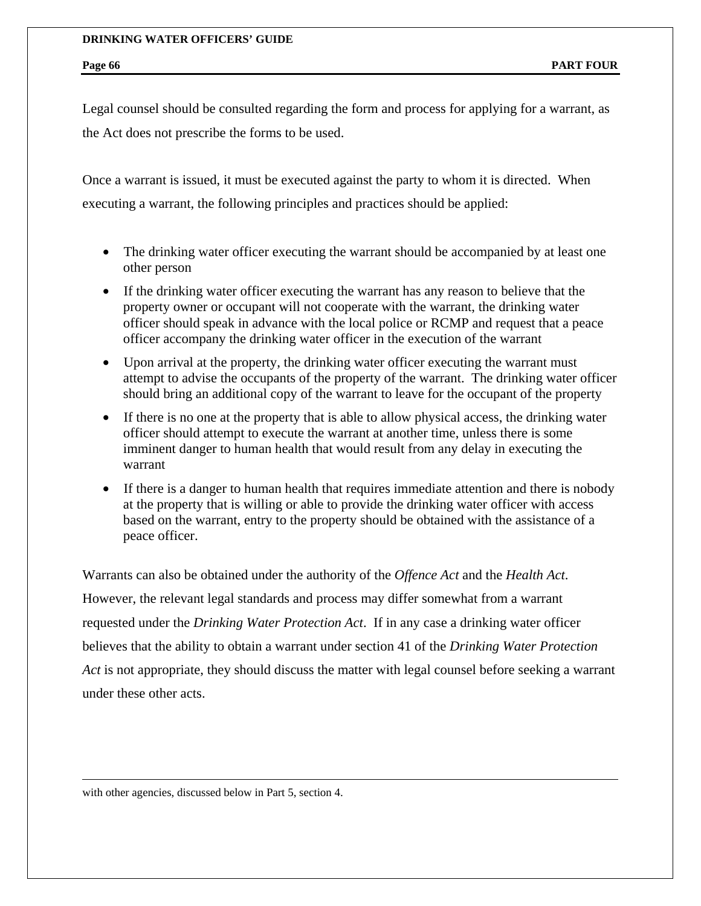Legal counsel should be consulted regarding the form and process for applying for a warrant, as the Act does not prescribe the forms to be used.

Once a warrant is issued, it must be executed against the party to whom it is directed. When executing a warrant, the following principles and practices should be applied:

- The drinking water officer executing the warrant should be accompanied by at least one other person
- If the drinking water officer executing the warrant has any reason to believe that the property owner or occupant will not cooperate with the warrant, the drinking water officer should speak in advance with the local police or RCMP and request that a peace officer accompany the drinking water officer in the execution of the warrant
- Upon arrival at the property, the drinking water officer executing the warrant must attempt to advise the occupants of the property of the warrant. The drinking water officer should bring an additional copy of the warrant to leave for the occupant of the property
- If there is no one at the property that is able to allow physical access, the drinking water officer should attempt to execute the warrant at another time, unless there is some imminent danger to human health that would result from any delay in executing the warrant
- If there is a danger to human health that requires immediate attention and there is nobody at the property that is willing or able to provide the drinking water officer with access based on the warrant, entry to the property should be obtained with the assistance of a peace officer.

Warrants can also be obtained under the authority of the *Offence Act* and the *Health Act*. However, the relevant legal standards and process may differ somewhat from a warrant requested under the *Drinking Water Protection Act*. If in any case a drinking water officer believes that the ability to obtain a warrant under section 41 of the *Drinking Water Protection Act* is not appropriate, they should discuss the matter with legal counsel before seeking a warrant under these other acts.

with other agencies, discussed below in Part 5, section 4.

 $\overline{a}$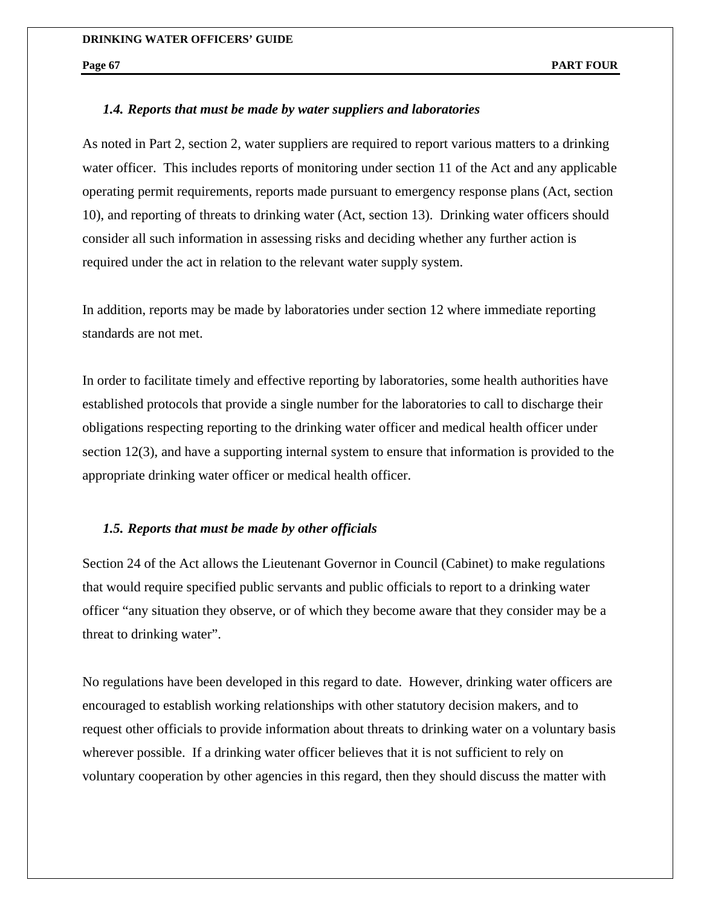#### *1.4. Reports that must be made by water suppliers and laboratories*

As noted in Part 2, section 2, water suppliers are required to report various matters to a drinking water officer. This includes reports of monitoring under section 11 of the Act and any applicable operating permit requirements, reports made pursuant to emergency response plans (Act, section 10), and reporting of threats to drinking water (Act, section 13). Drinking water officers should consider all such information in assessing risks and deciding whether any further action is required under the act in relation to the relevant water supply system.

In addition, reports may be made by laboratories under section 12 where immediate reporting standards are not met.

In order to facilitate timely and effective reporting by laboratories, some health authorities have established protocols that provide a single number for the laboratories to call to discharge their obligations respecting reporting to the drinking water officer and medical health officer under section 12(3), and have a supporting internal system to ensure that information is provided to the appropriate drinking water officer or medical health officer.

### *1.5. Reports that must be made by other officials*

Section 24 of the Act allows the Lieutenant Governor in Council (Cabinet) to make regulations that would require specified public servants and public officials to report to a drinking water officer "any situation they observe, or of which they become aware that they consider may be a threat to drinking water".

No regulations have been developed in this regard to date. However, drinking water officers are encouraged to establish working relationships with other statutory decision makers, and to request other officials to provide information about threats to drinking water on a voluntary basis wherever possible. If a drinking water officer believes that it is not sufficient to rely on voluntary cooperation by other agencies in this regard, then they should discuss the matter with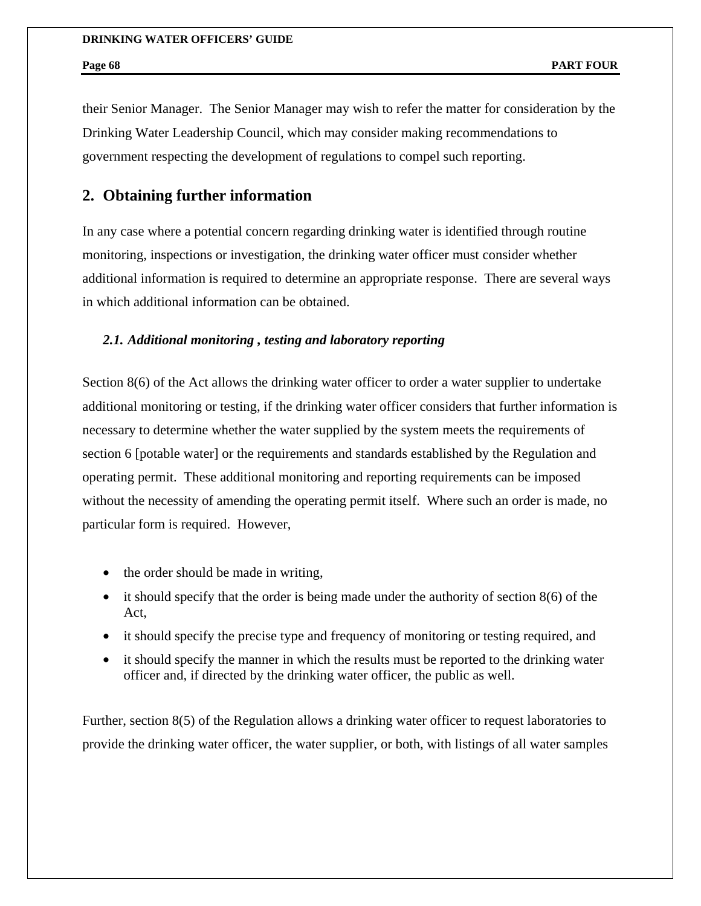their Senior Manager. The Senior Manager may wish to refer the matter for consideration by the Drinking Water Leadership Council, which may consider making recommendations to government respecting the development of regulations to compel such reporting.

# **2. Obtaining further information**

In any case where a potential concern regarding drinking water is identified through routine monitoring, inspections or investigation, the drinking water officer must consider whether additional information is required to determine an appropriate response. There are several ways in which additional information can be obtained.

# *2.1. Additional monitoring , testing and laboratory reporting*

Section 8(6) of the Act allows the drinking water officer to order a water supplier to undertake additional monitoring or testing, if the drinking water officer considers that further information is necessary to determine whether the water supplied by the system meets the requirements of section 6 [potable water] or the requirements and standards established by the Regulation and operating permit. These additional monitoring and reporting requirements can be imposed without the necessity of amending the operating permit itself. Where such an order is made, no particular form is required. However,

- the order should be made in writing,
- it should specify that the order is being made under the authority of section 8(6) of the Act,
- it should specify the precise type and frequency of monitoring or testing required, and
- it should specify the manner in which the results must be reported to the drinking water officer and, if directed by the drinking water officer, the public as well.

Further, section 8(5) of the Regulation allows a drinking water officer to request laboratories to provide the drinking water officer, the water supplier, or both, with listings of all water samples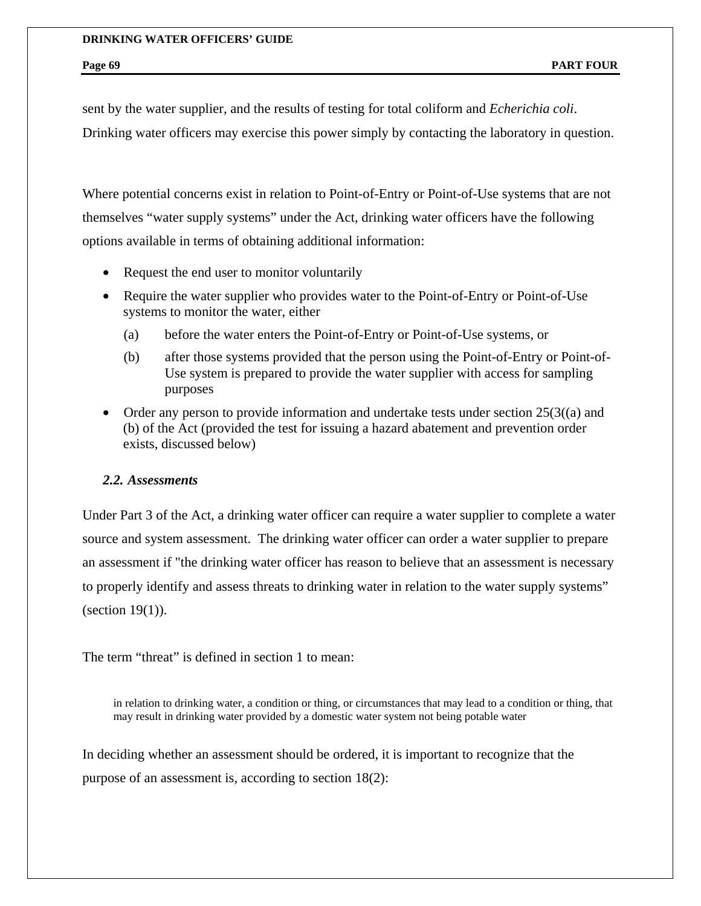sent by the water supplier, and the results of testing for total coliform and *Echerichia coli*. Drinking water officers may exercise this power simply by contacting the laboratory in question.

Where potential concerns exist in relation to Point-of-Entry or Point-of-Use systems that are not themselves "water supply systems" under the Act, drinking water officers have the following options available in terms of obtaining additional information:

- Request the end user to monitor voluntarily
- Require the water supplier who provides water to the Point-of-Entry or Point-of-Use systems to monitor the water, either
	- (a) before the water enters the Point-of-Entry or Point-of-Use systems, or
	- (b) after those systems provided that the person using the Point-of-Entry or Point-of-Use system is prepared to provide the water supplier with access for sampling purposes
- Order any person to provide information and undertake tests under section  $25(3)(a)$  and (b) of the Act (provided the test for issuing a hazard abatement and prevention order exists, discussed below)

### *2.2. Assessments*

Under Part 3 of the Act, a drinking water officer can require a water supplier to complete a water source and system assessment. The drinking water officer can order a water supplier to prepare an assessment if "the drinking water officer has reason to believe that an assessment is necessary to properly identify and assess threats to drinking water in relation to the water supply systems" (section 19(1)).

The term "threat" is defined in section 1 to mean:

in relation to drinking water, a condition or thing, or circumstances that may lead to a condition or thing, that may result in drinking water provided by a domestic water system not being potable water

In deciding whether an assessment should be ordered, it is important to recognize that the purpose of an assessment is, according to section 18(2):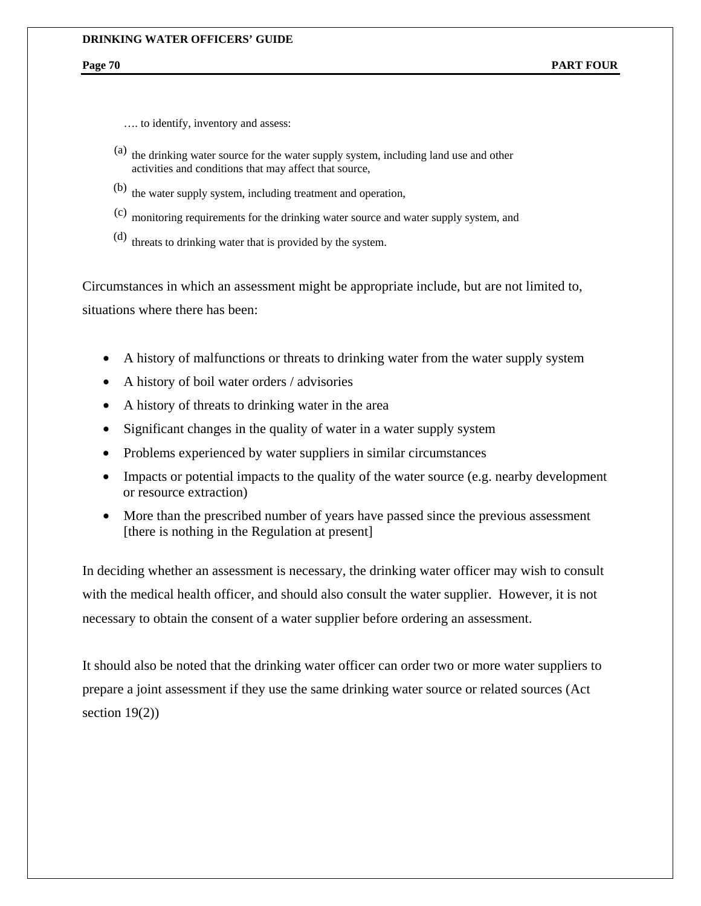…. to identify, inventory and assess:

- (a) the drinking water source for the water supply system, including land use and other activities and conditions that may affect that source,
- (b) the water supply system, including treatment and operation,
- (c) monitoring requirements for the drinking water source and water supply system, and
- (d) threats to drinking water that is provided by the system.

Circumstances in which an assessment might be appropriate include, but are not limited to, situations where there has been:

- A history of malfunctions or threats to drinking water from the water supply system
- A history of boil water orders / advisories
- A history of threats to drinking water in the area
- Significant changes in the quality of water in a water supply system
- Problems experienced by water suppliers in similar circumstances
- Impacts or potential impacts to the quality of the water source (e.g. nearby development or resource extraction)
- More than the prescribed number of years have passed since the previous assessment [there is nothing in the Regulation at present]

In deciding whether an assessment is necessary, the drinking water officer may wish to consult with the medical health officer, and should also consult the water supplier. However, it is not necessary to obtain the consent of a water supplier before ordering an assessment.

It should also be noted that the drinking water officer can order two or more water suppliers to prepare a joint assessment if they use the same drinking water source or related sources (Act section 19(2))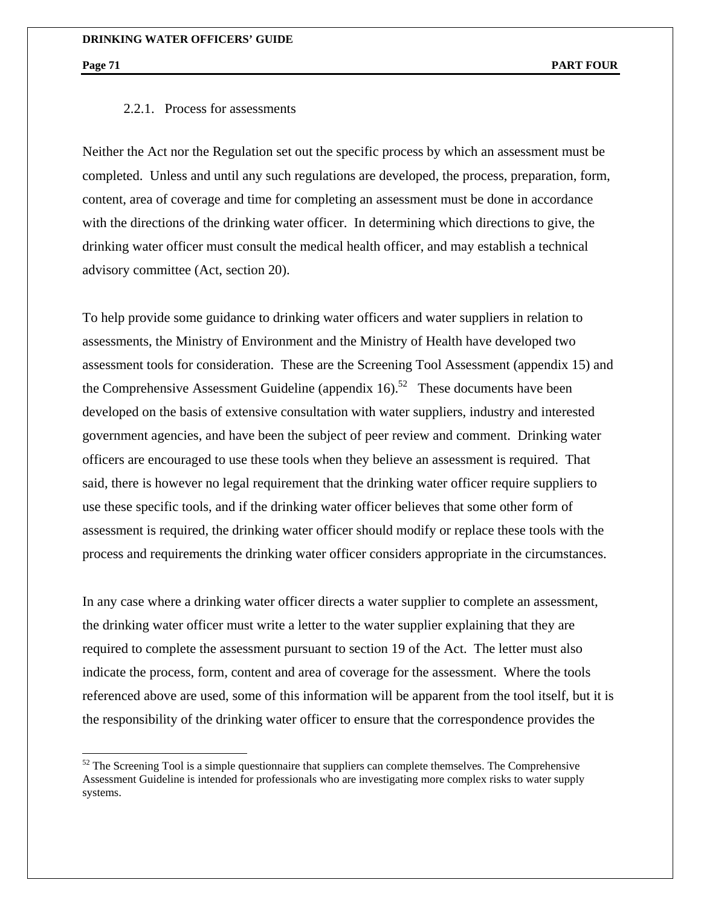$\overline{a}$ 

### 2.2.1. Process for assessments

Neither the Act nor the Regulation set out the specific process by which an assessment must be completed. Unless and until any such regulations are developed, the process, preparation, form, content, area of coverage and time for completing an assessment must be done in accordance with the directions of the drinking water officer. In determining which directions to give, the drinking water officer must consult the medical health officer, and may establish a technical advisory committee (Act, section 20).

To help provide some guidance to drinking water officers and water suppliers in relation to assessments, the Ministry of Environment and the Ministry of Health have developed two assessment tools for consideration. These are the Screening Tool Assessment (appendix 15) and the Comprehensive Assessment Guideline (appendix 16).<sup>52</sup> These documents have been developed on the basis of extensive consultation with water suppliers, industry and interested government agencies, and have been the subject of peer review and comment. Drinking water officers are encouraged to use these tools when they believe an assessment is required. That said, there is however no legal requirement that the drinking water officer require suppliers to use these specific tools, and if the drinking water officer believes that some other form of assessment is required, the drinking water officer should modify or replace these tools with the process and requirements the drinking water officer considers appropriate in the circumstances.

In any case where a drinking water officer directs a water supplier to complete an assessment, the drinking water officer must write a letter to the water supplier explaining that they are required to complete the assessment pursuant to section 19 of the Act. The letter must also indicate the process, form, content and area of coverage for the assessment. Where the tools referenced above are used, some of this information will be apparent from the tool itself, but it is the responsibility of the drinking water officer to ensure that the correspondence provides the

 $52$  The Screening Tool is a simple questionnaire that suppliers can complete themselves. The Comprehensive Assessment Guideline is intended for professionals who are investigating more complex risks to water supply systems.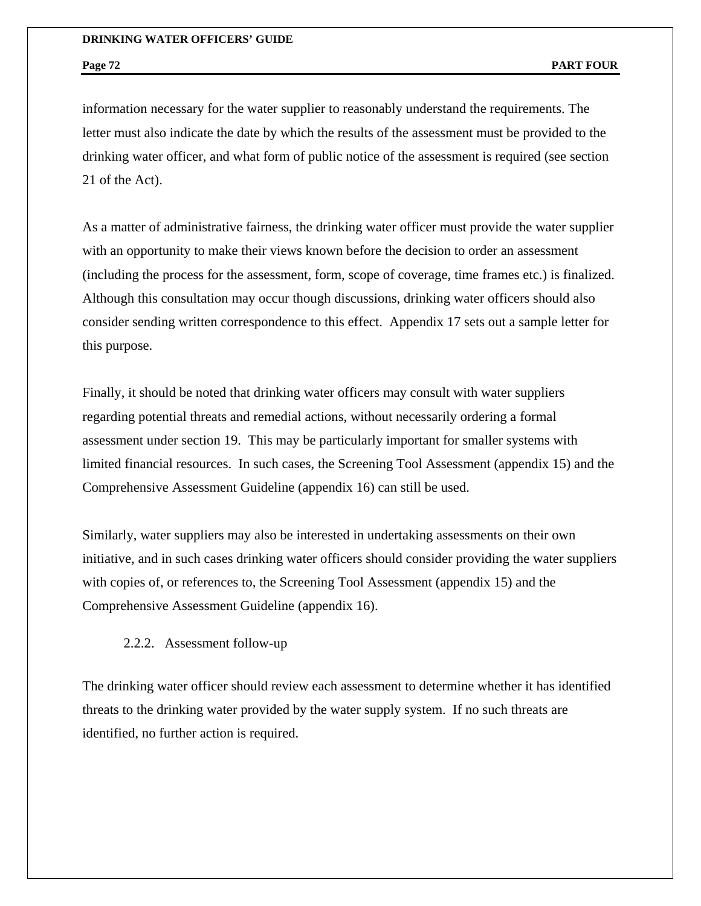information necessary for the water supplier to reasonably understand the requirements. The letter must also indicate the date by which the results of the assessment must be provided to the drinking water officer, and what form of public notice of the assessment is required (see section 21 of the Act).

As a matter of administrative fairness, the drinking water officer must provide the water supplier with an opportunity to make their views known before the decision to order an assessment (including the process for the assessment, form, scope of coverage, time frames etc.) is finalized. Although this consultation may occur though discussions, drinking water officers should also consider sending written correspondence to this effect. Appendix 17 sets out a sample letter for this purpose.

Finally, it should be noted that drinking water officers may consult with water suppliers regarding potential threats and remedial actions, without necessarily ordering a formal assessment under section 19. This may be particularly important for smaller systems with limited financial resources. In such cases, the Screening Tool Assessment (appendix 15) and the Comprehensive Assessment Guideline (appendix 16) can still be used.

Similarly, water suppliers may also be interested in undertaking assessments on their own initiative, and in such cases drinking water officers should consider providing the water suppliers with copies of, or references to, the Screening Tool Assessment (appendix 15) and the Comprehensive Assessment Guideline (appendix 16).

## 2.2.2. Assessment follow-up

The drinking water officer should review each assessment to determine whether it has identified threats to the drinking water provided by the water supply system. If no such threats are identified, no further action is required.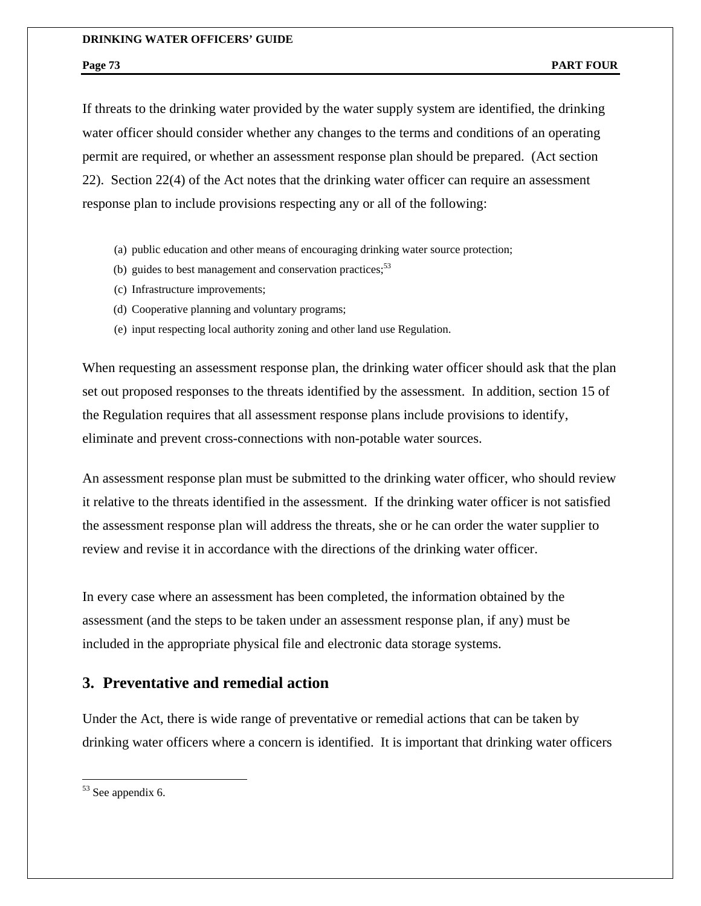If threats to the drinking water provided by the water supply system are identified, the drinking water officer should consider whether any changes to the terms and conditions of an operating permit are required, or whether an assessment response plan should be prepared. (Act section 22). Section 22(4) of the Act notes that the drinking water officer can require an assessment response plan to include provisions respecting any or all of the following:

- (a) public education and other means of encouraging drinking water source protection;
- (b) guides to best management and conservation practices; $5<sup>3</sup>$
- (c) Infrastructure improvements;
- (d) Cooperative planning and voluntary programs;
- (e) input respecting local authority zoning and other land use Regulation.

When requesting an assessment response plan, the drinking water officer should ask that the plan set out proposed responses to the threats identified by the assessment. In addition, section 15 of the Regulation requires that all assessment response plans include provisions to identify, eliminate and prevent cross-connections with non-potable water sources.

An assessment response plan must be submitted to the drinking water officer, who should review it relative to the threats identified in the assessment. If the drinking water officer is not satisfied the assessment response plan will address the threats, she or he can order the water supplier to review and revise it in accordance with the directions of the drinking water officer.

In every case where an assessment has been completed, the information obtained by the assessment (and the steps to be taken under an assessment response plan, if any) must be included in the appropriate physical file and electronic data storage systems.

## **3. Preventative and remedial action**

Under the Act, there is wide range of preventative or remedial actions that can be taken by drinking water officers where a concern is identified. It is important that drinking water officers

 $\overline{a}$ 

<sup>53</sup> See appendix 6.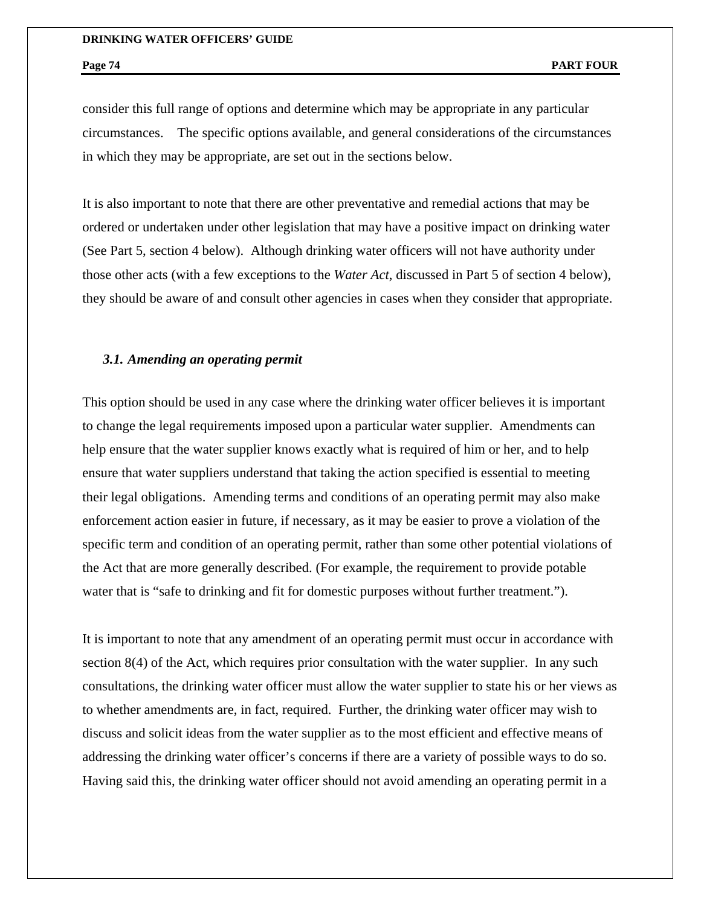consider this full range of options and determine which may be appropriate in any particular circumstances. The specific options available, and general considerations of the circumstances in which they may be appropriate, are set out in the sections below.

It is also important to note that there are other preventative and remedial actions that may be ordered or undertaken under other legislation that may have a positive impact on drinking water (See Part 5, section 4 below). Although drinking water officers will not have authority under those other acts (with a few exceptions to the *Water Act*, discussed in Part 5 of section 4 below), they should be aware of and consult other agencies in cases when they consider that appropriate.

## *3.1. Amending an operating permit*

This option should be used in any case where the drinking water officer believes it is important to change the legal requirements imposed upon a particular water supplier. Amendments can help ensure that the water supplier knows exactly what is required of him or her, and to help ensure that water suppliers understand that taking the action specified is essential to meeting their legal obligations. Amending terms and conditions of an operating permit may also make enforcement action easier in future, if necessary, as it may be easier to prove a violation of the specific term and condition of an operating permit, rather than some other potential violations of the Act that are more generally described. (For example, the requirement to provide potable water that is "safe to drinking and fit for domestic purposes without further treatment.").

It is important to note that any amendment of an operating permit must occur in accordance with section 8(4) of the Act, which requires prior consultation with the water supplier. In any such consultations, the drinking water officer must allow the water supplier to state his or her views as to whether amendments are, in fact, required. Further, the drinking water officer may wish to discuss and solicit ideas from the water supplier as to the most efficient and effective means of addressing the drinking water officer's concerns if there are a variety of possible ways to do so. Having said this, the drinking water officer should not avoid amending an operating permit in a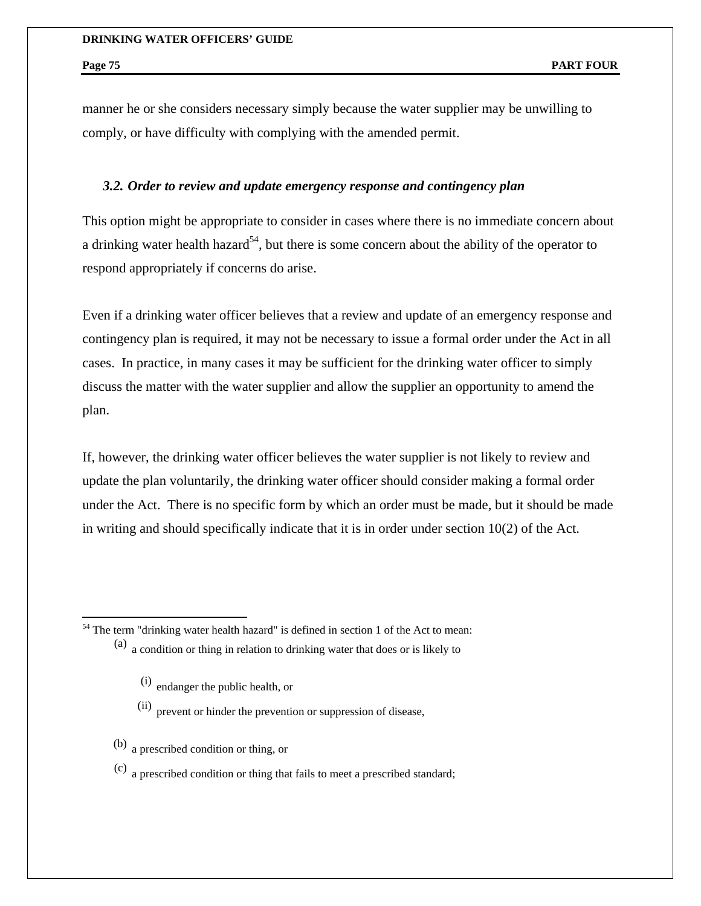$\overline{a}$ 

manner he or she considers necessary simply because the water supplier may be unwilling to comply, or have difficulty with complying with the amended permit.

## *3.2. Order to review and update emergency response and contingency plan*

This option might be appropriate to consider in cases where there is no immediate concern about a drinking water health hazard<sup>54</sup>, but there is some concern about the ability of the operator to respond appropriately if concerns do arise.

Even if a drinking water officer believes that a review and update of an emergency response and contingency plan is required, it may not be necessary to issue a formal order under the Act in all cases. In practice, in many cases it may be sufficient for the drinking water officer to simply discuss the matter with the water supplier and allow the supplier an opportunity to amend the plan.

If, however, the drinking water officer believes the water supplier is not likely to review and update the plan voluntarily, the drinking water officer should consider making a formal order under the Act. There is no specific form by which an order must be made, but it should be made in writing and should specifically indicate that it is in order under section 10(2) of the Act.

 $54$  The term "drinking water health hazard" is defined in section 1 of the Act to mean:

- (i) endanger the public health, or
- $(iii)$  prevent or hinder the prevention or suppression of disease,
- (b) a prescribed condition or thing, or
- (c) a prescribed condition or thing that fails to meet a prescribed standard;

<sup>(</sup>a) a condition or thing in relation to drinking water that does or is likely to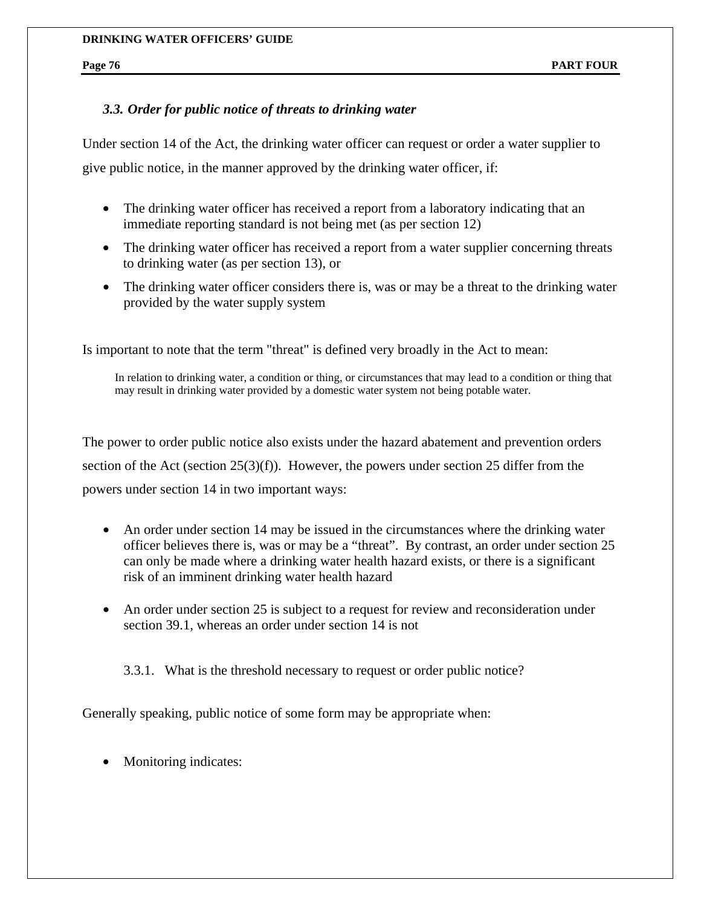## *3.3. Order for public notice of threats to drinking water*

Under section 14 of the Act, the drinking water officer can request or order a water supplier to give public notice, in the manner approved by the drinking water officer, if:

- The drinking water officer has received a report from a laboratory indicating that an immediate reporting standard is not being met (as per section 12)
- The drinking water officer has received a report from a water supplier concerning threats to drinking water (as per section 13), or
- The drinking water officer considers there is, was or may be a threat to the drinking water provided by the water supply system

Is important to note that the term "threat" is defined very broadly in the Act to mean:

In relation to drinking water, a condition or thing, or circumstances that may lead to a condition or thing that may result in drinking water provided by a domestic water system not being potable water.

The power to order public notice also exists under the hazard abatement and prevention orders section of the Act (section  $25(3)(f)$ ). However, the powers under section 25 differ from the powers under section 14 in two important ways:

- An order under section 14 may be issued in the circumstances where the drinking water officer believes there is, was or may be a "threat". By contrast, an order under section 25 can only be made where a drinking water health hazard exists, or there is a significant risk of an imminent drinking water health hazard
- An order under section 25 is subject to a request for review and reconsideration under section 39.1, whereas an order under section 14 is not

3.3.1. What is the threshold necessary to request or order public notice?

Generally speaking, public notice of some form may be appropriate when:

• Monitoring indicates: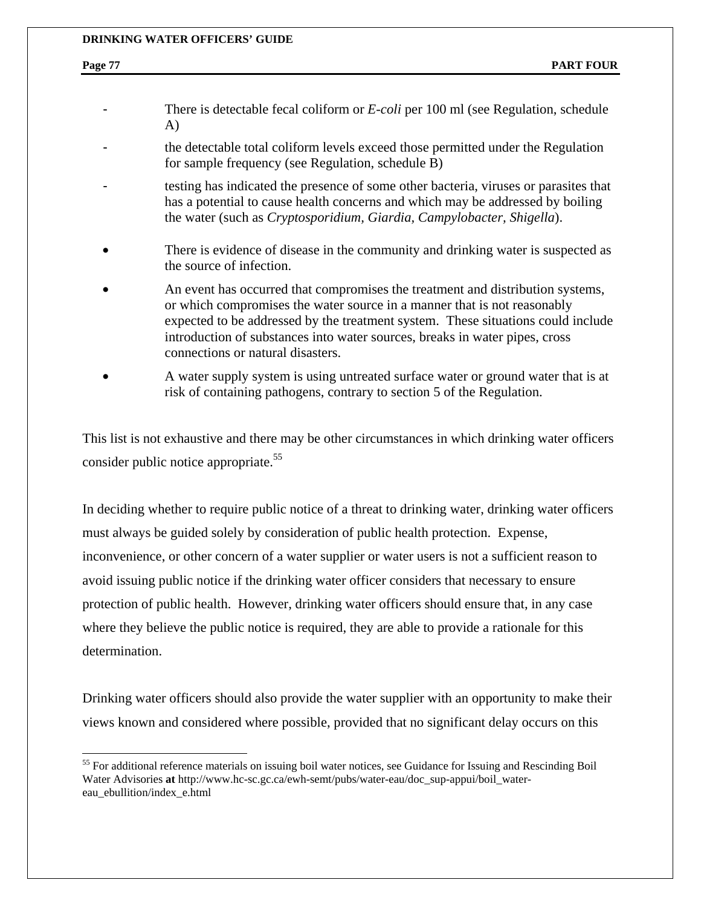1

- There is detectable fecal coliform or *E-coli* per 100 ml (see Regulation, schedule A)
- the detectable total coliform levels exceed those permitted under the Regulation for sample frequency (see Regulation, schedule B)
- testing has indicated the presence of some other bacteria, viruses or parasites that has a potential to cause health concerns and which may be addressed by boiling the water (such as *Cryptosporidium, Giardia, Campylobacter, Shigella*).
- There is evidence of disease in the community and drinking water is suspected as the source of infection.
- An event has occurred that compromises the treatment and distribution systems, or which compromises the water source in a manner that is not reasonably expected to be addressed by the treatment system. These situations could include introduction of substances into water sources, breaks in water pipes, cross connections or natural disasters.
- A water supply system is using untreated surface water or ground water that is at risk of containing pathogens, contrary to section 5 of the Regulation.

This list is not exhaustive and there may be other circumstances in which drinking water officers consider public notice appropriate.<sup>55</sup>

In deciding whether to require public notice of a threat to drinking water, drinking water officers must always be guided solely by consideration of public health protection. Expense, inconvenience, or other concern of a water supplier or water users is not a sufficient reason to avoid issuing public notice if the drinking water officer considers that necessary to ensure protection of public health. However, drinking water officers should ensure that, in any case where they believe the public notice is required, they are able to provide a rationale for this determination.

Drinking water officers should also provide the water supplier with an opportunity to make their views known and considered where possible, provided that no significant delay occurs on this

<sup>&</sup>lt;sup>55</sup> For additional reference materials on issuing boil water notices, see Guidance for Issuing and Rescinding Boil Water Advisories **at** http://www.hc-sc.gc.ca/ewh-semt/pubs/water-eau/doc\_sup-appui/boil\_watereau\_ebullition/index\_e.html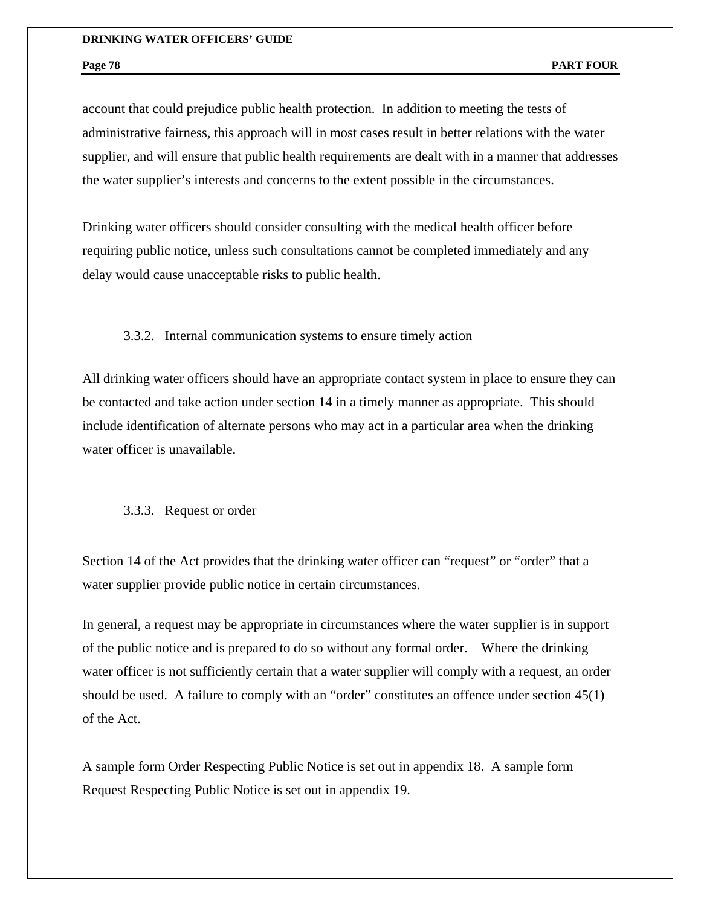account that could prejudice public health protection. In addition to meeting the tests of administrative fairness, this approach will in most cases result in better relations with the water supplier, and will ensure that public health requirements are dealt with in a manner that addresses the water supplier's interests and concerns to the extent possible in the circumstances.

Drinking water officers should consider consulting with the medical health officer before requiring public notice, unless such consultations cannot be completed immediately and any delay would cause unacceptable risks to public health.

## 3.3.2. Internal communication systems to ensure timely action

All drinking water officers should have an appropriate contact system in place to ensure they can be contacted and take action under section 14 in a timely manner as appropriate. This should include identification of alternate persons who may act in a particular area when the drinking water officer is unavailable.

### 3.3.3. Request or order

Section 14 of the Act provides that the drinking water officer can "request" or "order" that a water supplier provide public notice in certain circumstances.

In general, a request may be appropriate in circumstances where the water supplier is in support of the public notice and is prepared to do so without any formal order. Where the drinking water officer is not sufficiently certain that a water supplier will comply with a request, an order should be used. A failure to comply with an "order" constitutes an offence under section 45(1) of the Act.

A sample form Order Respecting Public Notice is set out in appendix 18. A sample form Request Respecting Public Notice is set out in appendix 19.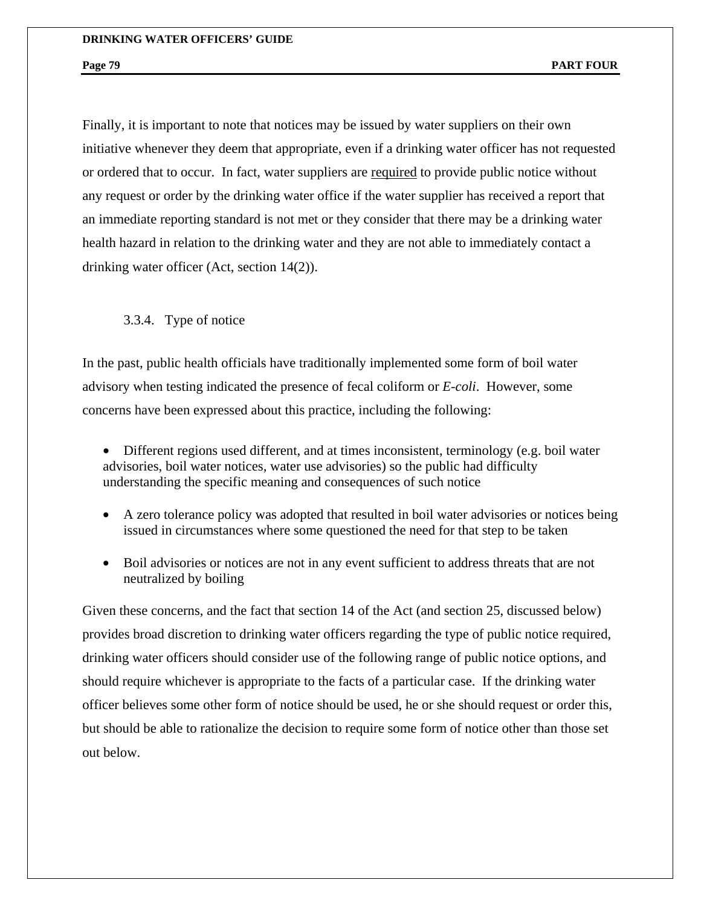Finally, it is important to note that notices may be issued by water suppliers on their own initiative whenever they deem that appropriate, even if a drinking water officer has not requested or ordered that to occur. In fact, water suppliers are required to provide public notice without any request or order by the drinking water office if the water supplier has received a report that an immediate reporting standard is not met or they consider that there may be a drinking water health hazard in relation to the drinking water and they are not able to immediately contact a drinking water officer (Act, section 14(2)).

3.3.4. Type of notice

In the past, public health officials have traditionally implemented some form of boil water advisory when testing indicated the presence of fecal coliform or *E-coli*. However, some concerns have been expressed about this practice, including the following:

- Different regions used different, and at times inconsistent, terminology (e.g. boil water advisories, boil water notices, water use advisories) so the public had difficulty understanding the specific meaning and consequences of such notice
- A zero tolerance policy was adopted that resulted in boil water advisories or notices being issued in circumstances where some questioned the need for that step to be taken
- Boil advisories or notices are not in any event sufficient to address threats that are not neutralized by boiling

Given these concerns, and the fact that section 14 of the Act (and section 25, discussed below) provides broad discretion to drinking water officers regarding the type of public notice required, drinking water officers should consider use of the following range of public notice options, and should require whichever is appropriate to the facts of a particular case. If the drinking water officer believes some other form of notice should be used, he or she should request or order this, but should be able to rationalize the decision to require some form of notice other than those set out below.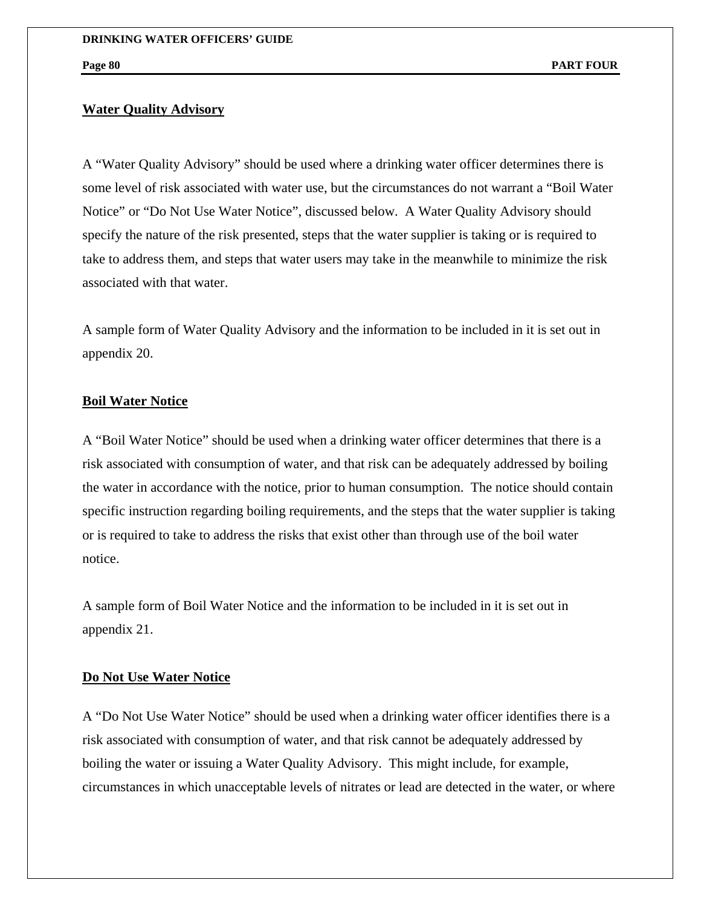## **Water Quality Advisory**

A "Water Quality Advisory" should be used where a drinking water officer determines there is some level of risk associated with water use, but the circumstances do not warrant a "Boil Water Notice" or "Do Not Use Water Notice", discussed below. A Water Quality Advisory should specify the nature of the risk presented, steps that the water supplier is taking or is required to take to address them, and steps that water users may take in the meanwhile to minimize the risk associated with that water.

A sample form of Water Quality Advisory and the information to be included in it is set out in appendix 20.

## **Boil Water Notice**

A "Boil Water Notice" should be used when a drinking water officer determines that there is a risk associated with consumption of water, and that risk can be adequately addressed by boiling the water in accordance with the notice, prior to human consumption. The notice should contain specific instruction regarding boiling requirements, and the steps that the water supplier is taking or is required to take to address the risks that exist other than through use of the boil water notice.

A sample form of Boil Water Notice and the information to be included in it is set out in appendix 21.

## **Do Not Use Water Notice**

A "Do Not Use Water Notice" should be used when a drinking water officer identifies there is a risk associated with consumption of water, and that risk cannot be adequately addressed by boiling the water or issuing a Water Quality Advisory. This might include, for example, circumstances in which unacceptable levels of nitrates or lead are detected in the water, or where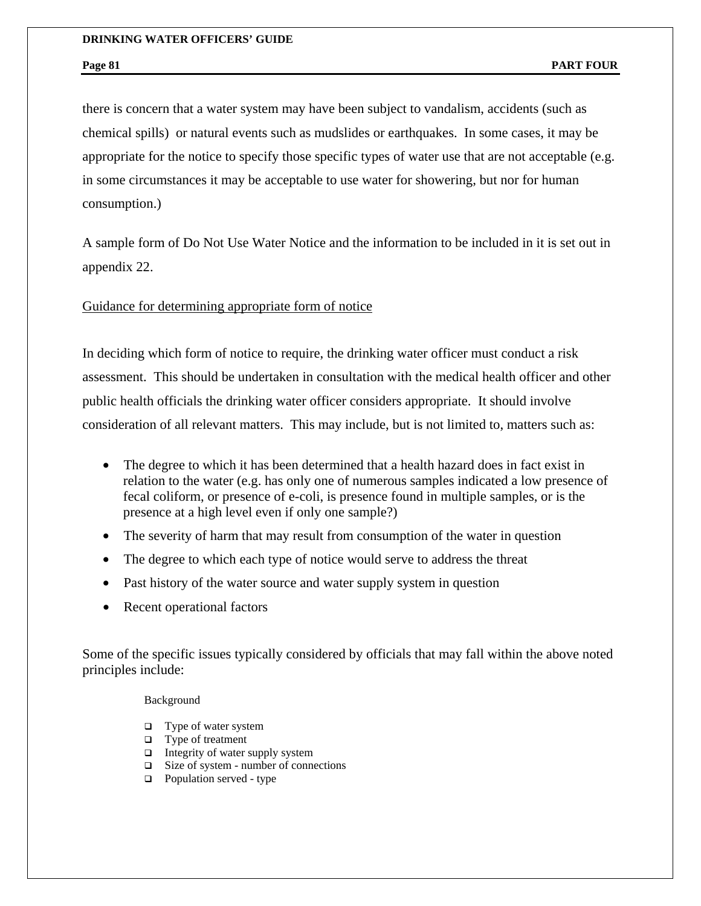there is concern that a water system may have been subject to vandalism, accidents (such as chemical spills) or natural events such as mudslides or earthquakes. In some cases, it may be appropriate for the notice to specify those specific types of water use that are not acceptable (e.g. in some circumstances it may be acceptable to use water for showering, but nor for human consumption.)

A sample form of Do Not Use Water Notice and the information to be included in it is set out in appendix 22.

## Guidance for determining appropriate form of notice

In deciding which form of notice to require, the drinking water officer must conduct a risk assessment. This should be undertaken in consultation with the medical health officer and other public health officials the drinking water officer considers appropriate. It should involve consideration of all relevant matters. This may include, but is not limited to, matters such as:

- The degree to which it has been determined that a health hazard does in fact exist in relation to the water (e.g. has only one of numerous samples indicated a low presence of fecal coliform, or presence of e-coli, is presence found in multiple samples, or is the presence at a high level even if only one sample?)
- The severity of harm that may result from consumption of the water in question
- The degree to which each type of notice would serve to address the threat
- Past history of the water source and water supply system in question
- Recent operational factors

Some of the specific issues typically considered by officials that may fall within the above noted principles include:

### Background

- □ Type of water system
- $\Box$  Type of treatment
- $\Box$  Integrity of water supply system
- Size of system number of connections
- $\Box$  Population served type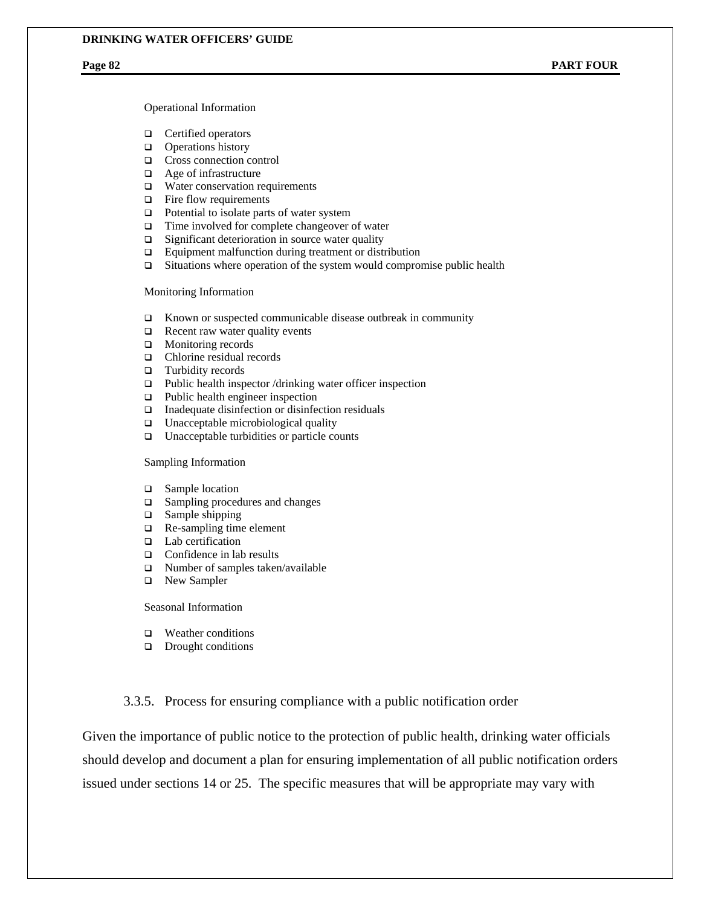Operational Information

- **Q** Certified operators
- $\Box$  Operations history
- □ Cross connection control
- □ Age of infrastructure
- □ Water conservation requirements
- $\Box$  Fire flow requirements
- $\Box$  Potential to isolate parts of water system
- $\Box$  Time involved for complete changeover of water
- $\Box$  Significant deterioration in source water quality
- □ Equipment malfunction during treatment or distribution
- $\Box$  Situations where operation of the system would compromise public health

Monitoring Information

- $\square$  Known or suspected communicable disease outbreak in community
- $\Box$  Recent raw water quality events
- **I** Monitoring records
- □ Chlorine residual records
- $\Box$  Turbidity records
- $\Box$  Public health inspector /drinking water officer inspection
- □ Public health engineer inspection
- $\Box$  Inadequate disinfection or disinfection residuals
- $\Box$  Unacceptable microbiological quality
- □ Unacceptable turbidities or particle counts

Sampling Information

- □ Sample location
- □ Sampling procedures and changes
- $\Box$  Sample shipping
- $\Box$  Re-sampling time element
- □ Lab certification
- □ Confidence in lab results
- $\Box$  Number of samples taken/available
- □ New Sampler

Seasonal Information

- □ Weather conditions
- Drought conditions

## 3.3.5. Process for ensuring compliance with a public notification order

Given the importance of public notice to the protection of public health, drinking water officials should develop and document a plan for ensuring implementation of all public notification orders issued under sections 14 or 25. The specific measures that will be appropriate may vary with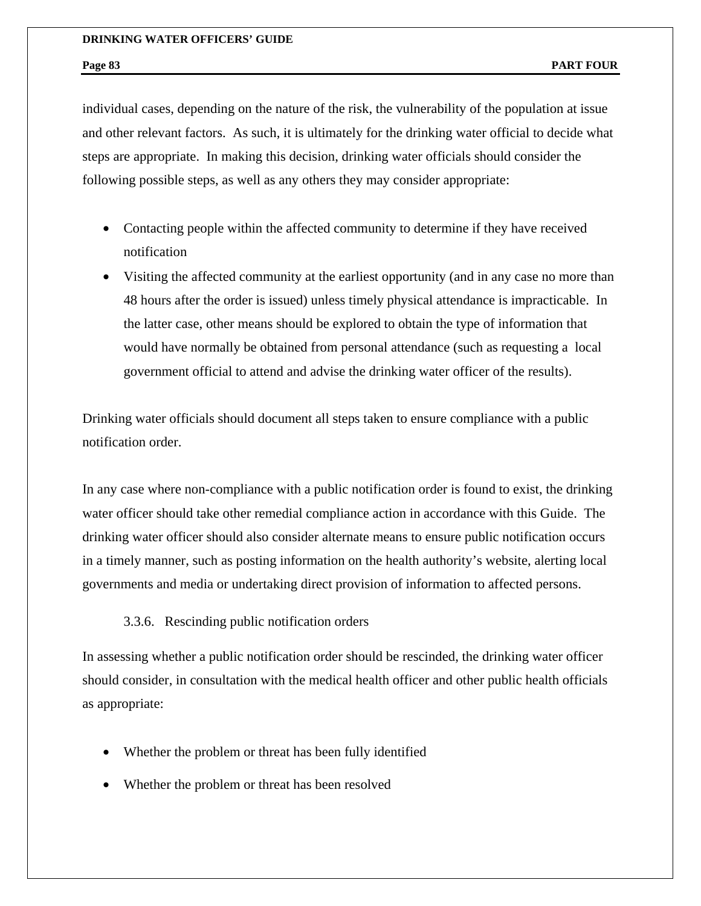individual cases, depending on the nature of the risk, the vulnerability of the population at issue and other relevant factors. As such, it is ultimately for the drinking water official to decide what steps are appropriate. In making this decision, drinking water officials should consider the following possible steps, as well as any others they may consider appropriate:

- Contacting people within the affected community to determine if they have received notification
- Visiting the affected community at the earliest opportunity (and in any case no more than 48 hours after the order is issued) unless timely physical attendance is impracticable. In the latter case, other means should be explored to obtain the type of information that would have normally be obtained from personal attendance (such as requesting a local government official to attend and advise the drinking water officer of the results).

Drinking water officials should document all steps taken to ensure compliance with a public notification order.

In any case where non-compliance with a public notification order is found to exist, the drinking water officer should take other remedial compliance action in accordance with this Guide. The drinking water officer should also consider alternate means to ensure public notification occurs in a timely manner, such as posting information on the health authority's website, alerting local governments and media or undertaking direct provision of information to affected persons.

3.3.6. Rescinding public notification orders

In assessing whether a public notification order should be rescinded, the drinking water officer should consider, in consultation with the medical health officer and other public health officials as appropriate:

- Whether the problem or threat has been fully identified
- Whether the problem or threat has been resolved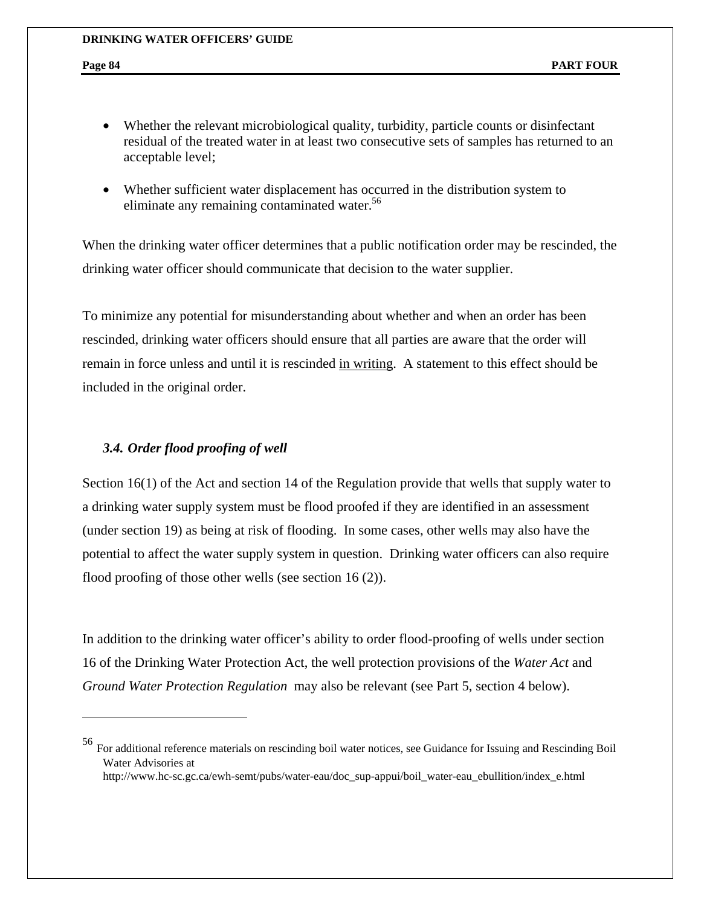- Whether the relevant microbiological quality, turbidity, particle counts or disinfectant residual of the treated water in at least two consecutive sets of samples has returned to an acceptable level;
- Whether sufficient water displacement has occurred in the distribution system to eliminate any remaining contaminated water.<sup>56</sup>

When the drinking water officer determines that a public notification order may be rescinded, the drinking water officer should communicate that decision to the water supplier.

To minimize any potential for misunderstanding about whether and when an order has been rescinded, drinking water officers should ensure that all parties are aware that the order will remain in force unless and until it is rescinded in writing. A statement to this effect should be included in the original order.

## *3.4. Order flood proofing of well*

1

Section 16(1) of the Act and section 14 of the Regulation provide that wells that supply water to a drinking water supply system must be flood proofed if they are identified in an assessment (under section 19) as being at risk of flooding. In some cases, other wells may also have the potential to affect the water supply system in question. Drinking water officers can also require flood proofing of those other wells (see section 16 (2)).

In addition to the drinking water officer's ability to order flood-proofing of wells under section 16 of the Drinking Water Protection Act, the well protection provisions of the *Water Act* and *Ground Water Protection Regulation* may also be relevant (see Part 5, section 4 below).

<sup>56</sup> For additional reference materials on rescinding boil water notices, see Guidance for Issuing and Rescinding Boil Water Advisories at http://www.hc-sc.gc.ca/ewh-semt/pubs/water-eau/doc\_sup-appui/boil\_water-eau\_ebullition/index\_e.html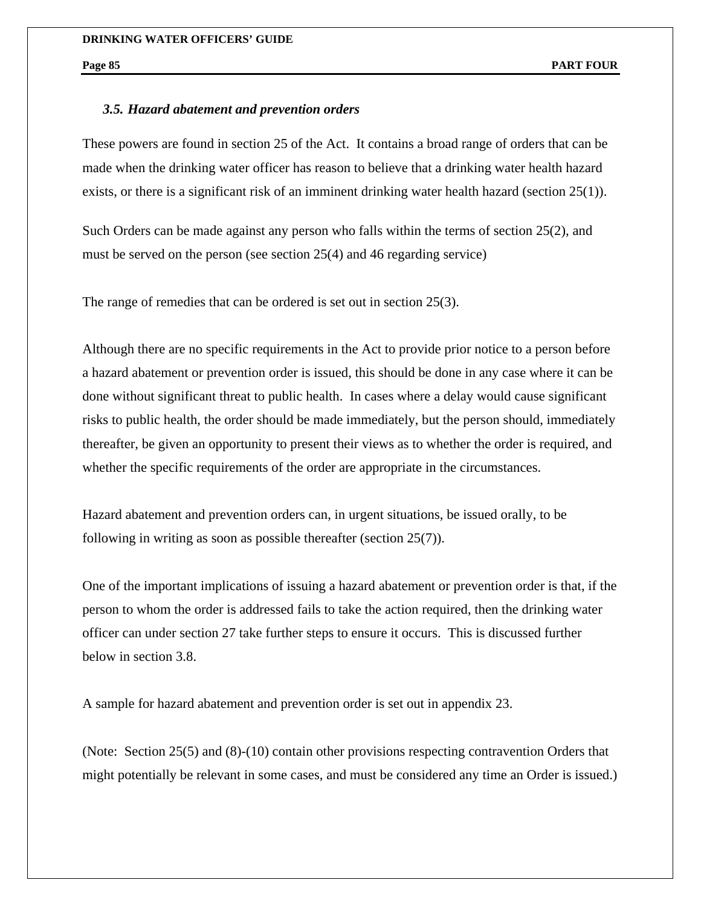## *3.5. Hazard abatement and prevention orders*

These powers are found in section 25 of the Act. It contains a broad range of orders that can be made when the drinking water officer has reason to believe that a drinking water health hazard exists, or there is a significant risk of an imminent drinking water health hazard (section  $25(1)$ ).

Such Orders can be made against any person who falls within the terms of section 25(2), and must be served on the person (see section 25(4) and 46 regarding service)

The range of remedies that can be ordered is set out in section 25(3).

Although there are no specific requirements in the Act to provide prior notice to a person before a hazard abatement or prevention order is issued, this should be done in any case where it can be done without significant threat to public health. In cases where a delay would cause significant risks to public health, the order should be made immediately, but the person should, immediately thereafter, be given an opportunity to present their views as to whether the order is required, and whether the specific requirements of the order are appropriate in the circumstances.

Hazard abatement and prevention orders can, in urgent situations, be issued orally, to be following in writing as soon as possible thereafter (section 25(7)).

One of the important implications of issuing a hazard abatement or prevention order is that, if the person to whom the order is addressed fails to take the action required, then the drinking water officer can under section 27 take further steps to ensure it occurs. This is discussed further below in section 3.8.

A sample for hazard abatement and prevention order is set out in appendix 23.

(Note: Section 25(5) and (8)-(10) contain other provisions respecting contravention Orders that might potentially be relevant in some cases, and must be considered any time an Order is issued.)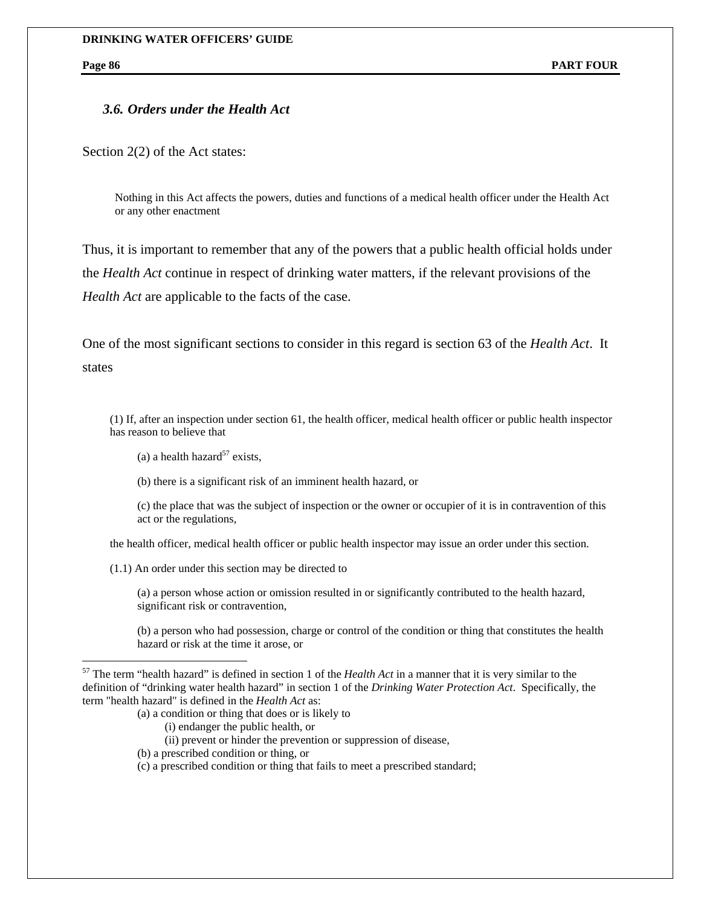$\overline{a}$ 

## *3.6. Orders under the Health Act*

Section 2(2) of the Act states:

Nothing in this Act affects the powers, duties and functions of a medical health officer under the Health Act or any other enactment

Thus, it is important to remember that any of the powers that a public health official holds under the *Health Act* continue in respect of drinking water matters, if the relevant provisions of the *Health Act* are applicable to the facts of the case.

One of the most significant sections to consider in this regard is section 63 of the *Health Act*. It states

(1) If, after an inspection under section 61, the health officer, medical health officer or public health inspector has reason to believe that

- (a) a health hazard<sup>57</sup> exists.
- (b) there is a significant risk of an imminent health hazard, or

(c) the place that was the subject of inspection or the owner or occupier of it is in contravention of this act or the regulations,

the health officer, medical health officer or public health inspector may issue an order under this section.

(1.1) An order under this section may be directed to

(a) a person whose action or omission resulted in or significantly contributed to the health hazard, significant risk or contravention,

(b) a person who had possession, charge or control of the condition or thing that constitutes the health hazard or risk at the time it arose, or

- (a) a condition or thing that does or is likely to
	- (i) endanger the public health, or
	- (ii) prevent or hinder the prevention or suppression of disease,
- (b) a prescribed condition or thing, or
- (c) a prescribed condition or thing that fails to meet a prescribed standard;

<sup>57</sup> The term "health hazard" is defined in section 1 of the *Health Act* in a manner that it is very similar to the definition of "drinking water health hazard" in section 1 of the *Drinking Water Protection Act*. Specifically, the term "health hazard" is defined in the *Health Act* as: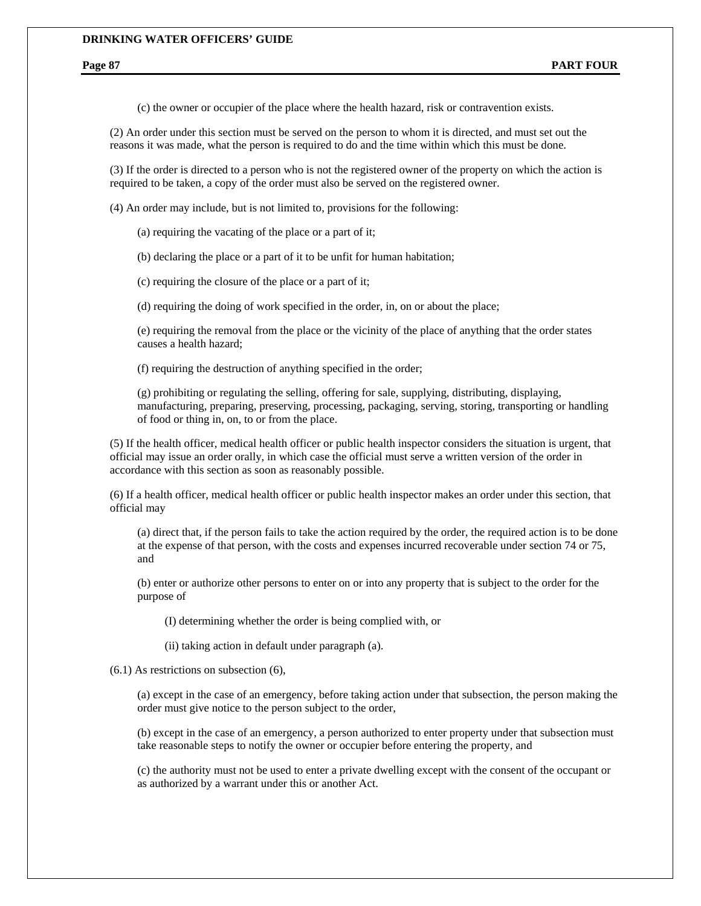(c) the owner or occupier of the place where the health hazard, risk or contravention exists.

(2) An order under this section must be served on the person to whom it is directed, and must set out the reasons it was made, what the person is required to do and the time within which this must be done.

(3) If the order is directed to a person who is not the registered owner of the property on which the action is required to be taken, a copy of the order must also be served on the registered owner.

(4) An order may include, but is not limited to, provisions for the following:

(a) requiring the vacating of the place or a part of it;

(b) declaring the place or a part of it to be unfit for human habitation;

(c) requiring the closure of the place or a part of it;

(d) requiring the doing of work specified in the order, in, on or about the place;

(e) requiring the removal from the place or the vicinity of the place of anything that the order states causes a health hazard;

(f) requiring the destruction of anything specified in the order;

(g) prohibiting or regulating the selling, offering for sale, supplying, distributing, displaying, manufacturing, preparing, preserving, processing, packaging, serving, storing, transporting or handling of food or thing in, on, to or from the place.

(5) If the health officer, medical health officer or public health inspector considers the situation is urgent, that official may issue an order orally, in which case the official must serve a written version of the order in accordance with this section as soon as reasonably possible.

(6) If a health officer, medical health officer or public health inspector makes an order under this section, that official may

(a) direct that, if the person fails to take the action required by the order, the required action is to be done at the expense of that person, with the costs and expenses incurred recoverable under section 74 or 75, and

(b) enter or authorize other persons to enter on or into any property that is subject to the order for the purpose of

(I) determining whether the order is being complied with, or

(ii) taking action in default under paragraph (a).

(6.1) As restrictions on subsection (6),

(a) except in the case of an emergency, before taking action under that subsection, the person making the order must give notice to the person subject to the order,

(b) except in the case of an emergency, a person authorized to enter property under that subsection must take reasonable steps to notify the owner or occupier before entering the property, and

(c) the authority must not be used to enter a private dwelling except with the consent of the occupant or as authorized by a warrant under this or another Act.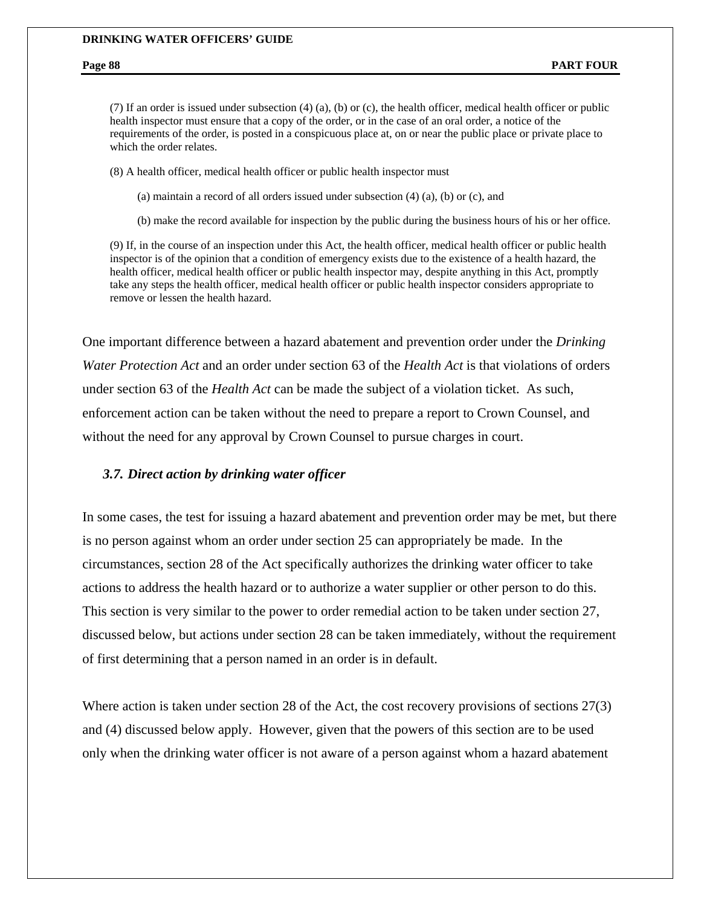(7) If an order is issued under subsection (4) (a), (b) or (c), the health officer, medical health officer or public health inspector must ensure that a copy of the order, or in the case of an oral order, a notice of the requirements of the order, is posted in a conspicuous place at, on or near the public place or private place to which the order relates.

(8) A health officer, medical health officer or public health inspector must

(a) maintain a record of all orders issued under subsection (4) (a), (b) or (c), and

(b) make the record available for inspection by the public during the business hours of his or her office.

(9) If, in the course of an inspection under this Act, the health officer, medical health officer or public health inspector is of the opinion that a condition of emergency exists due to the existence of a health hazard, the health officer, medical health officer or public health inspector may, despite anything in this Act, promptly take any steps the health officer, medical health officer or public health inspector considers appropriate to remove or lessen the health hazard.

One important difference between a hazard abatement and prevention order under the *Drinking Water Protection Act* and an order under section 63 of the *Health Act* is that violations of orders under section 63 of the *Health Act* can be made the subject of a violation ticket. As such, enforcement action can be taken without the need to prepare a report to Crown Counsel, and without the need for any approval by Crown Counsel to pursue charges in court.

## *3.7. Direct action by drinking water officer*

In some cases, the test for issuing a hazard abatement and prevention order may be met, but there is no person against whom an order under section 25 can appropriately be made. In the circumstances, section 28 of the Act specifically authorizes the drinking water officer to take actions to address the health hazard or to authorize a water supplier or other person to do this. This section is very similar to the power to order remedial action to be taken under section 27, discussed below, but actions under section 28 can be taken immediately, without the requirement of first determining that a person named in an order is in default.

Where action is taken under section 28 of the Act, the cost recovery provisions of sections 27(3) and (4) discussed below apply. However, given that the powers of this section are to be used only when the drinking water officer is not aware of a person against whom a hazard abatement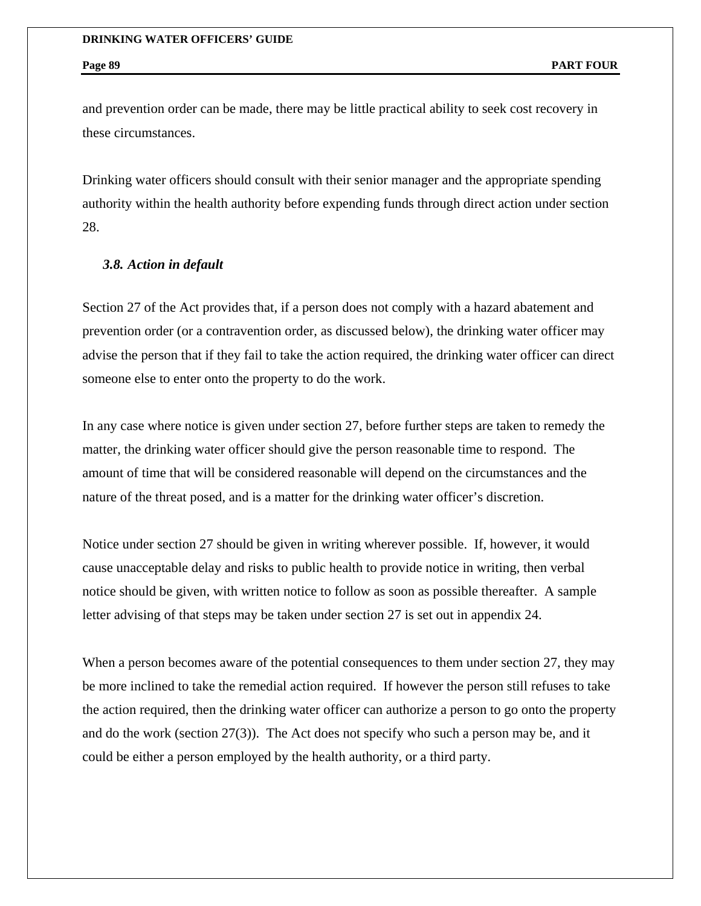and prevention order can be made, there may be little practical ability to seek cost recovery in these circumstances.

Drinking water officers should consult with their senior manager and the appropriate spending authority within the health authority before expending funds through direct action under section 28.

## *3.8. Action in default*

Section 27 of the Act provides that, if a person does not comply with a hazard abatement and prevention order (or a contravention order, as discussed below), the drinking water officer may advise the person that if they fail to take the action required, the drinking water officer can direct someone else to enter onto the property to do the work.

In any case where notice is given under section 27, before further steps are taken to remedy the matter, the drinking water officer should give the person reasonable time to respond. The amount of time that will be considered reasonable will depend on the circumstances and the nature of the threat posed, and is a matter for the drinking water officer's discretion.

Notice under section 27 should be given in writing wherever possible. If, however, it would cause unacceptable delay and risks to public health to provide notice in writing, then verbal notice should be given, with written notice to follow as soon as possible thereafter. A sample letter advising of that steps may be taken under section 27 is set out in appendix 24.

When a person becomes aware of the potential consequences to them under section 27, they may be more inclined to take the remedial action required. If however the person still refuses to take the action required, then the drinking water officer can authorize a person to go onto the property and do the work (section 27(3)). The Act does not specify who such a person may be, and it could be either a person employed by the health authority, or a third party.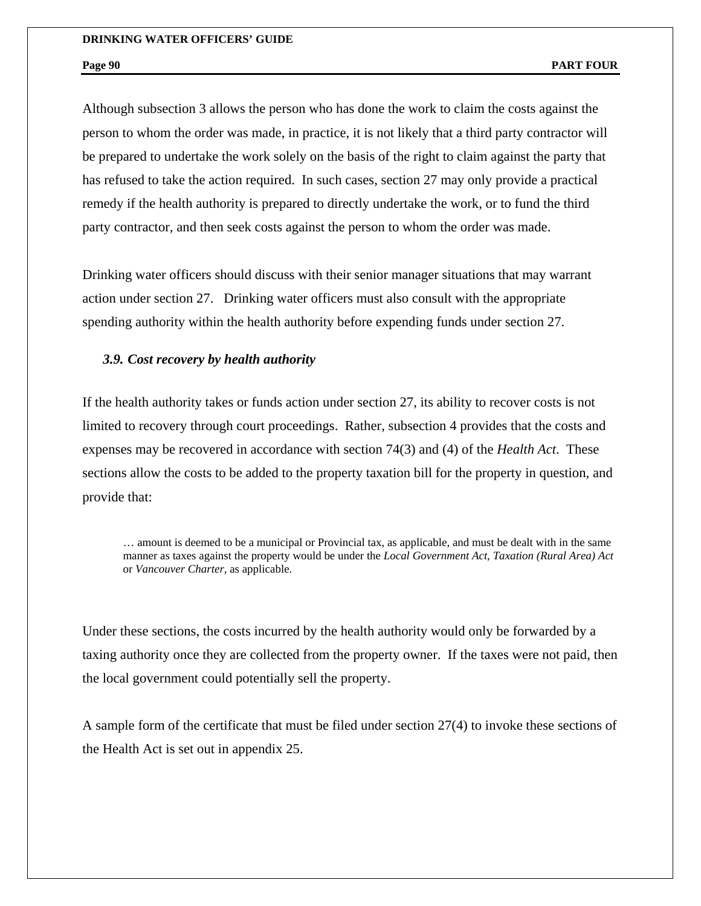Although subsection 3 allows the person who has done the work to claim the costs against the person to whom the order was made, in practice, it is not likely that a third party contractor will be prepared to undertake the work solely on the basis of the right to claim against the party that has refused to take the action required. In such cases, section 27 may only provide a practical remedy if the health authority is prepared to directly undertake the work, or to fund the third party contractor, and then seek costs against the person to whom the order was made.

Drinking water officers should discuss with their senior manager situations that may warrant action under section 27. Drinking water officers must also consult with the appropriate spending authority within the health authority before expending funds under section 27.

## *3.9. Cost recovery by health authority*

If the health authority takes or funds action under section 27, its ability to recover costs is not limited to recovery through court proceedings. Rather, subsection 4 provides that the costs and expenses may be recovered in accordance with section 74(3) and (4) of the *Health Act*. These sections allow the costs to be added to the property taxation bill for the property in question, and provide that:

… amount is deemed to be a municipal or Provincial tax, as applicable, and must be dealt with in the same manner as taxes against the property would be under the *Local Government Act*, *Taxation (Rural Area) Act* or *Vancouver Charter*, as applicable.

Under these sections, the costs incurred by the health authority would only be forwarded by a taxing authority once they are collected from the property owner. If the taxes were not paid, then the local government could potentially sell the property.

A sample form of the certificate that must be filed under section 27(4) to invoke these sections of the Health Act is set out in appendix 25.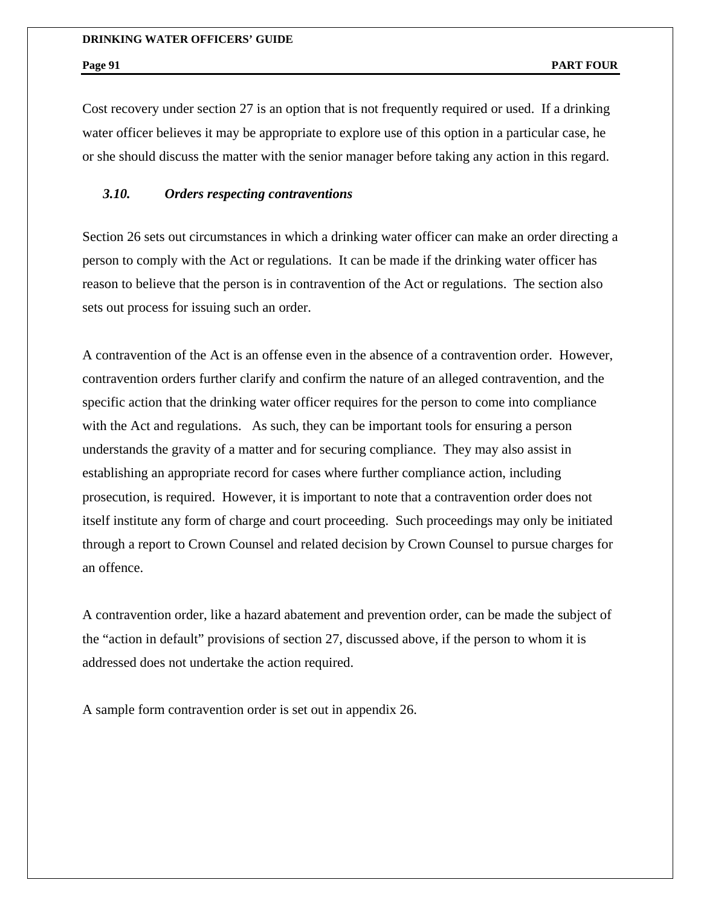Cost recovery under section 27 is an option that is not frequently required or used. If a drinking water officer believes it may be appropriate to explore use of this option in a particular case, he or she should discuss the matter with the senior manager before taking any action in this regard.

## *3.10. Orders respecting contraventions*

Section 26 sets out circumstances in which a drinking water officer can make an order directing a person to comply with the Act or regulations. It can be made if the drinking water officer has reason to believe that the person is in contravention of the Act or regulations. The section also sets out process for issuing such an order.

A contravention of the Act is an offense even in the absence of a contravention order. However, contravention orders further clarify and confirm the nature of an alleged contravention, and the specific action that the drinking water officer requires for the person to come into compliance with the Act and regulations. As such, they can be important tools for ensuring a person understands the gravity of a matter and for securing compliance. They may also assist in establishing an appropriate record for cases where further compliance action, including prosecution, is required. However, it is important to note that a contravention order does not itself institute any form of charge and court proceeding. Such proceedings may only be initiated through a report to Crown Counsel and related decision by Crown Counsel to pursue charges for an offence.

A contravention order, like a hazard abatement and prevention order, can be made the subject of the "action in default" provisions of section 27, discussed above, if the person to whom it is addressed does not undertake the action required.

A sample form contravention order is set out in appendix 26.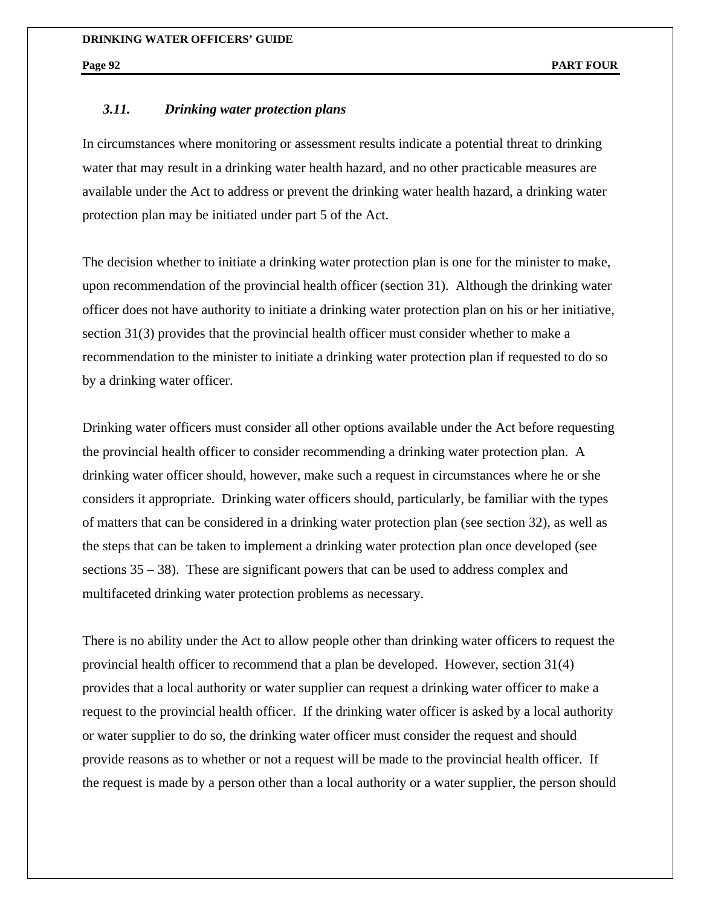## *3.11. Drinking water protection plans*

In circumstances where monitoring or assessment results indicate a potential threat to drinking water that may result in a drinking water health hazard, and no other practicable measures are available under the Act to address or prevent the drinking water health hazard, a drinking water protection plan may be initiated under part 5 of the Act.

The decision whether to initiate a drinking water protection plan is one for the minister to make, upon recommendation of the provincial health officer (section 31). Although the drinking water officer does not have authority to initiate a drinking water protection plan on his or her initiative, section 31(3) provides that the provincial health officer must consider whether to make a recommendation to the minister to initiate a drinking water protection plan if requested to do so by a drinking water officer.

Drinking water officers must consider all other options available under the Act before requesting the provincial health officer to consider recommending a drinking water protection plan. A drinking water officer should, however, make such a request in circumstances where he or she considers it appropriate. Drinking water officers should, particularly, be familiar with the types of matters that can be considered in a drinking water protection plan (see section 32), as well as the steps that can be taken to implement a drinking water protection plan once developed (see sections 35 – 38). These are significant powers that can be used to address complex and multifaceted drinking water protection problems as necessary.

There is no ability under the Act to allow people other than drinking water officers to request the provincial health officer to recommend that a plan be developed. However, section 31(4) provides that a local authority or water supplier can request a drinking water officer to make a request to the provincial health officer. If the drinking water officer is asked by a local authority or water supplier to do so, the drinking water officer must consider the request and should provide reasons as to whether or not a request will be made to the provincial health officer. If the request is made by a person other than a local authority or a water supplier, the person should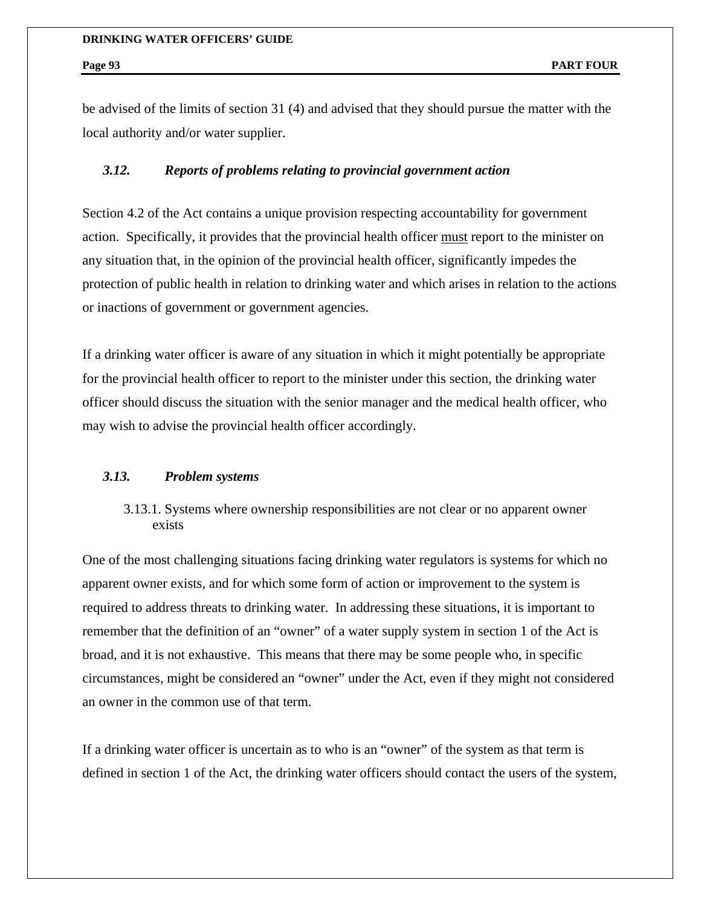be advised of the limits of section 31 (4) and advised that they should pursue the matter with the local authority and/or water supplier.

## *3.12. Reports of problems relating to provincial government action*

Section 4.2 of the Act contains a unique provision respecting accountability for government action. Specifically, it provides that the provincial health officer must report to the minister on any situation that, in the opinion of the provincial health officer, significantly impedes the protection of public health in relation to drinking water and which arises in relation to the actions or inactions of government or government agencies.

If a drinking water officer is aware of any situation in which it might potentially be appropriate for the provincial health officer to report to the minister under this section, the drinking water officer should discuss the situation with the senior manager and the medical health officer, who may wish to advise the provincial health officer accordingly.

## *3.13. Problem systems*

## 3.13.1. Systems where ownership responsibilities are not clear or no apparent owner exists

One of the most challenging situations facing drinking water regulators is systems for which no apparent owner exists, and for which some form of action or improvement to the system is required to address threats to drinking water. In addressing these situations, it is important to remember that the definition of an "owner" of a water supply system in section 1 of the Act is broad, and it is not exhaustive. This means that there may be some people who, in specific circumstances, might be considered an "owner" under the Act, even if they might not considered an owner in the common use of that term.

If a drinking water officer is uncertain as to who is an "owner" of the system as that term is defined in section 1 of the Act, the drinking water officers should contact the users of the system,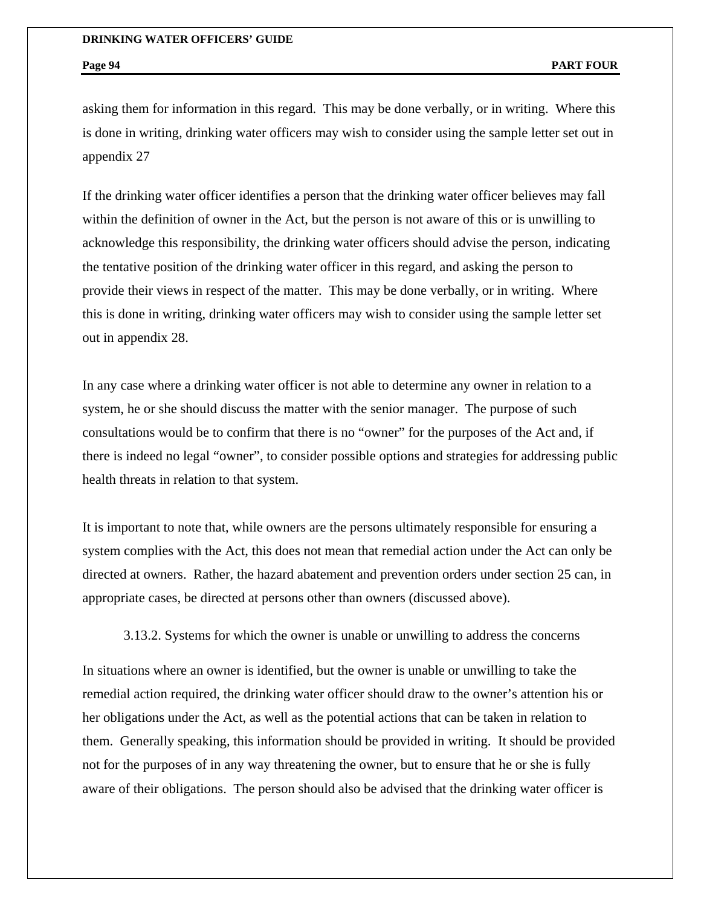asking them for information in this regard. This may be done verbally, or in writing. Where this is done in writing, drinking water officers may wish to consider using the sample letter set out in appendix 27

If the drinking water officer identifies a person that the drinking water officer believes may fall within the definition of owner in the Act, but the person is not aware of this or is unwilling to acknowledge this responsibility, the drinking water officers should advise the person, indicating the tentative position of the drinking water officer in this regard, and asking the person to provide their views in respect of the matter. This may be done verbally, or in writing. Where this is done in writing, drinking water officers may wish to consider using the sample letter set out in appendix 28.

In any case where a drinking water officer is not able to determine any owner in relation to a system, he or she should discuss the matter with the senior manager.The purpose of such consultations would be to confirm that there is no "owner" for the purposes of the Act and, if there is indeed no legal "owner", to consider possible options and strategies for addressing public health threats in relation to that system.

It is important to note that, while owners are the persons ultimately responsible for ensuring a system complies with the Act, this does not mean that remedial action under the Act can only be directed at owners. Rather, the hazard abatement and prevention orders under section 25 can, in appropriate cases, be directed at persons other than owners (discussed above).

3.13.2. Systems for which the owner is unable or unwilling to address the concerns

In situations where an owner is identified, but the owner is unable or unwilling to take the remedial action required, the drinking water officer should draw to the owner's attention his or her obligations under the Act, as well as the potential actions that can be taken in relation to them. Generally speaking, this information should be provided in writing. It should be provided not for the purposes of in any way threatening the owner, but to ensure that he or she is fully aware of their obligations. The person should also be advised that the drinking water officer is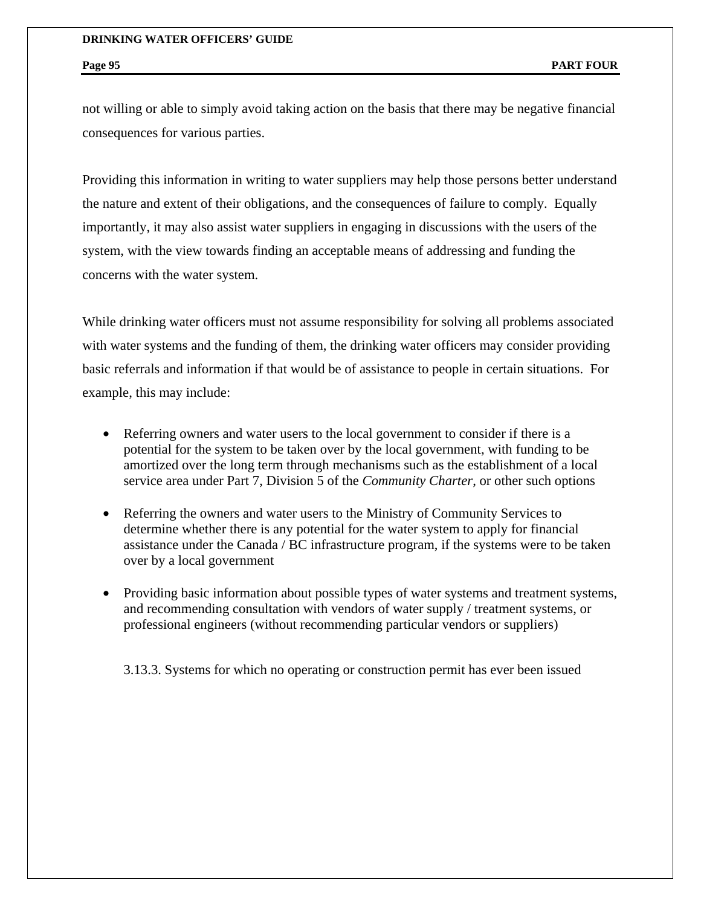not willing or able to simply avoid taking action on the basis that there may be negative financial consequences for various parties.

Providing this information in writing to water suppliers may help those persons better understand the nature and extent of their obligations, and the consequences of failure to comply. Equally importantly, it may also assist water suppliers in engaging in discussions with the users of the system, with the view towards finding an acceptable means of addressing and funding the concerns with the water system.

While drinking water officers must not assume responsibility for solving all problems associated with water systems and the funding of them, the drinking water officers may consider providing basic referrals and information if that would be of assistance to people in certain situations. For example, this may include:

- Referring owners and water users to the local government to consider if there is a potential for the system to be taken over by the local government, with funding to be amortized over the long term through mechanisms such as the establishment of a local service area under Part 7, Division 5 of the *Community Charter*, or other such options
- Referring the owners and water users to the Ministry of Community Services to determine whether there is any potential for the water system to apply for financial assistance under the Canada / BC infrastructure program, if the systems were to be taken over by a local government
- Providing basic information about possible types of water systems and treatment systems, and recommending consultation with vendors of water supply / treatment systems, or professional engineers (without recommending particular vendors or suppliers)

3.13.3. Systems for which no operating or construction permit has ever been issued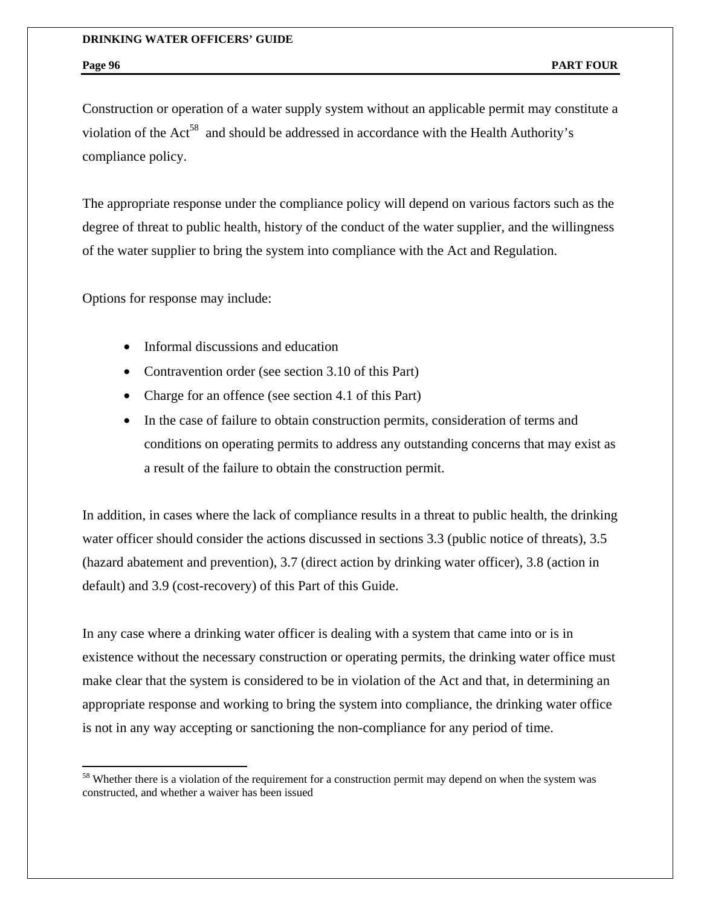$\overline{a}$ 

Construction or operation of a water supply system without an applicable permit may constitute a violation of the Act<sup>58</sup> and should be addressed in accordance with the Health Authority's compliance policy.

The appropriate response under the compliance policy will depend on various factors such as the degree of threat to public health, history of the conduct of the water supplier, and the willingness of the water supplier to bring the system into compliance with the Act and Regulation.

Options for response may include:

- Informal discussions and education
- Contravention order (see section 3.10 of this Part)
- Charge for an offence (see section 4.1 of this Part)
- In the case of failure to obtain construction permits, consideration of terms and conditions on operating permits to address any outstanding concerns that may exist as a result of the failure to obtain the construction permit.

In addition, in cases where the lack of compliance results in a threat to public health, the drinking water officer should consider the actions discussed in sections 3.3 (public notice of threats), 3.5 (hazard abatement and prevention), 3.7 (direct action by drinking water officer), 3.8 (action in default) and 3.9 (cost-recovery) of this Part of this Guide.

In any case where a drinking water officer is dealing with a system that came into or is in existence without the necessary construction or operating permits, the drinking water office must make clear that the system is considered to be in violation of the Act and that, in determining an appropriate response and working to bring the system into compliance, the drinking water office is not in any way accepting or sanctioning the non-compliance for any period of time.

<sup>&</sup>lt;sup>58</sup> Whether there is a violation of the requirement for a construction permit may depend on when the system was constructed, and whether a waiver has been issued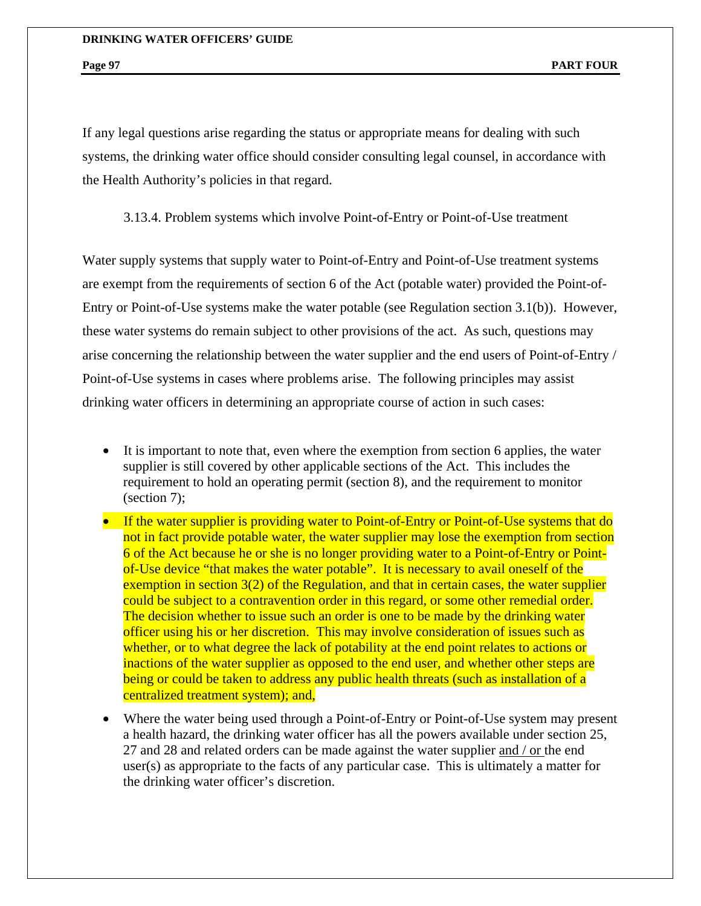If any legal questions arise regarding the status or appropriate means for dealing with such systems, the drinking water office should consider consulting legal counsel, in accordance with the Health Authority's policies in that regard.

3.13.4. Problem systems which involve Point-of-Entry or Point-of-Use treatment

Water supply systems that supply water to Point-of-Entry and Point-of-Use treatment systems are exempt from the requirements of section 6 of the Act (potable water) provided the Point-of-Entry or Point-of-Use systems make the water potable (see Regulation section 3.1(b)). However, these water systems do remain subject to other provisions of the act. As such, questions may arise concerning the relationship between the water supplier and the end users of Point-of-Entry / Point-of-Use systems in cases where problems arise. The following principles may assist drinking water officers in determining an appropriate course of action in such cases:

- It is important to note that, even where the exemption from section 6 applies, the water supplier is still covered by other applicable sections of the Act. This includes the requirement to hold an operating permit (section 8), and the requirement to monitor (section 7);
- If the water supplier is providing water to Point-of-Entry or Point-of-Use systems that do not in fact provide potable water, the water supplier may lose the exemption from section 6 of the Act because he or she is no longer providing water to a Point-of-Entry or Pointof-Use device "that makes the water potable". It is necessary to avail oneself of the exemption in section 3(2) of the Regulation, and that in certain cases, the water supplier could be subject to a contravention order in this regard, or some other remedial order. The decision whether to issue such an order is one to be made by the drinking water officer using his or her discretion. This may involve consideration of issues such as whether, or to what degree the lack of potability at the end point relates to actions or inactions of the water supplier as opposed to the end user, and whether other steps are being or could be taken to address any public health threats (such as installation of a centralized treatment system); and,
- Where the water being used through a Point-of-Entry or Point-of-Use system may present a health hazard, the drinking water officer has all the powers available under section 25, 27 and 28 and related orders can be made against the water supplier and / or the end user(s) as appropriate to the facts of any particular case. This is ultimately a matter for the drinking water officer's discretion.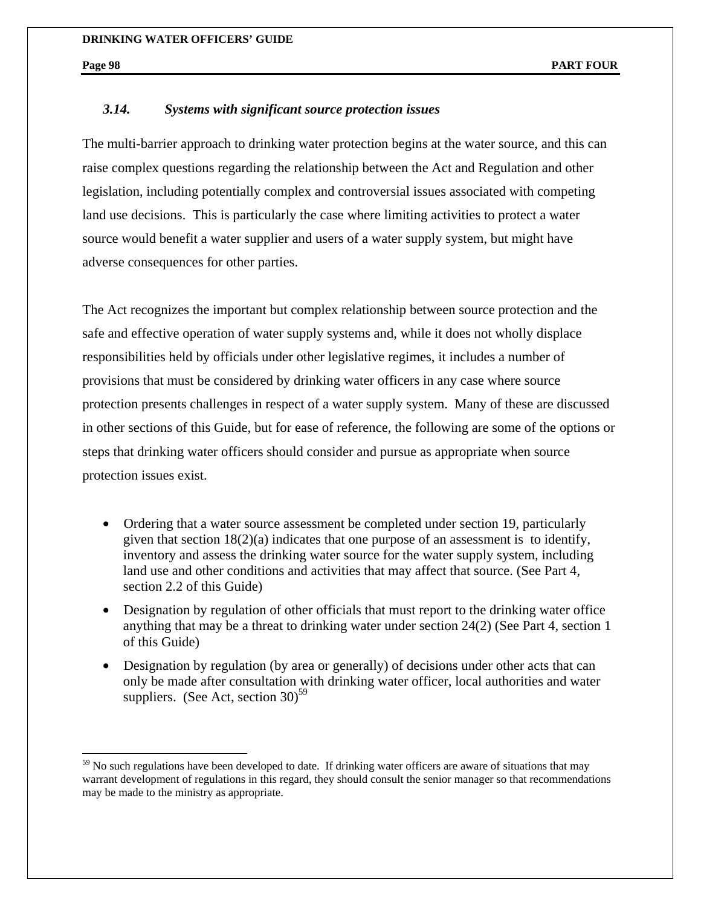$\overline{a}$ 

# *3.14. Systems with significant source protection issues*

The multi-barrier approach to drinking water protection begins at the water source, and this can raise complex questions regarding the relationship between the Act and Regulation and other legislation, including potentially complex and controversial issues associated with competing land use decisions. This is particularly the case where limiting activities to protect a water source would benefit a water supplier and users of a water supply system, but might have adverse consequences for other parties.

The Act recognizes the important but complex relationship between source protection and the safe and effective operation of water supply systems and, while it does not wholly displace responsibilities held by officials under other legislative regimes, it includes a number of provisions that must be considered by drinking water officers in any case where source protection presents challenges in respect of a water supply system. Many of these are discussed in other sections of this Guide, but for ease of reference, the following are some of the options or steps that drinking water officers should consider and pursue as appropriate when source protection issues exist.

- Ordering that a water source assessment be completed under section 19, particularly given that section 18(2)(a) indicates that one purpose of an assessment is to identify, inventory and assess the drinking water source for the water supply system, including land use and other conditions and activities that may affect that source. (See Part 4, section 2.2 of this Guide)
- Designation by regulation of other officials that must report to the drinking water office anything that may be a threat to drinking water under section 24(2) (See Part 4, section 1 of this Guide)
- Designation by regulation (by area or generally) of decisions under other acts that can only be made after consultation with drinking water officer, local authorities and water suppliers. (See Act, section 30)<sup>59</sup>

 $59$  No such regulations have been developed to date. If drinking water officers are aware of situations that may warrant development of regulations in this regard, they should consult the senior manager so that recommendations may be made to the ministry as appropriate.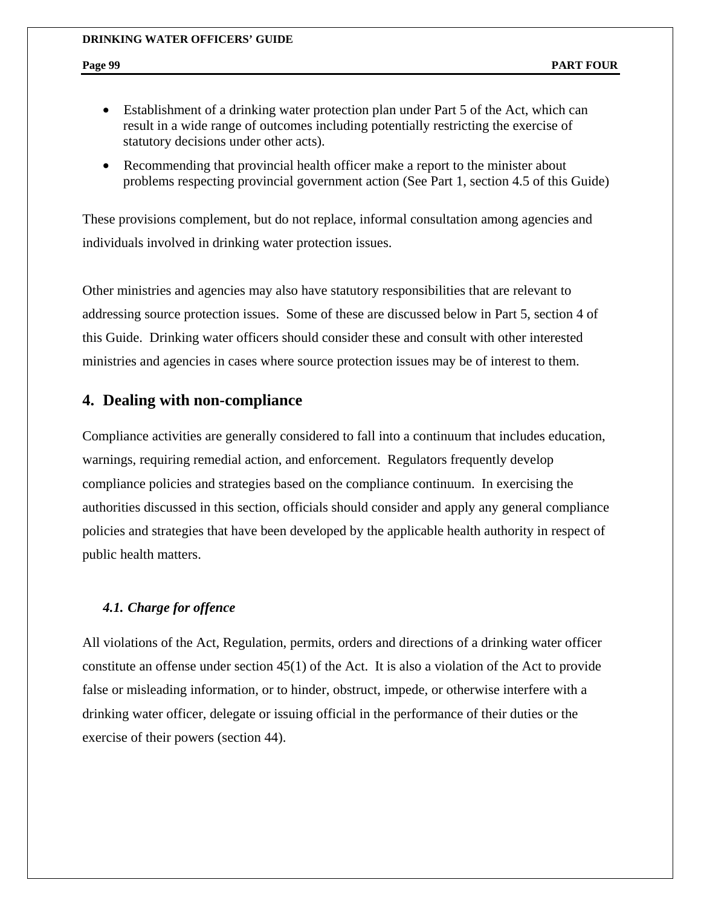- Establishment of a drinking water protection plan under Part 5 of the Act, which can result in a wide range of outcomes including potentially restricting the exercise of statutory decisions under other acts).
- Recommending that provincial health officer make a report to the minister about problems respecting provincial government action (See Part 1, section 4.5 of this Guide)

These provisions complement, but do not replace, informal consultation among agencies and individuals involved in drinking water protection issues.

Other ministries and agencies may also have statutory responsibilities that are relevant to addressing source protection issues. Some of these are discussed below in Part 5, section 4 of this Guide. Drinking water officers should consider these and consult with other interested ministries and agencies in cases where source protection issues may be of interest to them.

## **4. Dealing with non-compliance**

Compliance activities are generally considered to fall into a continuum that includes education, warnings, requiring remedial action, and enforcement. Regulators frequently develop compliance policies and strategies based on the compliance continuum. In exercising the authorities discussed in this section, officials should consider and apply any general compliance policies and strategies that have been developed by the applicable health authority in respect of public health matters.

## *4.1. Charge for offence*

All violations of the Act, Regulation, permits, orders and directions of a drinking water officer constitute an offense under section 45(1) of the Act. It is also a violation of the Act to provide false or misleading information, or to hinder, obstruct, impede, or otherwise interfere with a drinking water officer, delegate or issuing official in the performance of their duties or the exercise of their powers (section 44).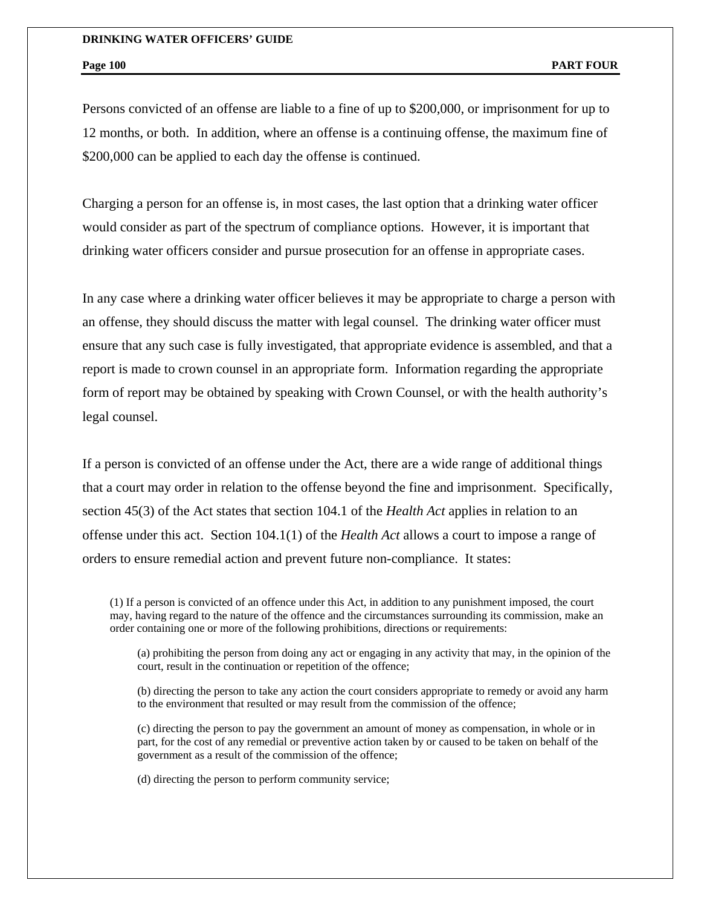Persons convicted of an offense are liable to a fine of up to \$200,000, or imprisonment for up to 12 months, or both. In addition, where an offense is a continuing offense, the maximum fine of \$200,000 can be applied to each day the offense is continued.

Charging a person for an offense is, in most cases, the last option that a drinking water officer would consider as part of the spectrum of compliance options. However, it is important that drinking water officers consider and pursue prosecution for an offense in appropriate cases.

In any case where a drinking water officer believes it may be appropriate to charge a person with an offense, they should discuss the matter with legal counsel. The drinking water officer must ensure that any such case is fully investigated, that appropriate evidence is assembled, and that a report is made to crown counsel in an appropriate form. Information regarding the appropriate form of report may be obtained by speaking with Crown Counsel, or with the health authority's legal counsel.

If a person is convicted of an offense under the Act, there are a wide range of additional things that a court may order in relation to the offense beyond the fine and imprisonment. Specifically, section 45(3) of the Act states that section 104.1 of the *Health Act* applies in relation to an offense under this act. Section 104.1(1) of the *Health Act* allows a court to impose a range of orders to ensure remedial action and prevent future non-compliance. It states:

(1) If a person is convicted of an offence under this Act, in addition to any punishment imposed, the court may, having regard to the nature of the offence and the circumstances surrounding its commission, make an order containing one or more of the following prohibitions, directions or requirements:

(a) prohibiting the person from doing any act or engaging in any activity that may, in the opinion of the court, result in the continuation or repetition of the offence;

(b) directing the person to take any action the court considers appropriate to remedy or avoid any harm to the environment that resulted or may result from the commission of the offence;

(c) directing the person to pay the government an amount of money as compensation, in whole or in part, for the cost of any remedial or preventive action taken by or caused to be taken on behalf of the government as a result of the commission of the offence;

(d) directing the person to perform community service;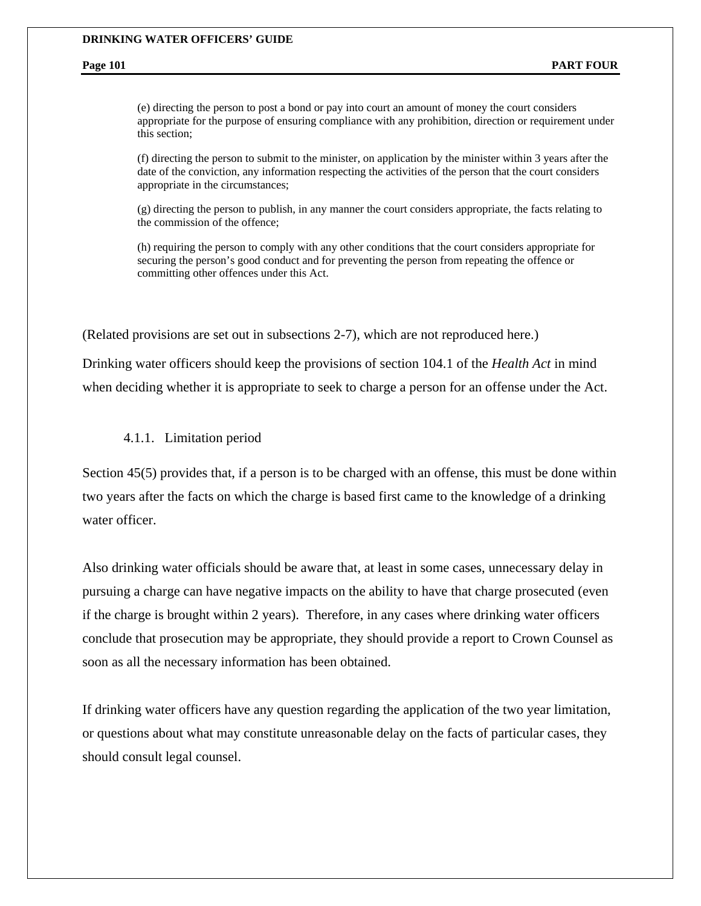(e) directing the person to post a bond or pay into court an amount of money the court considers appropriate for the purpose of ensuring compliance with any prohibition, direction or requirement under this section;

(f) directing the person to submit to the minister, on application by the minister within 3 years after the date of the conviction, any information respecting the activities of the person that the court considers appropriate in the circumstances;

(g) directing the person to publish, in any manner the court considers appropriate, the facts relating to the commission of the offence;

(h) requiring the person to comply with any other conditions that the court considers appropriate for securing the person's good conduct and for preventing the person from repeating the offence or committing other offences under this Act.

(Related provisions are set out in subsections 2-7), which are not reproduced here.)

Drinking water officers should keep the provisions of section 104.1 of the *Health Act* in mind when deciding whether it is appropriate to seek to charge a person for an offense under the Act.

4.1.1. Limitation period

Section 45(5) provides that, if a person is to be charged with an offense, this must be done within two years after the facts on which the charge is based first came to the knowledge of a drinking water officer.

Also drinking water officials should be aware that, at least in some cases, unnecessary delay in pursuing a charge can have negative impacts on the ability to have that charge prosecuted (even if the charge is brought within 2 years). Therefore, in any cases where drinking water officers conclude that prosecution may be appropriate, they should provide a report to Crown Counsel as soon as all the necessary information has been obtained.

If drinking water officers have any question regarding the application of the two year limitation, or questions about what may constitute unreasonable delay on the facts of particular cases, they should consult legal counsel.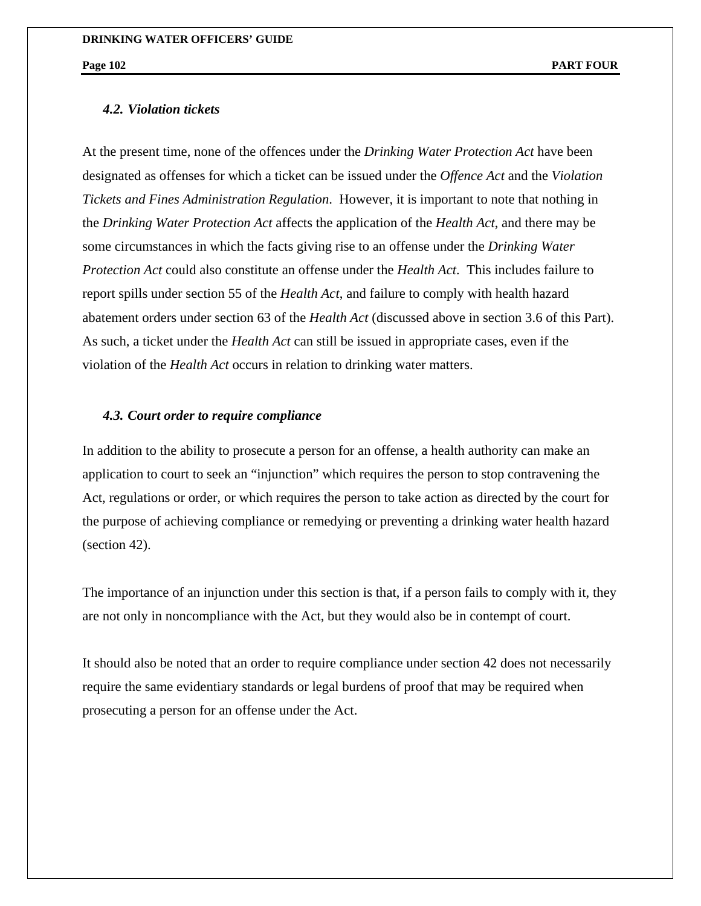## *4.2. Violation tickets*

At the present time, none of the offences under the *Drinking Water Protection Act* have been designated as offenses for which a ticket can be issued under the *Offence Act* and the *Violation Tickets and Fines Administration Regulation*. However, it is important to note that nothing in the *Drinking Water Protection Act* affects the application of the *Health Act*, and there may be some circumstances in which the facts giving rise to an offense under the *Drinking Water Protection Act* could also constitute an offense under the *Health Act*. This includes failure to report spills under section 55 of the *Health Act*, and failure to comply with health hazard abatement orders under section 63 of the *Health Act* (discussed above in section 3.6 of this Part). As such, a ticket under the *Health Act* can still be issued in appropriate cases, even if the violation of the *Health Act* occurs in relation to drinking water matters.

## *4.3. Court order to require compliance*

In addition to the ability to prosecute a person for an offense, a health authority can make an application to court to seek an "injunction" which requires the person to stop contravening the Act, regulations or order, or which requires the person to take action as directed by the court for the purpose of achieving compliance or remedying or preventing a drinking water health hazard (section 42).

The importance of an injunction under this section is that, if a person fails to comply with it, they are not only in noncompliance with the Act, but they would also be in contempt of court.

It should also be noted that an order to require compliance under section 42 does not necessarily require the same evidentiary standards or legal burdens of proof that may be required when prosecuting a person for an offense under the Act.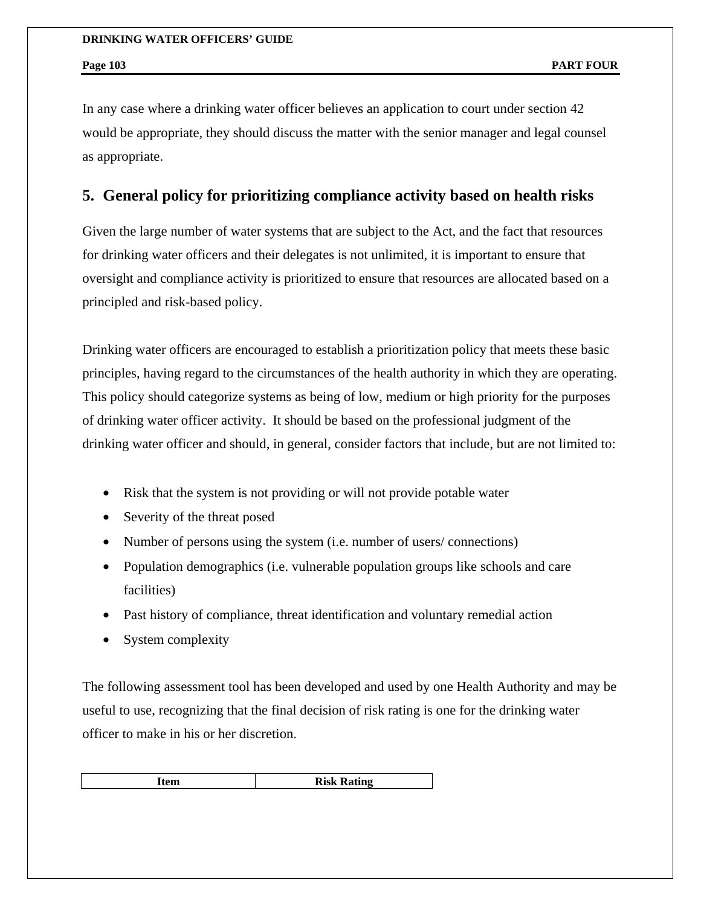In any case where a drinking water officer believes an application to court under section 42 would be appropriate, they should discuss the matter with the senior manager and legal counsel as appropriate.

## **5. General policy for prioritizing compliance activity based on health risks**

Given the large number of water systems that are subject to the Act, and the fact that resources for drinking water officers and their delegates is not unlimited, it is important to ensure that oversight and compliance activity is prioritized to ensure that resources are allocated based on a principled and risk-based policy.

Drinking water officers are encouraged to establish a prioritization policy that meets these basic principles, having regard to the circumstances of the health authority in which they are operating. This policy should categorize systems as being of low, medium or high priority for the purposes of drinking water officer activity. It should be based on the professional judgment of the drinking water officer and should, in general, consider factors that include, but are not limited to:

- Risk that the system is not providing or will not provide potable water
- Severity of the threat posed
- Number of persons using the system (i.e. number of users/ connections)
- Population demographics (i.e. vulnerable population groups like schools and care facilities)
- Past history of compliance, threat identification and voluntary remedial action
- System complexity

The following assessment tool has been developed and used by one Health Authority and may be useful to use, recognizing that the final decision of risk rating is one for the drinking water officer to make in his or her discretion.

| Item | <b>Risk Rating</b> |
|------|--------------------|
|------|--------------------|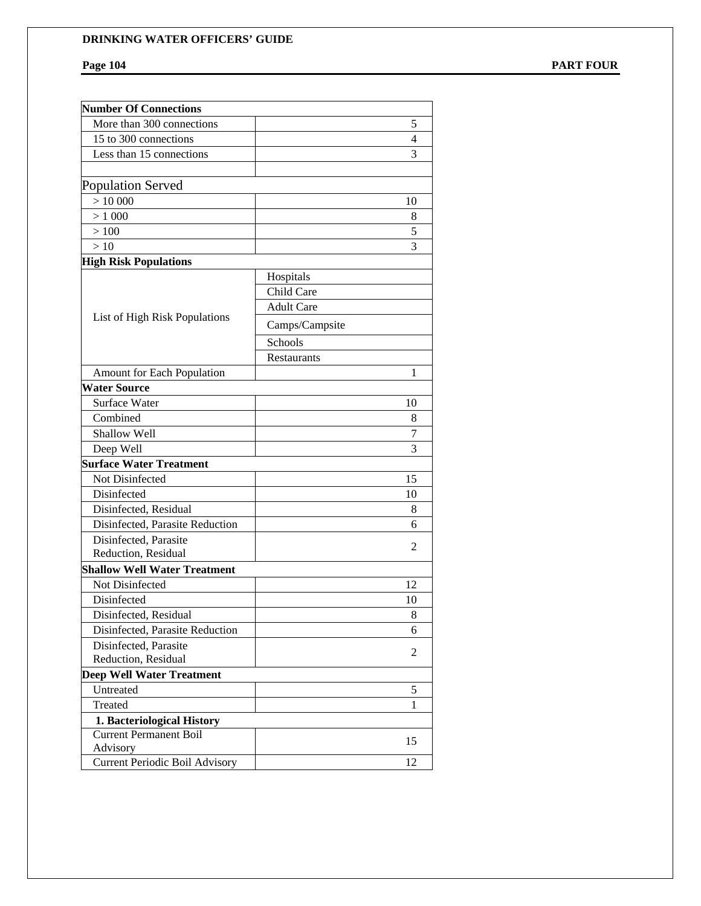Page 104 **PART FOUR** 

| <b>Number Of Connections</b>          |                   |    |
|---------------------------------------|-------------------|----|
| More than 300 connections             |                   | 5  |
| 15 to 300 connections                 |                   | 4  |
| Less than 15 connections              |                   | 3  |
|                                       |                   |    |
| Population Served                     |                   |    |
| > 10000                               |                   | 10 |
| > 1000                                |                   | 8  |
| >100                                  |                   | 5  |
| >10                                   |                   | 3  |
| <b>High Risk Populations</b>          |                   |    |
|                                       | Hospitals         |    |
|                                       | Child Care        |    |
|                                       | <b>Adult Care</b> |    |
| List of High Risk Populations         | Camps/Campsite    |    |
|                                       | Schools           |    |
|                                       | Restaurants       |    |
| <b>Amount for Each Population</b>     |                   | 1  |
| <b>Water Source</b>                   |                   |    |
| Surface Water                         |                   | 10 |
| Combined                              |                   | 8  |
| Shallow Well                          |                   | 7  |
| Deep Well                             |                   | 3  |
| <b>Surface Water Treatment</b>        |                   |    |
| Not Disinfected                       |                   | 15 |
| Disinfected                           |                   | 10 |
| Disinfected, Residual                 |                   | 8  |
| Disinfected, Parasite Reduction       |                   | 6  |
| Disinfected, Parasite                 |                   | 2  |
| Reduction, Residual                   |                   |    |
| <b>Shallow Well Water Treatment</b>   |                   |    |
| Not Disinfected                       |                   | 12 |
| Disinfected                           |                   | 10 |
| Disinfected, Residual                 |                   | 8  |
| Disinfected, Parasite Reduction       |                   | 6  |
| Disinfected, Parasite                 |                   | 2  |
| Reduction, Residual                   |                   |    |
| <b>Deep Well Water Treatment</b>      |                   |    |
| Untreated                             |                   | 5  |
| Treated                               |                   | 1  |
| 1. Bacteriological History            |                   |    |
| <b>Current Permanent Boil</b>         |                   | 15 |
| Advisory                              |                   | 12 |
| <b>Current Periodic Boil Advisory</b> |                   |    |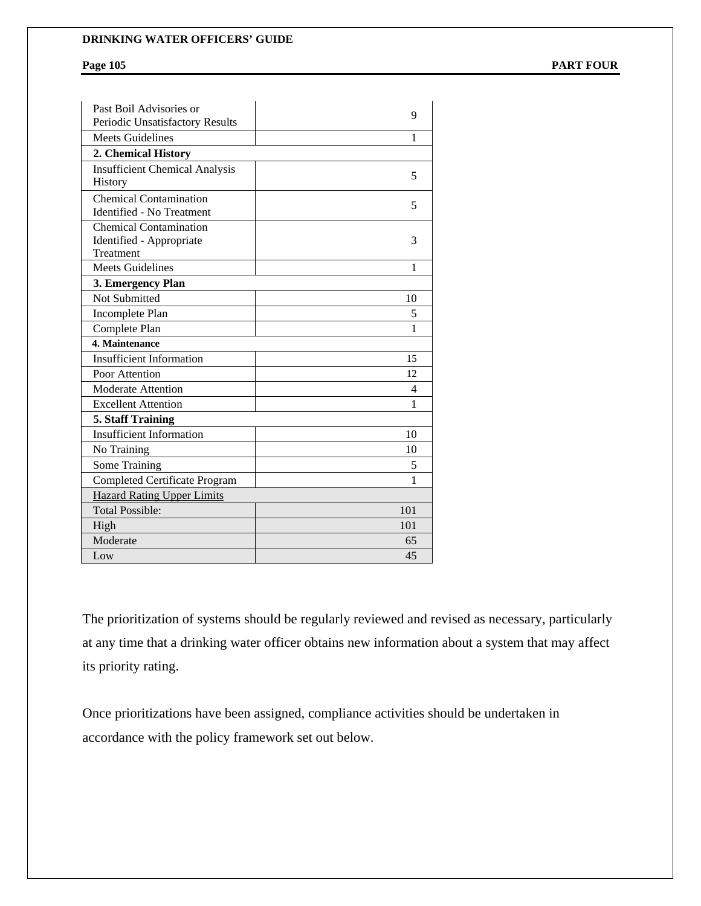**Page 105 PART FOUR** 

| Past Boil Advisories or<br>Periodic Unsatisfactory Results             | 9   |
|------------------------------------------------------------------------|-----|
| <b>Meets Guidelines</b>                                                | 1   |
| 2. Chemical History                                                    |     |
| <b>Insufficient Chemical Analysis</b><br>History                       | 5   |
| <b>Chemical Contamination</b><br><b>Identified - No Treatment</b>      | 5   |
| <b>Chemical Contamination</b><br>Identified - Appropriate<br>Treatment | 3   |
| <b>Meets Guidelines</b>                                                | 1   |
| 3. Emergency Plan                                                      |     |
| Not Submitted                                                          | 10  |
| Incomplete Plan                                                        | 5   |
| Complete Plan                                                          | 1   |
| 4. Maintenance                                                         |     |
| <b>Insufficient Information</b>                                        | 15  |
| Poor Attention                                                         | 12  |
| <b>Moderate Attention</b>                                              | 4   |
| <b>Excellent Attention</b>                                             | 1   |
| 5. Staff Training                                                      |     |
| <b>Insufficient Information</b>                                        | 10  |
| No Training                                                            | 10  |
| Some Training                                                          | 5   |
| <b>Completed Certificate Program</b>                                   | 1   |
| <b>Hazard Rating Upper Limits</b>                                      |     |
| <b>Total Possible:</b>                                                 | 101 |
| High                                                                   | 101 |
| Moderate                                                               | 65  |
| Low                                                                    | 45  |

The prioritization of systems should be regularly reviewed and revised as necessary, particularly at any time that a drinking water officer obtains new information about a system that may affect its priority rating.

Once prioritizations have been assigned, compliance activities should be undertaken in accordance with the policy framework set out below.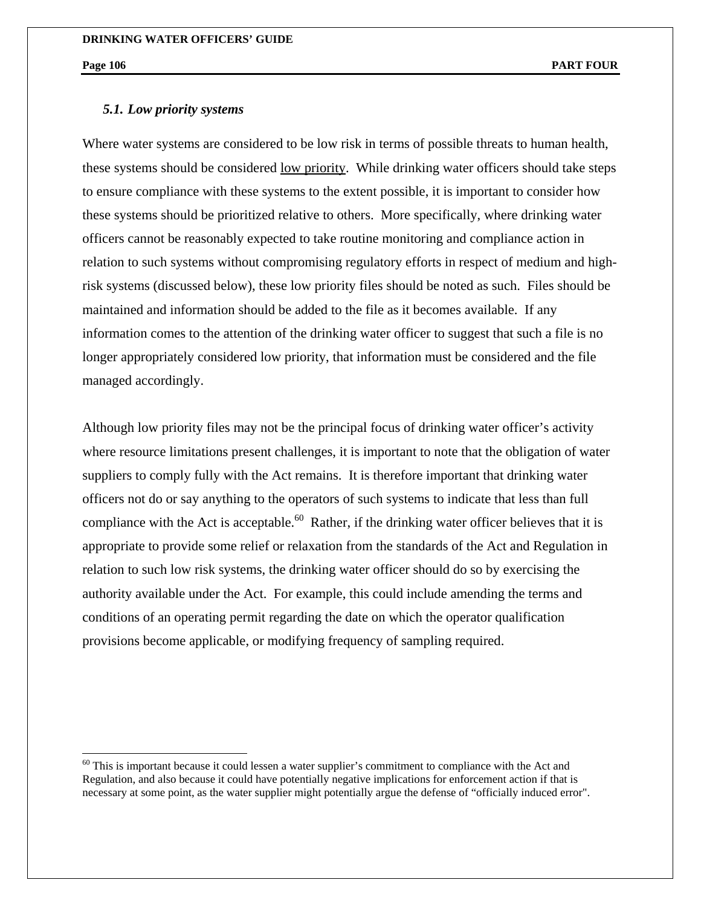1

## *5.1. Low priority systems*

Where water systems are considered to be low risk in terms of possible threats to human health, these systems should be considered low priority. While drinking water officers should take steps to ensure compliance with these systems to the extent possible, it is important to consider how these systems should be prioritized relative to others. More specifically, where drinking water officers cannot be reasonably expected to take routine monitoring and compliance action in relation to such systems without compromising regulatory efforts in respect of medium and highrisk systems (discussed below), these low priority files should be noted as such. Files should be maintained and information should be added to the file as it becomes available. If any information comes to the attention of the drinking water officer to suggest that such a file is no longer appropriately considered low priority, that information must be considered and the file managed accordingly.

Although low priority files may not be the principal focus of drinking water officer's activity where resource limitations present challenges, it is important to note that the obligation of water suppliers to comply fully with the Act remains. It is therefore important that drinking water officers not do or say anything to the operators of such systems to indicate that less than full compliance with the Act is acceptable.<sup>60</sup> Rather, if the drinking water officer believes that it is appropriate to provide some relief or relaxation from the standards of the Act and Regulation in relation to such low risk systems, the drinking water officer should do so by exercising the authority available under the Act. For example, this could include amending the terms and conditions of an operating permit regarding the date on which the operator qualification provisions become applicable, or modifying frequency of sampling required.

 $60$  This is important because it could lessen a water supplier's commitment to compliance with the Act and Regulation, and also because it could have potentially negative implications for enforcement action if that is necessary at some point, as the water supplier might potentially argue the defense of "officially induced error".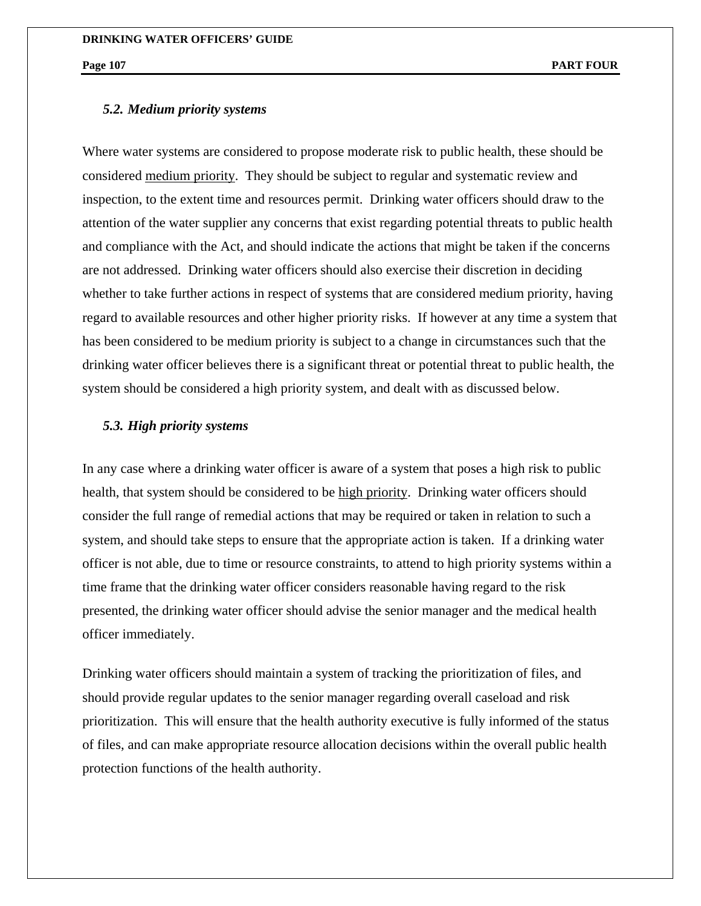## *5.2. Medium priority systems*

Where water systems are considered to propose moderate risk to public health, these should be considered medium priority. They should be subject to regular and systematic review and inspection, to the extent time and resources permit. Drinking water officers should draw to the attention of the water supplier any concerns that exist regarding potential threats to public health and compliance with the Act, and should indicate the actions that might be taken if the concerns are not addressed. Drinking water officers should also exercise their discretion in deciding whether to take further actions in respect of systems that are considered medium priority, having regard to available resources and other higher priority risks. If however at any time a system that has been considered to be medium priority is subject to a change in circumstances such that the drinking water officer believes there is a significant threat or potential threat to public health, the system should be considered a high priority system, and dealt with as discussed below.

## *5.3. High priority systems*

In any case where a drinking water officer is aware of a system that poses a high risk to public health, that system should be considered to be high priority. Drinking water officers should consider the full range of remedial actions that may be required or taken in relation to such a system, and should take steps to ensure that the appropriate action is taken. If a drinking water officer is not able, due to time or resource constraints, to attend to high priority systems within a time frame that the drinking water officer considers reasonable having regard to the risk presented, the drinking water officer should advise the senior manager and the medical health officer immediately.

Drinking water officers should maintain a system of tracking the prioritization of files, and should provide regular updates to the senior manager regarding overall caseload and risk prioritization. This will ensure that the health authority executive is fully informed of the status of files, and can make appropriate resource allocation decisions within the overall public health protection functions of the health authority.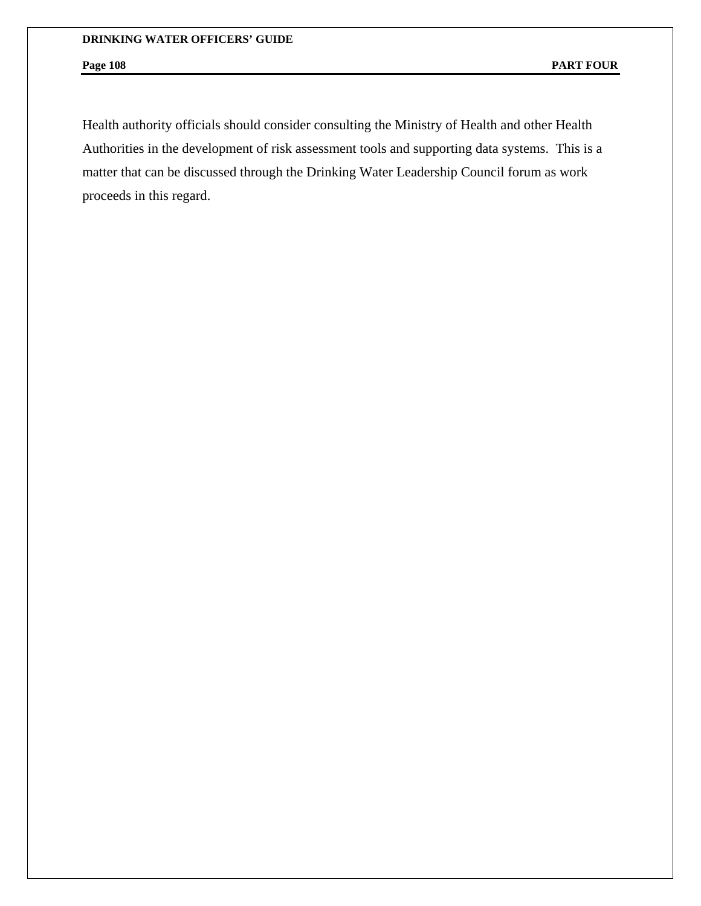Health authority officials should consider consulting the Ministry of Health and other Health Authorities in the development of risk assessment tools and supporting data systems. This is a matter that can be discussed through the Drinking Water Leadership Council forum as work proceeds in this regard.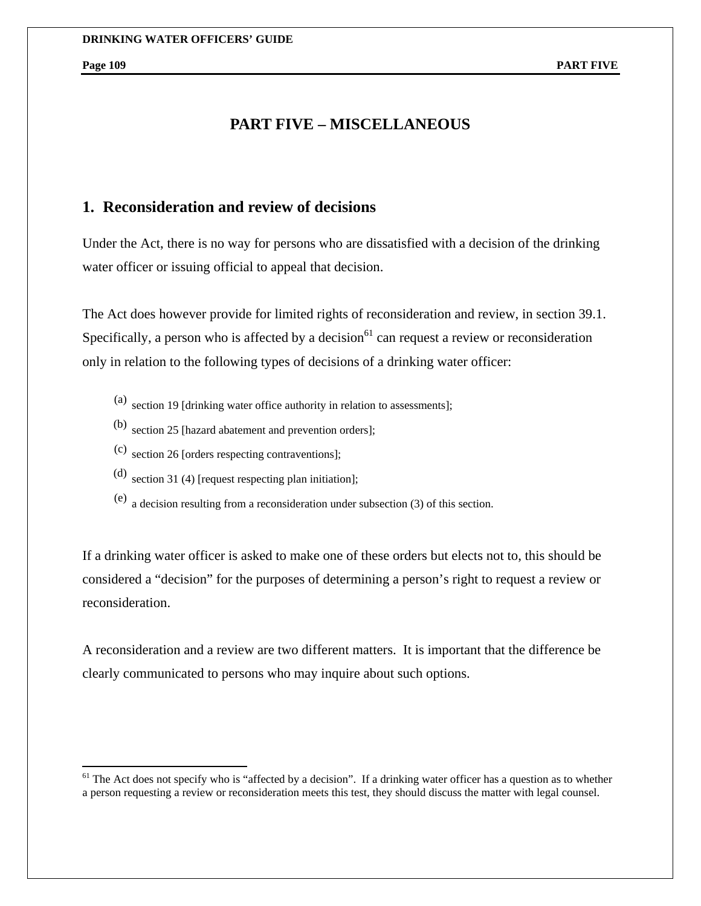$\overline{a}$ 

# **PART FIVE – MISCELLANEOUS**

# **1. Reconsideration and review of decisions**

Under the Act, there is no way for persons who are dissatisfied with a decision of the drinking water officer or issuing official to appeal that decision.

The Act does however provide for limited rights of reconsideration and review, in section 39.1. Specifically, a person who is affected by a decision<sup>61</sup> can request a review or reconsideration only in relation to the following types of decisions of a drinking water officer:

- (a) section 19 [drinking water office authority in relation to assessments];
- (b) section 25 [hazard abatement and prevention orders];
- (c) section 26 [orders respecting contraventions];
- (d) section 31 (4) [request respecting plan initiation];
- (e) a decision resulting from a reconsideration under subsection (3) of this section.

If a drinking water officer is asked to make one of these orders but elects not to, this should be considered a "decision" for the purposes of determining a person's right to request a review or reconsideration.

A reconsideration and a review are two different matters. It is important that the difference be clearly communicated to persons who may inquire about such options.

 $<sup>61</sup>$  The Act does not specify who is "affected by a decision". If a drinking water officer has a question as to whether</sup> a person requesting a review or reconsideration meets this test, they should discuss the matter with legal counsel.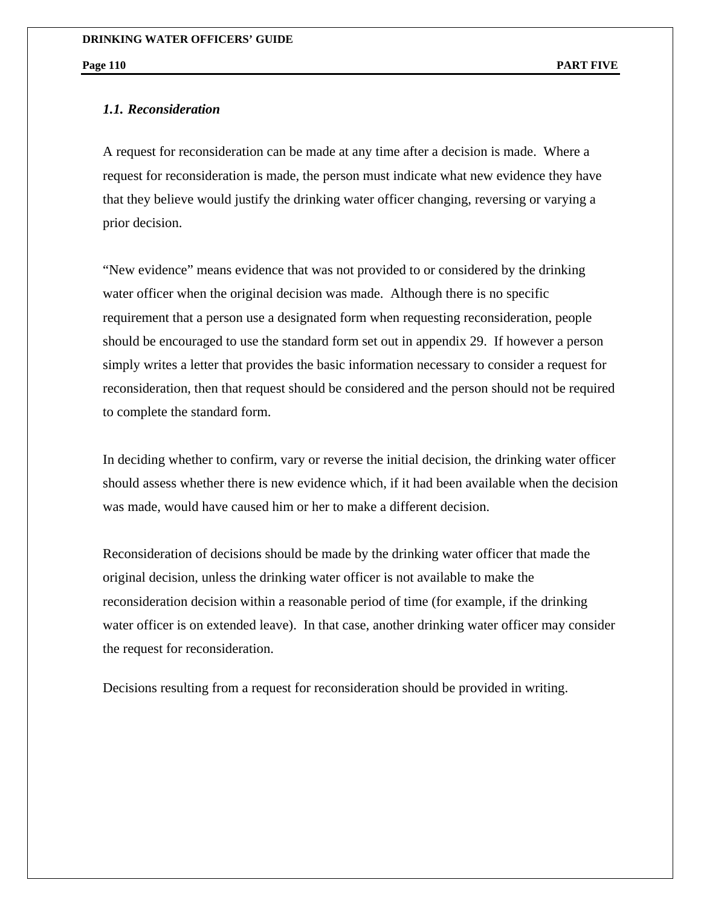# *1.1. Reconsideration*

A request for reconsideration can be made at any time after a decision is made. Where a request for reconsideration is made, the person must indicate what new evidence they have that they believe would justify the drinking water officer changing, reversing or varying a prior decision.

"New evidence" means evidence that was not provided to or considered by the drinking water officer when the original decision was made. Although there is no specific requirement that a person use a designated form when requesting reconsideration, people should be encouraged to use the standard form set out in appendix 29. If however a person simply writes a letter that provides the basic information necessary to consider a request for reconsideration, then that request should be considered and the person should not be required to complete the standard form.

In deciding whether to confirm, vary or reverse the initial decision, the drinking water officer should assess whether there is new evidence which, if it had been available when the decision was made, would have caused him or her to make a different decision.

Reconsideration of decisions should be made by the drinking water officer that made the original decision, unless the drinking water officer is not available to make the reconsideration decision within a reasonable period of time (for example, if the drinking water officer is on extended leave). In that case, another drinking water officer may consider the request for reconsideration.

Decisions resulting from a request for reconsideration should be provided in writing.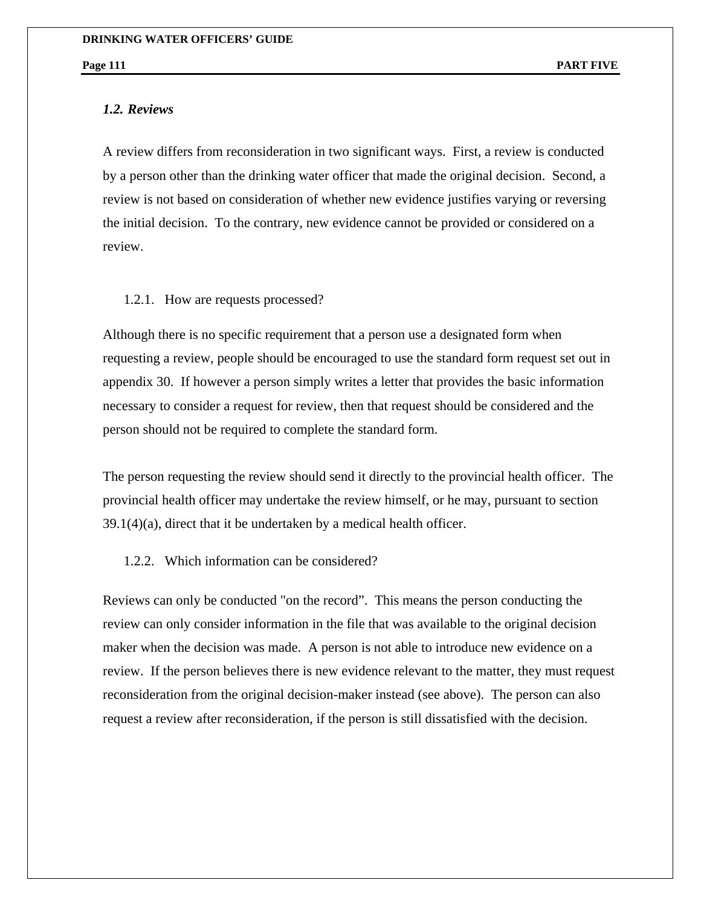*1.2. Reviews* 

A review differs from reconsideration in two significant ways. First, a review is conducted by a person other than the drinking water officer that made the original decision. Second, a review is not based on consideration of whether new evidence justifies varying or reversing the initial decision. To the contrary, new evidence cannot be provided or considered on a review.

### 1.2.1. How are requests processed?

Although there is no specific requirement that a person use a designated form when requesting a review, people should be encouraged to use the standard form request set out in appendix 30. If however a person simply writes a letter that provides the basic information necessary to consider a request for review, then that request should be considered and the person should not be required to complete the standard form.

The person requesting the review should send it directly to the provincial health officer. The provincial health officer may undertake the review himself, or he may, pursuant to section  $39.1(4)(a)$ , direct that it be undertaken by a medical health officer.

## 1.2.2. Which information can be considered?

Reviews can only be conducted "on the record". This means the person conducting the review can only consider information in the file that was available to the original decision maker when the decision was made. A person is not able to introduce new evidence on a review. If the person believes there is new evidence relevant to the matter, they must request reconsideration from the original decision-maker instead (see above). The person can also request a review after reconsideration, if the person is still dissatisfied with the decision.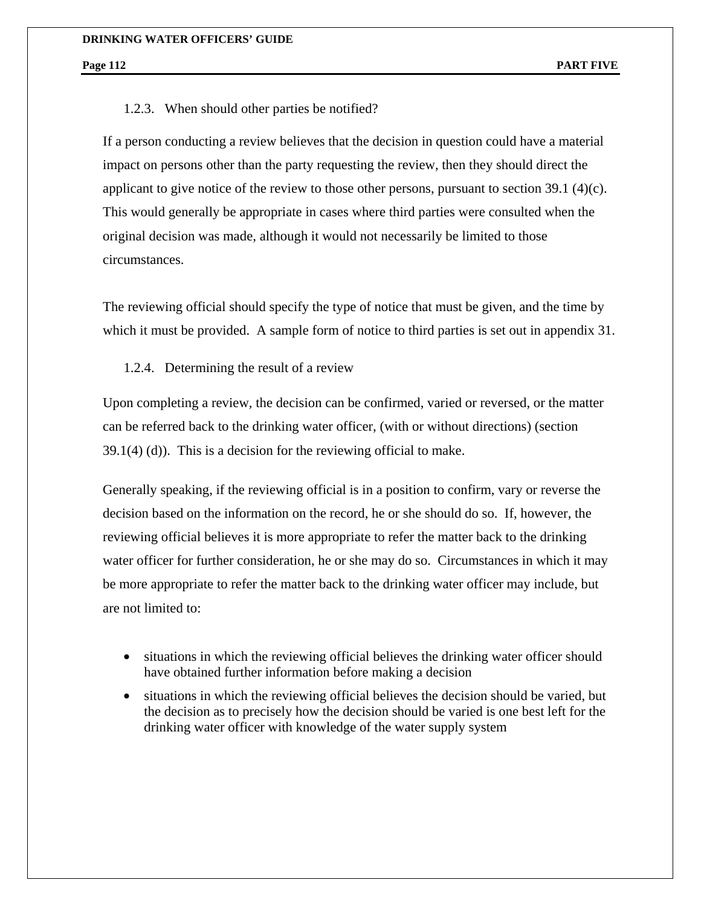### 1.2.3. When should other parties be notified?

If a person conducting a review believes that the decision in question could have a material impact on persons other than the party requesting the review, then they should direct the applicant to give notice of the review to those other persons, pursuant to section 39.1 (4)(c). This would generally be appropriate in cases where third parties were consulted when the original decision was made, although it would not necessarily be limited to those circumstances.

The reviewing official should specify the type of notice that must be given, and the time by which it must be provided. A sample form of notice to third parties is set out in appendix 31.

1.2.4. Determining the result of a review

Upon completing a review, the decision can be confirmed, varied or reversed, or the matter can be referred back to the drinking water officer, (with or without directions) (section 39.1(4) (d)). This is a decision for the reviewing official to make.

Generally speaking, if the reviewing official is in a position to confirm, vary or reverse the decision based on the information on the record, he or she should do so. If, however, the reviewing official believes it is more appropriate to refer the matter back to the drinking water officer for further consideration, he or she may do so. Circumstances in which it may be more appropriate to refer the matter back to the drinking water officer may include, but are not limited to:

- situations in which the reviewing official believes the drinking water officer should have obtained further information before making a decision
- situations in which the reviewing official believes the decision should be varied, but the decision as to precisely how the decision should be varied is one best left for the drinking water officer with knowledge of the water supply system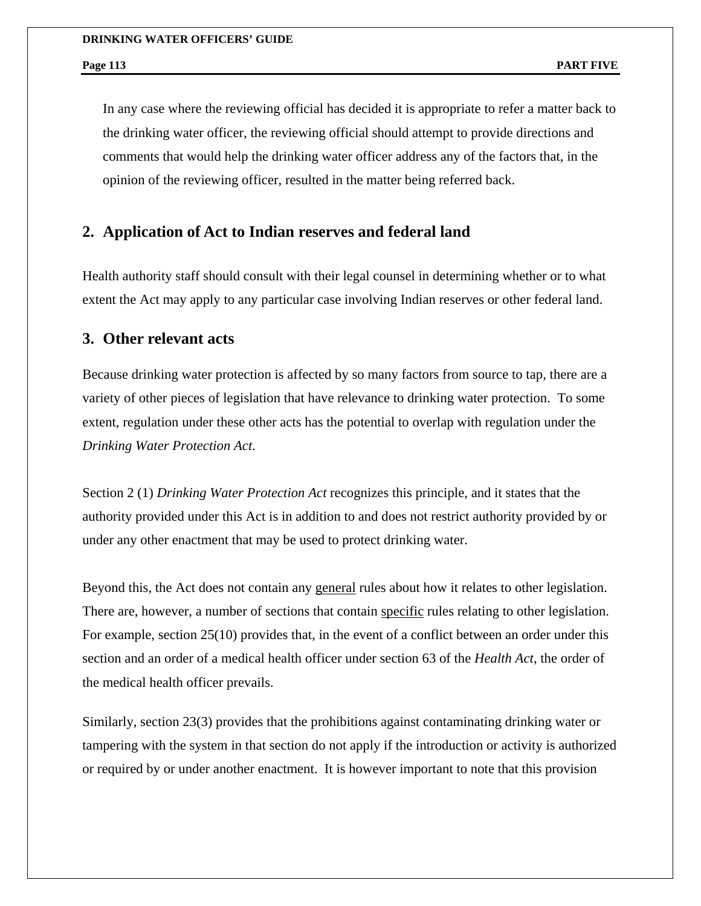In any case where the reviewing official has decided it is appropriate to refer a matter back to the drinking water officer, the reviewing official should attempt to provide directions and comments that would help the drinking water officer address any of the factors that, in the opinion of the reviewing officer, resulted in the matter being referred back.

# **2. Application of Act to Indian reserves and federal land**

Health authority staff should consult with their legal counsel in determining whether or to what extent the Act may apply to any particular case involving Indian reserves or other federal land.

# **3. Other relevant acts**

Because drinking water protection is affected by so many factors from source to tap, there are a variety of other pieces of legislation that have relevance to drinking water protection. To some extent, regulation under these other acts has the potential to overlap with regulation under the *Drinking Water Protection Act*.

Section 2 (1) *Drinking Water Protection Act* recognizes this principle, and it states that the authority provided under this Act is in addition to and does not restrict authority provided by or under any other enactment that may be used to protect drinking water.

Beyond this, the Act does not contain any general rules about how it relates to other legislation. There are, however, a number of sections that contain specific rules relating to other legislation. For example, section 25(10) provides that, in the event of a conflict between an order under this section and an order of a medical health officer under section 63 of the *Health Act*, the order of the medical health officer prevails.

Similarly, section 23(3) provides that the prohibitions against contaminating drinking water or tampering with the system in that section do not apply if the introduction or activity is authorized or required by or under another enactment. It is however important to note that this provision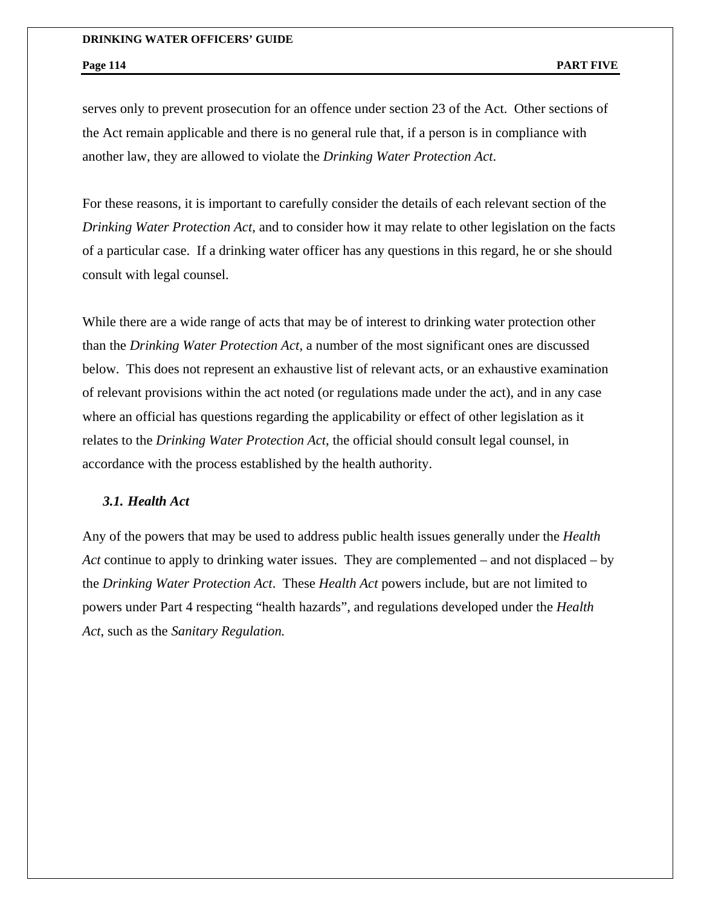serves only to prevent prosecution for an offence under section 23 of the Act. Other sections of the Act remain applicable and there is no general rule that, if a person is in compliance with another law, they are allowed to violate the *Drinking Water Protection Act*.

For these reasons, it is important to carefully consider the details of each relevant section of the *Drinking Water Protection Act*, and to consider how it may relate to other legislation on the facts of a particular case. If a drinking water officer has any questions in this regard, he or she should consult with legal counsel.

While there are a wide range of acts that may be of interest to drinking water protection other than the *Drinking Water Protection Act*, a number of the most significant ones are discussed below. This does not represent an exhaustive list of relevant acts, or an exhaustive examination of relevant provisions within the act noted (or regulations made under the act), and in any case where an official has questions regarding the applicability or effect of other legislation as it relates to the *Drinking Water Protection Act*, the official should consult legal counsel, in accordance with the process established by the health authority.

### *3.1. Health Act*

Any of the powers that may be used to address public health issues generally under the *Health Act* continue to apply to drinking water issues. They are complemented – and not displaced – by the *Drinking Water Protection Act*. These *Health Act* powers include, but are not limited to powers under Part 4 respecting "health hazards", and regulations developed under the *Health Act*, such as the *Sanitary Regulation.*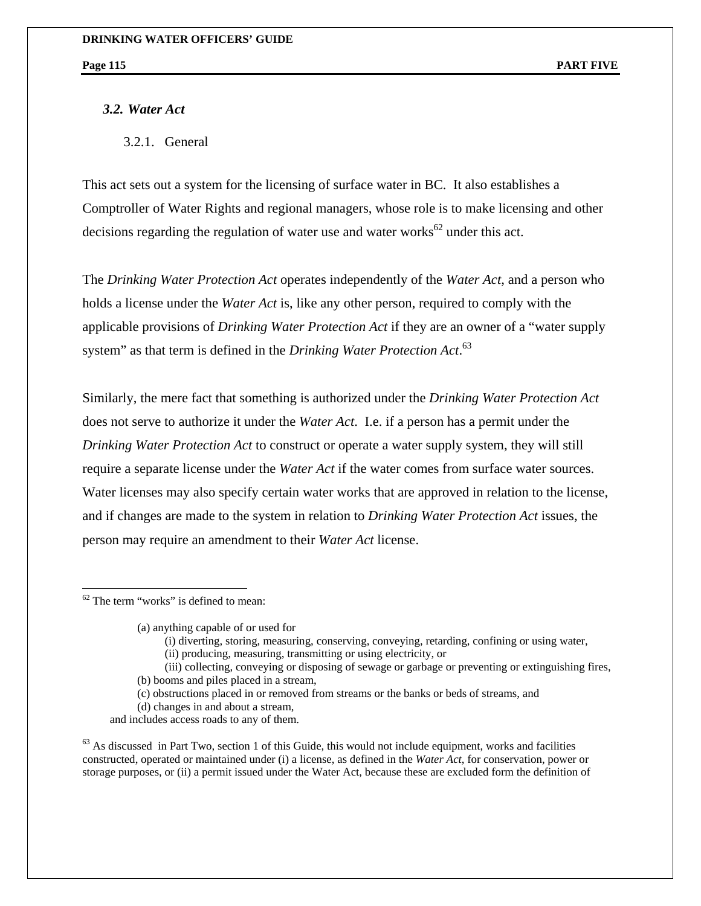# *3.2. Water Act*

3.2.1. General

This act sets out a system for the licensing of surface water in BC. It also establishes a Comptroller of Water Rights and regional managers, whose role is to make licensing and other decisions regarding the regulation of water use and water works<sup>62</sup> under this act.

The *Drinking Water Protection Act* operates independently of the *Water Act*, and a person who holds a license under the *Water Act* is, like any other person, required to comply with the applicable provisions of *Drinking Water Protection Act* if they are an owner of a "water supply system" as that term is defined in the *Drinking Water Protection Act*. 63

Similarly, the mere fact that something is authorized under the *Drinking Water Protection Act* does not serve to authorize it under the *Water Act*. I.e. if a person has a permit under the *Drinking Water Protection Act* to construct or operate a water supply system, they will still require a separate license under the *Water Act* if the water comes from surface water sources. Water licenses may also specify certain water works that are approved in relation to the license, and if changes are made to the system in relation to *Drinking Water Protection Act* issues, the person may require an amendment to their *Water Act* license.

 $62$  The term "works" is defined to mean:

 $\overline{a}$ 

(a) anything capable of or used for

- (i) diverting, storing, measuring, conserving, conveying, retarding, confining or using water,
- (ii) producing, measuring, transmitting or using electricity, or
- (iii) collecting, conveying or disposing of sewage or garbage or preventing or extinguishing fires, (b) booms and piles placed in a stream,
- (c) obstructions placed in or removed from streams or the banks or beds of streams, and
- (d) changes in and about a stream,
- and includes access roads to any of them.

 $63$  As discussed in Part Two, section 1 of this Guide, this would not include equipment, works and facilities constructed, operated or maintained under (i) a license, as defined in the *Water Act*, for conservation, power or storage purposes, or (ii) a permit issued under the Water Act, because these are excluded form the definition of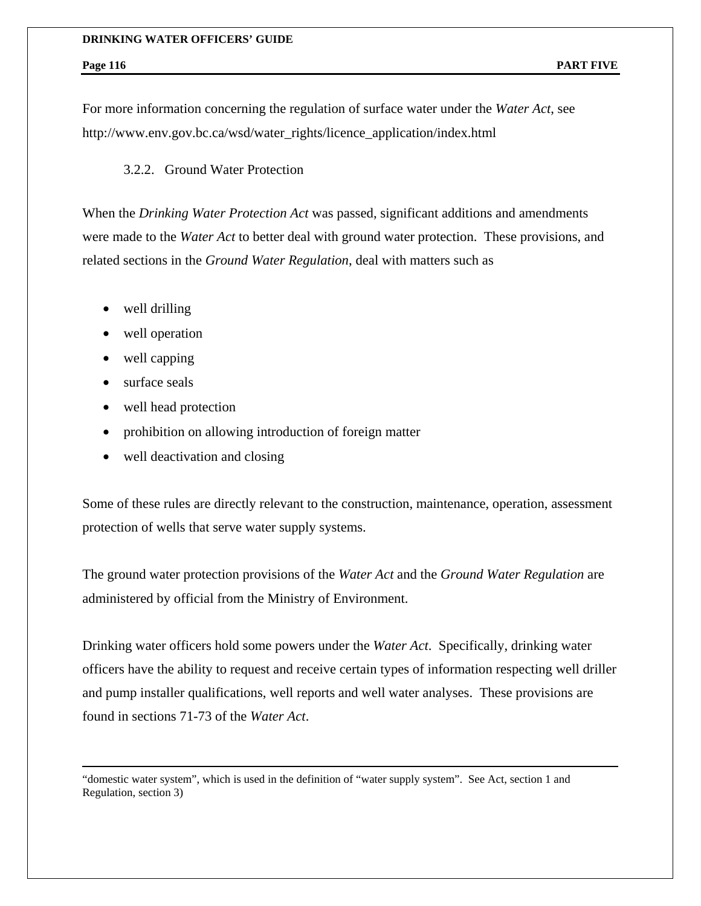For more information concerning the regulation of surface water under the *Water Act*, see http://www.env.gov.bc.ca/wsd/water\_rights/licence\_application/index.html

## 3.2.2. Ground Water Protection

When the *Drinking Water Protection Act* was passed, significant additions and amendments were made to the *Water Act* to better deal with ground water protection. These provisions, and related sections in the *Ground Water Regulation*, deal with matters such as

- well drilling
- well operation
- well capping
- surface seals

 $\overline{a}$ 

- well head protection
- prohibition on allowing introduction of foreign matter
- well deactivation and closing

Some of these rules are directly relevant to the construction, maintenance, operation, assessment protection of wells that serve water supply systems.

The ground water protection provisions of the *Water Act* and the *Ground Water Regulation* are administered by official from the Ministry of Environment.

Drinking water officers hold some powers under the *Water Act*. Specifically, drinking water officers have the ability to request and receive certain types of information respecting well driller and pump installer qualifications, well reports and well water analyses. These provisions are found in sections 71-73 of the *Water Act*.

"domestic water system", which is used in the definition of "water supply system". See Act, section 1 and Regulation, section 3)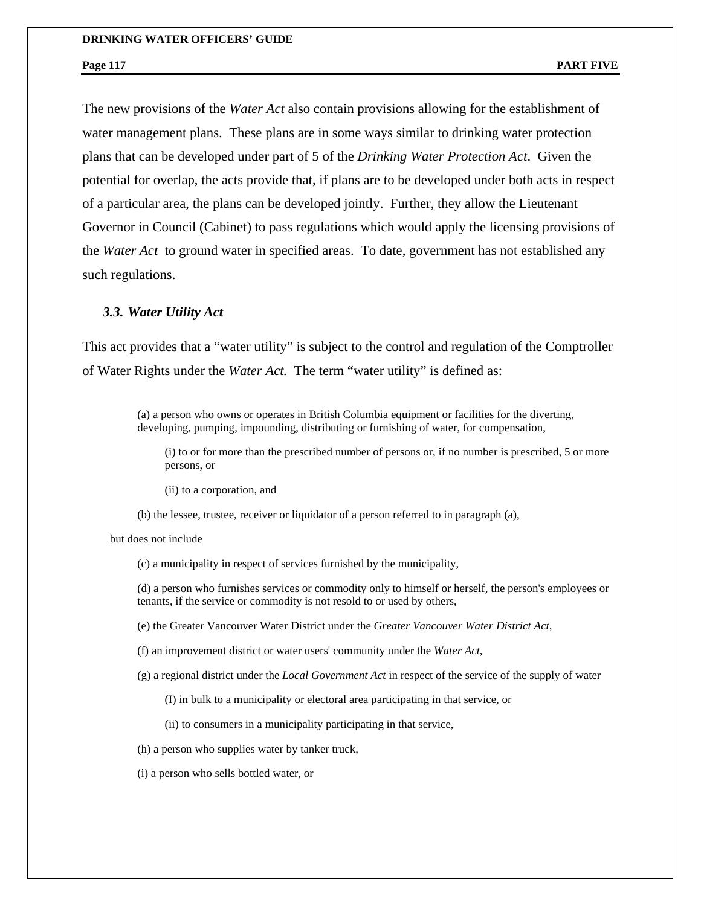The new provisions of the *Water Act* also contain provisions allowing for the establishment of water management plans. These plans are in some ways similar to drinking water protection plans that can be developed under part of 5 of the *Drinking Water Protection Act*. Given the potential for overlap, the acts provide that, if plans are to be developed under both acts in respect of a particular area, the plans can be developed jointly. Further, they allow the Lieutenant Governor in Council (Cabinet) to pass regulations which would apply the licensing provisions of the *Water Act* to ground water in specified areas. To date, government has not established any such regulations.

### *3.3. Water Utility Act*

This act provides that a "water utility" is subject to the control and regulation of the Comptroller of Water Rights under the *Water Act.* The term "water utility" is defined as:

> (a) a person who owns or operates in British Columbia equipment or facilities for the diverting, developing, pumping, impounding, distributing or furnishing of water, for compensation,

(i) to or for more than the prescribed number of persons or, if no number is prescribed, 5 or more persons, or

(ii) to a corporation, and

(b) the lessee, trustee, receiver or liquidator of a person referred to in paragraph (a),

but does not include

(c) a municipality in respect of services furnished by the municipality,

(d) a person who furnishes services or commodity only to himself or herself, the person's employees or tenants, if the service or commodity is not resold to or used by others,

(e) the Greater Vancouver Water District under the *Greater Vancouver Water District Act*,

(f) an improvement district or water users' community under the *Water Act*,

(g) a regional district under the *Local Government Act* in respect of the service of the supply of water

(I) in bulk to a municipality or electoral area participating in that service, or

(ii) to consumers in a municipality participating in that service,

(h) a person who supplies water by tanker truck,

(i) a person who sells bottled water, or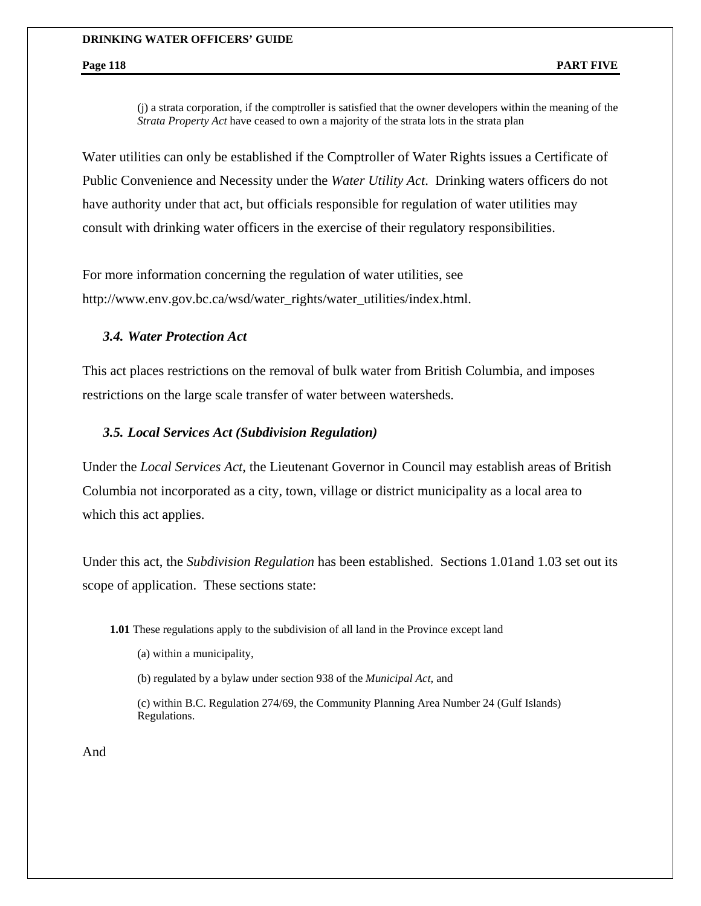(j) a strata corporation, if the comptroller is satisfied that the owner developers within the meaning of the *Strata Property Act* have ceased to own a majority of the strata lots in the strata plan

Water utilities can only be established if the Comptroller of Water Rights issues a Certificate of Public Convenience and Necessity under the *Water Utility Act*. Drinking waters officers do not have authority under that act, but officials responsible for regulation of water utilities may consult with drinking water officers in the exercise of their regulatory responsibilities.

For more information concerning the regulation of water utilities, see http://www.env.gov.bc.ca/wsd/water\_rights/water\_utilities/index.html.

## *3.4. Water Protection Act*

This act places restrictions on the removal of bulk water from British Columbia, and imposes restrictions on the large scale transfer of water between watersheds.

### *3.5. Local Services Act (Subdivision Regulation)*

Under the *Local Services Act*, the Lieutenant Governor in Council may establish areas of British Columbia not incorporated as a city, town, village or district municipality as a local area to which this act applies.

Under this act, the *Subdivision Regulation* has been established. Sections 1.01and 1.03 set out its scope of application. These sections state:

**1.01** These regulations apply to the subdivision of all land in the Province except land

(a) within a municipality,

(b) regulated by a bylaw under section 938 of the *Municipal Act*, and

(c) within B.C. Regulation 274/69, the Community Planning Area Number 24 (Gulf Islands) Regulations.

And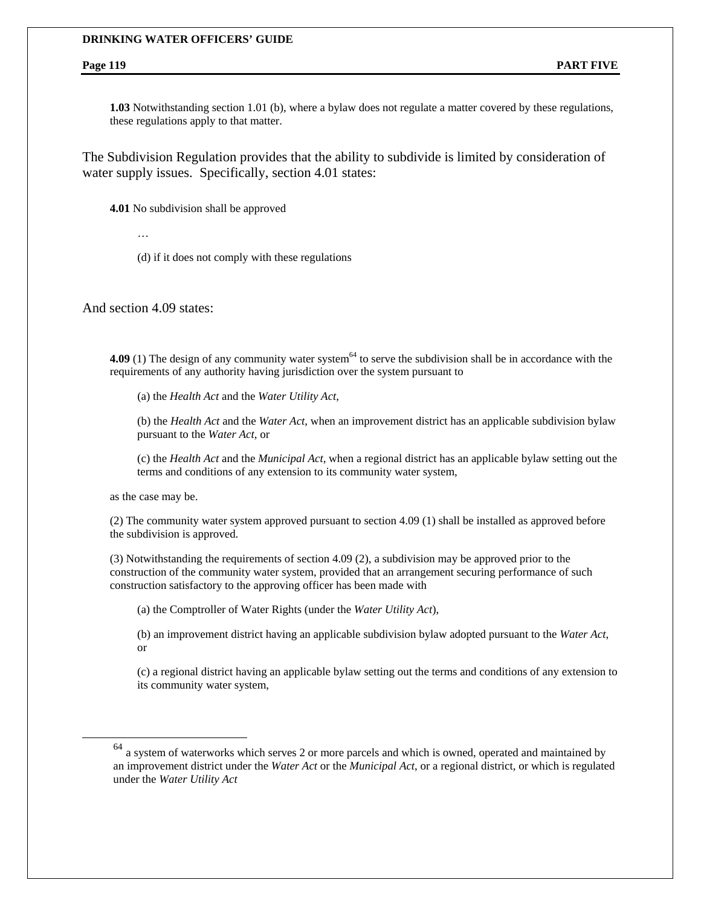**1.03** Notwithstanding section 1.01 (b), where a bylaw does not regulate a matter covered by these regulations, these regulations apply to that matter.

The Subdivision Regulation provides that the ability to subdivide is limited by consideration of water supply issues. Specifically, section 4.01 states:

**4.01** No subdivision shall be approved

…

(d) if it does not comply with these regulations

And section 4.09 states:

**4.09** (1) The design of any community water system<sup>64</sup> to serve the subdivision shall be in accordance with the requirements of any authority having jurisdiction over the system pursuant to

(a) the *Health Act* and the *Water Utility Act*,

(b) the *Health Act* and the *Water Act*, when an improvement district has an applicable subdivision bylaw pursuant to the *Water Act*, or

(c) the *Health Act* and the *Municipal Act*, when a regional district has an applicable bylaw setting out the terms and conditions of any extension to its community water system,

as the case may be.

(2) The community water system approved pursuant to section 4.09 (1) shall be installed as approved before the subdivision is approved.

(3) Notwithstanding the requirements of section 4.09 (2), a subdivision may be approved prior to the construction of the community water system, provided that an arrangement securing performance of such construction satisfactory to the approving officer has been made with

(a) the Comptroller of Water Rights (under the *Water Utility Act*),

(b) an improvement district having an applicable subdivision bylaw adopted pursuant to the *Water Act*, or

(c) a regional district having an applicable bylaw setting out the terms and conditions of any extension to its community water system,

<sup>64</sup> a system of waterworks which serves 2 or more parcels and which is owned, operated and maintained by an improvement district under the *Water Act* or the *Municipal Act*, or a regional district, or which is regulated under the *Water Utility Act*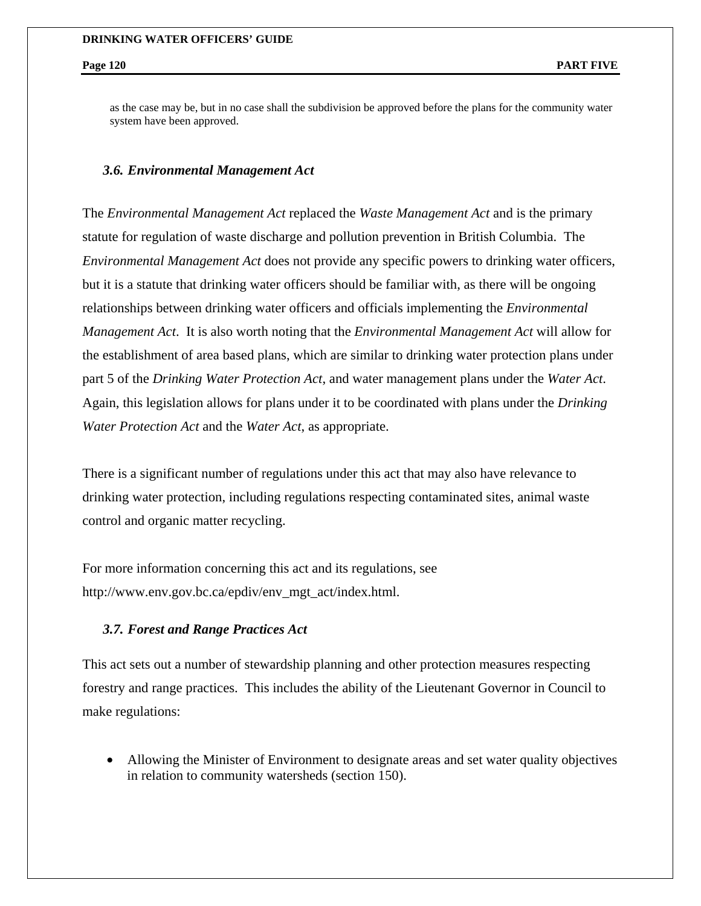as the case may be, but in no case shall the subdivision be approved before the plans for the community water system have been approved.

## *3.6. Environmental Management Act*

The *Environmental Management Act* replaced the *Waste Management Act* and is the primary statute for regulation of waste discharge and pollution prevention in British Columbia. The *Environmental Management Act* does not provide any specific powers to drinking water officers, but it is a statute that drinking water officers should be familiar with, as there will be ongoing relationships between drinking water officers and officials implementing the *Environmental Management Act*. It is also worth noting that the *Environmental Management Act* will allow for the establishment of area based plans, which are similar to drinking water protection plans under part 5 of the *Drinking Water Protection Act*, and water management plans under the *Water Act*. Again, this legislation allows for plans under it to be coordinated with plans under the *Drinking Water Protection Act* and the *Water Act*, as appropriate.

There is a significant number of regulations under this act that may also have relevance to drinking water protection, including regulations respecting contaminated sites, animal waste control and organic matter recycling.

For more information concerning this act and its regulations, see http://www.env.gov.bc.ca/epdiv/env\_mgt\_act/index.html.

## *3.7. Forest and Range Practices Act*

This act sets out a number of stewardship planning and other protection measures respecting forestry and range practices. This includes the ability of the Lieutenant Governor in Council to make regulations:

• Allowing the Minister of Environment to designate areas and set water quality objectives in relation to community watersheds (section 150).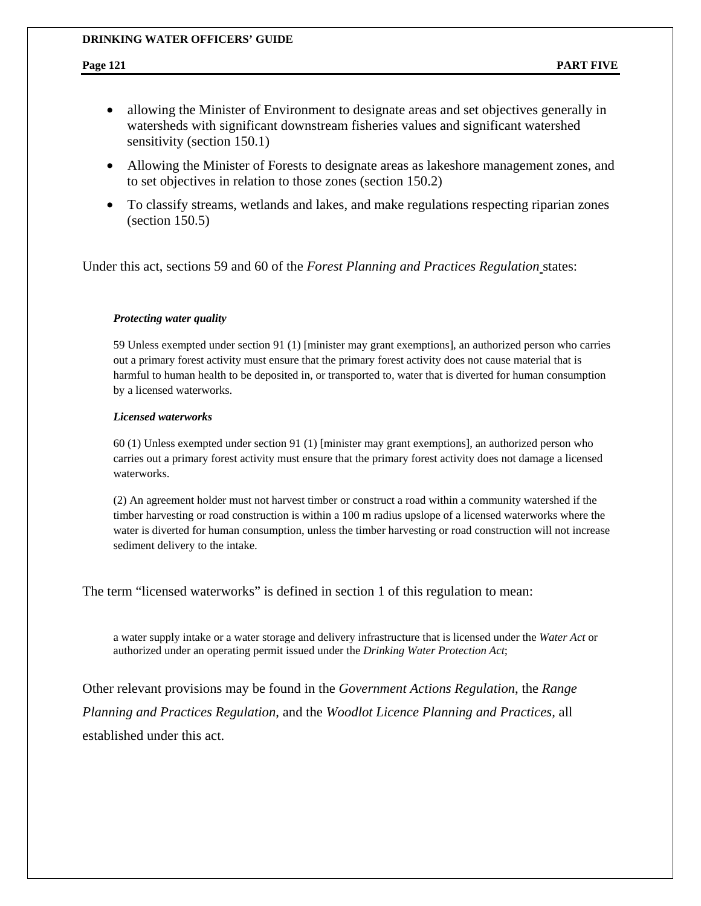- allowing the Minister of Environment to designate areas and set objectives generally in watersheds with significant downstream fisheries values and significant watershed sensitivity (section 150.1)
- Allowing the Minister of Forests to designate areas as lakeshore management zones, and to set objectives in relation to those zones (section 150.2)
- To classify streams, wetlands and lakes, and make regulations respecting riparian zones (section 150.5)

Under this act, sections 59 and 60 of the *Forest Planning and Practices Regulation* states:

### *Protecting water quality*

59 Unless exempted under section 91 (1) [minister may grant exemptions], an authorized person who carries out a primary forest activity must ensure that the primary forest activity does not cause material that is harmful to human health to be deposited in, or transported to, water that is diverted for human consumption by a licensed waterworks.

### *Licensed waterworks*

60 (1) Unless exempted under section 91 (1) [minister may grant exemptions], an authorized person who carries out a primary forest activity must ensure that the primary forest activity does not damage a licensed waterworks.

(2) An agreement holder must not harvest timber or construct a road within a community watershed if the timber harvesting or road construction is within a 100 m radius upslope of a licensed waterworks where the water is diverted for human consumption, unless the timber harvesting or road construction will not increase sediment delivery to the intake.

The term "licensed waterworks" is defined in section 1 of this regulation to mean:

a water supply intake or a water storage and delivery infrastructure that is licensed under the *Water Act* or authorized under an operating permit issued under the *Drinking Water Protection Act*;

Other relevant provisions may be found in the *Government Actions Regulation*, the *Range Planning and Practices Regulation*, and the *Woodlot Licence Planning and Practices,* all established under this act.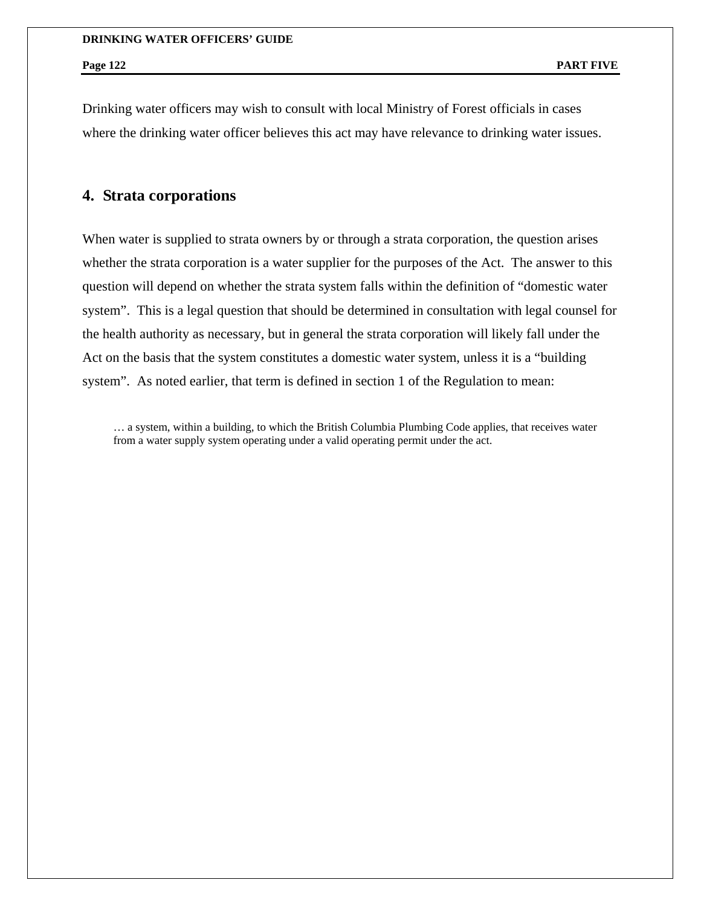Drinking water officers may wish to consult with local Ministry of Forest officials in cases where the drinking water officer believes this act may have relevance to drinking water issues.

# **4. Strata corporations**

When water is supplied to strata owners by or through a strata corporation, the question arises whether the strata corporation is a water supplier for the purposes of the Act. The answer to this question will depend on whether the strata system falls within the definition of "domestic water system". This is a legal question that should be determined in consultation with legal counsel for the health authority as necessary, but in general the strata corporation will likely fall under the Act on the basis that the system constitutes a domestic water system, unless it is a "building system". As noted earlier, that term is defined in section 1 of the Regulation to mean:

… a system, within a building, to which the British Columbia Plumbing Code applies, that receives water from a water supply system operating under a valid operating permit under the act.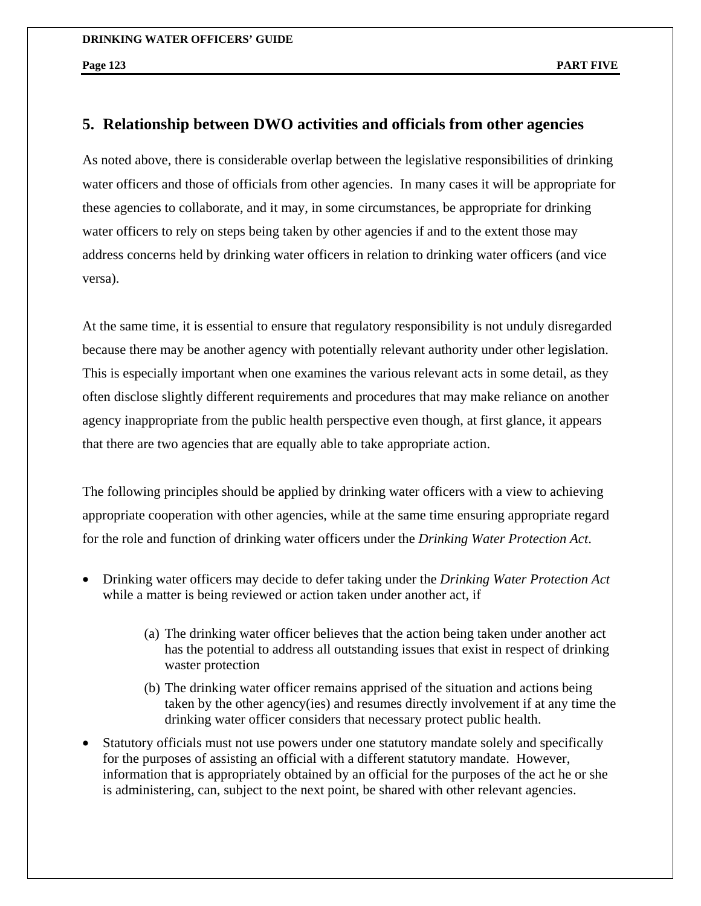# **5. Relationship between DWO activities and officials from other agencies**

As noted above, there is considerable overlap between the legislative responsibilities of drinking water officers and those of officials from other agencies. In many cases it will be appropriate for these agencies to collaborate, and it may, in some circumstances, be appropriate for drinking water officers to rely on steps being taken by other agencies if and to the extent those may address concerns held by drinking water officers in relation to drinking water officers (and vice versa).

At the same time, it is essential to ensure that regulatory responsibility is not unduly disregarded because there may be another agency with potentially relevant authority under other legislation. This is especially important when one examines the various relevant acts in some detail, as they often disclose slightly different requirements and procedures that may make reliance on another agency inappropriate from the public health perspective even though, at first glance, it appears that there are two agencies that are equally able to take appropriate action.

The following principles should be applied by drinking water officers with a view to achieving appropriate cooperation with other agencies, while at the same time ensuring appropriate regard for the role and function of drinking water officers under the *Drinking Water Protection Act*.

- Drinking water officers may decide to defer taking under the *Drinking Water Protection Act* while a matter is being reviewed or action taken under another act, if
	- (a) The drinking water officer believes that the action being taken under another act has the potential to address all outstanding issues that exist in respect of drinking waster protection
	- (b) The drinking water officer remains apprised of the situation and actions being taken by the other agency(ies) and resumes directly involvement if at any time the drinking water officer considers that necessary protect public health.
- Statutory officials must not use powers under one statutory mandate solely and specifically for the purposes of assisting an official with a different statutory mandate. However, information that is appropriately obtained by an official for the purposes of the act he or she is administering, can, subject to the next point, be shared with other relevant agencies.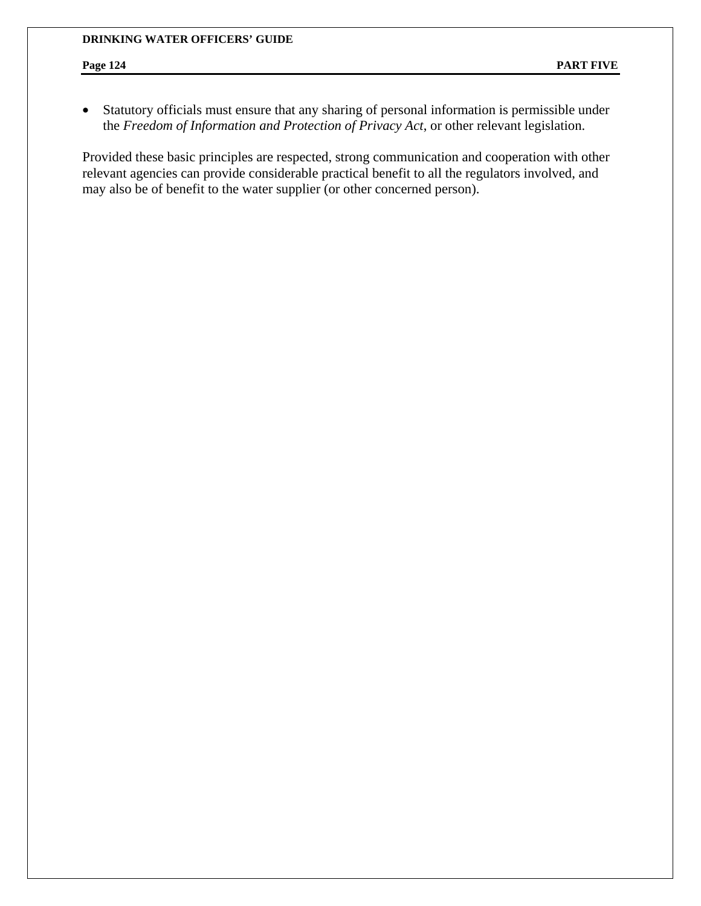• Statutory officials must ensure that any sharing of personal information is permissible under the *Freedom of Information and Protection of Privacy Act*, or other relevant legislation.

Provided these basic principles are respected, strong communication and cooperation with other relevant agencies can provide considerable practical benefit to all the regulators involved, and may also be of benefit to the water supplier (or other concerned person).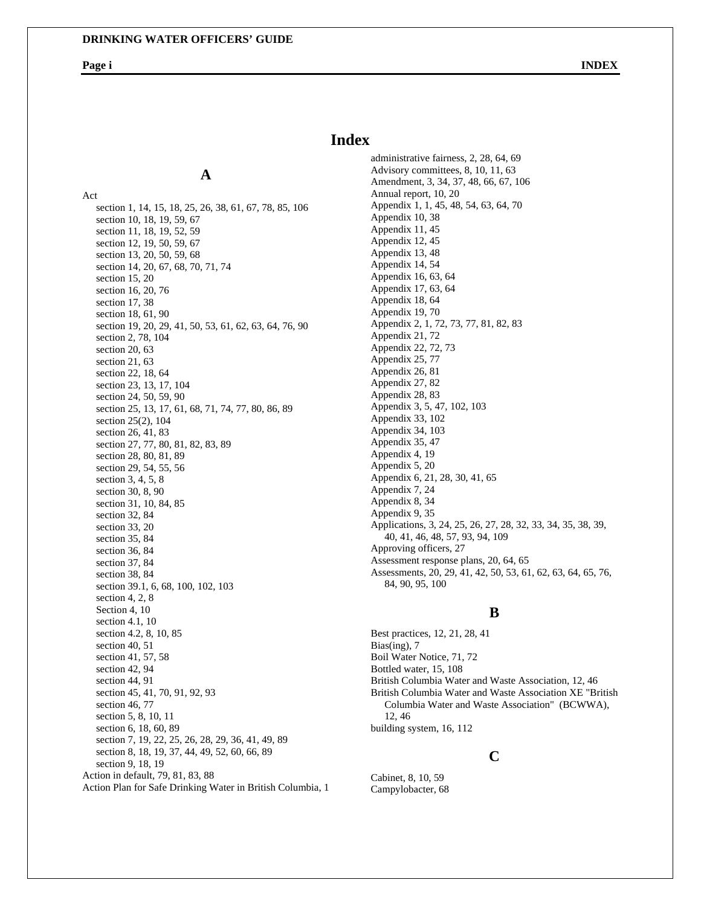**A**

# **Index**

Act section 1, 14, 15, 18, 25, 26, 38, 61, 67, 78, 85, 106 section 10, 18, 19, 59, 67 section 11, 18, 19, 52, 59 section 12, 19, 50, 59, 67 section 13, 20, 50, 59, 68 section 14, 20, 67, 68, 70, 71, 74 section 15, 20 section 16, 20, 76 section 17, 38 section 18, 61, 90 section 19, 20, 29, 41, 50, 53, 61, 62, 63, 64, 76, 90 section 2, 78, 104 section 20, 63 section 21, 63 section 22, 18, 64 section 23, 13, 17, 104 section 24, 50, 59, 90 section 25, 13, 17, 61, 68, 71, 74, 77, 80, 86, 89 section 25(2), 104 section 26, 41, 83 section 27, 77, 80, 81, 82, 83, 89 section 28, 80, 81, 89 section 29, 54, 55, 56 section 3, 4, 5, 8 section 30, 8, 90 section 31, 10, 84, 85 section 32, 84 section 33, 20 section 35, 84 section 36, 84 section 37, 84 section 38, 84 section 39.1, 6, 68, 100, 102, 103 section 4, 2, 8 Section 4, 10 section 4.1, 10 section 4.2, 8, 10, 85 section 40, 51 section 41, 57, 58 section 42, 94 section 44, 91 section 45, 41, 70, 91, 92, 93 section 46, 77 section 5, 8, 10, 11 section 6, 18, 60, 89 section 7, 19, 22, 25, 26, 28, 29, 36, 41, 49, 89 section 8, 18, 19, 37, 44, 49, 52, 60, 66, 89 section 9, 18, 19 Action in default, 79, 81, 83, 88 Action Plan for Safe Drinking Water in British Columbia, 1 administrative fairness, 2, 28, 64, 69 Advisory committees, 8, 10, 11, 63 Amendment, 3, 34, 37, 48, 66, 67, 106 Annual report, 10, 20 Appendix 1, 1, 45, 48, 54, 63, 64, 70 Appendix 10, 38 Appendix 11, 45 Appendix 12, 45 Appendix 13, 48 Appendix 14, 54 Appendix 16, 63, 64 Appendix 17, 63, 64 Appendix 18, 64 Appendix 19, 70 Appendix 2, 1, 72, 73, 77, 81, 82, 83 Appendix 21, 72 Appendix 22, 72, 73 Appendix 25, 77 Appendix 26, 81 Appendix 27, 82 Appendix 28, 83 Appendix 3, 5, 47, 102, 103 Appendix 33, 102 Appendix 34, 103 Appendix 35, 47 Appendix 4, 19 Appendix 5, 20 Appendix 6, 21, 28, 30, 41, 65 Appendix 7, 24 Appendix 8, 34 Appendix 9, 35 Applications, 3, 24, 25, 26, 27, 28, 32, 33, 34, 35, 38, 39, 40, 41, 46, 48, 57, 93, 94, 109 Approving officers, 27 Assessment response plans, 20, 64, 65 Assessments, 20, 29, 41, 42, 50, 53, 61, 62, 63, 64, 65, 76, 84, 90, 95, 100

## **B**

Best practices, 12, 21, 28, 41 Bias(ing), 7 Boil Water Notice, 71, 72 Bottled water, 15, 108 British Columbia Water and Waste Association, 12, 46 British Columbia Water and Waste Association XE "British Columbia Water and Waste Association" (BCWWA), 12, 46 building system, 16, 112

## **C**

Cabinet, 8, 10, 59 Campylobacter, 68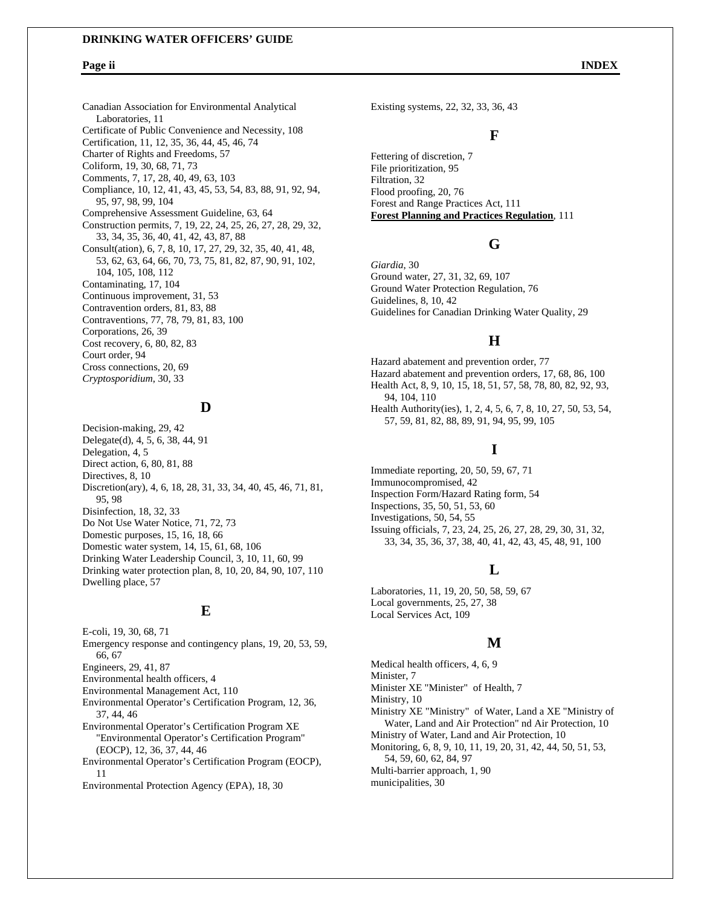Canadian Association for Environmental Analytical Laboratories, 11 Certificate of Public Convenience and Necessity, 108 Certification, 11, 12, 35, 36, 44, 45, 46, 74 Charter of Rights and Freedoms, 57 Coliform, 19, 30, 68, 71, 73 Comments, 7, 17, 28, 40, 49, 63, 103 Compliance, 10, 12, 41, 43, 45, 53, 54, 83, 88, 91, 92, 94, 95, 97, 98, 99, 104 Comprehensive Assessment Guideline, 63, 64 Construction permits, 7, 19, 22, 24, 25, 26, 27, 28, 29, 32, 33, 34, 35, 36, 40, 41, 42, 43, 87, 88 Consult(ation), 6, 7, 8, 10, 17, 27, 29, 32, 35, 40, 41, 48, 53, 62, 63, 64, 66, 70, 73, 75, 81, 82, 87, 90, 91, 102, 104, 105, 108, 112 Contaminating, 17, 104 Continuous improvement, 31, 53 Contravention orders, 81, 83, 88 Contraventions, 77, 78, 79, 81, 83, 100 Corporations, 26, 39 Cost recovery, 6, 80, 82, 83 Court order, 94 Cross connections, 20, 69 *Cryptosporidium*, 30, 33

## **D**

Decision-making, 29, 42 Delegate(d), 4, 5, 6, 38, 44, 91 Delegation, 4, 5 Direct action, 6, 80, 81, 88 Directives, 8, 10 Discretion(ary), 4, 6, 18, 28, 31, 33, 34, 40, 45, 46, 71, 81, 95, 98 Disinfection, 18, 32, 33 Do Not Use Water Notice, 71, 72, 73 Domestic purposes, 15, 16, 18, 66 Domestic water system, 14, 15, 61, 68, 106 Drinking Water Leadership Council, 3, 10, 11, 60, 99 Drinking water protection plan, 8, 10, 20, 84, 90, 107, 110 Dwelling place, 57

### **E**

E-coli, 19, 30, 68, 71 Emergency response and contingency plans, 19, 20, 53, 59, 66, 67 Engineers, 29, 41, 87 Environmental health officers, 4 Environmental Management Act, 110 Environmental Operator's Certification Program, 12, 36, 37, 44, 46 Environmental Operator's Certification Program XE "Environmental Operator's Certification Program" (EOCP), 12, 36, 37, 44, 46 Environmental Operator's Certification Program (EOCP), 11

Environmental Protection Agency (EPA), 18, 30

Existing systems, 22, 32, 33, 36, 43

## **F**

Fettering of discretion, 7 File prioritization, 95 Filtration, 32 Flood proofing, 20, 76 Forest and Range Practices Act, 111 **Forest Planning and Practices Regulation**, 111

## **G**

*Giardia*, 30 Ground water, 27, 31, 32, 69, 107 Ground Water Protection Regulation, 76 Guidelines, 8, 10, 42 Guidelines for Canadian Drinking Water Quality, 29

## **H**

Hazard abatement and prevention order, 77 Hazard abatement and prevention orders, 17, 68, 86, 100 Health Act, 8, 9, 10, 15, 18, 51, 57, 58, 78, 80, 82, 92, 93, 94, 104, 110 Health Authority(ies), 1, 2, 4, 5, 6, 7, 8, 10, 27, 50, 53, 54, 57, 59, 81, 82, 88, 89, 91, 94, 95, 99, 105

## **I**

Immediate reporting, 20, 50, 59, 67, 71 Immunocompromised, 42 Inspection Form/Hazard Rating form, 54 Inspections, 35, 50, 51, 53, 60 Investigations, 50, 54, 55 Issuing officials, 7, 23, 24, 25, 26, 27, 28, 29, 30, 31, 32, 33, 34, 35, 36, 37, 38, 40, 41, 42, 43, 45, 48, 91, 100

## **L**

Laboratories, 11, 19, 20, 50, 58, 59, 67 Local governments, 25, 27, 38 Local Services Act, 109

### **M**

Medical health officers, 4, 6, 9 Minister, 7 Minister XE "Minister" of Health, 7 Ministry, 10 Ministry XE "Ministry" of Water, Land a XE "Ministry of Water, Land and Air Protection" nd Air Protection, 10 Ministry of Water, Land and Air Protection, 10 Monitoring, 6, 8, 9, 10, 11, 19, 20, 31, 42, 44, 50, 51, 53, 54, 59, 60, 62, 84, 97 Multi-barrier approach, 1, 90 municipalities, 30

### **Page ii INDEX**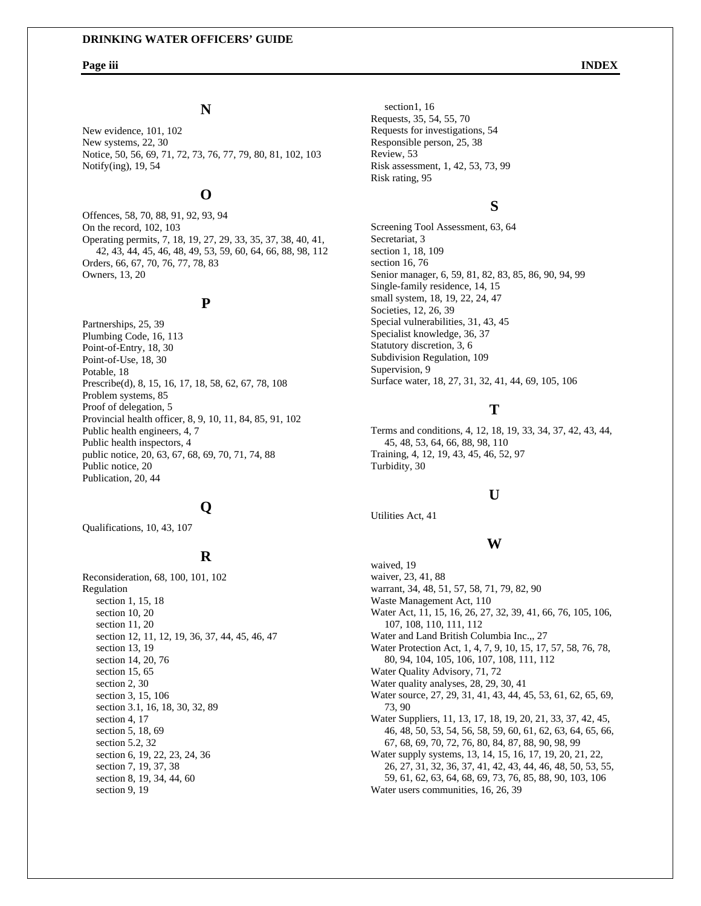# **N**

New evidence, 101, 102 New systems, 22, 30 Notice, 50, 56, 69, 71, 72, 73, 76, 77, 79, 80, 81, 102, 103 Notify(ing), 19, 54

## **O**

Offences, 58, 70, 88, 91, 92, 93, 94 On the record, 102, 103 Operating permits, 7, 18, 19, 27, 29, 33, 35, 37, 38, 40, 41, 42, 43, 44, 45, 46, 48, 49, 53, 59, 60, 64, 66, 88, 98, 112 Orders, 66, 67, 70, 76, 77, 78, 83 Owners, 13, 20

## **P**

Partnerships, 25, 39 Plumbing Code, 16, 113 Point-of-Entry, 18, 30 Point-of-Use, 18, 30 Potable, 18 Prescribe(d), 8, 15, 16, 17, 18, 58, 62, 67, 78, 108 Problem systems, 85 Proof of delegation, 5 Provincial health officer, 8, 9, 10, 11, 84, 85, 91, 102 Public health engineers, 4, 7 Public health inspectors, 4 public notice, 20, 63, 67, 68, 69, 70, 71, 74, 88 Public notice, 20 Publication, 20, 44

## **Q**

Qualifications, 10, 43, 107

## **R**

Reconsideration, 68, 100, 101, 102 Regulation section 1, 15, 18 section 10, 20 section 11, 20 section 12, 11, 12, 19, 36, 37, 44, 45, 46, 47 section 13, 19 section 14, 20, 76 section 15, 65 section 2, 30 section 3, 15, 106 section 3.1, 16, 18, 30, 32, 89 section 4, 17 section 5, 18, 69 section 5.2, 32 section 6, 19, 22, 23, 24, 36 section 7, 19, 37, 38 section 8, 19, 34, 44, 60 section 9, 19

section1, 16 Requests, 35, 54, 55, 70 Requests for investigations, 54 Responsible person, 25, 38 Review, 53 Risk assessment, 1, 42, 53, 73, 99 Risk rating, 95

# **S**

Screening Tool Assessment, 63, 64 Secretariat, 3 section 1, 18, 109 section 16, 76 Senior manager, 6, 59, 81, 82, 83, 85, 86, 90, 94, 99 Single-family residence, 14, 15 small system, 18, 19, 22, 24, 47 Societies, 12, 26, 39 Special vulnerabilities, 31, 43, 45 Specialist knowledge, 36, 37 Statutory discretion, 3, 6 Subdivision Regulation, 109 Supervision, 9 Surface water, 18, 27, 31, 32, 41, 44, 69, 105, 106

## **T**

Terms and conditions, 4, 12, 18, 19, 33, 34, 37, 42, 43, 44, 45, 48, 53, 64, 66, 88, 98, 110 Training, 4, 12, 19, 43, 45, 46, 52, 97 Turbidity, 30

# **U**

Utilities Act, 41

### **W**

waived, 19 waiver, 23, 41, 88 warrant, 34, 48, 51, 57, 58, 71, 79, 82, 90 Waste Management Act, 110 Water Act, 11, 15, 16, 26, 27, 32, 39, 41, 66, 76, 105, 106, 107, 108, 110, 111, 112 Water and Land British Columbia Inc.,, 27 Water Protection Act, 1, 4, 7, 9, 10, 15, 17, 57, 58, 76, 78, 80, 94, 104, 105, 106, 107, 108, 111, 112 Water Quality Advisory, 71, 72 Water quality analyses, 28, 29, 30, 41 Water source, 27, 29, 31, 41, 43, 44, 45, 53, 61, 62, 65, 69, 73, 90 Water Suppliers, 11, 13, 17, 18, 19, 20, 21, 33, 37, 42, 45, 46, 48, 50, 53, 54, 56, 58, 59, 60, 61, 62, 63, 64, 65, 66, 67, 68, 69, 70, 72, 76, 80, 84, 87, 88, 90, 98, 99 Water supply systems, 13, 14, 15, 16, 17, 19, 20, 21, 22, 26, 27, 31, 32, 36, 37, 41, 42, 43, 44, 46, 48, 50, 53, 55, 59, 61, 62, 63, 64, 68, 69, 73, 76, 85, 88, 90, 103, 106 Water users communities, 16, 26, 39